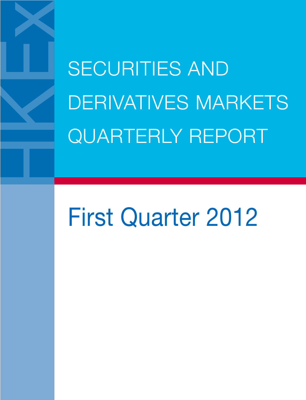**SECURITIES AND** DERIVATIVES MARKETS QUARTERLY REPORT

# First Quarter 2012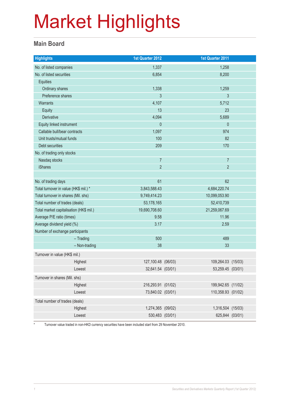#### **Main Board**

| <b>Highlights</b>                       | 1st Quarter 2012<br>1st Quarter 2011     |  |  |
|-----------------------------------------|------------------------------------------|--|--|
| No. of listed companies                 | 1,337<br>1,258                           |  |  |
| No. of listed securities                | 6,854<br>8,200                           |  |  |
| Equities                                |                                          |  |  |
| Ordinary shares                         | 1,338<br>1,259                           |  |  |
| Preference shares                       | 3<br>$\mathfrak{Z}$                      |  |  |
| <b>Warrants</b>                         | 4,107<br>5,712                           |  |  |
| Equity                                  | 23<br>13                                 |  |  |
| Derivative                              | 4,094<br>5,689                           |  |  |
| Equity linked instrument                | $\theta$<br>$\theta$                     |  |  |
| Callable bull/bear contracts            | 1,097<br>974                             |  |  |
| Unit trusts/mutual funds                | 82<br>100                                |  |  |
| Debt securities                         | 209<br>170                               |  |  |
| No. of trading only stocks              |                                          |  |  |
| Nasdaq stocks                           | $\overline{7}$<br>$\overline{7}$         |  |  |
| <b>iShares</b>                          | $\overline{2}$<br>$\overline{2}$         |  |  |
|                                         |                                          |  |  |
| No. of trading days                     | 62<br>61                                 |  |  |
| Total turnover in value (HK\$ mil.) *   | 3,843,588.43<br>4,684,220.74             |  |  |
| Total turnover in shares (Mil. shs)     | 9,749,414.23<br>10,099,053.90            |  |  |
| Total number of trades (deals)          | 53,178,165<br>52,410,739                 |  |  |
| Total market capitalisation (HK\$ mil.) | 19,690,708.60<br>21,259,067.69           |  |  |
| Average P/E ratio (times)               | 9.58<br>11.96                            |  |  |
| Average dividend yield (%)              | 3.17<br>2.59                             |  |  |
| Number of exchange participants         |                                          |  |  |
| $-$ Trading                             | 489<br>500                               |  |  |
| - Non-trading                           | 38<br>33                                 |  |  |
| Turnover in value (HK\$ mil.)           |                                          |  |  |
| Highest                                 | 127,100.48 (06/03)<br>109,264.03 (15/03) |  |  |
| Lowest                                  | 32,641.54 (03/01)<br>53,259.45 (03/01)   |  |  |
| Turnover in shares (Mil. shs)           |                                          |  |  |
| Highest                                 | 199,942.65 (11/02)<br>216,293.91 (01/02) |  |  |
| Lowest                                  | 73,840.02 (03/01)<br>110,358.93 (01/02)  |  |  |
| Total number of trades (deals)          |                                          |  |  |
|                                         |                                          |  |  |
| Highest                                 | 1,274,365 (09/02)<br>1,316,504 (15/03)   |  |  |

\* Turnover value traded in non-HKD currency securities have been included start from 29 November 2010.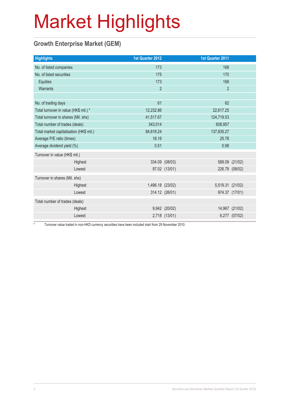#### **Growth Enterprise Market (GEM)**

| <b>Highlights</b>                       | 1st Quarter 2012 |               | 1st Quarter 2011 |                |
|-----------------------------------------|------------------|---------------|------------------|----------------|
| No. of listed companies                 | 173              |               | 168              |                |
| No. of listed securities                | 175              |               | 170              |                |
| Equities                                | 173              |               | 168              |                |
| Warrants                                | $\overline{2}$   |               | $\overline{2}$   |                |
|                                         |                  |               |                  |                |
| No. of trading days                     | 61               |               | 62               |                |
| Total turnover in value (HK\$ mil.) *   | 12,232.86        |               | 22,617.25        |                |
| Total turnover in shares (Mil. shs)     | 41,517.67        |               | 124,719.53       |                |
| Total number of trades (deals)          | 343,014          |               | 608,957          |                |
| Total market capitalisation (HK\$ mil.) | 84,618.24        |               | 137,835.27       |                |
| Average P/E ratio (times)               | 18.16            |               | 25.78            |                |
| Average dividend yield (%)              | 0.51             |               | 0.98             |                |
| Turnover in value (HK\$ mil.)           |                  |               |                  |                |
| Highest                                 | 334.09 (08/03)   |               |                  | 589.09 (21/02) |
| Lowest                                  |                  | 97.02 (13/01) | 226.79 (08/02)   |                |
| Turnover in shares (Mil. shs)           |                  |               |                  |                |
| Highest                                 | 1,496.18 (23/02) |               | 5,519.31 (21/02) |                |
| Lowest                                  | 314.12 (26/01)   |               | 974.37 (17/01)   |                |
| Total number of trades (deals)          |                  |               |                  |                |
| Highest                                 |                  | 9,942 (20/02) |                  | 14,967 (21/02) |
| Lowest                                  |                  | 2,718 (13/01) |                  | 6,277 (07/02)  |

\* Turnover value traded in non-HKD currency securities have been included start from 29 November 2010.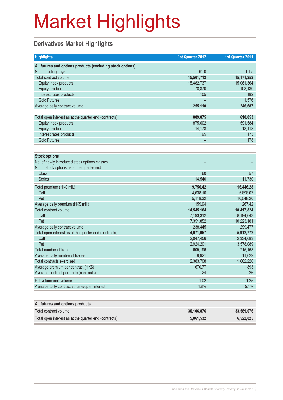#### **Derivatives Market Highlights**

| <b>Highlights</b>                                          | 1st Quarter 2012         | 1st Quarter 2011 |
|------------------------------------------------------------|--------------------------|------------------|
| All futures and options products (excluding stock options) |                          |                  |
| No. of trading days                                        | 61.0                     | 61.5             |
| Total contract volume                                      | 15,561,712               | 15, 171, 252     |
| Equity index products                                      | 15,482,737               | 15,061,364       |
| <b>Equity products</b>                                     | 78,870                   | 108,130          |
| Interest rates products                                    | 105                      | 182              |
| <b>Gold Futures</b>                                        |                          | 1,576            |
| Average daily contract volume                              | 255,110                  | 246,687          |
|                                                            |                          |                  |
| Total open interest as at the quarter end (contracts)      | 889,875                  | 610,053          |
| Equity index products                                      | 875,602                  | 591,584          |
| <b>Equity products</b>                                     | 14,178                   | 18,118           |
| Interest rates products                                    | 95                       | 173              |
| <b>Gold Futures</b>                                        |                          | 178              |
|                                                            |                          |                  |
| <b>Stock options</b>                                       |                          |                  |
| No. of newly introduced stock options classes              | $\overline{\phantom{0}}$ |                  |
| No. of stock options as at the quarter end                 |                          |                  |
| <b>Class</b>                                               | 60                       | 57               |
| <b>Series</b>                                              | 14,540                   | 11,730           |
| Total premium (HK\$ mil.)                                  | 9,756.42                 | 16,446.28        |
| Call                                                       | 4,638.10                 | 5,898.07         |
| Put                                                        | 5,118.32                 | 10,548.20        |
| Average daily premium (HK\$ mil.)                          | 159.94                   | 267.42           |
| Total contract volume                                      | 14,545,164               | 18,417,824       |
| Call                                                       | 7,193,312                | 8,194,643        |
| Put                                                        | 7,351,852                | 10,223,181       |
| Average daily contract volume                              | 238,445                  | 299,477          |
| Total open interest as at the quarter end (contracts)      | 4,971,657                | 5,912,772        |
| Call                                                       | 2,047,456                | 2,334,683        |
| Put                                                        | 2,924,201                | 3,578,089        |
| Total number of trades                                     | 605,196                  | 715,168          |
| Average daily number of trades                             | 9,921                    | 11,629           |
| <b>Total contracts exercised</b>                           | 2,383,708                | 1,662,220        |
| Average premium per contract (HK\$)                        | 670.77                   | 893              |
| Average contract per trade (contracts)                     | 24                       | 26               |
| Put volume/call volume                                     | 1.02                     | 1.25             |
| Average daily contract volume/open interest                | 4.8%                     | 5.1%             |
|                                                            |                          |                  |

| All futures and options products                      |            |            |
|-------------------------------------------------------|------------|------------|
| Total contract volume                                 | 30.106.876 | 33,589,076 |
| Total open interest as at the quarter end (contracts) | 5,861,532  | 6,522,825  |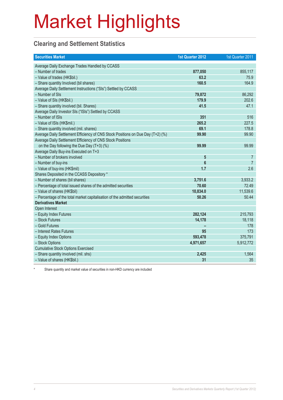#### **Clearing and Settlement Statistics**

| <b>Securities Market</b>                                                        | 1st Quarter 2012 | 1st Quarter 2011 |
|---------------------------------------------------------------------------------|------------------|------------------|
| Average Daily Exchange Trades Handled by CCASS                                  |                  |                  |
| - Number of trades                                                              | 877,050          | 855,117          |
| - Value of trades (HK\$bil.)                                                    | 63.2             | 75.9             |
| - Share quantity Involved (bil shares)                                          | 160.5            | 164.9            |
| Average Daily Settlement Instructions ("SIs") Settled by CCASS                  |                  |                  |
| - Number of SIs                                                                 | 79,872           | 86,292           |
| - Value of SIs (HK\$bil.)                                                       | 179.9            | 202.6            |
| - Share quantity involved (bil. Shares)                                         | 41.5             | 47.1             |
| Average Daily Investor SIs ("ISIs") Settled by CCASS                            |                  |                  |
| - Number of ISIs                                                                | 351              | 516              |
| - Value of ISIs (HK\$mil.)                                                      | 265.2            | 227.5            |
| - Share quantity involved (mil. shares)                                         | 69.1             | 178.8            |
| Average Daily Settlement Efficiency of CNS Stock Positions on Due Day (T+2) (%) | 99.90            | 99.90            |
| Average Daily Settlement Efficiency of CNS Stock Positions                      |                  |                  |
| on the Day following the Due Day (T+3) (%)                                      | 99.99            | 99.99            |
| Average Daily Buy-ins Executed on T+3                                           |                  |                  |
| - Number of brokers involved                                                    | 5                | $\overline{7}$   |
| - Number of buy-ins                                                             | 6                | $\overline{7}$   |
| - Value of buy-ins (HK\$mil)                                                    | 1.7              | 2.6              |
| Shares Deposited in the CCASS Depository *                                      |                  |                  |
| - Number of shares (bil shares)                                                 | 3,751.6          | 3,933.2          |
| - Percentage of total issued shares of the admitted securities                  | 70.60            | 72.49            |
| - Value of shares (HK\$bil)                                                     | 10,834.0         | 11,539.6         |
| - Percentage of the total market capitalisation of the admitted securities      | 50.26            | 50.44            |
| <b>Derivatives Market</b>                                                       |                  |                  |
| Open Interest                                                                   |                  |                  |
| - Equity Index Futures                                                          | 282,124          | 215,793          |
| - Stock Futures                                                                 | 14,178           | 18,118           |
| - Gold Futures                                                                  |                  | 178              |
| - Interest Rates Futures                                                        | 95               | 173              |
| - Equity Index Options                                                          | 593,478          | 375,791          |
| - Stock Options                                                                 | 4,971,657        | 5,912,772        |
| <b>Cumulative Stock Options Exercised</b>                                       |                  |                  |
| - Share quantity involved (mil. shs)                                            | 2,425            | 1,564            |
| - Value of shares (HK\$bil.)                                                    | 31               | 35               |

Share quantity and market value of securities in non-HKD currency are included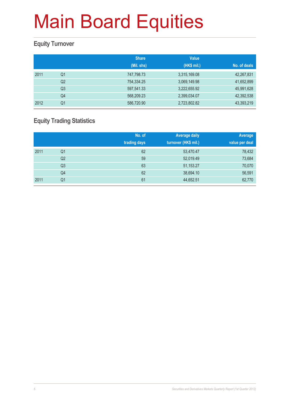#### **Equity Turnover**

|      |                | <b>Share</b><br>(Mil. shs) | <b>Value</b><br>(HK\$ mil.) | No. of deals |
|------|----------------|----------------------------|-----------------------------|--------------|
| 2011 | Q1             | 747,798.73                 | 3,315,169.08                | 42,267,831   |
|      | Q <sub>2</sub> | 754,334.25                 | 3,069,149.98                | 41,652,899   |
|      | Q <sub>3</sub> | 597,541.33                 | 3,222,655.92                | 45,991,628   |
|      | Q4             | 568,209.23                 | 2,399,034.07                | 42,392,538   |
| 2012 | Q <sub>1</sub> | 586,720.90                 | 2,723,802.82                | 43,393,219   |

#### **Equity Trading Statistics**

|      |                | No. of<br>trading days | <b>Average daily</b><br>turnover (HK\$ mil.) | Average<br>value per deal |
|------|----------------|------------------------|----------------------------------------------|---------------------------|
| 2011 | Q <sub>1</sub> | 62                     | 53,470.47                                    | 78,432                    |
|      | Q2             | 59                     | 52,019.49                                    | 73,684                    |
|      | Q <sub>3</sub> | 63                     | 51,153.27                                    | 70,070                    |
|      | Q4             | 62                     | 38,694.10                                    | 56,591                    |
| 2011 | Q <sub>1</sub> | 61                     | 44,652.51                                    | 62,770                    |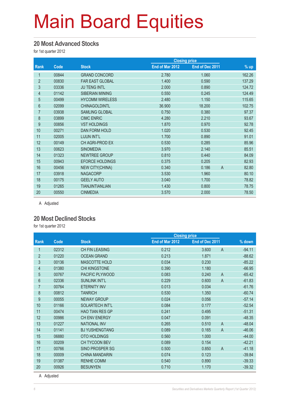#### **20 Most Advanced Stocks**

for 1st quarter 2012

|                |       |                        | <b>Closing price</b> |                 |                         |
|----------------|-------|------------------------|----------------------|-----------------|-------------------------|
| Rank           | Code  | <b>Stock</b>           | End of Mar 2012      | End of Dec 2011 | $%$ up                  |
| 1              | 00844 | <b>GRAND CONCORD</b>   | 2.780                | 1.060           | 162.26                  |
| $\overline{2}$ | 00830 | <b>FAR EAST GLOBAL</b> | 1.400                | 0.590           | 137.29                  |
| 3              | 03336 | <b>JU TENG INTL</b>    | 2.000                | 0.890           | 124.72                  |
| $\overline{4}$ | 01142 | <b>SIBERIAN MINING</b> | 0.550                | 0.245           | 124.49                  |
| $\overline{5}$ | 00499 | <b>HYCOMM WIRELESS</b> | 2.480                | 1.150           | 115.65                  |
| 6              | 02099 | <b>CHINAGOLDINTL</b>   | 36.900               | 18.200          | 102.75                  |
| $\overline{7}$ | 03938 | <b>SAMLING GLOBAL</b>  | 0.750                | 0.380           | 97.37                   |
| 8              | 03899 | <b>CIMC ENRIC</b>      | 4.280                | 2.210           | 93.67                   |
| 9              | 00856 | <b>VST HOLDINGS</b>    | 1.870                | 0.970           | 92.78                   |
| 10             | 00271 | DAN FORM HOLD          | 1.020                | 0.530           | 92.45                   |
| 11             | 02005 | LIJUN INT'L            | 1.700                | 0.890           | 91.01                   |
| 12             | 00149 | CH AGRI-PROD EX        | 0.530                | 0.285           | 85.96                   |
| 13             | 00623 | <b>SINOMEDIA</b>       | 3.970                | 2.140           | 85.51                   |
| 14             | 01323 | <b>NEWTREE GROUP</b>   | 0.810                | 0.440           | 84.09                   |
| 15             | 00943 | <b>EFORCE HOLDINGS</b> | 0.375                | 0.205           | 82.93                   |
| 16             | 00456 | <b>NEW CITY(CHINA)</b> | 0.340                | 0.186           | $\overline{A}$<br>82.80 |
| 17             | 03918 | <b>NAGACORP</b>        | 3.530                | 1.960           | 80.10                   |
| 18             | 00175 | <b>GEELY AUTO</b>      | 3.040                | 1.700           | 78.82                   |
| 19             | 01265 | <b>TIANJINTIANLIAN</b> | 1.430                | 0.800           | 78.75                   |
| 20             | 00550 | <b>CINMEDIA</b>        | 3.570                | 2.000           | 78.50                   |

A Adjusted

#### **20 Most Declined Stocks**

for 1st quarter 2012

|                |       |                        | <b>Closing price</b> |                         |          |
|----------------|-------|------------------------|----------------------|-------------------------|----------|
| Rank           | Code  | <b>Stock</b>           | End of Mar 2012      | End of Dec 2011         | % down   |
| 1              | 02312 | <b>CH FIN LEASING</b>  | 0.212                | 3.600<br>$\overline{A}$ | $-94.11$ |
| $\overline{2}$ | 01220 | <b>OCEAN GRAND</b>     | 0.213                | 1.871                   | $-88.62$ |
| 3              | 00136 | MASCOTTE HOLD          | 0.034                | 0.230                   | $-85.22$ |
| 4              | 01380 | <b>CHI KINGSTONE</b>   | 0.390                | 1.180                   | $-66.95$ |
| 5              | 00767 | PACIFIC PLYWOOD        | 0.083                | $\mathsf{A}$<br>0.240   | $-65.42$ |
| $6\phantom{.}$ | 02336 | <b>SUNLINK INT'L</b>   | 0.229                | 0.600<br>$\overline{A}$ | $-61.83$ |
| $\overline{7}$ | 00764 | <b>ETERNITY INV</b>    | 0.013                | 0.034                   | $-61.76$ |
| 8              | 00812 | <b>TANRICH</b>         | 0.530                | 1.350                   | $-60.74$ |
| 9              | 00055 | <b>NEWAY GROUP</b>     | 0.024                | 0.056                   | $-57.14$ |
| 10             | 01166 | <b>SOLARTECH INT'L</b> | 0.084                | 0.177                   | $-52.54$ |
| 11             | 00474 | <b>HAO TIAN RES GP</b> | 0.241                | 0.495                   | $-51.31$ |
| 12             | 00986 | CH ENV ENERGY          | 0.047                | 0.091                   | $-48.35$ |
| 13             | 01227 | <b>NATIONAL INV</b>    | 0.265                | $\overline{A}$<br>0.510 | $-48.04$ |
| 14             | 01141 | <b>BJ YUSHENGTANG</b>  | 0.089                | 0.165<br>$\overline{A}$ | $-46.06$ |
| 15             | 06880 | <b>OTO HOLDINGS</b>    | 0.560                | 1.000                   | $-44.00$ |
| 16             | 00209 | CH TYCOON BEV          | 0.089                | 0.154                   | $-42.21$ |
| 17             | 00766 | SINO PROSPER SG        | 0.500                | $\overline{A}$<br>0.850 | $-41.18$ |
| 18             | 00009 | <b>CHINA MANDARIN</b>  | 0.074                | 0.123                   | $-39.84$ |
| 19             | 01387 | <b>RENHE COMM</b>      | 0.540                | 0.890                   | $-39.33$ |
| 20             | 00926 | <b>BESUNYEN</b>        | 0.710                | 1.170                   | $-39.32$ |

A Adjusted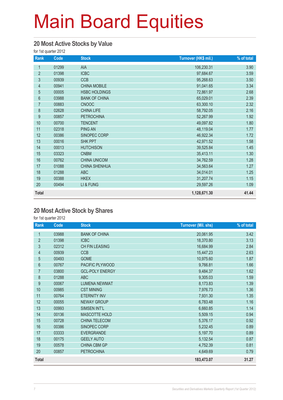#### **20 Most Active Stocks by Value**

for 1st quarter 2012

| Rank             | Code  | <b>Stock</b>         | Turnover (HK\$ mil.) | % of total |
|------------------|-------|----------------------|----------------------|------------|
| $\mathbf{1}$     | 01299 | AIA                  | 106,230.31           | 3.90       |
| $\overline{2}$   | 01398 | <b>ICBC</b>          | 97,684.67            | 3.59       |
| 3                | 00939 | <b>CCB</b>           | 95,268.63            | 3.50       |
| $\overline{4}$   | 00941 | <b>CHINA MOBILE</b>  | 91,041.65            | 3.34       |
| 5                | 00005 | <b>HSBC HOLDINGS</b> | 72,861.97            | 2.68       |
| $6\phantom{.}$   | 03988 | <b>BANK OF CHINA</b> | 65,029.01            | 2.39       |
| $\overline{7}$   | 00883 | <b>CNOOC</b>         | 63,300.10            | 2.32       |
| $\bf 8$          | 02628 | <b>CHINA LIFE</b>    | 58,792.05            | 2.16       |
| $\boldsymbol{9}$ | 00857 | <b>PETROCHINA</b>    | 52,267.99            | 1.92       |
| 10               | 00700 | <b>TENCENT</b>       | 49,097.82            | 1.80       |
| 11               | 02318 | <b>PING AN</b>       | 48,119.04            | 1.77       |
| 12               | 00386 | SINOPEC CORP         | 46,922.34            | 1.72       |
| 13               | 00016 | <b>SHK PPT</b>       | 42,971.52            | 1.58       |
| 14               | 00013 | <b>HUTCHISON</b>     | 39,525.84            | 1.45       |
| 15               | 03323 | <b>CNBM</b>          | 35,413.11            | 1.30       |
| 16               | 00762 | <b>CHINA UNICOM</b>  | 34,762.59            | 1.28       |
| 17               | 01088 | <b>CHINA SHENHUA</b> | 34,563.64            | 1.27       |
| 18               | 01288 | <b>ABC</b>           | 34,014.01            | 1.25       |
| 19               | 00388 | <b>HKEX</b>          | 31,207.74            | 1.15       |
| 20               | 00494 | LI & FUNG            | 29,597.26            | 1.09       |
| <b>Total</b>     |       |                      | 1,128,671.30         | 41.44      |

#### **20 Most Active Stock by Shares**

| Rank           | Code  | <b>Stock</b>           | <b>Turnover (Mil. shs)</b> | % of total |
|----------------|-------|------------------------|----------------------------|------------|
| 1              | 03988 | <b>BANK OF CHINA</b>   | 20,061.95                  | 3.42       |
| $\overline{2}$ | 01398 | <b>ICBC</b>            | 18,370.80                  | 3.13       |
| 3              | 02312 | CH FIN LEASING         | 16,684.99                  | 2.84       |
| $\overline{4}$ | 00939 | <b>CCB</b>             | 15,447.23                  | 2.63       |
| $\overline{5}$ | 00493 | <b>GOME</b>            | 10,975.60                  | 1.87       |
| $6\,$          | 00767 | PACIFIC PLYWOOD        | 9,766.81                   | 1.66       |
| $\overline{7}$ | 03800 | <b>GCL-POLY ENERGY</b> | 9,484.37                   | 1.62       |
| 8              | 01288 | <b>ABC</b>             | 9,305.03                   | 1.59       |
| 9              | 00067 | <b>LUMENA NEWMAT</b>   | 8,173.83                   | 1.39       |
| 10             | 00985 | <b>CST MINING</b>      | 7,976.73                   | 1.36       |
| 11             | 00764 | <b>ETERNITY INV</b>    | 7,931.30                   | 1.35       |
| 12             | 00055 | <b>NEWAY GROUP</b>     | 6,783.48                   | 1.16       |
| 13             | 00993 | SIMSEN INT'L           | 6,660.85                   | 1.14       |
| 14             | 00136 | MASCOTTE HOLD          | 5,509.15                   | 0.94       |
| 15             | 00728 | <b>CHINA TELECOM</b>   | 5,376.17                   | 0.92       |
| 16             | 00386 | SINOPEC CORP           | 5,232.45                   | 0.89       |
| 17             | 03333 | <b>EVERGRANDE</b>      | 5,197.70                   | 0.89       |
| 18             | 00175 | <b>GEELY AUTO</b>      | 5,132.54                   | 0.87       |
| 19             | 00578 | <b>CHINA CBM GP</b>    | 4,752.39                   | 0.81       |
| 20             | 00857 | <b>PETROCHINA</b>      | 4,649.69                   | 0.79       |
| <b>Total</b>   |       |                        | 183,473.07                 | 31.27      |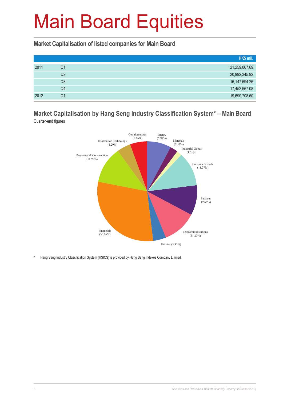**Market Capitalisation of listed companies for Main Board**

|      |    | HK\$ mil.        |
|------|----|------------------|
| 2011 | Q1 | 21,259,067.69    |
|      | Q2 | 20,992,345.92    |
|      | Q3 | 16, 147, 694. 26 |
|      | Q4 | 17,452,667.08    |
| 2012 | Q1 | 19,690,708.60    |

#### **Market Capitalisation by Hang Seng Industry Classification System\* – Main Board** Quarter-end figures



\* Hang Seng Industry Classification System (HSICS) is provided by Hang Seng Indexes Company Limited.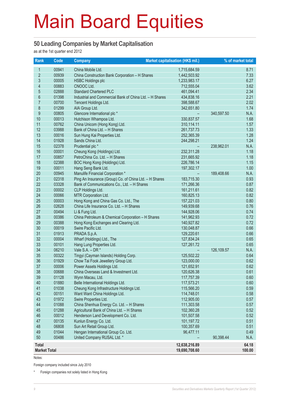#### **50 Leading Companies by Market Capitalisation**

as at the 1st quarter end 2012

| Rank                | Code           | <b>Company</b>                                          | Market capitalisation (HK\$ mil.) |            | % of market total |
|---------------------|----------------|---------------------------------------------------------|-----------------------------------|------------|-------------------|
| 1                   | 00941          | China Mobile Ltd.                                       | 1,715,684.59                      |            | 8.71              |
| $\overline{2}$      | 00939          | China Construction Bank Corporation - H Shares          | 1,442,503.92                      |            | 7.33              |
| 3                   | 00005          | <b>HSBC Holdings plc</b>                                | 1,233,983.17                      |            | 6.27              |
| 4                   | 00883          | CNOOC Ltd.                                              | 712,555.04                        |            | 3.62              |
| $\overline{5}$      | 02888          | <b>Standard Chartered PLC</b>                           | 461,094.41                        |            | 2.34              |
| $6\phantom{a}$      | 01398          | Industrial and Commercial Bank of China Ltd. - H Shares | 434,838.16                        |            | 2.21              |
| $\overline{7}$      | 00700          | Tencent Holdings Ltd.                                   | 398,588.67                        |            | 2.02              |
| 8                   | 01299          | AIA Group Ltd.                                          | 342,651.80                        |            | 1.74              |
| 9                   | 00805          | Glencore International plc *                            |                                   | 340,597.50 | N.A.              |
| 10                  | 00013          | Hutchison Whampoa Ltd.                                  | 330,837.57                        |            | 1.68              |
| 11                  | 00762          | China Unicom (Hong Kong) Ltd.                           | 310,114.11                        |            | 1.57              |
| 12                  | 03988          | Bank of China Ltd. - H Shares                           | 261,737.73                        |            | 1.33              |
| 13                  | 00016          | Sun Hung Kai Properties Ltd.                            | 252,365.39                        |            | 1.28              |
| 14                  | 01928          | Sands China Ltd.                                        | 244,298.21                        |            | 1.24              |
| 15                  | 02378          | Prudential plc *                                        |                                   | 238,962.01 | N.A.              |
| 16                  | 00001          | Cheung Kong (Holdings) Ltd.                             | 232,311.28                        |            | 1.18              |
| 17                  | 00857          | PetroChina Co. Ltd. - H Shares                          | 231,665.92                        |            | 1.18              |
| 18                  | 02388          | BOC Hong Kong (Holdings) Ltd.                           | 226,786.14                        |            | 1.15              |
| 19                  | 00011          | Hang Seng Bank Ltd.                                     | 197,302.17                        |            | 1.00              |
| 20                  | 00945          | Manulife Financial Corporation *                        |                                   | 189,408.66 | N.A.              |
| 21                  | 02318          | Ping An Insurance (Group) Co. of China Ltd. - H Shares  | 183,715.30                        |            | 0.93              |
| 22                  | 03328          | Bank of Communications Co., Ltd. - H Shares             | 171,266.36                        |            | 0.87              |
| 23                  | 00002          | CLP Holdings Ltd.                                       | 161,211.61                        |            | 0.82              |
| 24                  | 00066          | MTR Corporation Ltd.                                    | 160,825.13                        |            | 0.82              |
| 25                  | 00003          | Hong Kong and China Gas Co. Ltd., The                   | 157,221.03                        |            | 0.80              |
| 26                  | 02628          | China Life Insurance Co. Ltd. - H Shares                | 149,939.68                        |            | 0.76              |
| 27                  | 00494          | Li & Fung Ltd.                                          | 144,928.06                        |            | 0.74              |
| 28                  | 00386          | China Petroleum & Chemical Corporation - H Shares       | 141,962.93                        |            | 0.72              |
| 29                  | 00388          | Hong Kong Exchanges and Clearing Ltd.                   | 140,927.82                        |            | 0.72              |
| 30                  | 00019          | Swire Pacific Ltd.                                      | 130,048.87                        |            | 0.66              |
| 31                  | 01913          | PRADA S.p.A.                                            | 129,220.61                        |            | 0.66              |
| 32<br>33            | 00004<br>00101 | Wharf (Holdings) Ltd., The<br>Hang Lung Properties Ltd. | 127,834.24                        |            | 0.65<br>0.65      |
| 34                  | 06210          | Vale $S.A. - DR *$                                      | 127,261.72                        | 126,109.57 | N.A.              |
| 35                  | 00322          | Tingyi (Cayman Islands) Holding Corp.                   | 125,502.22                        |            | 0.64              |
| 36                  | 01929          | Chow Tai Fook Jewellery Group Ltd.                      | 123,000.00                        |            | 0.62              |
| 37                  | 00006          | Power Assets Holdings Ltd.                              | 121,652.91                        |            | 0.62              |
| 38                  | 00688          | China Overseas Land & Investment Ltd.                   | 120,626.38                        |            | 0.61              |
| 39                  | 01128          | Wynn Macau, Ltd.                                        | 117,757.39                        |            | 0.60              |
| 40                  | 01880          | Belle International Holdings Ltd.                       | 117,573.21                        |            | 0.60              |
| 41                  | 01038          | Cheung Kong Infrastructure Holdings Ltd.                | 115,566.20                        |            | 0.59              |
| 42                  | 00151          | Want Want China Holdings Ltd.                           | 114,748.01                        |            | 0.58              |
| 43                  | 01972          | Swire Properties Ltd.                                   | 112,905.00                        |            | 0.57              |
| 44                  | 01088          | China Shenhua Energy Co. Ltd. - H Shares                | 111,303.58                        |            | 0.57              |
| 45                  | 01288          | Agricultural Bank of China Ltd. - H Shares              | 102,360.28                        |            | 0.52              |
| 46                  | 00012          | Henderson Land Development Co. Ltd.                     | 101,507.58                        |            | 0.52              |
| 47                  | 00135          | Kunlun Energy Co. Ltd.                                  | 101,197.72                        |            | 0.51              |
| 48                  | 06808          | Sun Art Retail Group Ltd.                               | 100,357.69                        |            | 0.51              |
| 49                  | 01044          | Hengan International Group Co. Ltd.                     | 96,477.11                         |            | 0.49              |
| 50                  | 00486          | United Company RUSAL Ltd. *                             |                                   | 90,398.44  | N.A.              |
| <b>Total</b>        |                |                                                         | 12,638,216.89                     |            | 64.18             |
| <b>Market Total</b> |                |                                                         | 19,690,708.60                     |            | 100.00            |

Notes:

Foreign company included since July 2010

\* Foreign companies not solely listed in Hong Kong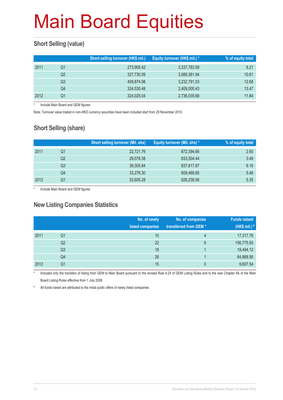#### **Short Selling (value)**

|      |                | Short selling turnover (HK\$ mil.) | Equity turnover (HK\$ mil.) * | % of equity total |
|------|----------------|------------------------------------|-------------------------------|-------------------|
| 2011 | Q1             | 273,905.42                         | 3,337,783.59                  | 8.21              |
|      | Q <sub>2</sub> | 327,730.09                         | 3,089,381.94                  | 10.61             |
|      | Q3             | 409,874.98                         | 3,232,791.53                  | 12.68             |
|      | Q4             | 324,530.48                         | 2,409,005.43                  | 13.47             |
| 2012 | Q1             | 324.025.04                         | 2,736,035.68                  | 11.84             |

Include Main Board and GEM figures

Note: Turnover value traded in non-HKD currency securities have been included start from 29 November 2010.

#### **Short Selling (share)**

|      |    | <b>Short selling turnover (Mil. shs)</b> | Equity turnover (Mil. shs) * | % of equity total |
|------|----|------------------------------------------|------------------------------|-------------------|
| 2011 | Q1 | 22,721.76                                | 872,394.66                   | 2.60              |
|      | Q2 | 29,078.38                                | 833.504.44                   | 3.49              |
|      | Q3 | 39,305.84                                | 637,817.87                   | 6.16              |
|      | Q4 | 33,276.30                                | 609,468.85                   | 5.46              |
| 2012 | Q1 | 33,605.28                                | 628,238.56                   | 5.35              |

Include Main Board and GEM figures

#### **New Listing Companies Statistics**

|      |                | No. of newly<br>listed companies | No. of companies<br>transferred from GEM * | <b>Funds raised</b><br>(HK\$ mil.) # |
|------|----------------|----------------------------------|--------------------------------------------|--------------------------------------|
| 2011 | Q <sub>1</sub> | 10                               | 4                                          | 17,317.76                            |
|      | Q2             | 22                               | 6                                          | 156,775.55                           |
|      | Q <sub>3</sub> | 18                               |                                            | 19,494.12                            |
|      | Q4             | 26                               |                                            | 64,868.56                            |
| 2012 | Q1             | 15                               | $\mathbf{0}$                               | 9,607.54                             |

Included only the transfers of listing from GEM to Main Board pursuant to the revised Rule 9.24 of GEM Listing Rules and to the new Chapter 9A of the Main Board Listing Rules effective from 1 July 2008

# All funds raised are attributed to the initial public offers of newly listed companies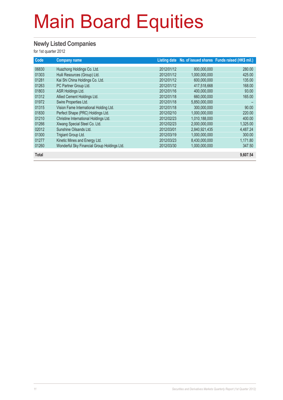#### **Newly Listed Companies**

| Code         | <b>Company name</b>                         |            |               | Listing date No. of issued shares Funds raised (HK\$ mil.) |
|--------------|---------------------------------------------|------------|---------------|------------------------------------------------------------|
| 06830        | Huazhong Holdings Co. Ltd.                  | 2012/01/12 | 800,000,000   | 280.00                                                     |
| 01303        | Huili Resources (Group) Ltd.                | 2012/01/12 | 1.000.000.000 | 425.00                                                     |
| 01281        | Kai Shi China Holdings Co. Ltd.             | 2012/01/12 | 600,000,000   | 135.00                                                     |
| 01263        | PC Partner Group Ltd.                       | 2012/01/12 | 417,518,668   | 168.00                                                     |
| 01803        | ASR Holdings Ltd.                           | 2012/01/16 | 400,000,000   | 93.00                                                      |
| 01312        | Allied Cement Holdings Ltd.                 | 2012/01/18 | 660,000,000   | 165.00                                                     |
| 01972        | Swire Properties Ltd.                       | 2012/01/18 | 5,850,000,000 |                                                            |
| 01315        | Vision Fame International Holding Ltd.      | 2012/01/18 | 300,000,000   | 90.00                                                      |
| 01830        | Perfect Shape (PRC) Holdings Ltd.           | 2012/02/10 | 1,000,000,000 | 220.00                                                     |
| 01210        | Christine International Holdings Ltd.       | 2012/02/23 | 1,010,188,000 | 400.00                                                     |
| 01266        | Xiwang Special Steel Co. Ltd.               | 2012/02/23 | 2,000,000,000 | 1,325.00                                                   |
| 02012        | Sunshine Oilsands Ltd.                      | 2012/03/01 | 2,840,921,435 | 4,487.24                                                   |
| 01300        | Trigiant Group Ltd.                         | 2012/03/19 | 1.000.000.000 | 300.00                                                     |
| 01277        | Kinetic Mines and Energy Ltd.               | 2012/03/23 | 8,430,000,000 | 1,171.80                                                   |
| 01260        | Wonderful Sky Financial Group Holdings Ltd. | 2012/03/30 | 1,000,000,000 | 347.50                                                     |
|              |                                             |            |               |                                                            |
| <b>Total</b> |                                             |            |               | 9,607.54                                                   |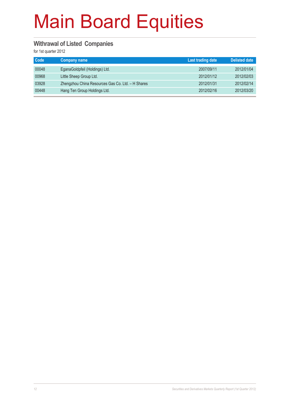#### **Withrawal of Listed Companies**

| Code  | <b>Company name</b>                               | <b>Last trading date</b> | <b>Delisted date</b> |
|-------|---------------------------------------------------|--------------------------|----------------------|
| 00048 | EganaGoldpfeil (Holdings) Ltd.                    | 2007/09/11               | 2012/01/04           |
| 00968 | Little Sheep Group Ltd.                           | 2012/01/12               | 2012/02/03           |
| 03928 | Zhengzhou China Resources Gas Co. Ltd. - H Shares | 2012/01/31               | 2012/02/14           |
| 00448 | Hang Ten Group Holdings Ltd.                      | 2012/02/16               | 2012/03/20           |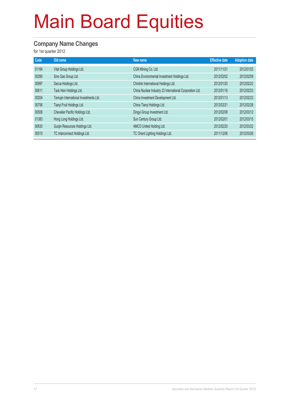#### **Company Name Changes**

| Code  | Old name                               | New name                                                 | <b>Effective date</b> | <b>Adoption date</b> |
|-------|----------------------------------------|----------------------------------------------------------|-----------------------|----------------------|
| 01164 | Vital Group Holdings Ltd.              | CGN Mining Co. Ltd.                                      | 2011/11/21            | 2012/01/03           |
| 00260 | Sino Gas Group Ltd.                    | China Environmental Investment Holdings Ltd.             | 2012/02/02            | 2012/02/09           |
| 00997 | Decca Holdings Ltd.                    | Chinlink International Holdings Ltd.                     | 2012/01/20            | 2012/02/22           |
| 00611 | Tack Hsin Holdings Ltd.                | China Nuclear Industry 23 International Corporation Ltd. | 2012/01/16            | 2012/02/23           |
| 00204 | Temujin International Investments Ltd. | China Investment Development Ltd.                        | 2012/01/13            | 2012/02/23           |
| 00756 | Tianyi Fruit Holdings Ltd.             | China Tianyi Holdings Ltd.                               | 2012/02/21            | 2012/02/28           |
| 00508 | Chevalier Pacific Holdings Ltd.        | Dingyi Group Investment Ltd.                             | 2012/02/08            | 2012/03/12           |
| 01383 | Hong Long Holdings Ltd.                | Sun Century Group Ltd.                                   | 2012/02/01            | 2012/03/15           |
| 00630 | Guojin Resources Holdings Ltd.         | AMCO United Holding Ltd.                                 | 2012/02/20            | 2012/03/22           |
| 00515 | TC Interconnect Holdings Ltd.          | TC Orient Lighting Holdings Ltd.                         | 2011/12/06            | 2012/03/26           |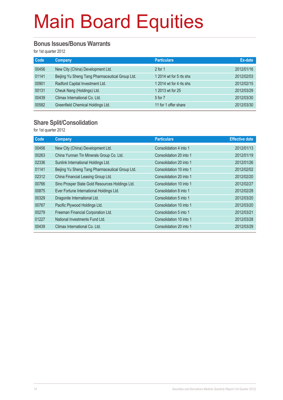#### **Bonus Issues/Bonus Warrants**

for 1st quarter 2012

| Code  | <b>Company</b>                                  | <b>Particulars</b>      | Ex-date    |
|-------|-------------------------------------------------|-------------------------|------------|
| 00456 | New City (China) Development Ltd.               | $2$ for 1               | 2012/01/16 |
| 01141 | Beijing Yu Sheng Tang Pharmaceutical Group Ltd. | 1 2014 wt for 5 rts shs | 2012/02/03 |
| 00901 | Radford Capital Investment Ltd.                 | 1 2014 wt for 4 rts shs | 2012/02/15 |
| 00131 | Cheuk Nang (Holdings) Ltd.                      | 1 2013 wt for 25        | 2012/03/29 |
| 00439 | Climax International Co. Ltd.                   | 5 for 7                 | 2012/03/30 |
| 00582 | Greenfield Chemical Holdings Ltd.               | 11 for 1 offer share    | 2012/03/30 |

#### **Share Split/Consolidation**

| Code  | Company                                         | <b>Particulars</b>      | <b>Effective date</b> |
|-------|-------------------------------------------------|-------------------------|-----------------------|
| 00456 | New City (China) Development Ltd.               | Consolidation 4 into 1  | 2012/01/13            |
| 00263 | China Yunnan Tin Minerals Group Co. Ltd.        | Consolidation 20 into 1 | 2012/01/19            |
| 02336 | Sunlink International Holdings Ltd.             | Consolidation 20 into 1 | 2012/01/26            |
| 01141 | Beijing Yu Sheng Tang Pharmaceutical Group Ltd. | Consolidation 10 into 1 | 2012/02/02            |
| 02312 | China Financial Leasing Group Ltd.              | Consolidation 20 into 1 | 2012/02/20            |
| 00766 | Sino Prosper State Gold Resources Holdings Ltd. | Consolidation 10 into 1 | 2012/02/27            |
| 00875 | Ever Fortune International Holdings Ltd.        | Consolidation 8 into 1  | 2012/02/28            |
| 00329 | Dragonite International Ltd.                    | Consolidation 5 into 1  | 2012/03/20            |
| 00767 | Pacific Plywood Holdings Ltd.                   | Consolidation 10 into 1 | 2012/03/20            |
| 00279 | Freeman Financial Corporation Ltd.              | Consolidation 5 into 1  | 2012/03/21            |
| 01227 | National Investments Fund Ltd.                  | Consolidation 10 into 1 | 2012/03/28            |
| 00439 | Climax International Co. Ltd.                   | Consolidation 20 into 1 | 2012/03/29            |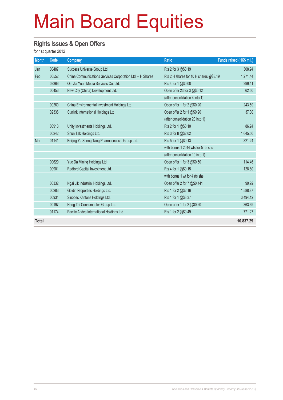#### **Rights Issues & Open Offers**

| <b>Month</b> | Code  | <b>Company</b>                                            | <b>Ratio</b>                           | Funds raised (HK\$ mil.) |
|--------------|-------|-----------------------------------------------------------|----------------------------------------|--------------------------|
| Jan          | 00487 | Success Universe Group Ltd.                               | Rts 2 for 3 @\$0.19                    | 308.94                   |
| Feb          | 00552 | China Communications Services Corporation Ltd. - H Shares | Rts 2 H shares for 10 H shares @\$3.19 | 1,271.44                 |
|              | 02366 | Qin Jia Yuan Media Services Co. Ltd.                      | Rts 4 for 1 @\$0.08                    | 299.41                   |
|              | 00456 | New City (China) Development Ltd.                         | Open offer 23 for 3 @\$0.12            | 62.50                    |
|              |       |                                                           | (after consolidation 4 into 1)         |                          |
|              | 00260 | China Environmental Investment Holdings Ltd.              | Open offer 1 for 2 @\$0.20             | 243.59                   |
|              | 02336 | Sunlink International Holdings Ltd.                       | Open offer 2 for 1 @\$0.20             | 37.30                    |
|              |       |                                                           | (after consolidation 20 into 1)        |                          |
|              | 00913 | Unity Investments Holdings Ltd.                           | Rts 2 for 1 @\$0.10                    | 86.24                    |
|              | 00242 | Shun Tak Holdings Ltd.                                    | Rts 3 for 8 @\$2.02                    | 1,645.50                 |
| Mar          | 01141 | Beijing Yu Sheng Tang Pharmaceutical Group Ltd.           | Rts 5 for 1 @\$0.13                    | 321.24                   |
|              |       |                                                           | with bonus 1 2014 wts for 5 rts shs    |                          |
|              |       |                                                           | (after consolidation 10 into 1)        |                          |
|              | 00629 | Yue Da Mining Holdings Ltd.                               | Open offer 1 for 3 @\$0.50             | 114.46                   |
|              | 00901 | Radford Capital Investment Ltd.                           | Rts 4 for 1 @\$0.15                    | 128.80                   |
|              |       |                                                           | with bonus 1 wt for 4 rts shs          |                          |
|              | 00332 | Ngai Lik Industrial Holdings Ltd.                         | Open offer 2 for 7 @\$0.441            | 99.92                    |
|              | 00283 | Goldin Properties Holdings Ltd.                           | Rts 1 for 2 @\$2.16                    | 1,588.87                 |
|              | 00934 | Sinopec Kantons Holdings Ltd.                             | Rts 1 for 1 @\$3.37                    | 3,494.12                 |
|              | 00197 | Heng Tai Consumables Group Ltd.                           | Open offer 1 for 2 @\$0.20             | 363.69                   |
|              | 01174 | Pacific Andes International Holdings Ltd.                 | Rts 1 for 2 @\$0.49                    | 771.27                   |
| <b>Total</b> |       |                                                           |                                        | 10,837.29                |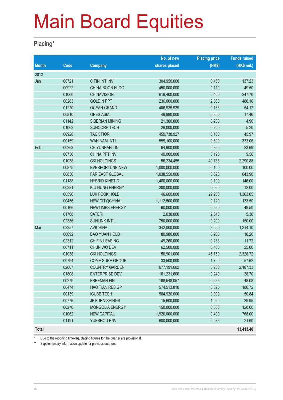#### **Placing\***

|              |       |                        | No. of new    | <b>Placing price</b> | <b>Funds raised</b> |
|--------------|-------|------------------------|---------------|----------------------|---------------------|
| <b>Month</b> | Code  | <b>Company</b>         | shares placed | (HK\$)               | (HK\$ mil.)         |
| 2012         |       |                        |               |                      |                     |
| Jan          | 00721 | C FIN INT INV          | 304,950,000   | 0.450                | 137.23              |
|              | 00922 | CHINA BOON HLDG        | 450,000,000   | 0.110                | 49.50               |
|              | 01060 | <b>CHINAVISION</b>     | 619,400,000   | 0.400                | 247.76              |
|              | 00283 | <b>GOLDIN PPT</b>      | 236,000,000   | 2.060                | 486.16              |
|              | 01220 | <b>OCEAN GRAND</b>     | 406,935,939   | 0.133                | 54.12               |
|              | 00810 | <b>OPES ASIA</b>       | 49,880,000    | 0.350                | 17.46               |
|              | 01142 | SIBERIAN MINING        | 21,300,000    | 0.230                | 4.90                |
|              | 01063 | <b>SUNCORP TECH</b>    | 26,000,000    | 0.200                | 5.20                |
|              | 00928 | <b>TACK FIORI</b>      | 459,738,927   | 0.100                | 45.97               |
|              | 00159 | <b>WAH NAM INT'L</b>   | 555,100,000   | 0.600                | 333.06              |
| Feb          | 00263 | <b>CH YUNNAN TIN</b>   | 64,900,000    | 0.365                | 23.69               |
|              | 00736 | <b>CHINA PPT INV</b>   | 49,000,000    | 0.195                | 9.56                |
|              | 01038 | <b>CKI HOLDINGS</b>    | 56,234,455    | 40.738               | 2,290.88            |
|              | 00875 | EVERFORTUNE-NEW        | 1,000,000,000 | 0.100                | 100.00              |
|              | 00830 | FAR EAST GLOBAL        | 1,038,550,000 | 0.620                | 643.90              |
|              | 01188 | <b>HYBRID KINETIC</b>  | 1,460,000,000 | 0.100                | 146.00              |
|              | 00381 | KIU HUNG ENERGY        | 200,000,000   | 0.060                | 12.00               |
|              | 00590 | <b>LUK FOOK HOLD</b>   | 46,600,000    | 29.250               | 1,363.05            |
|              | 00456 | <b>NEW CITY(CHINA)</b> | 1,112,500,000 | 0.120                | 133.50              |
|              | 00166 | <b>NEWTIMES ENERGY</b> | 90,000,000    | 0.550                | 49.50               |
|              | 01768 | <b>SATERI</b>          | 2,038,000     | 2.640                | 5.38                |
|              | 02336 | <b>SUNLINK INT'L</b>   | 750,000,000   | 0.200                | 150.00              |
| Mar          | 02357 | <b>AVICHINA</b>        | 342,000,000   | 3.550                | 1,214.10            |
|              | 00692 | <b>BAO YUAN HOLD</b>   | 80,980,000    | 0.200                | 16.20               |
|              | 02312 | <b>CH FIN LEASING</b>  | 49,260,000    | 0.238                | 11.72               |
|              | 00711 | CHUN WO DEV            | 62,500,000    | 0.400                | 25.00               |
|              | 01038 | <b>CKI HOLDINGS</b>    | 50,901,000    | 45.750               | 2,328.72            |
|              | 00794 | <b>COME SURE GROUP</b> | 33,500,000    | 1.720                | 57.62               |
|              | 02007 | <b>COUNTRY GARDEN</b>  | 677,191,602   | 3.230                | 2,187.33            |
|              | 01808 | <b>ENTERPRISE DEV</b>  | 161,231,600   | 0.240                | 38.70               |
|              | 00279 | <b>FREEMAN FIN</b>     | 188,548,057   | 0.255                | 48.08               |
|              | 00474 | <b>HAO TIAN RES GP</b> | 574,513,810   | 0.325                | 186.72              |
|              | 00139 | <b>ICUBE TECH</b>      | 564,920,000   | 0.090                | 50.84               |
|              | 00776 | <b>JF FURNISHINGS</b>  | 15,600,000    | 1.920                | 29.95               |
|              | 00276 | MONGOLIA ENERGY        | 150,000,000   | 0.800                | 120.00              |
|              | 01062 | <b>NEW CAPITAL</b>     | 1,920,000,000 | 0.400                | 768.00              |
|              | 01191 | YUESHOU ENV            | 600,000,000   | 0.036                | 21.60               |
| <b>Total</b> |       |                        |               |                      | 13,413.40           |

Due to the reporting time-lag, placing figures for the quarter are provisional.

\*\* Supplementary information update for previous quarters.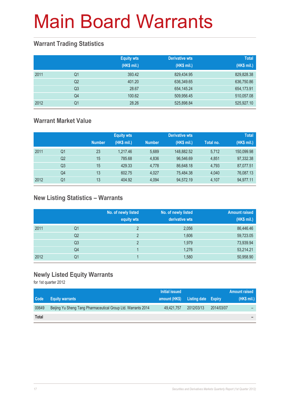#### **Warrant Trading Statistics**

|      |                | <b>Equity wts</b><br>(HK\$ mil.) | <b>Derivative wts</b><br>(HK\$ mil.) | <b>Total</b><br>(HK\$ mil.) |
|------|----------------|----------------------------------|--------------------------------------|-----------------------------|
| 2011 | Q <sub>1</sub> | 393.42                           | 829,434.95                           | 829,828.38                  |
|      | Q2             | 401.20                           | 636,349.65                           | 636,750.86                  |
|      | Q <sub>3</sub> | 28.67                            | 654,145.24                           | 654,173.91                  |
|      | Q <sub>4</sub> | 100.62                           | 509,956.45                           | 510,057.08                  |
| 2012 | Q1             | 28.26                            | 525,898.84                           | 525,927.10                  |

#### **Warrant Market Value**

|      |                |               | <b>Equity wts</b> |               | <b>Derivative wts</b> |           | <b>Total</b> |
|------|----------------|---------------|-------------------|---------------|-----------------------|-----------|--------------|
|      |                | <b>Number</b> | (HK\$ mil.)       | <b>Number</b> | (HK\$ mil.)           | Total no. | (HK\$ mil.)  |
| 2011 | Q1             | 23            | 1.217.46          | 5.689         | 148,882.52            | 5,712     | 150,099.98   |
|      | Q <sub>2</sub> | 15            | 785.68            | 4.836         | 96,546.69             | 4.851     | 97,332.38    |
|      | Q3             | 15            | 429.33            | 4.778         | 86.648.18             | 4.793     | 87,077.51    |
|      | Q4             | 13            | 602.75            | 4.027         | 75.484.38             | 4.040     | 76,087.13    |
| 2012 | Q1             | 13            | 404.92            | 4.094         | 94,572.19             | 4.107     | 94,977.11    |

#### **New Listing Statistics – Warrants**

|      |                | No. of newly listed<br>equity wts | No. of newly listed<br>derivative wts | <b>Amount raised</b><br>(HK\$ mil.) |
|------|----------------|-----------------------------------|---------------------------------------|-------------------------------------|
| 2011 | Q1             | $\overline{2}$                    | 2,056                                 | 86,446.46                           |
|      | Q <sub>2</sub> | 2                                 | 1,606                                 | 59,723.05                           |
|      | Q <sub>3</sub> | っ                                 | 1,979                                 | 73,939.94                           |
|      | Q4             |                                   | 1,276                                 | 53,214.21                           |
| 2012 | Q1             |                                   | 1,580                                 | 50,958.90                           |

#### **Newly Listed Equity Warrants**

|       |                                                               | Initial issued |                            |            | <b>Amount raised</b> |
|-------|---------------------------------------------------------------|----------------|----------------------------|------------|----------------------|
| Code  | <b>Equity warrants</b>                                        | amount (HK\$)  | <b>Listing date Expiry</b> |            | (HK\$ mil.)          |
| 00649 | Beijing Yu Sheng Tang Pharmaceutical Group Ltd. Warrants 2014 | 49.421.757     | 2012/03/13                 | 2014/03/07 | -                    |
| Total |                                                               |                |                            |            | -                    |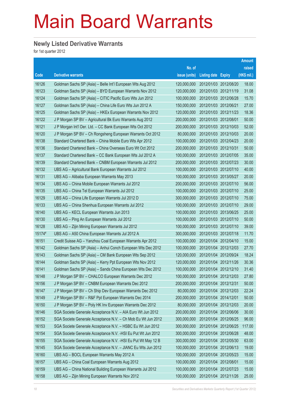#### **Newly Listed Derivative Warrants**

|        |                                                               |               |                            |                       | <b>Amount</b> |
|--------|---------------------------------------------------------------|---------------|----------------------------|-----------------------|---------------|
|        |                                                               | No. of        |                            |                       | raised        |
| Code   | <b>Derivative warrants</b>                                    | issue (units) | <b>Listing date Expiry</b> |                       | (HK\$ mil.)   |
| 16126  | Goldman Sachs SP (Asia) – Belle Int'l European Wts Aug 2012   | 120,000,000   | 2012/01/03 2012/08/20      |                       | 18.00         |
| 16123  | Goldman Sachs SP (Asia) - BYD European Warrants Nov 2012      | 120,000,000   | 2012/01/03 2012/11/19      |                       | 31.08         |
| 16124  | Goldman Sachs SP (Asia) - CITIC Pacific Euro Wts Jun 2012     | 100,000,000   |                            | 2012/01/03 2012/06/28 | 15.70         |
| 16127  | Goldman Sachs SP (Asia) - China Life Euro Wts Jun 2012 A      | 150,000,000   | 2012/01/03 2012/06/21      |                       | 27.00         |
| 16125  | Goldman Sachs SP (Asia) - HKEx European Warrants Nov 2012     | 120,000,000   | 2012/01/03 2012/11/23      |                       | 18.36         |
| 16122  | J P Morgan SP BV - Agricultural Bk Euro Warrants Aug 2012     | 200,000,000   | 2012/01/03 2012/08/01      |                       | 50.00         |
| 16121  | J P Morgan Int'l Der. Ltd. - CC Bank European Wts Oct 2012    | 200,000,000   |                            | 2012/01/03 2012/10/03 | 52.00         |
| 16120  | J P Morgan SP BV – Ch Rongsheng European Warrants Oct 2012    | 80,000,000    | 2012/01/03 2012/10/03      |                       | 20.00         |
| 16138  | Standard Chartered Bank - China Mobile Euro Wts Apr 2012      | 100,000,000   | 2012/01/03 2012/04/23      |                       | 20.00         |
| 16136  | Standard Chartered Bank - China Overseas Euro Wt Oct 2012     | 200,000,000   | 2012/01/03 2012/10/31      |                       | 50.00         |
| 16137  | Standard Chartered Bank - CC Bank European Wts Jul 2012 A     | 100,000,000   |                            | 2012/01/03 2012/07/05 | 35.00         |
| 16139  | Standard Chartered Bank - CNBM European Warrants Jul 2012     | 200,000,000   | 2012/01/03 2012/07/23      |                       | 30.00         |
| 16132  | UBS AG - Agricultural Bank European Warrants Jul 2012         | 100,000,000   |                            | 2012/01/03 2012/07/10 | 40.00         |
| 16131  | UBS AG - Alibaba European Warrants May 2013                   | 100,000,000   | 2012/01/03 2013/05/27      |                       | 20.00         |
| 16134  | UBS AG - China Mobile European Warrants Jul 2012              | 200,000,000   |                            | 2012/01/03 2012/07/10 | 56.00         |
| 16135  | UBS AG - China Tel European Warrants Jul 2012                 | 100,000,000   | 2012/01/03 2012/07/10      |                       | 25.00         |
| 16129  | UBS AG - China Life European Warrants Jul 2012 D              | 300,000,000   |                            | 2012/01/03 2012/07/10 | 75.00         |
| 16133  | UBS AG - China Shenhua European Warrants Jul 2012             | 100,000,000   | 2012/01/03 2012/07/10      |                       | 29.00         |
| 16140  | UBS AG - KECL European Warrants Jun 2013                      | 100,000,000   |                            | 2012/01/03 2013/06/25 | 25.00         |
| 16130  | UBS AG - Ping An European Warrants Jul 2012                   | 100,000,000   | 2012/01/03 2012/07/10      |                       | 50.00         |
| 16128  | UBS AG - Zijin Mining European Warrants Jul 2012              | 100,000,000   |                            | 2012/01/03 2012/07/10 | 39.00         |
| 15174# | UBS AG - A50 China European Warrants Jul 2012 A               | 300,000,000   | 2012/01/03 2012/07/18      |                       | 11.70         |
| 16151  | Credit Suisse AG - Yanzhou Coal European Warrants Apr 2012    | 100,000,000   |                            | 2012/01/04 2012/04/10 | 15.00         |
| 16142  | Goldman Sachs SP (Asia) - Anhui Conch European Wts Dec 2012   | 100,000,000   | 2012/01/04 2012/12/03      |                       | 27.70         |
| 16143  | Goldman Sachs SP (Asia) - CM Bank European Wts Sep 2012       | 120,000,000   |                            | 2012/01/04 2012/09/24 | 18.24         |
| 16144  | Goldman Sachs SP (Asia) - Kerry Ppt European Wts Nov 2012     | 120,000,000   | 2012/01/04 2012/11/26      |                       | 30.36         |
| 16141  | Goldman Sachs SP (Asia) - Sands China European Wts Dec 2012   | 100,000,000   | 2012/01/04 2012/12/10      |                       | 31.40         |
| 16148  | J P Morgan SP BV - CHALCO European Warrants Dec 2012          | 100,000,000   | 2012/01/04 2012/12/03      |                       | 27.80         |
| 16156  | J P Morgan SP BV - CNBM European Warrants Dec 2012            | 200,000,000   | 2012/01/04 2012/12/31      |                       | 50.00         |
| 16147  | J P Morgan SP BV - Ch Ship Dev European Warrants Dec 2012     | 80,000,000    | 2012/01/04 2012/12/03      |                       | 22.24         |
| 16149  | J P Morgan SP BV - R&F Ppt European Warrants Dec 2014         | 200,000,000   | 2012/01/04 2014/12/01      |                       | 50.00         |
| 16150  | J P Morgan SP BV - Poly HK Inv European Warrants Dec 2012     | 80,000,000    | 2012/01/04 2012/12/03      |                       | 20.00         |
| 16146  | SGA Societe Generale Acceptance N.V. - AIA Euro Wt Jun 2012   | 200,000,000   | 2012/01/04 2012/06/06      |                       | 30.00         |
| 16152  | SGA Societe Generale Acceptance N.V. - Ch Mob Eu Wt Jun 2012  | 300,000,000   | 2012/01/04 2012/06/25      |                       | 96.00         |
| 16153  | SGA Societe Generale Acceptance N.V. - HSBC Eu Wt Jun 2012    | 300,000,000   | 2012/01/04 2012/06/25      |                       | 117.00        |
| 16154  | SGA Societe Generale Acceptance N.V. - HSI Eu Put Wt Jun 2012 | 300,000,000   | 2012/01/04 2012/06/28      |                       | 48.00         |
| 16155  | SGA Societe Generale Acceptance N.V. - HSI Eu Put Wt May 12 B | 300,000,000   | 2012/01/04 2012/05/30      |                       | 63.00         |
| 16145  | SGA Societe Generale Acceptance N.V. - JIANC Eu Wts Jun 2012  | 100,000,000   | 2012/01/04 2012/06/13      |                       | 19.00         |
| 16160  | UBS AG - BOCL European Warrants May 2012 A                    | 100,000,000   | 2012/01/04 2012/05/23      |                       | 15.00         |
| 16157  | UBS AG - China Coal European Warrants Aug 2012                | 100,000,000   | 2012/01/04 2012/08/01      |                       | 15.00         |
| 16159  | UBS AG - China National Building European Warrants Jul 2012   | 100,000,000   | 2012/01/04 2012/07/23      |                       | 15.00         |
| 16158  | UBS AG - Zijin Mining European Warrants Nov 2012              | 100,000,000   | 2012/01/04 2012/11/26      |                       | 25.00         |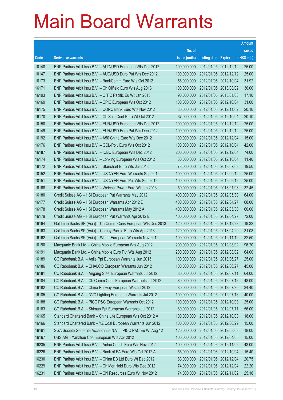|       |                                                              |               |                            | <b>Amount</b> |
|-------|--------------------------------------------------------------|---------------|----------------------------|---------------|
|       |                                                              | No. of        |                            | raised        |
| Code  | <b>Derivative warrants</b>                                   | issue (units) | <b>Listing date Expiry</b> | (HK\$ mil.)   |
| 10148 | BNP Paribas Arbit Issu B.V. - AUD/USD European Wts Dec 2012  | 100,000,000   | 2012/01/05 2012/12/12      | 25.00         |
| 10147 | BNP Paribas Arbit Issu B.V. - AUD/USD Euro Put Wts Dec 2012  | 100,000,000   | 2012/01/05 2012/12/12      | 25.00         |
| 16173 | BNP Paribas Arbit Issu B.V. - BankComm Euro Wts Oct 2012     | 56,000,000    | 2012/01/05 2012/10/04      | 31.92         |
| 16171 | BNP Paribas Arbit Issu B.V. - Ch Oilfield Euro Wts Aug 2013  | 100,000,000   | 2012/01/05 2013/08/02      | 30.00         |
| 16193 | BNP Paribas Arbit Issu B.V. - CITIC Pacific Eu Wt Jan 2013   | 90,000,000    | 2012/01/05 2013/01/03      | 17.10         |
| 16169 | BNP Paribas Arbit Issu B.V. - CPIC European Wts Oct 2012     | 100,000,000   | 2012/01/05 2012/10/04      | 31.00         |
| 16175 | BNP Paribas Arbit Issu B.V. - CQRC Bank Euro Wts Nov 2012    | 30,000,000    | 2012/01/05 2012/11/02      | 20.10         |
| 16170 | BNP Paribas Arbit Issu B.V. - Ch Ship Cont Euro Wt Oct 2012  | 67,000,000    | 2012/01/05 2012/10/04      | 20.10         |
| 10150 | BNP Paribas Arbit Issu B.V. - EUR/USD European Wts Dec 2012  | 100,000,000   | 2012/01/05 2012/12/12      | 25.00         |
| 10149 | BNP Paribas Arbit Issu B.V. - EUR/USD Euro Put Wts Dec 2012  | 100,000,000   | 2012/01/05 2012/12/12      | 25.00         |
| 16192 | BNP Paribas Arbit Issu B.V. - A50 China Euro Wts Dec 2012    | 100,000,000   | 2012/01/05 2012/12/04      | 15.00         |
| 16176 | BNP Paribas Arbit Issu B.V. - GCL-Poly Euro Wts Oct 2012     | 100,000,000   | 2012/01/05 2012/10/04      | 42.00         |
| 16187 | BNP Paribas Arbit Issu B.V. - ICBC European Wts Dec 2012     | 200,000,000   | 2012/01/05 2012/12/04      | 74.00         |
| 16174 | BNP Paribas Arbit Issu B.V. - Lonking European Wts Oct 2012  | 30,000,000    | 2012/01/05 2012/10/04      | 11.40         |
| 16172 | BNP Paribas Arbit Issu B.V. - Stanchart Euro Wts Jul 2013    | 78,000,000    | 2012/01/05 2013/07/03      | 19.50         |
| 10152 | BNP Paribas Arbit Issu B.V. - USD/YEN Euro Warrants Sep 2012 | 100,000,000   | 2012/01/05 2012/09/12      | 25.00         |
| 10151 | BNP Paribas Arbit Issu B.V. - USD/YEN Euro Put Wts Sep 2012  | 100,000,000   | 2012/01/05 2012/09/12      | 25.00         |
| 16168 | BNP Paribas Arbit Issu B.V. - Weichai Power Euro Wt Jan 2013 | 59,000,000    | 2012/01/05 2013/01/03      | 32.45         |
| 16180 | Credit Suisse AG - HSI European Put Warrants May 2012        | 400,000,000   | 2012/01/05 2012/05/30      | 64.00         |
| 16177 | Credit Suisse AG - HSI European Warrants Apr 2012 D          | 400,000,000   | 2012/01/05 2012/04/27      | 68.00         |
| 16178 | Credit Suisse AG - HSI European Warrants May 2012 A          | 400,000,000   | 2012/01/05 2012/05/30      | 60.00         |
| 16179 | Credit Suisse AG - HSI European Put Warrants Apr 2012 E      | 400,000,000   | 2012/01/05 2012/04/27      | 72.00         |
| 16164 | Goldman Sachs SP (Asia) - Ch Comm Cons European Wts Dec 2013 | 120,000,000   | 2012/01/05 2013/12/23      | 19.32         |
| 16163 | Goldman Sachs SP (Asia) - Cathay Pacific Euro Wts Apr 2013   | 120,000,000   | 2012/01/05 2013/04/29      | 31.08         |
| 16162 | Goldman Sachs SP (Asia) – Wharf European Warrants Nov 2012   | 100,000,000   | 2012/01/05 2012/11/19      | 32.50         |
| 16190 | Macquarie Bank Ltd. - China Mobile European Wts Aug 2012     | 200,000,000   | 2012/01/05 2012/08/02      | 96.20         |
| 16191 | Macquarie Bank Ltd. - China Mobile Euro Put Wts Aug 2012     | 200,000,000   | 2012/01/05 2012/08/02      | 64.00         |
| 16189 | CC Rabobank B.A. - Agile Ppt European Warrants Jun 2013      | 100,000,000   | 2012/01/05 2013/06/27      | 25.00         |
| 16186 | CC Rabobank B.A. - CHALCO European Warrants Jun 2012         | 100,000,000   | 2012/01/05 2012/06/27      | 45.00         |
| 16181 | CC Rabobank B.A. - Angang Steel European Warrants Jul 2012   | 80,000,000    | 2012/01/05 2012/07/11      | 64.00         |
| 16184 | CC Rabobank B.A. - Ch Comm Cons European Warrants Jul 2012   | 80,000,000    | 2012/01/05 2012/07/16      | 48.00         |
| 16182 | CC Rabobank B.A. - China Railway European Wts Jul 2012       | 80,000,000    | 2012/01/05 2012/07/30      | 34.40         |
| 16185 | CC Rabobank B.A. - NVC Lighting European Warrants Jul 2012   | 100,000,000   | 2012/01/05 2012/07/16      | 40.00         |
| 16188 | CC Rabobank B.A. - PICC P&C European Warrants Oct 2012       | 100,000,000   | 2012/01/05 2012/10/03      | 25.00         |
| 16183 | CC Rabobank B.A. - Shimao Ppt European Warrants Jul 2012     | 80,000,000    | 2012/01/05 2012/07/11      | 56.00         |
| 16165 | Standard Chartered Bank - China Life European Wts Oct 2012 A | 100,000,000   | 2012/01/05 2012/10/03      | 18.00         |
| 16166 | Standard Chartered Bank - YZ Coal European Warrants Jun 2012 | 100,000,000   | 2012/01/05 2012/06/29      | 15.00         |
| 16161 | SGA Societe Generale Acceptance N.V. - PICC P&C Eu Wt Aug 12 | 120,000,000   | 2012/01/05 2012/08/08      | 18.00         |
| 16167 | UBS AG - Yanzhou Coal European Wts Apr 2012                  | 100,000,000   | 2012/01/05 2012/04/05      | 15.00         |
| 16235 | BNP Paribas Arbit Issu B.V. - Anhui Conch Euro Wts Nov 2012  | 100,000,000   | 2012/01/06 2012/11/02      | 43.00         |
| 16226 | BNP Paribas Arbit Issu B.V. - Bank of EA Euro Wts Oct 2012 A | 55,000,000    | 2012/01/06 2012/10/04      | 15.40         |
| 16230 | BNP Paribas Arbit Issu B.V. - China EB Ltd Euro Wt Dec 2012  | 83,000,000    | 2012/01/06 2012/12/04      | 20.75         |
| 16229 | BNP Paribas Arbit Issu B.V. - Ch Mer Hold Euro Wts Dec 2012  | 74,000,000    | 2012/01/06 2012/12/04      | 22.20         |
| 16231 | BNP Paribas Arbit Issu B.V. - Chi Resources Euro Wt Nov 2012 | 74,000,000    | 2012/01/06 2012/11/02      | 25.16         |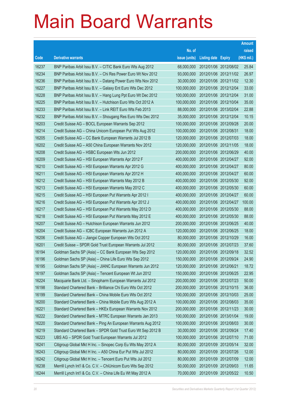|       |                                                              |               |                            | <b>Amount</b> |
|-------|--------------------------------------------------------------|---------------|----------------------------|---------------|
|       |                                                              | No. of        |                            | raised        |
| Code  | <b>Derivative warrants</b>                                   | issue (units) | <b>Listing date Expiry</b> | (HK\$ mil.)   |
| 16237 | BNP Paribas Arbit Issu B.V. - CITIC Bank Euro Wts Aug 2012   | 68,000,000    | 2012/01/06 2012/08/02      | 25.84         |
| 16234 | BNP Paribas Arbit Issu B.V. - Chi Res Power Euro Wt Nov 2012 | 93,000,000    | 2012/01/06 2012/11/02      | 26.97         |
| 16236 | BNP Paribas Arbit Issu B.V. - Datang Power Euro Wts Nov 2012 | 30,000,000    | 2012/01/06 2012/11/02      | 12.30         |
| 16227 | BNP Paribas Arbit Issu B.V. - Galaxy Ent Euro Wts Dec 2012   | 100,000,000   | 2012/01/06 2012/12/04      | 33.00         |
| 16228 | BNP Paribas Arbit Issu B.V. - Hang Lung Ppt Euro Wt Dec 2012 | 100,000,000   | 2012/01/06 2012/12/04      | 31.00         |
| 16225 | BNP Paribas Arbit Issu B.V. - Hutchison Euro Wts Oct 2012 A  | 100,000,000   | 2012/01/06 2012/10/04      | 35.00         |
| 16233 | BNP Paribas Arbit Issu B.V. - Link REIT Euro Wts Feb 2013    | 88,000,000    | 2012/01/06 2013/02/04      | 22.88         |
| 16232 | BNP Paribas Arbit Issu B.V. - Shougang Res Euro Wts Dec 2012 | 35,000,000    | 2012/01/06 2012/12/04      | 10.15         |
| 16203 | Credit Suisse AG - BOCL European Warrants Sep 2012           | 100,000,000   | 2012/01/06 2012/09/28      | 20.00         |
| 16214 | Credit Suisse AG - China Unicom European Put Wts Aug 2012    | 100,000,000   | 2012/01/06 2012/08/31      | 18.00         |
| 16205 | Credit Suisse AG - CC Bank European Warrants Jul 2012 B      | 120,000,000   | 2012/01/06 2012/07/03      | 18.00         |
| 16202 | Credit Suisse AG - A50 China European Warrants Nov 2012      | 120,000,000   | 2012/01/06 2012/11/05      | 18.00         |
| 16208 | Credit Suisse AG - HSBC European Wts Jun 2012                | 200,000,000   | 2012/01/06 2012/06/29      | 40.00         |
| 16209 | Credit Suisse AG - HSI European Warrants Apr 2012 F          | 400,000,000   | 2012/01/06 2012/04/27      | 92.00         |
| 16210 | Credit Suisse AG - HSI European Warrants Apr 2012 G          | 400,000,000   | 2012/01/06 2012/04/27      | 80.00         |
| 16211 | Credit Suisse AG - HSI European Warrants Apr 2012 H          | 400,000,000   | 2012/01/06 2012/04/27      | 60.00         |
| 16212 | Credit Suisse AG - HSI European Warrants May 2012 B          | 400,000,000   | 2012/01/06 2012/05/30      | 92.00         |
| 16213 | Credit Suisse AG - HSI European Warrants May 2012 C          | 400,000,000   | 2012/01/06 2012/05/30      | 60.00         |
| 16215 | Credit Suisse AG - HSI European Put Warrants Apr 2012 I      | 400,000,000   | 2012/01/06 2012/04/27      | 60.00         |
| 16216 | Credit Suisse AG - HSI European Put Warrants Apr 2012 J      | 400,000,000   | 2012/01/06 2012/04/27      | 100.00        |
| 16217 | Credit Suisse AG - HSI European Put Warrants May 2012 D      | 400,000,000   | 2012/01/06 2012/05/30      | 88.00         |
| 16218 | Credit Suisse AG - HSI European Put Warrants May 2012 E      | 400,000,000   | 2012/01/06 2012/05/30      | 88.00         |
| 16207 | Credit Suisse AG - Hutchison European Warrants Jun 2012      | 200,000,000   | 2012/01/06 2012/06/25      | 40.00         |
| 16204 | Credit Suisse AG - ICBC European Warrants Jun 2012 A         | 120,000,000   | 2012/01/06 2012/06/25      | 18.00         |
| 16206 | Credit Suisse AG - Jiangxi Copper European Wts Oct 2012      | 80,000,000    | 2012/01/06 2012/10/29      | 16.00         |
| 16201 | Credit Suisse - SPDR Gold Trust European Warrants Jul 2012   | 80,000,000    | 2012/01/06 2012/07/23      | 37.60         |
| 16194 | Goldman Sachs SP (Asia) – CC Bank European Wts Sep 2012      | 120,000,000   | 2012/01/06 2012/09/18      | 32.52         |
| 16196 | Goldman Sachs SP (Asia) - China Life Euro Wts Sep 2012       | 150,000,000   | 2012/01/06 2012/09/24      | 24.90         |
| 16195 | Goldman Sachs SP (Asia) - JIANC European Warrants Jun 2012   | 120,000,000   | 2012/01/06 2012/06/21      | 18.72         |
| 16197 | Goldman Sachs SP (Asia) - Tencent European Wt Jun 2012       | 150,000,000   | 2012/01/06 2012/06/25      | 22.95         |
| 16224 | Macquarie Bank Ltd. - Sinopharm European Warrants Jul 2012   | 200,000,000   | 2012/01/06 2012/07/23      | 50.00         |
| 16198 | Standard Chartered Bank - Brilliance Chi Euro Wts Oct 2012   | 200,000,000   | 2012/01/06 2012/10/15      | 36.00         |
| 16199 | Standard Chartered Bank - China Mobile Euro Wts Oct 2012     | 100,000,000   | 2012/01/06 2012/10/03      | 25.00         |
| 16200 | Standard Chartered Bank - China Mobile Euro Wts Aug 2012 A   | 100,000,000   | 2012/01/06 2012/08/03      | 35.00         |
| 16221 | Standard Chartered Bank - HKEx European Warrants Nov 2012    | 200,000,000   | 2012/01/06 2012/11/23      | 30.00         |
| 16222 | Standard Chartered Bank - MTRC European Warrants Jan 2013    | 100,000,000   | 2012/01/06 2013/01/04      | 19.00         |
| 16220 | Standard Chartered Bank - Ping An European Warrants Aug 2012 | 100,000,000   | 2012/01/06 2012/08/03      | 30.00         |
| 16219 | Standard Chartered Bank - SPDR Gold Trust Euro Wt Sep 2012 B | 30,000,000    | 2012/01/06 2012/09/24      | 17.40         |
| 16223 | UBS AG - SPDR Gold Trust European Warrants Jul 2012          | 100,000,000   | 2012/01/06 2012/07/10      | 71.00         |
| 16241 | Citigroup Global Mkt H Inc. - Sinopec Corp Eu Wts May 2012 A | 80,000,000    | 2012/01/09 2012/05/14      | 32.00         |
| 16243 | Citigroup Global Mkt H Inc. - A50 China Eur Put Wts Jul 2012 | 80,000,000    | 2012/01/09 2012/07/26      | 12.00         |
| 16242 | Citigroup Global Mkt H Inc. - Tencent Euro Put Wts Jul 2012  | 80,000,000    | 2012/01/09 2012/07/09      | 12.00         |
| 16238 | Merrill Lynch Int'l & Co. C.V. - ChiUnicom Euro Wts Sep 2012 | 50,000,000    | 2012/01/09 2012/09/03      | 11.65         |
| 16244 | Merrill Lynch Int'l & Co. C.V. - China Life Eu Wt May 2012 A | 70,000,000    | 2012/01/09 2012/05/22      | 10.50         |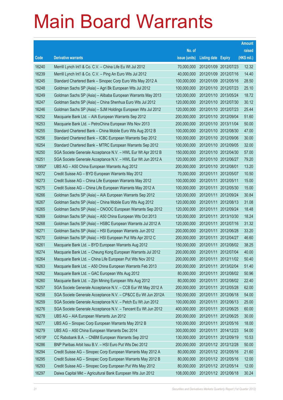|        |                                                               |               |                            |            | <b>Amount</b> |
|--------|---------------------------------------------------------------|---------------|----------------------------|------------|---------------|
|        |                                                               | No. of        |                            |            | raised        |
| Code   | <b>Derivative warrants</b>                                    | issue (units) | <b>Listing date Expiry</b> |            | (HK\$ mil.)   |
| 16240  | Merrill Lynch Int'l & Co. C.V. - China Life Eu Wt Jul 2012    | 70,000,000    | 2012/01/09 2012/07/23      |            | 12.32         |
| 16239  | Merrill Lynch Int'l & Co. C.V. - Ping An Euro Wts Jul 2012    | 40,000,000    | 2012/01/09 2012/07/16      |            | 14.40         |
| 16245  | Standard Chartered Bank - Sinopec Corp Euro Wts May 2012 A    | 100,000,000   | 2012/01/09 2012/05/16      |            | 28.50         |
| 16248  | Goldman Sachs SP (Asia) - Agri Bk European Wts Jul 2012       | 100.000.000   | 2012/01/10 2012/07/23      |            | 25.10         |
| 16249  | Goldman Sachs SP (Asia) – Alibaba European Warrants May 2013  | 120,000,000   | 2012/01/10 2013/05/24      |            | 18.72         |
| 16247  | Goldman Sachs SP (Asia) - China Shenhua Euro Wts Jul 2012     | 120,000,000   | 2012/01/10 2012/07/30      |            | 30.12         |
| 16246  | Goldman Sachs SP (Asia) – SJM Holdings European Wts Jul 2012  | 120,000,000   | 2012/01/10 2012/07/23      |            | 25.44         |
| 16252  | Macquarie Bank Ltd. - AIA European Warrants Sep 2012          | 200,000,000   | 2012/01/10 2012/09/04      |            | 51.60         |
| 16253  | Macquarie Bank Ltd. - PetroChina European Wts Nov 2013        | 200,000,000   | 2012/01/10 2013/11/04      |            | 50.00         |
| 16255  | Standard Chartered Bank - China Mobile Euro Wts Aug 2012 B    | 100,000,000   | 2012/01/10 2012/08/30      |            | 47.00         |
| 16256  | Standard Chartered Bank - ICBC European Warrants Sep 2012     | 100,000,000   | 2012/01/10 2012/09/06      |            | 30.00         |
| 16254  | Standard Chartered Bank – MTRC European Warrants Sep 2012     | 100,000,000   | 2012/01/10 2012/09/05      |            | 32.00         |
| 16250  | SGA Societe Generale Acceptance N.V. - HWL Eur Wt Apr 2012 B  | 150,000,000   | 2012/01/10 2012/04/30      |            | 57.00         |
| 16251  | SGA Societe Generale Acceptance N.V. - HWL Eur Wt Jun 2012 A  | 120,000,000   | 2012/01/10 2012/06/27      |            | 79.20         |
| 13950# | UBS AG - A50 China European Warrants Aug 2012                 | 200,000,000   | 2012/01/10 2012/08/01      |            | 13.20         |
| 16272  | Credit Suisse AG - BYD European Warrants May 2012             | 70,000,000    | 2012/01/11 2012/05/07      |            | 10.50         |
| 16273  | Credit Suisse AG - China Life European Warrants May 2012      | 100,000,000   | 2012/01/11                 | 2012/05/11 | 15.00         |
| 16275  | Credit Suisse AG - China Life European Warrants May 2012 A    | 100,000,000   | 2012/01/11                 | 2012/05/30 | 15.00         |
| 16266  | Goldman Sachs SP (Asia) - AIA European Warrants Sep 2012      | 120,000,000   | 2012/01/11                 | 2012/09/24 | 30.84         |
| 16267  | Goldman Sachs SP (Asia) - China Mobile Euro Wts Aug 2012      | 120,000,000   | 2012/01/11 2012/08/13      |            | 31.08         |
| 16265  | Goldman Sachs SP (Asia) - CNOOC European Warrants Sep 2012    | 120,000,000   | 2012/01/11                 | 2012/09/24 | 18.48         |
| 16269  | Goldman Sachs SP (Asia) - A50 China European Wts Oct 2013     | 120,000,000   | 2012/01/11                 | 2013/10/30 | 18.24         |
| 16268  | Goldman Sachs SP (Asia) - HSBC European Warrants Jul 2012 A   | 120,000,000   | 2012/01/11                 | 2012/07/16 | 31.32         |
| 16271  | Goldman Sachs SP (Asia) - HSI European Warrants Jun 2012      | 200,000,000   | 2012/01/11 2012/06/28      |            | 33.20         |
| 16270  | Goldman Sachs SP (Asia) - HSI European Put Wts Apr 2012 C     | 200,000,000   | 2012/01/11                 | 2012/04/27 | 46.60         |
| 16261  | Macquarie Bank Ltd. - BYD European Warrants Aug 2012          | 150,000,000   | 2012/01/11                 | 2012/08/02 | 38.25         |
| 16274  | Macquarie Bank Ltd. - Cheung Kong European Warrants Jul 2012  | 200,000,000   | 2012/01/11 2012/07/04      |            | 40.00         |
| 16264  | Macquarie Bank Ltd. - China Life European Put Wts Nov 2012    | 200,000,000   | 2012/01/11 2012/11/02      |            | 50.40         |
| 16263  | Macquarie Bank Ltd. - A50 China European Warrants Feb 2013    | 200,000,000   | 2012/01/11                 | 2013/02/04 | 51.40         |
| 16262  | Macquarie Bank Ltd. - GAC European Wts Aug 2012               | 80,000,000    | 2012/01/11 2012/08/02      |            | 50.96         |
| 16260  | Macquarie Bank Ltd. - Zijin Mining European Wts Aug 2012      | 80,000,000    | 2012/01/11                 | 2012/08/02 | 22.40         |
| 16257  | SGA Societe Generale Acceptance N.V. - CCB Eur Wt May 2012 A  | 200,000,000   | 2012/01/11                 | 2012/05/28 | 62.00         |
| 16258  | SGA Societe Generale Acceptance N.V. - CP&CC Eu Wt Jun 2012A  | 150,000,000   | 2012/01/11                 | 2012/06/18 | 54.00         |
| 16259  | SGA Societe Generale Acceptance N.V. - Petch Eu Wt Jun 2012   | 100,000,000   | 2012/01/11 2012/06/13      |            | 25.00         |
| 16276  | SGA Societe Generale Acceptance N.V. - Tencent Eu Wt Jun 2012 | 400,000,000   | 2012/01/11                 | 2012/06/25 | 60.00         |
| 16278  | UBS AG - AIA European Warrants Jun 2012                       | 200,000,000   | 2012/01/11 2012/06/25      |            | 30.00         |
| 16277  | UBS AG - Sinopec Corp European Warrants May 2012 B            | 100,000,000   | 2012/01/11                 | 2012/05/16 | 18.00         |
| 16279  | UBS AG - A50 China European Warrants Dec 2014                 | 300,000,000   | 2012/01/11 2014/12/23      |            | 54.00         |
| 14518# | CC Rabobank B.A. - CNBM European Warrants Sep 2012            | 130,000,000   | 2012/01/11                 | 2012/09/19 | 10.53         |
| 16286  | BNP Paribas Arbit Issu B.V. - HSI Euro Put Wts Dec 2012       | 200,000,000   | 2012/01/12 2012/12/28      |            | 50.00         |
| 16294  | Credit Suisse AG - Sinopec Corp European Warrants May 2012 A  | 80,000,000    | 2012/01/12 2012/05/16      |            | 21.60         |
| 16295  | Credit Suisse AG - Sinopec Corp European Warrants May 2012 B  | 80,000,000    | 2012/01/12 2012/05/16      |            | 12.00         |
| 16293  | Credit Suisse AG - Sinopec Corp European Put Wts May 2012     | 80,000,000    | 2012/01/12 2012/05/14      |            | 12.00         |
| 16297  | Daiwa Capital Mkt - Agricultural Bank European Wts Jun 2012   | 108,000,000   | 2012/01/12 2012/06/18      |            | 30.24         |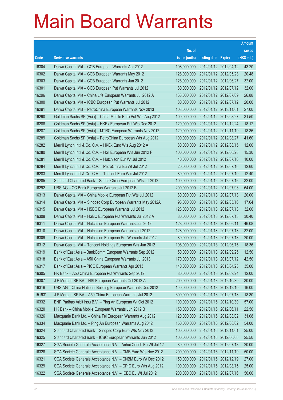|        |                                                                |               |                            | <b>Amount</b> |
|--------|----------------------------------------------------------------|---------------|----------------------------|---------------|
|        |                                                                | No. of        |                            | raised        |
| Code   | <b>Derivative warrants</b>                                     | issue (units) | <b>Listing date Expiry</b> | (HK\$ mil.)   |
| 16304  | Daiwa Capital Mkt - CCB European Warrants Apr 2012             | 108,000,000   | 2012/01/12 2012/04/12      | 43.20         |
| 16302  | Daiwa Capital Mkt - CCB European Warrants May 2012             | 128,000,000   | 2012/01/12 2012/05/23      | 20.48         |
| 16303  | Daiwa Capital Mkt - CCB European Warrants Jun 2012             | 128,000,000   | 2012/01/12 2012/06/27      | 32.00         |
| 16301  | Daiwa Capital Mkt – CCB European Put Warrants Jul 2012         | 80,000,000    | 2012/01/12 2012/07/12      | 32.00         |
| 16296  | Daiwa Capital Mkt - China Life European Warrants Jul 2012 A    | 168,000,000   | 2012/01/12 2012/07/09      | 26.88         |
| 16300  | Daiwa Capital Mkt - ICBC European Put Warrants Jul 2012        | 80,000,000    | 2012/01/12 2012/07/12      | 20.00         |
| 16291  | Daiwa Capital Mkt - PetroChina European Warrants Nov 2013      | 108,000,000   | 2012/01/12 2013/11/01      | 27.00         |
| 16290  | Goldman Sachs SP (Asia) - China Mobile Euro Put Wts Aug 2012   | 100,000,000   | 2012/01/12 2012/08/27      | 31.50         |
| 16288  | Goldman Sachs SP (Asia) – HKEx European Put Wts Dec 2012       | 120,000,000   | 2012/01/12 2012/12/24      | 18.12         |
| 16287  | Goldman Sachs SP (Asia) - MTRC European Warrants Nov 2012      | 120,000,000   | 2012/01/12 2012/11/19      | 18.36         |
| 16289  | Goldman Sachs SP (Asia) - PetroChina European Wts Aug 2012     | 100,000,000   | 2012/01/12 2012/08/27      | 41.60         |
| 16282  | Merrill Lynch Int'l & Co. C.V. - HKEx Euro Wts Aug 2012 A      | 80,000,000    | 2012/01/12 2012/08/15      | 12.00         |
| 16280  | Merrill Lynch Int'l & Co. C.V. - HSI European Wts Jun 2012 F   | 100,000,000   | 2012/01/12 2012/06/28      | 15.30         |
| 16281  | Merrill Lynch Int'l & Co. C.V. - Hutchison Eur Wt Jul 2012     | 40,000,000    | 2012/01/12 2012/07/16      | 10.00         |
| 16284  | Merrill Lynch Int'l & Co. C.V. - PetroChina Eu Wt Jul 2012     | 20,000,000    | 2012/01/12 2012/07/16      | 12.60         |
| 16283  | Merrill Lynch Int'l & Co. C.V. - Tencent Euro Wts Jul 2012     | 80,000,000    | 2012/01/12 2012/07/10      | 12.40         |
| 16285  | Standard Chartered Bank – Sands China European Wts Jul 2012    | 100,000,000   | 2012/01/12 2012/07/16      | 32.00         |
| 16292  | UBS AG - CC Bank European Warrants Jul 2012 B                  | 200,000,000   | 2012/01/12 2012/07/03      | 64.00         |
| 16313  | Daiwa Capital Mkt - China Mobile European Put Wts Jul 2012     | 80,000,000    | 2012/01/13 2012/07/13      | 20.00         |
| 16314  | Daiwa Capital Mkt – Sinopec Corp European Warrants May 2012A   | 98,000,000    | 2012/01/13 2012/05/16      | 17.64         |
| 16315  | Daiwa Capital Mkt - HSBC European Warrants Jul 2012            | 128,000,000   | 2012/01/13 2012/07/13      | 32.00         |
| 16308  | Daiwa Capital Mkt - HSBC European Put Warrants Jul 2012 A      | 80,000,000    | 2012/01/13 2012/07/13      | 30.40         |
| 16311  | Daiwa Capital Mkt - Hutchison European Warrants Jun 2012       | 128,000,000   | 2012/01/13 2012/06/11      | 46.08         |
| 16310  | Daiwa Capital Mkt - Hutchison European Warrants Jul 2012       | 128,000,000   | 2012/01/13 2012/07/13      | 32.00         |
| 16309  | Daiwa Capital Mkt - Hutchison European Put Warrants Jul 2012   | 80,000,000    | 2012/01/13 2012/07/13      | 20.00         |
| 16312  | Daiwa Capital Mkt - Tencent Holdings European Wts Jun 2012     | 108.000.000   | 2012/01/13 2012/06/15      | 18.36         |
| 16319  | Bank of East Asia - BankComm European Warrants Sep 2012        | 50,000,000    | 2012/01/13 2012/09/25      | 12.50         |
| 16318  | Bank of East Asia - A50 China European Warrants Jul 2013       | 170,000,000   | 2012/01/13 2013/07/12      | 42.50         |
| 16317  | Bank of East Asia - PICC European Warrants Apr 2013            | 140,000,000   | 2012/01/13 2013/04/23      | 35.00         |
| 16305  | HK Bank - A50 China European Put Warrants Sep 2012             | 80,000,000    | 2012/01/13 2012/09/24      | 12.00         |
| 16307  | J P Morgan SP BV - HSI European Warrants Oct 2012 A            | 200,000,000   | 2012/01/13 2012/10/30      | 30.00         |
| 16316  | UBS AG - China National Building European Warrants Dec 2012    | 100,000,000   | 2012/01/13 2012/12/10      | 16.00         |
| 15193# | J P Morgan SP BV - A50 China European Warrants Jul 2012        | 300,000,000   | 2012/01/13 2012/07/18      | 18.30         |
| 16332  | BNP Paribas Arbit Issu B.V. - Ping An European Wt Oct 2012     | 100,000,000   | 2012/01/16 2012/10/30      | 57.00         |
| 16320  | HK Bank - China Mobile European Warrants Jun 2012 B            | 150,000,000   | 2012/01/16 2012/06/11      | 22.50         |
| 16326  | Macquarie Bank Ltd. - China Tel European Warrants Aug 2012     | 120,000,000   | 2012/01/16 2012/08/02      | 31.08         |
| 16334  | Macquarie Bank Ltd. - Ping An European Warrants Aug 2012       | 150,000,000   | 2012/01/16 2012/08/02      | 54.00         |
| 16324  | Standard Chartered Bank - Sinopec Corp Euro Wts Nov 2013       | 100,000,000   | 2012/01/16 2013/11/01      | 25.00         |
| 16325  | Standard Chartered Bank - ICBC European Warrants Jun 2012      | 100,000,000   | 2012/01/16 2012/06/06      | 25.50         |
| 16327  | SGA Societe Generale Acceptance N.V - Anhui Conch Eu Wt Jul 12 | 80,000,000    | 2012/01/16 2012/07/18      | 20.00         |
| 16328  | SGA Societe Generale Acceptance N.V. - CMB Euro Wts Nov 2012   | 200,000,000   | 2012/01/16 2012/11/19      | 50.00         |
| 16321  | SGA Societe Generale Acceptance N.V. - CNBM Euro Wt Dec 2012   | 150,000,000   | 2012/01/16 2012/12/19      | 27.00         |
| 16329  | SGA Societe Generale Acceptance N.V. - CPIC Euro Wts Aug 2012  | 100,000,000   | 2012/01/16 2012/08/15      | 25.00         |
| 16322  | SGA Societe Generale Acceptance N.V. - ICBC Eu Wt Jul 2012     | 200,000,000   | 2012/01/16 2012/07/16      | 50.00         |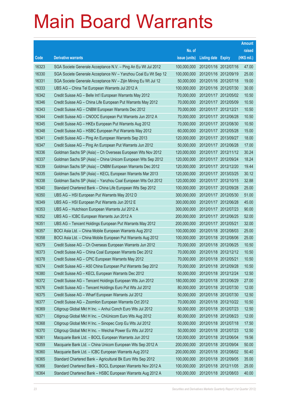|       |                                                                |               |                            |                       | <b>Amount</b> |
|-------|----------------------------------------------------------------|---------------|----------------------------|-----------------------|---------------|
|       |                                                                | No. of        |                            |                       | raised        |
| Code  | <b>Derivative warrants</b>                                     | issue (units) | <b>Listing date Expiry</b> |                       | (HK\$ mil.)   |
| 16323 | SGA Societe Generale Acceptance N.V. - Ping An Eu Wt Jul 2012  | 100,000,000   | 2012/01/16 2012/07/16      |                       | 47.00         |
| 16330 | SGA Societe Generale Acceptance NV - Yanzhou Coal Eu Wt Sep 12 | 100,000,000   | 2012/01/16 2012/09/19      |                       | 25.00         |
| 16331 | SGA Societe Generale Acceptance NV - Zijin Mining Eu Wt Jul 12 | 50,000,000    | 2012/01/16 2012/07/18      |                       | 19.00         |
| 16333 | UBS AG - China Tel European Warrants Jul 2012 A                | 100,000,000   |                            | 2012/01/16 2012/07/30 | 30.00         |
| 16342 | Credit Suisse AG - Belle Int'l European Warrants May 2012      | 70,000,000    |                            | 2012/01/17 2012/05/02 | 10.50         |
| 16346 | Credit Suisse AG - China Life European Put Warrants May 2012   | 70,000,000    |                            | 2012/01/17 2012/05/09 | 10.50         |
| 16343 | Credit Suisse AG - CNBM European Warrants Dec 2012             | 70,000,000    | 2012/01/17 2012/12/21      |                       | 10.50         |
| 16344 | Credit Suisse AG - CNOOC European Put Warrants Jun 2012 A      | 70,000,000    |                            | 2012/01/17 2012/06/28 | 10.50         |
| 16345 | Credit Suisse AG - HKEx European Put Warrants Aug 2012         | 70,000,000    |                            | 2012/01/17 2012/08/30 | 10.50         |
| 16348 | Credit Suisse AG - HSBC European Put Warrants May 2012         | 60,000,000    |                            | 2012/01/17 2012/05/28 | 15.00         |
| 16341 | Credit Suisse AG - Ping An European Warrants Sep 2013          | 120,000,000   | 2012/01/17 2013/09/27      |                       | 18.00         |
| 16347 | Credit Suisse AG - Ping An European Put Warrants Jun 2012      | 50,000,000    |                            | 2012/01/17 2012/06/28 | 17.00         |
| 16336 | Goldman Sachs SP (Asia) - Ch Overseas European Wts Nov 2012    | 120,000,000   |                            | 2012/01/17 2012/11/12 | 30.24         |
| 16337 | Goldman Sachs SP (Asia) - China Unicom European Wts Sep 2012   | 120,000,000   |                            | 2012/01/17 2012/09/24 | 18.24         |
| 16339 | Goldman Sachs SP (Asia) - CNBM European Warrants Dec 2012      | 120,000,000   |                            | 2012/01/17 2012/12/20 | 19.44         |
| 16335 | Goldman Sachs SP (Asia) - KECL European Warrants Mar 2013      | 120,000,000   | 2012/01/17 2013/03/25      |                       | 30.12         |
| 16338 | Goldman Sachs SP (Asia) - Yanzhou Coal European Wts Oct 2012   | 120,000,000   |                            | 2012/01/17 2012/10/15 | 32.88         |
| 16340 | Standard Chartered Bank - China Life European Wts Sep 2012     | 100,000,000   |                            | 2012/01/17 2012/09/28 | 25.00         |
| 16350 | UBS AG - HSI European Put Warrants May 2012 D                  | 300,000,000   |                            | 2012/01/17 2012/05/30 | 51.00         |
| 16349 | UBS AG - HSI European Put Warrants Jun 2012 E                  | 300,000,000   |                            | 2012/01/17 2012/06/28 | 45.00         |
| 16353 | UBS AG - Hutchison European Warrants Jul 2012 A                | 300,000,000   |                            | 2012/01/17 2012/07/23 | 90.00         |
| 16352 | UBS AG - ICBC European Warrants Jun 2012 A                     | 200,000,000   |                            | 2012/01/17 2012/06/25 | 52.00         |
| 16351 | UBS AG - Tencent Holdings European Put Warrants May 2012       | 200,000,000   | 2012/01/17 2012/05/21      |                       | 32.00         |
| 16357 | BOCI Asia Ltd. - China Mobile European Warrants Aug 2012       | 100,000,000   | 2012/01/18 2012/08/03      |                       | 25.00         |
| 16358 | BOCI Asia Ltd. - China Mobile European Put Warrants Aug 2012   | 100,000,000   |                            | 2012/01/18 2012/08/06 | 25.00         |
| 16379 | Credit Suisse AG - Ch Overseas European Warrants Jun 2012      | 70,000,000    |                            | 2012/01/18 2012/06/25 | 10.50         |
| 16373 | Credit Suisse AG - China Coal European Warrants Dec 2012       | 70,000,000    | 2012/01/18 2012/12/12      |                       | 10.50         |
| 16378 | Credit Suisse AG - CPIC European Warrants May 2012             | 70,000,000    | 2012/01/18 2012/05/21      |                       | 10.50         |
| 16374 | Credit Suisse AG - A50 China European Put Warrants Sep 2012    | 70,000,000    | 2012/01/18 2012/09/28      |                       | 10.50         |
| 16380 | Credit Suisse AG - KECL European Warrants Dec 2012             | 50,000,000    | 2012/01/18 2012/12/24      |                       | 12.50         |
| 16372 | Credit Suisse AG - Tencent Holdings European Wts Jun 2012      | 180,000,000   | 2012/01/18 2012/06/29      |                       | 27.00         |
| 16376 | Credit Suisse AG - Tencent Holdings Euro Put Wts Jul 2012      | 80,000,000    | 2012/01/18 2012/07/30      |                       | 12.00         |
| 16375 | Credit Suisse AG - Wharf European Warrants Jul 2012            | 50,000,000    | 2012/01/18 2012/07/30      |                       | 12.50         |
| 16377 | Credit Suisse AG - Zoomlion European Warrants Oct 2012         | 70,000,000    |                            | 2012/01/18 2012/10/22 | 10.50         |
| 16369 | Citigroup Global Mkt H Inc. - Anhui Conch Euro Wts Jul 2012    | 50,000,000    | 2012/01/18 2012/07/23      |                       | 12.50         |
| 16371 | Citigroup Global Mkt H Inc. - ChiUnicom Euro Wts Aug 2012      | 80,000,000    |                            | 2012/01/18 2012/08/23 | 12.00         |
| 16368 | Citigroup Global Mkt H Inc. - Sinopec Corp Eu Wts Jul 2012     | 50,000,000    | 2012/01/18 2012/07/18      |                       | 17.50         |
| 16370 | Citigroup Global Mkt H Inc. - Weichai Power Eu Wts Jul 2012    | 50,000,000    |                            | 2012/01/18 2012/07/23 | 12.50         |
| 16361 | Macquarie Bank Ltd. - BOCL European Warrants Jun 2012          | 120,000,000   | 2012/01/18 2012/06/04      |                       | 19.56         |
| 16359 | Macquarie Bank Ltd. - China Unicom European Wts Sep 2012 A     | 200,000,000   | 2012/01/18 2012/09/04      |                       | 50.00         |
| 16360 | Macquarie Bank Ltd. - ICBC European Warrants Aug 2012          | 200,000,000   | 2012/01/18 2012/08/02      |                       | 50.40         |
| 16365 | Standard Chartered Bank - Agricultural Bk Euro Wts Sep 2012    | 100,000,000   |                            | 2012/01/18 2012/09/05 | 35.00         |
| 16366 | Standard Chartered Bank - BOCL European Warrants Nov 2012 A    | 100,000,000   | 2012/01/18 2012/11/05      |                       | 25.00         |
| 16364 | Standard Chartered Bank - HSBC European Warrants Aug 2012 A    | 100,000,000   | 2012/01/18 2012/08/03      |                       | 40.00         |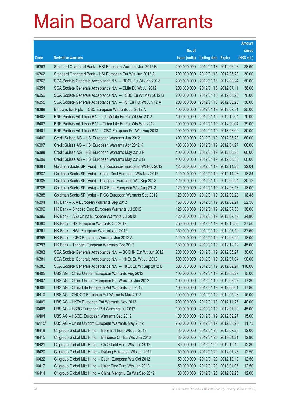|        |                                                               |               |                            |                       | <b>Amount</b> |
|--------|---------------------------------------------------------------|---------------|----------------------------|-----------------------|---------------|
|        |                                                               | No. of        |                            |                       | raised        |
| Code   | <b>Derivative warrants</b>                                    | issue (units) | <b>Listing date Expiry</b> |                       | (HK\$ mil.)   |
| 16363  | Standard Chartered Bank - HSI European Warrants Jun 2012 B    | 200,000,000   | 2012/01/18 2012/06/28      |                       | 38.60         |
| 16362  | Standard Chartered Bank - HSI European Put Wts Jun 2012 A     | 200,000,000   |                            | 2012/01/18 2012/06/28 | 30.00         |
| 16367  | SGA Societe Generale Acceptance N.V. - BOCL Eu Wt Sep 2012    | 200,000,000   | 2012/01/18 2012/09/24      |                       | 50.00         |
| 16354  | SGA Societe Generale Acceptance N.V. - CLife Eu Wt Jul 2012   | 200,000,000   | 2012/01/18 2012/07/11      |                       | 38.00         |
| 16356  | SGA Societe Generale Acceptance N.V. - HSBC Eu Wt May 2012 B  | 200,000,000   |                            | 2012/01/18 2012/05/28 | 78.00         |
| 16355  | SGA Societe Generale Acceptance N.V. - HSI Eu Put Wt Jun 12 A | 200,000,000   |                            | 2012/01/18 2012/06/28 | 38.00         |
| 16389  | Barclays Bank plc - ICBC European Warrants Jul 2012 A         | 100,000,000   | 2012/01/19 2012/07/31      |                       | 25.00         |
| 16402  | BNP Paribas Arbit Issu B.V. - Ch Mobile Eu Put Wt Oct 2012    | 100,000,000   |                            | 2012/01/19 2012/10/04 | 79.00         |
| 16403  | BNP Paribas Arbit Issu B.V. - China Life Eu Put Wts Sep 2012  | 100,000,000   |                            | 2012/01/19 2012/09/04 | 29.00         |
| 16401  | BNP Paribas Arbit Issu B.V. - ICBC European Put Wts Aug 2013  | 100,000,000   |                            | 2012/01/19 2013/08/02 | 80.00         |
| 16400  | Credit Suisse AG - HSI European Warrants Jun 2012             | 400,000,000   | 2012/01/19 2012/06/28      |                       | 60.00         |
| 16397  | Credit Suisse AG - HSI European Warrants Apr 2012 K           | 400,000,000   |                            | 2012/01/19 2012/04/27 | 60.00         |
| 16398  | Credit Suisse AG - HSI European Warrants May 2012 F           | 400,000,000   |                            | 2012/01/19 2012/05/30 | 60.00         |
| 16399  | Credit Suisse AG - HSI European Warrants May 2012 G           | 400,000,000   |                            | 2012/01/19 2012/05/30 | 60.00         |
| 16384  | Goldman Sachs SP (Asia) - Chi Resources European Wt Nov 2012  | 120,000,000   | 2012/01/19 2012/11/26      |                       | 32.04         |
| 16387  | Goldman Sachs SP (Asia) - China Coal European Wts Nov 2012    | 120,000,000   | 2012/01/19 2012/11/28      |                       | 18.84         |
| 16385  | Goldman Sachs SP (Asia) - Dongfeng European Wts Sep 2012      | 120,000,000   |                            | 2012/01/19 2012/09/24 | 30.12         |
| 16386  | Goldman Sachs SP (Asia) - Li & Fung European Wts Aug 2012     | 120,000,000   |                            | 2012/01/19 2012/08/13 | 18.00         |
| 16388  | Goldman Sachs SP (Asia) - PICC European Warrants Sep 2012     | 120,000,000   |                            | 2012/01/19 2012/09/20 | 18.48         |
| 16394  | HK Bank - AIA European Warrants Sep 2012                      | 150,000,000   | 2012/01/19 2012/09/21      |                       | 22.50         |
| 16392  | HK Bank - Sinopec Corp European Warrants Jul 2012             | 120,000,000   |                            | 2012/01/19 2012/07/30 | 30.00         |
| 16396  | HK Bank - A50 China European Warrants Jul 2012                | 120,000,000   | 2012/01/19 2012/07/19      |                       | 34.80         |
| 16390  | HK Bank - HSI European Warrants Oct 2012                      | 250,000,000   |                            | 2012/01/19 2012/10/30 | 37.50         |
| 16391  | HK Bank - HWL European Warrants Jul 2012                      | 150,000,000   |                            | 2012/01/19 2012/07/19 | 37.50         |
| 16395  | HK Bank - ICBC European Warrants Jun 2012 A                   | 120,000,000   |                            | 2012/01/19 2012/06/20 | 18.00         |
| 16393  | HK Bank - Tencent European Warrants Dec 2012                  | 180,000,000   |                            | 2012/01/19 2012/12/12 | 45.00         |
| 16383  | SGA Societe Generale Acceptance N.V. - BOCHK Eur Wt Jun 2012  | 200,000,000   | 2012/01/19 2012/06/27      |                       | 30.00         |
| 16381  | SGA Societe Generale Acceptance N.V. - HKEx Eu Wt Jul 2012    | 500,000,000   | 2012/01/19 2012/07/04      |                       | 90.00         |
| 16382  | SGA Societe Generale Acceptance N.V. - HKEx Eu Wt Sep 2012 B  | 500,000,000   | 2012/01/19 2012/09/24      |                       | 110.00        |
| 16405  | UBS AG - China Unicom European Warrants Aug 2012              | 100,000,000   | 2012/01/19 2012/08/27      |                       | 15.00         |
| 16407  | UBS AG - China Unicom European Put Warrants Jun 2012          | 100,000,000   | 2012/01/19 2012/06/25      |                       | 17.30         |
| 16406  | UBS AG - China Life European Put Warrants Jun 2012            | 100,000,000   | 2012/01/19 2012/06/01      |                       | 17.80         |
| 16410  | UBS AG - CNOOC European Put Warrants May 2012                 | 100,000,000   | 2012/01/19 2012/05/28      |                       | 15.00         |
| 16409  | UBS AG - HKEx European Put Warrants Nov 2012                  | 200,000,000   | 2012/01/19 2012/11/27      |                       | 40.00         |
| 16408  | UBS AG - HSBC European Put Warrants Jul 2012                  | 100,000,000   | 2012/01/19 2012/07/30      |                       | 45.00         |
| 16404  | UBS AG - HSCEI European Warrants Sep 2012                     | 100,000,000   | 2012/01/19 2012/09/27      |                       | 15.00         |
| 16115# | UBS AG - China Unicom European Warrants May 2012              | 250,000,000   | 2012/01/19 2012/05/28      |                       | 11.75         |
| 16418  | Citigroup Global Mkt H Inc. - Belle Int'l Euro Wts Jul 2012   | 80,000,000    | 2012/01/20 2012/07/23      |                       | 12.00         |
| 16415  | Citigroup Global Mkt H Inc. - Brilliance Chi Eu Wts Jan 2013  | 80,000,000    | 2012/01/20 2013/01/21      |                       | 12.80         |
| 16421  | Citigroup Global Mkt H Inc. - Ch Oilfield Euro Wts Dec 2012   | 80,000,000    | 2012/01/20 2012/12/10      |                       | 12.80         |
| 16420  | Citigroup Global Mkt H Inc. - Datang European Wts Jul 2012    | 50,000,000    | 2012/01/20 2012/07/23      |                       | 12.50         |
| 16422  | Citigroup Global Mkt H Inc. - Esprit European Wts Oct 2012    | 50,000,000    | 2012/01/20 2012/10/10      |                       | 12.50         |
| 16417  | Citigroup Global Mkt H Inc. - Haier Elec Euro Wts Jan 2013    | 50,000,000    | 2012/01/20 2013/01/07      |                       | 12.50         |
| 16414  | Citigroup Global Mkt H Inc. - China Mengniu Eu Wts Sep 2012   | 80,000,000    | 2012/01/20 2012/09/20      |                       | 12.00         |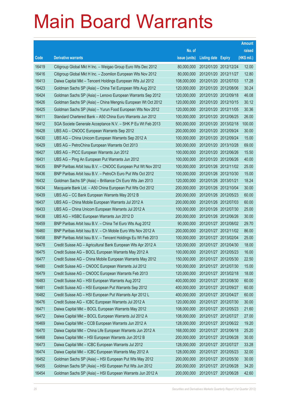|       |                                                               |               |                            |                       | <b>Amount</b> |
|-------|---------------------------------------------------------------|---------------|----------------------------|-----------------------|---------------|
|       |                                                               | No. of        |                            |                       | raised        |
| Code  | <b>Derivative warrants</b>                                    | issue (units) | <b>Listing date Expiry</b> |                       | (HK\$ mil.)   |
| 16419 | Citigroup Global Mkt H Inc. - Weigao Group Euro Wts Dec 2012  | 80,000,000    | 2012/01/20 2012/12/24      |                       | 12.00         |
| 16416 | Citigroup Global Mkt H Inc. - Zoomlion European Wts Nov 2012  | 80,000,000    | 2012/01/20 2012/11/27      |                       | 12.80         |
| 16413 | Daiwa Capital Mkt - Tencent Holdings European Wts Jul 2012    | 108,000,000   | 2012/01/20 2012/07/03      |                       | 17.28         |
| 16423 | Goldman Sachs SP (Asia) - China Tel European Wts Aug 2012     | 120,000,000   | 2012/01/20 2012/08/06      |                       | 30.24         |
| 16424 | Goldman Sachs SP (Asia) - Lenovo European Warrants Sep 2012   | 120,000,000   | 2012/01/20 2012/09/18      |                       | 46.08         |
| 16426 | Goldman Sachs SP (Asia) - China Mengniu European Wt Oct 2012  | 120,000,000   | 2012/01/20 2012/10/15      |                       | 30.12         |
| 16425 | Goldman Sachs SP (Asia) - Yurun Food European Wts Nov 2012    | 120,000,000   | 2012/01/20 2012/11/05      |                       | 30.36         |
| 16411 | Standard Chartered Bank - A50 China Euro Warrants Jun 2012    | 100,000,000   | 2012/01/20 2012/06/25      |                       | 26.00         |
| 16412 | SGA Societe Generale Acceptance N.V. - SHK P Eu Wt Feb 2013   | 500,000,000   |                            | 2012/01/20 2013/02/18 | 100.00        |
| 16428 | UBS AG - CNOOC European Warrants Sep 2012                     | 200,000,000   | 2012/01/20 2012/09/24      |                       | 30.00         |
| 16430 | UBS AG - China Unicom European Warrants Sep 2012 A            | 100,000,000   | 2012/01/20 2012/09/24      |                       | 15.00         |
| 16429 | UBS AG - PetroChina European Warrants Oct 2013                | 300,000,000   | 2012/01/20 2013/10/28      |                       | 69.00         |
| 16427 | UBS AG - PICC European Warrants Jun 2012                      | 100,000,000   |                            | 2012/01/20 2012/06/26 | 15.50         |
| 16431 | UBS AG - Ping An European Put Warrants Jun 2012               | 100,000,000   | 2012/01/20 2012/06/26      |                       | 40.00         |
| 16435 | BNP Paribas Arbit Issu B.V. - CNOOC European Put Wt Nov 2012  | 100,000,000   |                            | 2012/01/26 2012/11/02 | 25.00         |
| 16436 | BNP Paribas Arbit Issu B.V. - PetroCh Euro Put Wts Oct 2012   | 100,000,000   | 2012/01/26 2012/10/30      |                       | 15.00         |
| 16432 | Goldman Sachs SP (Asia) – Brilliance Chi Euro Wts Jan 2013    | 120,000,000   | 2012/01/26 2013/01/21      |                       | 18.24         |
| 16434 | Macquarie Bank Ltd. - A50 China European Put Wts Oct 2012     | 200,000,000   | 2012/01/26 2012/10/04      |                       | 30.00         |
| 16439 | UBS AG – CC Bank European Warrants May 2012 B                 | 200,000,000   | 2012/01/26 2012/05/23      |                       | 60.00         |
| 16437 | UBS AG - China Mobile European Warrants Jul 2012 A            | 200,000,000   | 2012/01/26 2012/07/03      |                       | 60.00         |
| 16433 | UBS AG - China Unicom European Warrants Jul 2012 A            | 100,000,000   | 2012/01/26 2012/07/30      |                       | 25.00         |
| 16438 | UBS AG - HSBC European Warrants Jun 2012 D                    | 200,000,000   | 2012/01/26 2012/06/26      |                       | 30.00         |
| 16459 | BNP Paribas Arbit Issu B.V. - China Tel Euro Wts Aug 2012     | 90,000,000    |                            | 2012/01/27 2012/08/02 | 29.70         |
| 16460 | BNP Paribas Arbit Issu B.V. - Ch Mobile Euro Wts Nov 2012 A   | 200,000,000   | 2012/01/27 2012/11/02      |                       | 86.00         |
| 16458 | BNP Paribas Arbit Issu B.V. - Tencent Holdings Eu Wt Feb 2013 | 100,000,000   |                            | 2012/01/27 2013/02/04 | 25.00         |
| 16478 | Credit Suisse AG - Agricultural Bank European Wts Apr 2012 A  | 120,000,000   | 2012/01/27 2012/04/30      |                       | 18.00         |
| 16475 | Credit Suisse AG - BOCL European Warrants May 2012 A          | 100,000,000   | 2012/01/27 2012/05/23      |                       | 16.00         |
| 16477 | Credit Suisse AG - China Mobile European Warrants May 2012    | 150,000,000   | 2012/01/27 2012/05/30      |                       | 22.50         |
| 16480 | Credit Suisse AG - CNOOC European Warrants Jul 2012           | 100,000,000   |                            | 2012/01/27 2012/07/30 | 15.00         |
| 16479 | Credit Suisse AG - CNOOC European Warrants Feb 2013           | 120,000,000   | 2012/01/27 2013/02/18      |                       | 18.00         |
| 16483 | Credit Suisse AG - HSI European Warrants Aug 2012             | 400,000,000   |                            | 2012/01/27 2012/08/30 | 60.00         |
| 16481 | Credit Suisse AG - HSI European Put Warrants Sep 2012         | 400,000,000   | 2012/01/27 2012/09/27      |                       | 60.00         |
| 16482 | Credit Suisse AG - HSI European Put Warrants Apr 2012 L       | 400,000,000   | 2012/01/27 2012/04/27      |                       | 60.00         |
| 16476 | Credit Suisse AG - ICBC European Warrants Jul 2012 A          | 120,000,000   | 2012/01/27 2012/07/30      |                       | 30.00         |
| 16471 | Daiwa Capital Mkt - BOCL European Warrants May 2012           | 108,000,000   | 2012/01/27 2012/05/23      |                       | 21.60         |
| 16472 | Daiwa Capital Mkt - BOCL European Warrants Jul 2012 A         | 108,000,000   | 2012/01/27 2012/07/27      |                       | 27.00         |
| 16469 | Daiwa Capital Mkt - CCB European Warrants Jun 2012 A          | 128,000,000   |                            | 2012/01/27 2012/06/22 | 19.20         |
| 16470 | Daiwa Capital Mkt - China Life European Warrants Jun 2012 A   | 168,000,000   | 2012/01/27 2012/06/18      |                       | 25.20         |
| 16468 | Daiwa Capital Mkt - HSI European Warrants Jun 2012 B          | 200,000,000   | 2012/01/27 2012/06/28      |                       | 30.00         |
| 16473 | Daiwa Capital Mkt - ICBC European Warrants Jul 2012           | 128,000,000   | 2012/01/27 2012/07/27      |                       | 33.28         |
| 16474 | Daiwa Capital Mkt - ICBC European Warrants May 2012 A         | 128,000,000   | 2012/01/27 2012/05/23      |                       | 32.00         |
| 16452 | Goldman Sachs SP (Asia) - HSI European Put Wts May 2012       | 200,000,000   | 2012/01/27 2012/05/30      |                       | 30.00         |
| 16455 | Goldman Sachs SP (Asia) - HSI European Put Wts Jun 2012       | 200,000,000   | 2012/01/27 2012/06/28      |                       | 34.20         |
| 16454 | Goldman Sachs SP (Asia) - HSI European Warrants Jun 2012 A    | 200,000,000   | 2012/01/27 2012/06/28      |                       | 42.60         |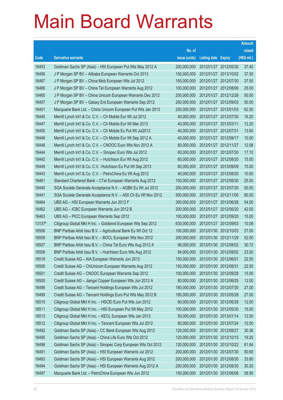|        |                                                               |               |                            |                       | <b>Amount</b> |
|--------|---------------------------------------------------------------|---------------|----------------------------|-----------------------|---------------|
|        |                                                               | No. of        |                            |                       | raised        |
| Code   | <b>Derivative warrants</b>                                    | issue (units) | <b>Listing date Expiry</b> |                       | (HK\$ mil.)   |
| 16453  | Goldman Sachs SP (Asia) - HSI European Put Wts May 2012 A     | 200,000,000   |                            | 2012/01/27 2012/05/30 | 37.40         |
| 16456  | J P Morgan SP BV - Alibaba European Warrants Oct 2013         | 150,000,000   |                            | 2012/01/27 2013/10/02 | 37.50         |
| 16467  | J P Morgan SP BV - China Mob European Wts Jul 2012            | 150,000,000   | 2012/01/27 2012/07/30      |                       | 37.50         |
| 16466  | J P Morgan SP BV - China Tel European Warrants Aug 2012       | 100,000,000   |                            | 2012/01/27 2012/08/06 | 25.00         |
| 16465  | J P Morgan SP BV - China Unicom European Warrants Dec 2012    | 200,000,000   |                            | 2012/01/27 2012/12/28 | 50.00         |
| 16457  | J P Morgan SP BV - Galaxy Ent European Warrants Sep 2012      | 200,000,000   |                            | 2012/01/27 2012/09/03 | 50.00         |
| 16451  | Macquarie Bank Ltd. - China Unicom European Put Wts Jan 2013  | 250,000,000   | 2012/01/27 2013/01/03      |                       | 62.50         |
| 16445  | Merrill Lynch Int'l & Co. C.V. - Ch Mobile Eur Wt Jul 2012    | 40,000,000    | 2012/01/27 2012/07/30      |                       | 16.20         |
| 16447  | Merrill Lynch Int'l & Co. C.V. - Ch Mobile Eur Wt Mar 2013    | 40,000,000    | 2012/01/27 2013/03/11      |                       | 12.20         |
| 16450  | Merrill Lynch Int'l & Co. C.V. - Ch Mobile Eu Put Wt Jul2012  | 40,000,000    | 2012/01/27 2012/07/31      |                       | 13.60         |
| 16446  | Merrill Lynch Int'l & Co. C.V. - Ch Mobile Eur Wt Sep 2012 A  | 40,000,000    | 2012/01/27 2012/09/17      |                       | 10.00         |
| 16448  | Merrill Lynch Int'l & Co. C.V. - CNOOC Euro Wts Nov 2012 A    | 80,000,000    | 2012/01/27 2012/11/27      |                       | 12.08         |
| 16444  | Merrill Lynch Int'l & Co. C.V. - Sinopec Euro Wts Jul 2012    | 60,000,000    |                            | 2012/01/27 2012/07/30 | 17.10         |
| 16442  | Merrill Lynch Int'l & Co. C.V. - Hutchison Eur Wt Aug 2012    | 60,000,000    |                            | 2012/01/27 2012/08/20 | 15.00         |
| 16449  | Merrill Lynch Int'l & Co. C.V. - Hutchison Eu Put Wt Sep 2013 | 60,000,000    | 2012/01/27 2013/09/09      |                       | 15.00         |
| 16443  | Merrill Lynch Int'l & Co. C.V. - PetroChina Eu Wt Aug 2012    | 40,000,000    | 2012/01/27 2012/08/20      |                       | 10.00         |
| 16461  | Standard Chartered Bank - CTel European Warrants Aug 2012     | 100,000,000   |                            | 2012/01/27 2012/08/30 | 25.00         |
| 16440  | SGA Societe Generale Acceptance N.V. - AGBK Eu Wt Jul 2012    | 200,000,000   |                            | 2012/01/27 2012/07/30 | 50.00         |
| 16441  | SGA Societe Generale Acceptance N.V. - A50 Ch Eu Wt Nov 2012  | 500,000,000   | 2012/01/27 2012/11/05      |                       | 80.00         |
| 16464  | UBS AG - HSI European Warrants Jun 2012 F                     | 300,000,000   | 2012/01/27 2012/06/28      |                       | 54.00         |
| 16462  | UBS AG - ICBC European Warrants Jun 2012 B                    | 200,000,000   |                            | 2012/01/27 2012/06/20 | 42.00         |
| 16463  | UBS AG - PICC European Warrants Sep 2012                      | 100,000,000   |                            | 2012/01/27 2012/09/20 | 15.00         |
| 13137# | Citigroup Global Mkt H Inc. - Goldwind European Wts Sep 2012  | 630,000,000   | 2012/01/27 2012/09/03      |                       | 10.08         |
| 16506  | BNP Paribas Arbit Issu B.V. - Agricultural Bank Eu Wt Oct 12  | 100,000,000   |                            | 2012/01/30 2012/10/03 | 27.00         |
| 16509  | BNP Paribas Arbit Issu B.V. - BOCL European Wts Nov 2012      | 200,000,000   |                            | 2012/01/30 2012/11/29 | 52.00         |
| 16507  | BNP Paribas Arbit Issu B.V. - China Tel Euro Wts Aug 2012 A   | 96,000,000    |                            | 2012/01/30 2012/08/02 | 30.72         |
| 16508  | BNP Paribas Arbit Issu B.V. - Hutchison Euro Wts Aug 2012     | 94,000,000    | 2012/01/30 2012/08/02      |                       | 23.50         |
| 16518  | Credit Suisse AG - AIA European Warrants Jun 2012             | 150,000,000   | 2012/01/30 2012/06/01      |                       | 22.50         |
| 16505  | Credit Suisse AG - ChiUnicom European Warrants Aug 2012       | 150,000,000   | 2012/01/30 2012/08/31      |                       | 22.50         |
| 16501  | Credit Suisse AG - CNOOC European Warrants Sep 2012           | 100,000,000   | 2012/01/30 2012/09/28      |                       | 15.00         |
| 16500  | Credit Suisse AG - Jiangxi Copper European Wts Jun 2012 A     | 80,000,000    | 2012/01/30 2012/06/25      |                       | 12.00         |
| 16498  | Credit Suisse AG - Tencent Holdings European Wts Jul 2012     | 180,000,000   | 2012/01/30 2012/07/30      |                       | 27.00         |
| 16499  | Credit Suisse AG - Tencent Holdings Euro Put Wts May 2012 B   | 180,000,000   | 2012/01/30 2012/05/28      |                       | 27.00         |
| 16510  | Citigroup Global Mkt H Inc. - HSCEI Euro Put Wts Jun 2012     | 80,000,000    | 2012/01/30 2012/06/28      |                       | 12.00         |
| 16511  | Citigroup Global Mkt H Inc. - HSI European Put Wt May 2012    | 100,000,000   | 2012/01/30 2012/05/30      |                       | 15.00         |
| 16513  | Citigroup Global Mkt H Inc. - KECL European Wts Jan 2013      | 50,000,000    | 2012/01/30 2013/01/14      |                       | 12.50         |
| 16512  | Citigroup Global Mkt H Inc. - Tencent European Wts Jul 2012   | 80,000,000    | 2012/01/30 2012/07/24      |                       | 12.00         |
| 16492  | Goldman Sachs SP (Asia) - CC Bank European Wts Aug 2012       | 120,000,000   | 2012/01/30 2012/08/27      |                       | 30.36         |
| 16495  | Goldman Sachs SP (Asia) - China Life Euro Wts Oct 2012        | 120,000,000   | 2012/01/30 2012/10/15      |                       | 19.20         |
| 16496  | Goldman Sachs SP (Asia) - Sinopec Corp European Wts Oct 2012  | 120,000,000   |                            | 2012/01/30 2012/10/22 | 81.84         |
| 16491  | Goldman Sachs SP (Asia) - HSI European Warrants Jul 2012      | 200,000,000   | 2012/01/30 2012/07/30      |                       | 50.60         |
| 16493  | Goldman Sachs SP (Asia) - HSI European Warrants Aug 2012      | 200,000,000   | 2012/01/30 2012/08/30      |                       | 33.80         |
| 16494  | Goldman Sachs SP (Asia) - HSI European Warrants Aug 2012 A    | 200,000,000   | 2012/01/30 2012/08/30      |                       | 30.20         |
| 16497  | Macquarie Bank Ltd. - PetroChina European Wts Jun 2012        | 150,000,000   | 2012/01/30 2012/06/08      |                       | 58.95         |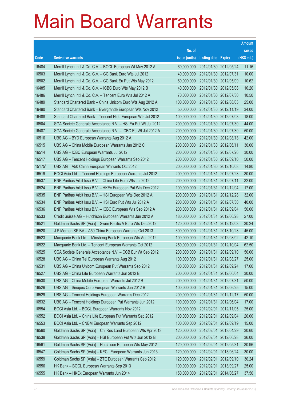|        |                                                               |               |                            |            | <b>Amount</b> |
|--------|---------------------------------------------------------------|---------------|----------------------------|------------|---------------|
|        |                                                               | No. of        |                            |            | raised        |
| Code   | <b>Derivative warrants</b>                                    | issue (units) | <b>Listing date Expiry</b> |            | (HK\$ mil.)   |
| 16484  | Merrill Lynch Int'l & Co. C.V. - BOCL European Wt May 2012 A  | 60,000,000    | 2012/01/30 2012/05/24      |            | 11.16         |
| 16503  | Merrill Lynch Int'l & Co. C.V. - CC Bank Euro Wts Jul 2012    | 40,000,000    | 2012/01/30 2012/07/31      |            | 10.00         |
| 16502  | Merrill Lynch Int'l & Co. C.V. - CC Bank Eu Put Wts May 2012  | 60,000,000    | 2012/01/30 2012/05/09      |            | 10.62         |
| 16485  | Merrill Lynch Int'l & Co. C.V. - ICBC Euro Wts May 2012 B     | 40,000,000    | 2012/01/30 2012/05/08      |            | 10.20         |
| 16486  | Merrill Lynch Int'l & Co. C.V. - Tencent Euro Wts Jul 2012 A  | 70,000,000    | 2012/01/30 2012/07/30      |            | 10.50         |
| 16489  | Standard Chartered Bank - China Unicom Euro Wts Aug 2012 A    | 100,000,000   | 2012/01/30 2012/08/03      |            | 25.00         |
| 16490  | Standard Chartered Bank - Evergrande European Wts Nov 2012    | 50,000,000    | 2012/01/30 2012/11/19      |            | 34.00         |
| 16488  | Standard Chartered Bank – Tencent Hidg European Wts Jul 2012  | 100,000,000   | 2012/01/30 2012/07/03      |            | 18.00         |
| 16504  | SGA Societe Generale Acceptance N.V. - HSI Eu Put Wt Jul 2012 | 200,000,000   | 2012/01/30 2012/07/30      |            | 44.00         |
| 16487  | SGA Societe Generale Acceptance N.V. - ICBC Eu Wt Jul 2012 A  | 200,000,000   | 2012/01/30 2012/07/30      |            | 50.00         |
| 16516  | UBS AG - BYD European Warrants Aug 2012 A                     | 100,000,000   | 2012/01/30 2012/08/13      |            | 42.00         |
| 16515  | UBS AG - China Mobile European Warrants Jun 2012 C            | 200,000,000   | 2012/01/30 2012/06/11      |            | 30.00         |
| 16514  | UBS AG - ICBC European Warrants Jul 2012                      | 200,000,000   | 2012/01/30 2012/07/26      |            | 30.00         |
| 16517  | UBS AG - Tencent Holdings European Warrants Sep 2012          | 200,000,000   | 2012/01/30 2012/09/10      |            | 50.00         |
| 15175# | UBS AG - A50 China European Warrants Oct 2012                 | 200,000,000   | 2012/01/30 2012/10/08      |            | 14.80         |
| 16519  | BOCI Asia Ltd. - Tencent Holdings European Warrants Jul 2012  | 200,000,000   | 2012/01/31 2012/07/23      |            | 30.00         |
| 16537  | BNP Paribas Arbit Issu B.V. - China Life Euro Wts Jul 2012    | 200,000,000   | 2012/01/31 2012/07/11      |            | 32.00         |
| 16524  | BNP Paribas Arbit Issu B.V. - HKEx European Put Wts Dec 2012  | 100,000,000   | 2012/01/31 2012/12/04      |            | 17.00         |
| 16535  | BNP Paribas Arbit Issu B.V. - HSI European Wts Dec 2012 A     | 200,000,000   | 2012/01/31                 | 2012/12/28 | 32.00         |
| 16534  | BNP Paribas Arbit Issu B.V. - HSI Euro Put Wts Jul 2012 A     | 200,000,000   | 2012/01/31 2012/07/30      |            | 40.00         |
| 16536  | BNP Paribas Arbit Issu B.V. - ICBC European Wts Sep 2012 A    | 200,000,000   | 2012/01/31 2012/09/04      |            | 50.00         |
| 16533  | Credit Suisse AG - Hutchison European Warrants Jun 2012 A     | 180,000,000   | 2012/01/31 2012/06/28      |            | 27.00         |
| 16521  | Goldman Sachs SP (Asia) - Swrie Pacific A Euro Wts Dec 2012   | 120,000,000   | 2012/01/31                 | 2012/12/03 | 30.24         |
| 16520  | J P Morgan SP BV - A50 China European Warrants Oct 2013       | 300,000,000   | 2012/01/31 2013/10/28      |            | 45.00         |
| 16523  | Macquarie Bank Ltd. - Minsheng Bank European Wts Aug 2012     | 100,000,000   | 2012/01/31 2012/08/02      |            | 42.10         |
| 16522  | Macquarie Bank Ltd. - Tencent European Warrants Oct 2012      | 250,000,000   | 2012/01/31 2012/10/04      |            | 62.50         |
| 16525  | SGA Societe Generale Acceptance N.V. - CCB Eur Wt Sep 2012    | 200,000,000   | 2012/01/31 2012/09/10      |            | 50.00         |
| 16528  | UBS AG - China Tel European Warrants Aug 2012                 | 100,000,000   | 2012/01/31 2012/08/27      |            | 25.00         |
| 16531  | UBS AG - China Unicom European Put Warrants Sep 2012          | 100,000,000   | 2012/01/31                 | 2012/09/24 | 17.60         |
| 16527  | UBS AG - China Life European Warrants Jun 2012 B              | 200,000,000   | 2012/01/31 2012/06/04      |            | 30.00         |
| 16530  | UBS AG - China Mobile European Warrants Jul 2012 B            | 200,000,000   | 2012/01/31 2012/07/31      |            | 50.00         |
| 16526  | UBS AG - Sinopec Corp European Warrants Jun 2012 B            | 100,000,000   | 2012/01/31 2012/06/25      |            | 15.00         |
| 16529  | UBS AG - Tencent Holdings European Warrants Dec 2012          | 200,000,000   | 2012/01/31                 | 2012/12/17 | 50.00         |
| 16532  | UBS AG - Tencent Holdings European Put Warrants Jun 2012      | 100,000,000   | 2012/01/31 2012/06/04      |            | 17.00         |
| 16554  | BOCI Asia Ltd. - BOCL European Warrants Nov 2012              | 100,000,000   | 2012/02/01                 | 2012/11/05 | 25.00         |
| 16552  | BOCI Asia Ltd. - China Life European Put Warrants Sep 2012    | 100,000,000   | 2012/02/01 2012/09/04      |            | 20.00         |
| 16553  | BOCI Asia Ltd. - CNBM European Warrants Sep 2012              | 100,000,000   | 2012/02/01                 | 2012/09/19 | 15.00         |
| 16560  | Goldman Sachs SP (Asia) - Chi Res Land European Wts Apr 2013  | 120,000,000   | 2012/02/01 2013/04/29      |            | 30.60         |
| 16538  | Goldman Sachs SP (Asia) - HSI European Put Wts Jun 2012 B     | 200,000,000   | 2012/02/01                 | 2012/06/28 | 36.00         |
| 16561  | Goldman Sachs SP (Asia) - Hutchison European Wts May 2012     | 120,000,000   | 2012/02/01 2012/05/31      |            | 30.96         |
| 16547  | Goldman Sachs SP (Asia) - KECL European Warrants Jun 2013     | 120,000,000   | 2012/02/01                 | 2013/06/24 | 30.00         |
| 16559  | Goldman Sachs SP (Asia) - ZTE European Warrants Sep 2012      | 120,000,000   | 2012/02/01                 | 2012/09/10 | 30.24         |
| 16556  | HK Bank - BOCL European Warrants Sep 2013                     | 100,000,000   | 2012/02/01                 | 2013/09/27 | 25.00         |
| 16555  | HK Bank - HKEx European Warrants Jun 2014                     | 150,000,000   | 2012/02/01                 | 2014/06/27 | 37.50         |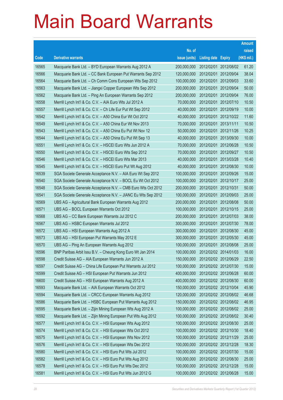|       |                                                              |               |                            |                       | <b>Amount</b> |
|-------|--------------------------------------------------------------|---------------|----------------------------|-----------------------|---------------|
|       |                                                              | No. of        |                            |                       | raised        |
| Code  | <b>Derivative warrants</b>                                   | issue (units) | <b>Listing date Expiry</b> |                       | (HK\$ mil.)   |
| 16565 | Macquarie Bank Ltd. - BYD European Warrants Aug 2012 A       | 200,000,000   |                            | 2012/02/01 2012/08/02 | 61.20         |
| 16566 | Macquarie Bank Ltd. - CC Bank European Put Warrants Sep 2012 | 120,000,000   |                            | 2012/02/01 2012/09/04 | 38.04         |
| 16564 | Macquarie Bank Ltd. - Ch Comm Cons European Wts Sep 2012     | 100,000,000   | 2012/02/01                 | 2012/09/03            | 33.60         |
| 16563 | Macquarie Bank Ltd. - Jiangxi Copper European Wts Sep 2012   | 200,000,000   |                            | 2012/02/01 2012/09/04 | 50.00         |
| 16562 | Macquarie Bank Ltd. - Ping An European Warrants Sep 2012     | 200,000,000   |                            | 2012/02/01 2012/09/04 | 76.00         |
| 16558 | Merrill Lynch Int'l & Co. C.V. - AIA Euro Wts Jul 2012 A     | 70,000,000    |                            | 2012/02/01 2012/07/10 | 10.50         |
| 16557 | Merrill Lynch Int'l & Co. C.V. - Ch Life Eur Put Wt Sep 2012 | 40,000,000    | 2012/02/01                 | 2012/09/19            | 10.00         |
| 16542 | Merrill Lynch Int'l & Co. C.V. - A50 China Eur Wt Oct 2012   | 40,000,000    |                            | 2012/02/01 2012/10/22 | 11.60         |
| 16549 | Merrill Lynch Int'l & Co. C.V. - A50 China Eur Wt Nov 2013   | 70,000,000    |                            | 2012/02/01 2013/11/11 | 10.50         |
| 16543 | Merrill Lynch Int'l & Co. C.V. - A50 China Eu Put Wt Nov 12  | 50,000,000    |                            | 2012/02/01 2012/11/26 | 10.25         |
| 16544 | Merrill Lynch Int'l & Co. C.V. - A50 China Eu Put Wt Sep 13  | 40,000,000    | 2012/02/01                 | 2013/09/30            | 10.00         |
| 16551 | Merrill Lynch Int'l & Co. C.V. - HSCEI Euro Wts Jun 2012 A   | 70,000,000    |                            | 2012/02/01 2012/06/28 | 10.50         |
| 16550 | Merrill Lynch Int'l & Co. C.V. - HSCEI Euro Wts Sep 2012     | 70,000,000    |                            | 2012/02/01 2012/09/27 | 10.50         |
| 16546 | Merrill Lynch Int'l & Co. C.V. - HSCEI Euro Wts Mar 2013     | 40,000,000    |                            | 2012/02/01 2013/03/28 | 10.40         |
| 16545 | Merrill Lynch Int'l & Co. C.V. - HSCEI Euro Put Wt Aug 2012  | 40,000,000    | 2012/02/01                 | 2012/08/30            | 10.00         |
| 16539 | SGA Societe Generale Acceptance N.V. - AIA Euro Wt Sep 2012  | 100,000,000   |                            | 2012/02/01 2012/09/26 | 15.00         |
| 16540 | SGA Societe Generale Acceptance N.V. - BOCL Eu Wt Oct 2012   | 100,000,000   |                            | 2012/02/01 2012/10/17 | 25.00         |
| 16548 | SGA Societe Generale Acceptance N.V. - CMB Euro Wts Oct 2012 | 200,000,000   |                            | 2012/02/01 2012/10/31 | 50.00         |
| 16541 | SGA Societe Generale Acceptance N.V. - JIANC Eu Wts Sep 2012 | 100,000,000   | 2012/02/01                 | 2012/09/03            | 25.00         |
| 16569 | UBS AG - Agricultural Bank European Warrants Aug 2012        | 200,000,000   |                            | 2012/02/01 2012/08/08 | 50.00         |
| 16571 | UBS AG - BOCL European Warrants Oct 2012                     | 100,000,000   |                            | 2012/02/01 2012/10/15 | 25.00         |
| 16568 | UBS AG - CC Bank European Warrants Jul 2012 C                | 200,000,000   |                            | 2012/02/01 2012/07/03 | 38.00         |
| 16567 | UBS AG - HSBC European Warrants Jul 2012                     | 300,000,000   | 2012/02/01                 | 2012/07/30            | 78.00         |
| 16572 | UBS AG - HSI European Warrants Aug 2012 A                    | 300,000,000   |                            | 2012/02/01 2012/08/30 | 45.00         |
| 16573 | UBS AG - HSI European Put Warrants May 2012 E                | 300,000,000   | 2012/02/01                 | 2012/05/30            | 45.00         |
| 16570 | UBS AG - Ping An European Warrants Aug 2012                  | 100,000,000   | 2012/02/01                 | 2012/08/08            | 25.00         |
| 16596 | BNP Paribas Arbit Issu B.V. - Cheung Kong Euro Wt Jan 2014   | 100,000,000   |                            | 2012/02/02 2014/01/03 | 16.00         |
| 16598 | Credit Suisse AG - AIA European Warrants Jun 2012 A          | 150,000,000   |                            | 2012/02/02 2012/06/29 | 22.50         |
| 16597 | Credit Suisse AG - China Life European Put Warrants Jul 2012 | 100,000,000   |                            | 2012/02/02 2012/07/30 | 15.00         |
| 16599 | Credit Suisse AG - HSI European Put Warrants Jun 2012        | 400,000,000   |                            | 2012/02/02 2012/06/28 | 60.00         |
| 16600 | Credit Suisse AG - HSI European Warrants Aug 2012 A          | 400,000,000   |                            | 2012/02/02 2012/08/30 | 60.00         |
| 16593 | Macquarie Bank Ltd. - AIA European Warrants Oct 2012         | 150,000,000   |                            | 2012/02/02 2012/10/04 | 45.90         |
| 16594 | Macquarie Bank Ltd. - CRCC European Warrants Aug 2012        | 120,000,000   |                            | 2012/02/02 2012/08/02 | 46.68         |
| 16586 | Macquarie Bank Ltd. - HSBC European Put Warrants Aug 2012    | 150,000,000   |                            | 2012/02/02 2012/08/02 | 46.95         |
| 16595 | Macquarie Bank Ltd. - Zijin Mining European Wts Aug 2012 A   | 100,000,000   |                            | 2012/02/02 2012/08/02 | 25.00         |
| 16592 | Macquarie Bank Ltd. - Zijin Mining European Put Wts Aug 2012 | 100,000,000   |                            | 2012/02/02 2012/08/02 | 30.40         |
| 16577 | Merrill Lynch Int'l & Co. C.V. - HSI European Wts Aug 2012   | 100,000,000   |                            | 2012/02/02 2012/08/30 | 25.00         |
| 16574 | Merrill Lynch Int'l & Co. C.V. - HSI European Wts Oct 2012   | 100,000,000   |                            | 2012/02/02 2012/10/30 | 18.40         |
| 16575 | Merrill Lynch Int'l & Co. C.V. - HSI European Wts Nov 2012   | 100,000,000   |                            | 2012/02/02 2012/11/29 | 25.00         |
| 16576 | Merrill Lynch Int'l & Co. C.V. - HSI European Wts Dec 2012   | 100,000,000   |                            | 2012/02/02 2012/12/28 | 18.30         |
| 16580 | Merrill Lynch Int'l & Co. C.V. - HSI Euro Put Wts Jul 2012   | 100,000,000   |                            | 2012/02/02 2012/07/30 | 15.00         |
| 16582 | Merrill Lynch Int'l & Co. C.V. - HSI Euro Put Wts Aug 2012   | 100,000,000   |                            | 2012/02/02 2012/08/30 | 25.00         |
| 16578 | Merrill Lynch Int'l & Co. C.V. - HSI Euro Put Wts Dec 2012   | 100,000,000   |                            | 2012/02/02 2012/12/28 | 15.00         |
| 16581 | Merrill Lynch Int'l & Co. C.V. - HSI Euro Put Wts Jun 2012 G | 100,000,000   |                            | 2012/02/02 2012/06/28 | 15.00         |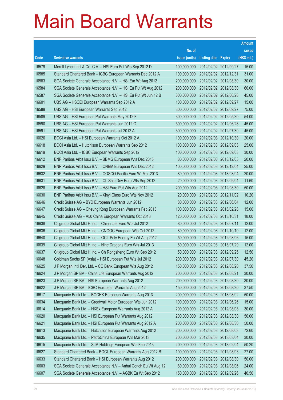|       |                                                                |               |                            |                       | <b>Amount</b> |
|-------|----------------------------------------------------------------|---------------|----------------------------|-----------------------|---------------|
|       |                                                                | No. of        |                            |                       | raised        |
| Code  | <b>Derivative warrants</b>                                     | issue (units) | <b>Listing date Expiry</b> |                       | (HK\$ mil.)   |
| 16579 | Merrill Lynch Int'l & Co. C.V. - HSI Euro Put Wts Sep 2012 D   | 100,000,000   |                            | 2012/02/02 2012/09/27 | 15.00         |
| 16585 | Standard Chartered Bank - ICBC European Warrants Dec 2012 A    | 100,000,000   |                            | 2012/02/02 2012/12/31 | 31.00         |
| 16583 | SGA Societe Generale Acceptance N.V. - HSI Eur Wt Aug 2012     | 200,000,000   |                            | 2012/02/02 2012/08/30 | 30.00         |
| 16584 | SGA Societe Generale Acceptance N.V. - HSI Eu Put Wt Aug 2012  | 200,000,000   |                            | 2012/02/02 2012/08/30 | 60.00         |
| 16587 | SGA Societe Generale Acceptance N.V. - HSI Eu Put Wt Jun 12 B  | 300,000,000   |                            | 2012/02/02 2012/06/28 | 45.00         |
| 16601 | UBS AG - HSCEI European Warrants Sep 2012 A                    | 100,000,000   |                            | 2012/02/02 2012/09/27 | 15.00         |
| 16588 | UBS AG - HSI European Warrants Sep 2012                        | 300,000,000   |                            | 2012/02/02 2012/09/27 | 75.00         |
| 16589 | UBS AG - HSI European Put Warrants May 2012 F                  | 300,000,000   |                            | 2012/02/02 2012/05/30 | 54.00         |
| 16590 | UBS AG - HSI European Put Warrants Jun 2012 G                  | 300,000,000   |                            | 2012/02/02 2012/06/28 | 45.00         |
| 16591 | UBS AG - HSI European Put Warrants Jul 2012 A                  | 300,000,000   |                            | 2012/02/02 2012/07/30 | 45.00         |
| 16626 | BOCI Asia Ltd. - HSI European Warrants Oct 2012 A              | 100,000,000   |                            | 2012/02/03 2012/10/30 | 20.00         |
| 16618 | BOCI Asia Ltd. - Hutchison European Warrants Sep 2012          | 100,000,000   |                            | 2012/02/03 2012/09/03 | 25.00         |
| 16619 | BOCI Asia Ltd. - ICBC European Warrants Sep 2012               | 100,000,000   |                            | 2012/02/03 2012/09/03 | 30.00         |
| 16612 | BNP Paribas Arbit Issu B.V. - BBMG European Wts Dec 2013       | 80,000,000    |                            | 2012/02/03 2013/12/03 | 20.00         |
| 16629 | BNP Paribas Arbit Issu B.V. - CNBM European Wts Dec 2012       | 100,000,000   |                            | 2012/02/03 2012/12/04 | 25.00         |
| 16632 | BNP Paribas Arbit Issu B.V. - COSCO Pacific Euro Wt Mar 2013   | 80,000,000    |                            | 2012/02/03 2013/03/04 | 20.00         |
| 16631 | BNP Paribas Arbit Issu B.V. - Ch Ship Dev Euro Wts Sep 2012    | 20,000,000    |                            | 2012/02/03 2012/09/04 | 11.60         |
| 16628 | BNP Paribas Arbit Issu B.V. - HSI Euro Put Wts Aug 2012        | 200,000,000   |                            | 2012/02/03 2012/08/30 | 50.00         |
| 16630 | BNP Paribas Arbit Issu B.V. - Xinyi Glass Euro Wts Nov 2012    | 20,000,000    |                            | 2012/02/03 2012/11/02 | 10.20         |
| 16646 | Credit Suisse AG - BYD European Warrants Jun 2012              | 80,000,000    |                            | 2012/02/03 2012/06/04 | 12.00         |
| 16647 | Credit Suisse AG - Cheung Kong European Warrants Feb 2013      | 100,000,000   |                            | 2012/02/03 2013/02/28 | 15.00         |
| 16645 | Credit Suisse AG - A50 China European Warrants Oct 2013        | 120,000,000   | 2012/02/03 2013/10/31      |                       | 18.00         |
| 16638 | Citigroup Global Mkt H Inc. - China Life Euro Wts Jul 2012     | 80,000,000    | 2012/02/03 2012/07/11      |                       | 12.00         |
| 16636 | Citigroup Global Mkt H Inc. - CNOOC European Wts Oct 2012      | 80,000,000    |                            | 2012/02/03 2012/10/10 | 12.00         |
| 16640 | Citigroup Global Mkt H Inc. - GCL-Poly Energy Eu Wt Aug 2012   | 50,000,000    |                            | 2012/02/03 2012/08/06 | 15.00         |
| 16639 | Citigroup Global Mkt H Inc. - Nine Dragons Euro Wts Jul 2013   | 80,000,000    | 2012/02/03 2013/07/29      |                       | 12.00         |
| 16637 | Citigroup Global Mkt H Inc. - Ch Rongsheng Euro Wt Sep 2012    | 50,000,000    |                            | 2012/02/03 2012/09/25 | 12.50         |
| 16648 | Goldman Sachs SP (Asia) - HSI European Put Wts Jul 2012        | 200,000,000   | 2012/02/03 2012/07/30      |                       | 45.20         |
| 16625 | J P Morgan Int'l Der. Ltd. - CC Bank European Wts Aug 2012     | 150,000,000   |                            | 2012/02/03 2012/08/20 | 37.50         |
| 16624 | J P Morgan SP BV - China Life European Warrants Aug 2012       | 200,000,000   | 2012/02/03 2012/08/21      |                       | 30.00         |
| 16623 | J P Morgan SP BV - HSI European Warrants Aug 2012              | 200,000,000   |                            | 2012/02/03 2012/08/30 | 30.00         |
| 16622 | J P Morgan SP BV - ICBC European Warrants Aug 2012             | 150,000,000   |                            | 2012/02/03 2012/08/30 | 37.50         |
| 16617 | Macquarie Bank Ltd. - BOCHK European Warrants Aug 2013         | 200,000,000   |                            | 2012/02/03 2013/08/02 | 50.00         |
| 16634 | Macquarie Bank Ltd. - Greatwall Motor European Wts Jun 2012    | 100,000,000   |                            | 2012/02/03 2012/06/26 | 15.00         |
| 16614 | Macquarie Bank Ltd. - HKEx European Warrants Aug 2012 A        | 200,000,000   |                            | 2012/02/03 2012/08/08 | 30.00         |
| 16620 | Macquarie Bank Ltd. - HSI European Put Warrants Aug 2012       | 200,000,000   |                            | 2012/02/03 2012/08/30 | 50.00         |
| 16621 | Macquarie Bank Ltd. - HSI European Put Warrants Aug 2012 A     | 200,000,000   |                            | 2012/02/03 2012/08/30 | 50.00         |
| 16613 | Macquarie Bank Ltd. - Hutchison European Warrants Aug 2012     | 200,000,000   |                            | 2012/02/03 2012/08/03 | 72.60         |
| 16635 | Macquarie Bank Ltd. - PetroChina European Wts Mar 2013         | 200,000,000   |                            | 2012/02/03 2013/03/04 | 30.00         |
| 16615 | Macquarie Bank Ltd. - SJM Holdings European Wts Feb 2013       | 200,000,000   |                            | 2012/02/03 2013/02/04 | 50.20         |
| 16627 | Standard Chartered Bank - BOCL European Warrants Aug 2012 B    | 100,000,000   |                            | 2012/02/03 2012/08/03 | 27.00         |
| 16633 | Standard Chartered Bank - HSI European Warrants Aug 2012       | 200,000,000   |                            | 2012/02/03 2012/08/30 | 50.00         |
| 16603 | SGA Societe Generale Acceptance N.V - Anhui Conch Eu Wt Aug 12 | 80,000,000    |                            | 2012/02/03 2012/08/06 | 24.00         |
| 16607 | SGA Societe Generale Acceptance N.V. - AGBK Eu Wt Sep 2012     | 150,000,000   |                            | 2012/02/03 2012/09/26 | 40.50         |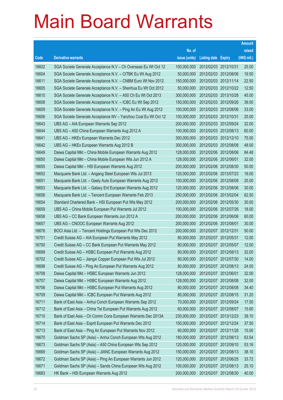|       |                                                                |               |                            |                       | <b>Amount</b> |
|-------|----------------------------------------------------------------|---------------|----------------------------|-----------------------|---------------|
|       |                                                                | No. of        |                            |                       | raised        |
| Code  | <b>Derivative warrants</b>                                     | issue (units) | <b>Listing date Expiry</b> |                       | (HK\$ mil.)   |
| 16602 | SGA Societe Generale Acceptance N.V - Ch Overseas Eu Wt Oct 12 | 100,000,000   | 2012/02/03 2012/10/31      |                       | 25.00         |
| 16604 | SGA Societe Generale Acceptance N.V. - CITBK Eu Wt Aug 2012    | 50,000,000    | 2012/02/03 2012/08/06      |                       | 19.50         |
| 16611 | SGA Societe Generale Acceptance N.V. - CNBM Euro Wt Nov 2012   | 150,000,000   |                            | 2012/02/03 2012/11/14 | 22.50         |
| 16605 | SGA Societe Generale Acceptance N.V. - Shenhua Eu Wt Oct 2012  | 50,000,000    | 2012/02/03 2012/10/22      |                       | 12.50         |
| 16610 | SGA Societe Generale Acceptance N.V. - A50 Ch Eu Wt Oct 2013   | 300,000,000   |                            | 2012/02/03 2013/10/28 | 45.00         |
| 16608 | SGA Societe Generale Acceptance N.V. - ICBC Eu Wt Sep 2012     | 150,000,000   | 2012/02/03 2012/09/26      |                       | 39.00         |
| 16609 | SGA Societe Generale Acceptance N.V. - Ping An Eu Wt Aug 2012  | 100,000,000   | 2012/02/03 2012/08/06      |                       | 33.00         |
| 16606 | SGA Societe Generale Acceptance NV - Yanzhou Coal Eu Wt Oct 12 | 100,000,000   | 2012/02/03 2012/10/31      |                       | 25.00         |
| 16643 | UBS AG - AIA European Warrants Sep 2012                        | 200,000,000   |                            | 2012/02/03 2012/09/24 | 32.00         |
| 16644 | UBS AG - A50 China European Warrants Aug 2012 A                | 100,000,000   | 2012/02/03 2012/08/13      |                       | 60.00         |
| 16641 | UBS AG - HKEx European Warrants Dec 2012                       | 300,000,000   | 2012/02/03 2012/12/10      |                       | 75.00         |
| 16642 | UBS AG - HKEx European Warrants Aug 2012 B                     | 300,000,000   | 2012/02/03 2012/08/08      |                       | 48.00         |
| 16649 | Daiwa Capital Mkt - China Mobile European Warrants Aug 2012    | 128,000,000   |                            | 2012/02/06 2012/08/06 | 84.48         |
| 16650 | Daiwa Capital Mkt - China Mobile European Wts Jun 2012 A       | 128,000,000   | 2012/02/06 2012/06/01      |                       | 32.00         |
| 16655 | Daiwa Capital Mkt - HSI European Warrants Aug 2012             | 200,000,000   |                            | 2012/02/06 2012/08/30 | 50.00         |
| 16652 | Macquarie Bank Ltd. - Angang Steel European Wts Jul 2013       | 120,000,000   | 2012/02/06 2013/07/23      |                       | 18.00         |
| 16651 | Macquarie Bank Ltd. - Geely Auto European Warrants Aug 2012    | 100,000,000   | 2012/02/06 2012/08/08      |                       | 25.00         |
| 16653 | Macquarie Bank Ltd. - Galaxy Ent European Warrants Aug 2012    | 120,000,000   | 2012/02/06 2012/08/06      |                       | 30.00         |
| 16656 | Macquarie Bank Ltd. - Tencent European Warrants Feb 2013       | 250,000,000   |                            | 2012/02/06 2013/02/04 | 62.50         |
| 16654 | Standard Chartered Bank - HSI European Put Wts May 2012        | 200,000,000   | 2012/02/06 2012/05/30      |                       | 30.00         |
| 16659 | UBS AG - China Mobile European Put Warrants Jul 2012           | 100,000,000   |                            | 2012/02/06 2012/07/26 | 18.00         |
| 16658 | UBS AG - CC Bank European Warrants Jun 2012 A                  | 200,000,000   | 2012/02/06 2012/06/06      |                       | 60.00         |
| 16657 | UBS AG - CNOOC European Warrants Aug 2012                      | 200,000,000   | 2012/02/06 2012/08/01      |                       | 30.00         |
| 16676 | BOCI Asia Ltd. - Tencent Holdings European Put Wts Dec 2012    | 200,000,000   | 2012/02/07 2012/12/31      |                       | 50.00         |
| 16701 | Credit Suisse AG - AIA European Put Warrants May 2012          | 80,000,000    | 2012/02/07 2012/05/31      |                       | 12.00         |
| 16700 | Credit Suisse AG - CC Bank European Put Warrants May 2012      | 80,000,000    | 2012/02/07 2012/05/07      |                       | 12.00         |
| 16699 | Credit Suisse AG - HSBC European Put Warrants Aug 2012         | 80,000,000    | 2012/02/07 2012/08/13      |                       | 32.00         |
| 16702 | Credit Suisse AG - Jiangxi Copper European Put Wts Jul 2012    | 80,000,000    | 2012/02/07 2012/07/30      |                       | 14.00         |
| 16698 | Credit Suisse AG - Ping An European Put Warrants Aug 2012      | 80,000,000    | 2012/02/07 2012/08/13      |                       | 24.00         |
| 16708 | Daiwa Capital Mkt - HSBC European Warrants Jun 2012            | 128,000,000   | 2012/02/07 2012/06/01      |                       | 32.00         |
| 16707 | Daiwa Capital Mkt - HSBC European Warrants Aug 2012            | 128,000,000   | 2012/02/07 2012/08/08      |                       | 32.00         |
| 16706 | Daiwa Capital Mkt - HSBC European Put Warrants Aug 2012        | 80,000,000    | 2012/02/07 2012/08/08      |                       | 34.40         |
| 16709 | Daiwa Capital Mkt - ICBC European Put Warrants Aug 2012        | 80,000,000    | 2012/02/07 2012/08/15      |                       | 31.20         |
| 16711 | Bank of East Asia - Anhui Conch European Warrants Sep 2012     | 70,000,000    | 2012/02/07 2012/09/24      |                       | 17.50         |
| 16712 | Bank of East Asia - China Tel European Put Warrants Aug 2012   | 60,000,000    | 2012/02/07 2012/08/07      |                       | 15.60         |
| 16710 | Bank of East Asia - Ch Comm Cons European Warrants Dec 2013A   | 230,000,000   | 2012/02/07 2013/12/23      |                       | 39.10         |
| 16714 | Bank of East Asia - Esprit European Put Warrants Dec 2012      | 150,000,000   |                            | 2012/02/07 2012/12/24 | 37.50         |
| 16713 | Bank of East Asia - Ping An European Put Warrants Nov 2012     | 60,000,000    | 2012/02/07 2012/11/28      |                       | 15.00         |
| 16670 | Goldman Sachs SP (Asia) - Anhui Conch European Wts Aug 2012    | 180,000,000   | 2012/02/07 2012/08/13      |                       | 63.54         |
| 16673 | Goldman Sachs SP (Asia) - A50 China European Wts Sep 2012      | 120,000,000   | 2012/02/07 2012/09/10      |                       | 53.16         |
| 16669 | Goldman Sachs SP (Asia) - JIANC European Warrants Aug 2012     | 150,000,000   | 2012/02/07 2012/08/13      |                       | 38.10         |
| 16672 | Goldman Sachs SP (Asia) - Ping An European Warrants Jun 2012   | 120,000,000   | 2012/02/07 2012/06/25      |                       | 33.72         |
| 16671 | Goldman Sachs SP (Asia) - Sands China European Wts Aug 2012    | 100,000,000   | 2012/02/07 2012/08/13      |                       | 25.10         |
| 16683 | HK Bank - HSI European Warrants Aug 2012                       | 200,000,000   | 2012/02/07 2012/08/30      |                       | 40.00         |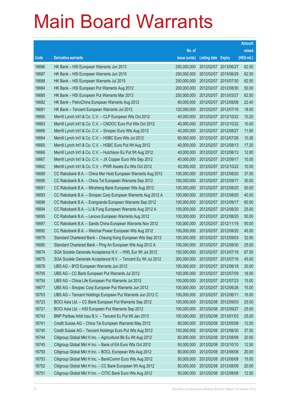|       |                                                               |               |                            |            | <b>Amount</b> |
|-------|---------------------------------------------------------------|---------------|----------------------------|------------|---------------|
|       |                                                               | No. of        |                            |            | raised        |
| Code  | <b>Derivative warrants</b>                                    | issue (units) | <b>Listing date Expiry</b> |            | (HK\$ mil.)   |
| 16686 | HK Bank - HSI European Warrants Jun 2013                      | 250,000,000   | 2012/02/07 2013/06/27      |            | 62.50         |
| 16687 | HK Bank - HSI European Warrants Jun 2015                      | 250,000,000   | 2012/02/07 2015/06/29      |            | 62.50         |
| 16688 | HK Bank - HSI European Warrants Jul 2015                      | 250,000,000   | 2012/02/07 2015/07/30      |            | 62.50         |
| 16684 | HK Bank - HSI European Put Warrants Aug 2012                  | 200,000,000   | 2012/02/07 2012/08/30      |            | 50.00         |
| 16685 | HK Bank - HSI European Put Warrants Mar 2013                  | 250,000,000   | 2012/02/07 2013/03/27      |            | 62.50         |
| 16682 | HK Bank - PetroChina European Warrants Aug 2012               | 80,000,000    | 2012/02/07 2012/08/08      |            | 22.40         |
| 16681 | HK Bank - Tencent European Warrants Jul 2012                  | 120,000,000   | 2012/02/07 2012/07/16      |            | 18.00         |
| 16660 | Merrill Lynch Int'l & Co. C.V. - CLP European Wts Oct 2012    | 40,000,000    | 2012/02/07 2012/10/22      |            | 10.20         |
| 16663 | Merrill Lynch Int'l & Co. C.V. - CNOOC Euro Put Wts Oct 2012  | 40,000,000    | 2012/02/07 2012/10/22      |            | 10.00         |
| 16668 | Merrill Lynch Int'l & Co. C.V. - Sinopec Euro Wts Aug 2012    | 40,000,000    | 2012/02/07 2012/08/27      |            | 11.60         |
| 16664 | Merrill Lynch Int'l & Co. C.V. - HSBC Euro Wts Jul 2012       | 60,000,000    | 2012/02/07 2012/07/26      |            | 10.26         |
| 16665 | Merrill Lynch Int'l & Co. C.V. - HSBC Euro Put Wt Aug 2012    | 40,000,000    | 2012/02/07 2012/08/13      |            | 17.20         |
| 16666 | Merrill Lynch Int'l & Co. C.V. - Hutchison Eu Put Wt Aug 2012 | 40,000,000    | 2012/02/07 2012/08/13      |            | 12.80         |
| 16667 | Merrill Lynch Int'l & Co. C.V. - JX Copper Euro Wts Sep 2012  | 40,000,000    | 2012/02/07 2012/09/17      |            | 10.00         |
| 16662 | Merrill Lynch Int'l & Co. C.V. - PWR Assets Eu Wts Oct 2012   | 40,000,000    | 2012/02/07 2012/10/22      |            | 10.00         |
| 16689 | CC Rabobank B.A. - China Mer Hold European Warrants Aug 2012  | 100,000,000   | 2012/02/07 2012/08/20      |            | 37.00         |
| 16690 | CC Rabobank B.A. - China Tel European Warrants Sep 2012       | 100,000,000   | 2012/02/07 2012/09/17      |            | 30.00         |
| 16691 | CC Rabobank B.A. - Minsheng Bank European Wts Aug 2012        | 100,000,000   | 2012/02/07 2012/08/20      |            | 50.00         |
| 16693 | CC Rabobank B.A. - Sinopec Corp European Warrants Aug 2012 A  | 100,000,000   | 2012/02/07 2012/08/20      |            | 40.00         |
| 16696 | CC Rabobank B.A. - Evergrande European Warrants Sep 2012      | 100,000,000   | 2012/02/07 2012/09/17      |            | 60.00         |
| 16694 | CC Rabobank B.A. - Li & Fung European Warrants Aug 2012 A     | 100,000,000   | 2012/02/07 2012/08/20      |            | 25.00         |
| 16695 | CC Rabobank B.A. - Lenovo European Warrants Aug 2012          | 100,000,000   | 2012/02/07 2012/08/20      |            | 50.00         |
| 16697 | CC Rabobank B.A. - Sands China European Warrants Nov 2012     | 100,000,000   | 2012/02/07 2012/11/19      |            | 50.00         |
| 16692 | CC Rabobank B.A. - Weichai Power European Wts Aug 2012        | 100,000,000   | 2012/02/07 2012/08/20      |            | 45.00         |
| 16679 | Standard Chartered Bank - Cheung Kong European Wts Sep 2012   | 100,000,000   | 2012/02/07 2012/09/03      |            | 32.50         |
| 16680 | Standard Chartered Bank - Ping An European Wts Aug 2012 A     | 100,000,000   | 2012/02/07 2012/08/30      |            | 25.00         |
| 16674 | SGA Societe Generale Acceptance N.V. - HWL Eur Wt Jul 2012    | 150,000,000   | 2012/02/07 2012/07/18      |            | 67.50         |
| 16675 | SGA Societe Generale Acceptance N.V. - Tencent Eu Wt Jul 2012 | 300,000,000   | 2012/02/07 2012/07/16      |            | 45.00         |
| 16678 | UBS AG - BYD European Warrants Jun 2012                       | 100,000,000   | 2012/02/07 2012/06/18      |            | 20.00         |
| 16705 | UBS AG - CC Bank European Put Warrants Jul 2012               | 100,000,000   | 2012/02/07 2012/07/09      |            | 18.00         |
| 16704 | UBS AG - China Life European Put Warrants Jul 2012            | 100,000,000   | 2012/02/07 2012/07/23      |            | 15.00         |
| 16677 | UBS AG - Sinopec Corp European Put Warrants Jun 2012          | 100,000,000   | 2012/02/07 2012/06/26      |            | 15.00         |
| 16703 | UBS AG - Tencent Holdings European Put Warrants Jun 2012 C    | 100,000,000   | 2012/02/07                 | 2012/06/11 | 15.00         |
| 16723 | BOCI Asia Ltd. - CC Bank European Put Warrants Sep 2012       | 100,000,000   | 2012/02/08 2012/09/03      |            | 25.00         |
| 16721 | BOCI Asia Ltd. - HSI European Put Warrants Sep 2012           | 100,000,000   | 2012/02/08 2012/09/27      |            | 25.00         |
| 16743 | BNP Paribas Arbit Issu B.V. - Tencent Eu Put Wt Jan 2013      | 100,000,000   | 2012/02/08 2013/01/03      |            | 25.00         |
| 16741 | Credit Suisse AG - China Tel European Warrants May 2012       | 80,000,000    | 2012/02/08 2012/05/08      |            | 12.00         |
| 16740 | Credit Suisse AG - Tencent Holdings Euro Put Wts Aug 2012     | 150,000,000   | 2012/02/08 2012/08/30      |            | 37.50         |
| 16744 | Citigroup Global Mkt H Inc. - Agricultural Bk Eu Wt Aug 2012  | 80,000,000    | 2012/02/08 2012/08/08      |            | 20.00         |
| 16745 | Citigroup Global Mkt H Inc. - Bank of EA Euro Wts Oct 2012    | 50,000,000    | 2012/02/08 2012/10/10      |            | 12.50         |
| 16750 | Citigroup Global Mkt H Inc. - BOCL European Wts Aug 2012      | 80,000,000    | 2012/02/08 2012/08/08      |            | 20.00         |
| 16753 | Citigroup Global Mkt H Inc. - BankComm Euro Wts Aug 2012      | 50,000,000    | 2012/02/08 2012/08/08      |            | 15.00         |
| 16752 | Citigroup Global Mkt H Inc. - CC Bank European Wt Aug 2012    | 80,000,000    | 2012/02/08 2012/08/08      |            | 20.00         |
| 16751 | Citigroup Global Mkt H Inc. - CITIC Bank Euro Wts Aug 2012    | 50,000,000    | 2012/02/08 2012/08/08      |            | 12.50         |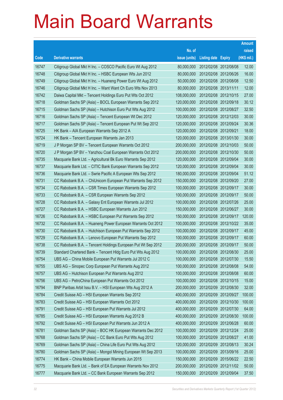|       |                                                              |               |                            |                       | <b>Amount</b> |
|-------|--------------------------------------------------------------|---------------|----------------------------|-----------------------|---------------|
|       |                                                              | No. of        |                            |                       | raised        |
| Code  | <b>Derivative warrants</b>                                   | issue (units) | <b>Listing date Expiry</b> |                       | (HK\$ mil.)   |
| 16747 | Citigroup Global Mkt H Inc. - COSCO Pacific Euro Wt Aug 2012 | 80,000,000    |                            | 2012/02/08 2012/08/08 | 12.00         |
| 16748 | Citigroup Global Mkt H Inc. - HSBC European Wts Jun 2012     | 80,000,000    |                            | 2012/02/08 2012/06/26 | 16.00         |
| 16749 | Citigroup Global Mkt H Inc. - Huaneng Power Euro Wt Aug 2012 | 50,000,000    |                            | 2012/02/08 2012/08/08 | 12.50         |
| 16746 | Citigroup Global Mkt H Inc. - Want Want Ch Euro Wts Nov 2013 | 80,000,000    | 2012/02/08 2013/11/11      |                       | 12.00         |
| 16742 | Daiwa Capital Mkt - Tencent Holdings Euro Put Wts Oct 2012   | 108,000,000   |                            | 2012/02/08 2012/10/15 | 27.00         |
| 16718 | Goldman Sachs SP (Asia) - BOCL European Warrants Sep 2012    | 120,000,000   |                            | 2012/02/08 2012/09/18 | 30.12         |
| 16715 | Goldman Sachs SP (Asia) - Hutchison Euro Put Wts Aug 2012    | 100,000,000   |                            | 2012/02/08 2012/08/27 | 32.50         |
| 16716 | Goldman Sachs SP (Asia) - Tencent European Wt Dec 2012       | 120,000,000   |                            | 2012/02/08 2012/12/03 | 30.00         |
| 16717 | Goldman Sachs SP (Asia) - Tencent European Put Wt Sep 2012   | 120,000,000   |                            | 2012/02/08 2012/09/24 | 30.36         |
| 16725 | HK Bank - AIA European Warrants Sep 2012 A                   | 120,000,000   | 2012/02/08 2012/09/21      |                       | 18.00         |
| 16724 | HK Bank - Tencent European Warrants Jan 2013                 | 120,000,000   |                            | 2012/02/08 2013/01/30 | 30.00         |
| 16719 | J P Morgan SP BV - Tencent European Warrants Oct 2012        | 200,000,000   |                            | 2012/02/08 2012/10/03 | 50.00         |
| 16720 | J P Morgan SP BV - Yanzhou Coal European Warrants Oct 2012   | 200,000,000   |                            | 2012/02/08 2012/10/30 | 50.00         |
| 16735 | Macquarie Bank Ltd. - Agricultural Bk Euro Warrants Sep 2012 | 120,000,000   |                            | 2012/02/08 2012/09/04 | 30.00         |
| 16737 | Macquarie Bank Ltd. - CITIC Bank European Warrants Sep 2012  | 120,000,000   |                            | 2012/02/08 2012/09/04 | 30.00         |
| 16736 | Macquarie Bank Ltd. - Swrie Pacific A European Wts Sep 2012  | 180,000,000   |                            | 2012/02/08 2012/09/04 | 51.12         |
| 16731 | CC Rabobank B.A. - ChiUnicom European Put Warrants Sep 2012  | 150,000,000   |                            | 2012/02/08 2012/09/20 | 27.00         |
| 16734 | CC Rabobank B.A. - CSR Times European Warrants Sep 2012      | 100,000,000   |                            | 2012/02/08 2012/09/17 | 30.00         |
| 16733 | CC Rabobank B.A. - CSR European Warrants Sep 2012            | 100,000,000   |                            | 2012/02/08 2012/09/17 | 50.00         |
| 16728 | CC Rabobank B.A. - Galaxy Ent European Warrants Jul 2012     | 100,000,000   |                            | 2012/02/08 2012/07/26 | 25.00         |
| 16727 | CC Rabobank B.A. - HSBC European Warrants Jun 2012           | 150,000,000   |                            | 2012/02/08 2012/06/27 | 30.00         |
| 16726 | CC Rabobank B.A. - HSBC European Put Warrants Sep 2012       | 150,000,000   |                            | 2012/02/08 2012/09/17 | 120.00        |
| 16732 | CC Rabobank B.A. - Huaneng Power European Warrants Oct 2012  | 100,000,000   |                            | 2012/02/08 2012/10/22 | 35.00         |
| 16730 | CC Rabobank B.A. - Hutchison European Put Warrants Sep 2012  | 100,000,000   |                            | 2012/02/08 2012/09/17 | 45.00         |
| 16729 | CC Rabobank B.A. - Lenovo European Put Warrants Sep 2012     | 100,000,000   |                            | 2012/02/08 2012/09/17 | 60.00         |
| 16738 | CC Rabobank B.A. - Tencent Holdings European Put Wt Sep 2012 | 200,000,000   |                            | 2012/02/08 2012/09/17 | 50.00         |
| 16739 | Standard Chartered Bank - Tencent Hidg Euro Put Wts Aug 2012 | 100,000,000   |                            | 2012/02/08 2012/08/30 | 25.00         |
| 16754 | UBS AG - China Mobile European Put Warrants Jul 2012 C       | 100,000,000   | 2012/02/08 2012/07/30      |                       | 15.50         |
| 16755 | UBS AG - Sinopec Corp European Put Warrants Aug 2012         | 100,000,000   |                            | 2012/02/08 2012/08/08 | 54.00         |
| 16757 | UBS AG - Hutchison European Put Warrants Aug 2012            | 100,000,000   |                            | 2012/02/08 2012/08/08 | 60.00         |
| 16756 | UBS AG - PetroChina European Put Warrants Oct 2012           | 100,000,000   |                            | 2012/02/08 2012/10/15 | 15.00         |
| 16794 | BNP Paribas Arbit Issu B.V. - HSI European Wts Aug 2012 A    | 200,000,000   |                            | 2012/02/09 2012/08/30 | 32.00         |
| 16784 | Credit Suisse AG - HSI European Warrants Sep 2012            | 400,000,000   | 2012/02/09                 | 2012/09/27            | 100.00        |
| 16783 | Credit Suisse AG - HSI European Warrants Oct 2012            | 400,000,000   |                            | 2012/02/09 2012/10/30 | 100.00        |
| 16791 | Credit Suisse AG - HSI European Put Warrants Jul 2012        | 400,000,000   |                            | 2012/02/09 2012/07/30 | 64.00         |
| 16785 | Credit Suisse AG - HSI European Warrants Aug 2012 B          | 400,000,000   |                            | 2012/02/09 2012/08/30 | 100.00        |
| 16792 | Credit Suisse AG - HSI European Put Warrants Jun 2012 A      | 400,000,000   |                            | 2012/02/09 2012/06/28 | 60.00         |
| 16781 | Goldman Sachs SP (Asia) - BOC HK European Warrants Dec 2012  | 100,000,000   | 2012/02/09 2012/12/24      |                       | 25.00         |
| 16768 | Goldman Sachs SP (Asia) - CC Bank Euro Put Wts Aug 2012      | 100,000,000   |                            | 2012/02/09 2012/08/27 | 41.00         |
| 16769 | Goldman Sachs SP (Asia) - China Life Euro Put Wts Aug 2012   | 120,000,000   |                            | 2012/02/09 2012/08/13 | 30.24         |
| 16780 | Goldman Sachs SP (Asia) - Mongol Mining European Wt Sep 2013 | 100,000,000   | 2012/02/09                 | 2013/09/16            | 25.00         |
| 16774 | HK Bank - China Mobile European Warrants Jun 2015            | 150,000,000   |                            | 2012/02/09 2015/06/22 | 22.50         |
| 16775 | Macquarie Bank Ltd. - Bank of EA European Warrants Nov 2012  | 200,000,000   |                            | 2012/02/09 2012/11/02 | 50.00         |
| 16777 | Macquarie Bank Ltd. - CC Bank European Warrants Sep 2012     | 150,000,000   |                            | 2012/02/09 2012/09/04 | 37.50         |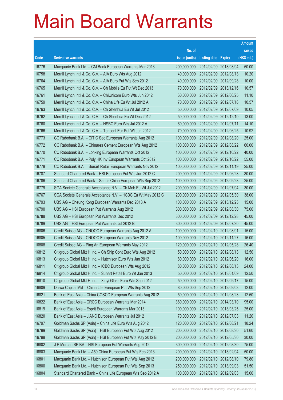|       |                                                               |               |                       | <b>Amount</b> |
|-------|---------------------------------------------------------------|---------------|-----------------------|---------------|
|       |                                                               | No. of        |                       | raised        |
| Code  | <b>Derivative warrants</b>                                    | issue (units) | Listing date Expiry   | (HK\$ mil.)   |
| 16776 | Macquarie Bank Ltd. - CM Bank European Warrants Mar 2013      | 200,000,000   | 2012/02/09 2013/03/04 | 50.00         |
| 16758 | Merrill Lynch Int'l & Co. C.V. - AIA Euro Wts Aug 2012        | 40,000,000    | 2012/02/09 2012/08/13 | 10.20         |
| 16764 | Merrill Lynch Int'l & Co. C.V. - AIA Euro Put Wts Sep 2012    | 40,000,000    | 2012/02/09 2012/09/28 | 10.00         |
| 16765 | Merrill Lynch Int'l & Co. C.V. - Ch Mobile Eu Put Wt Dec 2013 | 70,000,000    | 2012/02/09 2013/12/16 | 10.57         |
| 16761 | Merrill Lynch Int'l & Co. C.V. - ChiUnicom Euro Wts Jun 2012  | 60,000,000    | 2012/02/09 2012/06/25 | 11.10         |
| 16759 | Merrill Lynch Int'l & Co. C.V. - China Life Eu Wt Jul 2012 A  | 70,000,000    | 2012/02/09 2012/07/18 | 10.57         |
| 16763 | Merrill Lynch Int'l & Co. C.V. - Ch Shenhua Eu Wt Jul 2012    | 50,000,000    | 2012/02/09 2012/07/09 | 10.05         |
| 16762 | Merrill Lynch Int'l & Co. C.V. - Ch Shenhua Eu Wt Dec 2012    | 50,000,000    | 2012/02/09 2012/12/10 | 13.00         |
| 16760 | Merrill Lynch Int'l & Co. C.V. - HSBC Euro Wts Jul 2012 A     | 60,000,000    | 2012/02/09 2012/07/11 | 14.10         |
| 16766 | Merrill Lynch Int'l & Co. C.V. - Tencent Eur Put Wt Jun 2012  | 70,000,000    | 2012/02/09 2012/06/25 | 10.92         |
| 16773 | CC Rabobank B.A. - CITIC Sec European Warrants Aug 2012       | 100,000,000   | 2012/02/09 2012/08/20 | 25.00         |
| 16772 | CC Rabobank B.A. - Chinares Cement European Wts Aug 2012      | 100,000,000   | 2012/02/09 2012/08/22 | 60.00         |
| 16770 | CC Rabobank B.A. - Lonking European Warrants Oct 2012         | 100,000,000   | 2012/02/09 2012/10/22 | 40.00         |
| 16771 | CC Rabobank B.A. - Poly HK Inv European Warrants Oct 2012     | 100,000,000   | 2012/02/09 2012/10/22 | 55.00         |
| 16778 | CC Rabobank B.A. - Sunart Retail European Warrants Nov 2012   | 100,000,000   | 2012/02/09 2012/11/19 | 25.00         |
| 16787 | Standard Chartered Bank – HSI European Put Wts Jun 2012 C     | 200,000,000   | 2012/02/09 2012/06/28 | 30.00         |
| 16786 | Standard Chartered Bank - Sands China European Wts Sep 2012   | 100,000,000   | 2012/02/09 2012/09/28 | 25.00         |
| 16779 | SGA Societe Generale Acceptance N.V. - Ch Mob Eu Wt Jul 2012  | 200,000,000   | 2012/02/09 2012/07/04 | 30.00         |
| 16767 | SGA Societe Generale Acceptance N.V. - HSBC Eu Wt May 2012 C  | 200,000,000   | 2012/02/09 2012/05/30 | 38.00         |
| 16793 | UBS AG – Cheung Kong European Warrants Dec 2013 A             | 100,000,000   | 2012/02/09 2013/12/23 | 15.00         |
| 16790 | UBS AG - HSI European Put Warrants Aug 2012                   | 300,000,000   | 2012/02/09 2012/08/30 | 75.00         |
| 16788 | UBS AG - HSI European Put Warrants Dec 2012                   | 300,000,000   | 2012/02/09 2012/12/28 | 45.00         |
| 16789 | UBS AG - HSI European Put Warrants Jul 2012 B                 | 300,000,000   | 2012/02/09 2012/07/30 | 45.00         |
| 16806 | Credit Suisse AG – CNOOC European Warrants Aug 2012 A         | 100,000,000   | 2012/02/10 2012/08/01 | 15.00         |
| 16805 | Credit Suisse AG - CNOOC European Warrants Nov 2012           | 100,000,000   | 2012/02/10 2012/11/27 | 16.00         |
| 16808 | Credit Suisse AG - Ping An European Warrants May 2012         | 120,000,000   | 2012/02/10 2012/05/28 | 26.40         |
| 16812 | Citigroup Global Mkt H Inc. - Ch Ship Cont Euro Wts Aug 2012  | 50,000,000    | 2012/02/10 2012/08/13 | 12.50         |
| 16813 | Citigroup Global Mkt H Inc. - Hutchison Euro Wts Jun 2012     | 80,000,000    | 2012/02/10 2012/06/20 | 16.00         |
| 16811 | Citigroup Global Mkt H Inc. - ICBC European Wts Aug 2012      | 80,000,000    | 2012/02/10 2012/08/13 | 24.00         |
| 16814 | Citigroup Global Mkt H Inc. - Sunart Retail Euro Wt Jan 2013  | 50,000,000    | 2012/02/10 2013/01/09 | 12.50         |
| 16810 | Citigroup Global Mkt H Inc. - Xinyi Glass Euro Wts Sep 2012   | 50,000,000    | 2012/02/10 2012/09/17 | 15.00         |
| 16809 | Daiwa Capital Mkt - China Life European Put Wts Sep 2012      | 80,000,000    | 2012/02/10 2012/09/03 | 12.00         |
| 16821 | Bank of East Asia - China COSCO European Warrants Aug 2012    | 50,000,000    | 2012/02/10 2012/08/23 | 12.50         |
| 16822 | Bank of East Asia - CRCC European Warrants Mar 2014           | 380,000,000   | 2012/02/10 2014/03/10 | 95.00         |
| 16819 | Bank of East Asia - Esprit European Warrants Mar 2013         | 100,000,000   | 2012/02/10 2013/03/25 | 25.00         |
| 16820 | Bank of East Asia - JIANC European Warrants Jul 2012          | 70,000,000    | 2012/02/10 2012/07/03 | 11.20         |
| 16797 | Goldman Sachs SP (Asia) - China Life Euro Wts Aug 2012        | 120,000,000   | 2012/02/10 2012/08/21 | 18.24         |
| 16799 | Goldman Sachs SP (Asia) - HSI European Put Wts Aug 2012       | 200,000,000   | 2012/02/10 2012/08/30 | 51.60         |
| 16798 | Goldman Sachs SP (Asia) - HSI European Put Wts May 2012 B     | 200,000,000   | 2012/02/10 2012/05/30 | 30.00         |
| 16802 | J P Morgan SP BV - HSI European Put Warrants Aug 2012         | 300,000,000   | 2012/02/10 2012/08/30 | 75.00         |
| 16803 | Macquarie Bank Ltd. - A50 China European Put Wts Feb 2013     | 200,000,000   | 2012/02/10 2013/02/04 | 50.00         |
| 16801 | Macquarie Bank Ltd. - Hutchison European Put Wts Aug 2012     | 200,000,000   | 2012/02/10 2012/08/10 | 79.80         |
| 16800 | Macquarie Bank Ltd. - Hutchison European Put Wts Sep 2013     | 250,000,000   | 2012/02/10 2013/09/03 | 51.50         |
| 16804 | Standard Chartered Bank - China Life European Wts Sep 2012 A  | 100,000,000   | 2012/02/10 2012/09/03 | 15.00         |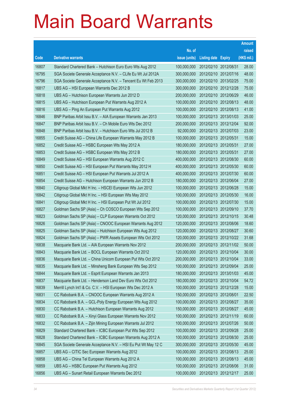|       |                                                               |               |                            |                       | <b>Amount</b> |
|-------|---------------------------------------------------------------|---------------|----------------------------|-----------------------|---------------|
|       |                                                               | No. of        |                            |                       | raised        |
| Code  | <b>Derivative warrants</b>                                    | issue (units) | <b>Listing date Expiry</b> |                       | (HK\$ mil.)   |
| 16807 | Standard Chartered Bank - Hutchison Euro Euro Wts Aug 2012    | 100,000,000   | 2012/02/10 2012/08/31      |                       | 28.00         |
| 16795 | SGA Societe Generale Acceptance N.V. - CLife Eu Wt Jul 2012A  | 300,000,000   |                            | 2012/02/10 2012/07/16 | 48.00         |
| 16796 | SGA Societe Generale Acceptance N.V. - Tencent Eu Wt Feb 2013 | 300,000,000   |                            | 2012/02/10 2013/02/25 | 75.00         |
| 16817 | UBS AG - HSI European Warrants Dec 2012 B                     | 300,000,000   |                            | 2012/02/10 2012/12/28 | 75.00         |
| 16818 | UBS AG - Hutchison European Warrants Jun 2012 D               | 200,000,000   |                            | 2012/02/10 2012/06/29 | 46.00         |
| 16815 | UBS AG - Hutchison European Put Warrants Aug 2012 A           | 100,000,000   |                            | 2012/02/10 2012/08/13 | 48.00         |
| 16816 | UBS AG - Ping An European Put Warrants Aug 2012               | 100,000,000   |                            | 2012/02/10 2012/08/13 | 41.00         |
| 16846 | BNP Paribas Arbit Issu B.V. - AIA European Warrants Jan 2013  | 100,000,000   |                            | 2012/02/13 2013/01/03 | 25.00         |
| 16847 | BNP Paribas Arbit Issu B.V. - Ch Mobile Euro Wts Dec 2012     | 200,000,000   |                            | 2012/02/13 2012/12/04 | 92.00         |
| 16848 | BNP Paribas Arbit Issu B.V. - Hutchison Euro Wts Jul 2012 B   | 92,000,000    |                            | 2012/02/13 2012/07/03 | 23.00         |
| 16855 | Credit Suisse AG - China Life European Warrants May 2012 B    | 100,000,000   | 2012/02/13 2012/05/31      |                       | 15.00         |
| 16852 | Credit Suisse AG - HSBC European Wts May 2012 A               | 180,000,000   | 2012/02/13 2012/05/31      |                       | 27.00         |
| 16853 | Credit Suisse AG - HSBC European Wts May 2012 B               | 180,000,000   | 2012/02/13 2012/05/31      |                       | 27.00         |
| 16849 | Credit Suisse AG - HSI European Warrants Aug 2012 C           | 400,000,000   |                            | 2012/02/13 2012/08/30 | 60.00         |
| 16850 | Credit Suisse AG - HSI European Put Warrants May 2012 H       | 400,000,000   |                            | 2012/02/13 2012/05/30 | 60.00         |
| 16851 | Credit Suisse AG - HSI European Put Warrants Jul 2012 A       | 400,000,000   |                            | 2012/02/13 2012/07/30 | 60.00         |
| 16854 | Credit Suisse AG - Hutchison European Warrants Jun 2012 B     | 180,000,000   |                            | 2012/02/13 2012/06/04 | 27.00         |
| 16840 | Citigroup Global Mkt H Inc. - HSCEI European Wts Jun 2012     | 100,000,000   |                            | 2012/02/13 2012/06/28 | 15.00         |
| 16842 | Citigroup Global Mkt H Inc. - HSI European Wts May 2012       | 100,000,000   |                            | 2012/02/13 2012/05/30 | 16.00         |
| 16841 | Citigroup Global Mkt H Inc. - HSI European Put Wt Jul 2012    | 100,000,000   |                            | 2012/02/13 2012/07/30 | 15.00         |
| 16827 | Goldman Sachs SP (Asia) - Ch COSCO European Wts Sep 2012      | 100,000,000   |                            | 2012/02/13 2012/09/10 | 37.70         |
| 16823 | Goldman Sachs SP (Asia) - CLP European Warrants Oct 2012      | 120,000,000   |                            | 2012/02/13 2012/10/15 | 30.48         |
| 16826 | Goldman Sachs SP (Asia) - CNOOC European Warrants Aug 2012    | 120,000,000   |                            | 2012/02/13 2012/08/06 | 18.60         |
| 16825 | Goldman Sachs SP (Asia) - Hutchison European Wts Aug 2012     | 120,000,000   |                            | 2012/02/13 2012/08/27 | 30.60         |
| 16824 | Goldman Sachs SP (Asia) - PWR Assets European Wts Oct 2012    | 120,000,000   |                            | 2012/02/13 2012/10/22 | 31.68         |
| 16838 | Macquarie Bank Ltd. - AIA European Warrants Nov 2012          | 200,000,000   |                            | 2012/02/13 2012/11/02 | 50.00         |
| 16843 | Macquarie Bank Ltd. - BOCL European Warrants Oct 2012         | 120,000,000   |                            | 2012/02/13 2012/10/04 | 30.00         |
| 16836 | Macquarie Bank Ltd. - China Unicom European Put Wts Oct 2012  | 200,000,000   | 2012/02/13 2012/10/04      |                       | 33.00         |
| 16835 | Macquarie Bank Ltd. - Minsheng Bank European Wts Sep 2012     | 100,000,000   | 2012/02/13 2012/09/04      |                       | 25.00         |
| 16844 | Macquarie Bank Ltd. - Esprit European Warrants Jan 2013       | 180,000,000   | 2012/02/13 2013/01/03      |                       | 45.00         |
| 16837 | Macquarie Bank Ltd. - Henderson Land Dev Euro Wts Oct 2012    | 180,000,000   |                            | 2012/02/13 2012/10/04 | 54.72         |
| 16839 | Merrill Lynch Int'l & Co. C.V. - HSI European Wts Dec 2012 A  | 100,000,000   |                            | 2012/02/13 2012/12/28 | 15.00         |
| 16831 | CC Rabobank B.A. - CNOOC European Warrants Aug 2012 A         | 150,000,000   | 2012/02/13 2012/08/01      |                       | 22.50         |
| 16834 | CC Rabobank B.A. - GCL-Poly Energy European Wts Aug 2012      | 100,000,000   | 2012/02/13 2012/08/27      |                       | 35.00         |
| 16830 | CC Rabobank B.A. - Hutchison European Warrants Aug 2012       | 150,000,000   | 2012/02/13 2012/08/27      |                       | 45.00         |
| 16833 | CC Rabobank B.A. - Xinyi Glass European Warrants Nov 2012     | 100,000,000   | 2012/02/13 2012/11/19      |                       | 60.00         |
| 16832 | CC Rabobank B.A. - Zijin Mining European Warrants Jul 2012    | 100,000,000   | 2012/02/13 2012/07/26      |                       | 50.00         |
| 16829 | Standard Chartered Bank - ICBC European Put Wts Sep 2012      | 100,000,000   | 2012/02/13 2012/09/28      |                       | 25.00         |
| 16828 | Standard Chartered Bank - ICBC European Warrants Aug 2012 A   | 100,000,000   |                            | 2012/02/13 2012/08/30 | 25.00         |
| 16845 | SGA Societe Generale Acceptance N.V. - HSI Eu Put Wt May 12 C | 300,000,000   |                            | 2012/02/13 2012/05/30 | 45.00         |
| 16857 | UBS AG - CITIC Sec European Warrants Aug 2012                 | 100,000,000   |                            | 2012/02/13 2012/08/13 | 25.00         |
| 16858 | UBS AG - China Tel European Warrants Aug 2012 A               | 100,000,000   |                            | 2012/02/13 2012/08/13 | 45.00         |
| 16859 | UBS AG - HSBC European Put Warrants Aug 2012                  | 100,000,000   |                            | 2012/02/13 2012/08/06 | 31.00         |
| 16856 | UBS AG - Sunart Retail European Warrants Dec 2012             | 100,000,000   | 2012/02/13 2012/12/17      |                       | 25.00         |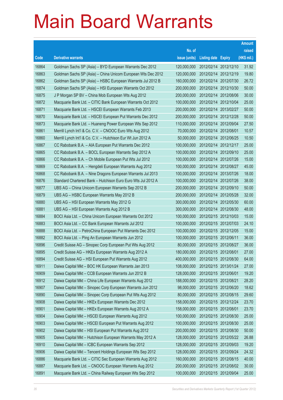|       |                                                              |               |                            |                       | <b>Amount</b> |
|-------|--------------------------------------------------------------|---------------|----------------------------|-----------------------|---------------|
|       |                                                              | No. of        |                            |                       | raised        |
| Code  | <b>Derivative warrants</b>                                   | issue (units) | <b>Listing date Expiry</b> |                       | (HK\$ mil.)   |
| 16864 | Goldman Sachs SP (Asia) - BYD European Warrants Dec 2012     | 120,000,000   | 2012/02/14 2012/12/10      |                       | 31.92         |
| 16863 | Goldman Sachs SP (Asia) - China Unicom European Wts Dec 2012 | 120,000,000   |                            | 2012/02/14 2012/12/19 | 19.80         |
| 16862 | Goldman Sachs SP (Asia) - HSBC European Warrants Jul 2012 B  | 160,000,000   |                            | 2012/02/14 2012/07/30 | 26.72         |
| 16874 | Goldman Sachs SP (Asia) - HSI European Warrants Oct 2012     | 200,000,000   |                            | 2012/02/14 2012/10/30 | 50.00         |
| 16875 | J P Morgan SP BV - China Mob European Wts Aug 2012           | 200,000,000   |                            | 2012/02/14 2012/08/06 | 30.00         |
| 16872 | Macquarie Bank Ltd. - CITIC Bank European Warrants Oct 2012  | 100,000,000   |                            | 2012/02/14 2012/10/04 | 25.00         |
| 16871 | Macquarie Bank Ltd. - HSCEI European Warrants Feb 2013       | 200,000,000   | 2012/02/14 2013/02/27      |                       | 50.00         |
| 16870 | Macquarie Bank Ltd. - HSCEI European Put Warrants Dec 2012   | 200,000,000   | 2012/02/14 2012/12/28      |                       | 50.00         |
| 16873 | Macquarie Bank Ltd. - Huaneng Power European Wts Sep 2012    | 110,000,000   |                            | 2012/02/14 2012/09/04 | 27.50         |
| 16861 | Merrill Lynch Int'l & Co. C.V. - CNOOC Euro Wts Aug 2012     | 70,000,000    | 2012/02/14 2012/08/01      |                       | 10.57         |
| 16860 | Merrill Lynch Int'l & Co. C.V. - Hutchison Eur Wt Jun 2012 A | 50,000,000    |                            | 2012/02/14 2012/06/25 | 10.50         |
| 16867 | CC Rabobank B.A. - AIA European Put Warrants Dec 2012        | 100,000,000   |                            | 2012/02/14 2012/12/17 | 25.00         |
| 16865 | CC Rabobank B.A. - BOCL European Warrants Sep 2012 A         | 100,000,000   |                            | 2012/02/14 2012/09/10 | 25.00         |
| 16866 | CC Rabobank B.A. - Ch Mobile European Put Wts Jul 2012       | 100,000,000   |                            | 2012/02/14 2012/07/26 | 15.00         |
| 16869 | CC Rabobank B.A. - Hengdeli European Warrants Aug 2012       | 100,000,000   | 2012/02/14 2012/08/27      |                       | 45.00         |
| 16868 | CC Rabobank B.A. - Nine Dragons European Warrants Jul 2013   | 100,000,000   | 2012/02/14 2013/07/26      |                       | 18.00         |
| 16876 | Standard Chartered Bank - Hutchison Euro Euro Wts Jul 2012 A | 100,000,000   |                            | 2012/02/14 2012/07/26 | 38.00         |
| 16877 | UBS AG - China Unicom European Warrants Sep 2012 B           | 200,000,000   |                            | 2012/02/14 2012/09/10 | 50.00         |
| 16879 | UBS AG - HSBC European Warrants May 2012 B                   | 200,000,000   | 2012/02/14 2012/05/28      |                       | 32.00         |
| 16880 | UBS AG - HSI European Warrants May 2012 G                    | 300,000,000   |                            | 2012/02/14 2012/05/30 | 60.00         |
| 16881 | UBS AG - HSI European Warrants Aug 2012 B                    | 300,000,000   |                            | 2012/02/14 2012/08/30 | 48.00         |
| 16884 | BOCI Asia Ltd. - China Unicom European Warrants Oct 2012     | 100,000,000   |                            | 2012/02/15 2012/10/03 | 15.00         |
| 16883 | BOCI Asia Ltd. - CC Bank European Warrants Jul 2012          | 100,000,000   | 2012/02/15 2012/07/03      |                       | 24.10         |
| 16888 | BOCI Asia Ltd. - PetroChina European Put Warrants Dec 2012   | 100,000,000   |                            | 2012/02/15 2012/12/05 | 15.00         |
| 16882 | BOCI Asia Ltd. - Ping An European Warrants Jun 2012          | 100,000,000   | 2012/02/15 2012/06/11      |                       | 36.00         |
| 16896 | Credit Suisse AG - Sinopec Corp European Put Wts Aug 2012    | 80,000,000    |                            | 2012/02/15 2012/08/27 | 36.00         |
| 16895 | Credit Suisse AG - HKEx European Warrants Aug 2012 A         | 180,000,000   | 2012/02/15 2012/08/01      |                       | 27.00         |
| 16894 | Credit Suisse AG - HSI European Put Warrants Aug 2012        | 400,000,000   | 2012/02/15 2012/08/30      |                       | 64.00         |
| 16911 | Daiwa Capital Mkt - BOC HK European Warrants Jan 2013        | 108,000,000   | 2012/02/15 2013/01/24      |                       | 27.00         |
| 16909 | Daiwa Capital Mkt - CCB European Warrants Jun 2012 B         | 128,000,000   | 2012/02/15 2012/06/01      |                       | 19.20         |
| 16912 | Daiwa Capital Mkt - China Life European Warrants Aug 2012    | 188,000,000   | 2012/02/15 2012/08/21      |                       | 28.20         |
| 16907 | Daiwa Capital Mkt - Sinopec Corp European Warrants Jun 2012  | 98,000,000    |                            | 2012/02/15 2012/06/20 | 18.62         |
| 16890 | Daiwa Capital Mkt - Sinopec Corp European Put Wts Aug 2012   | 80,000,000    | 2012/02/15 2012/08/15      |                       | 29.60         |
| 16908 | Daiwa Capital Mkt - HKEx European Warrants Dec 2012          | 158,000,000   | 2012/02/15 2012/12/24      |                       | 23.70         |
| 16901 | Daiwa Capital Mkt - HKEx European Warrants Aug 2012 A        | 158,000,000   | 2012/02/15 2012/08/01      |                       | 23.70         |
| 16904 | Daiwa Capital Mkt - HSCEI European Warrants Aug 2012         | 100,000,000   |                            | 2012/02/15 2012/08/30 | 25.00         |
| 16903 | Daiwa Capital Mkt - HSCEI European Put Warrants Aug 2012     | 100,000,000   | 2012/02/15 2012/08/30      |                       | 25.00         |
| 16902 | Daiwa Capital Mkt - HSI European Put Warrants Aug 2012       | 200,000,000   |                            | 2012/02/15 2012/08/30 | 50.00         |
| 16905 | Daiwa Capital Mkt - Hutchison European Warrants May 2012 A   | 128,000,000   |                            | 2012/02/15 2012/05/22 | 26.88         |
| 16910 | Daiwa Capital Mkt - ICBC European Warrants Sep 2012          | 128,000,000   |                            | 2012/02/15 2012/09/03 | 19.20         |
| 16906 | Daiwa Capital Mkt - Tencent Holdings European Wts Sep 2012   | 128,000,000   | 2012/02/15 2012/09/24      |                       | 24.32         |
| 16886 | Macquarie Bank Ltd. - CITIC Sec European Warrants Aug 2012   | 160,000,000   | 2012/02/15 2012/08/15      |                       | 40.00         |
| 16887 | Macquarie Bank Ltd. - CNOOC European Warrants Aug 2012       | 200,000,000   | 2012/02/15 2012/08/02      |                       | 30.00         |
| 16891 | Macquarie Bank Ltd. - China Railway European Wts Sep 2012    | 100,000,000   | 2012/02/15 2012/09/04      |                       | 25.00         |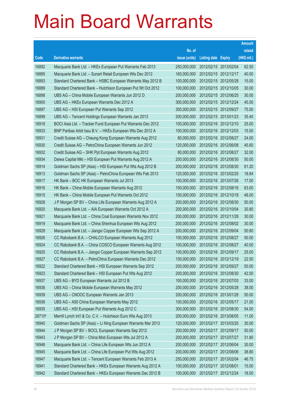|        |                                                              |               |                            | <b>Amount</b> |
|--------|--------------------------------------------------------------|---------------|----------------------------|---------------|
|        |                                                              | No. of        |                            | raised        |
| Code   | <b>Derivative warrants</b>                                   | issue (units) | <b>Listing date Expiry</b> | (HK\$ mil.)   |
| 16892  | Macquarie Bank Ltd. - HKEx European Put Warrants Feb 2013    | 250,000,000   | 2012/02/15 2013/02/04      | 62.50         |
| 16885  | Macquarie Bank Ltd. - Sunart Retail European Wts Dec 2012    | 160,000,000   | 2012/02/15 2012/12/17      | 40.00         |
| 16893  | Standard Chartered Bank - HSBC European Warrants May 2012 B  | 100,000,000   | 2012/02/15 2012/05/28      | 15.00         |
| 16889  | Standard Chartered Bank - Hutchison European Put Wt Oct 2012 | 100,000,000   | 2012/02/15 2012/10/05      | 30.00         |
| 16898  | UBS AG - China Mobile European Warrants Jun 2012 D           | 200,000,000   | 2012/02/15 2012/06/25      | 30.00         |
| 16900  | UBS AG - HKEx European Warrants Dec 2012 A                   | 300,000,000   | 2012/02/15 2012/12/24      | 45.00         |
| 16897  | UBS AG - HSI European Put Warrants Sep 2012                  | 300,000,000   | 2012/02/15 2012/09/27      | 75.00         |
| 16899  | UBS AG - Tencent Holdings European Warrants Jan 2013         | 200,000,000   | 2012/02/15 2013/01/23      | 35.40         |
| 16918  | BOCI Asia Ltd. - Tracker Fund European Put Warrants Dec 2012 | 100,000,000   | 2012/02/16 2012/12/10      | 25.00         |
| 16933  | BNP Paribas Arbit Issu B.V. - HKEx European Wts Dec 2012 A   | 100,000,000   | 2012/02/16 2012/12/03      | 15.00         |
| 16931  | Credit Suisse AG - Cheung Kong European Warrants Aug 2012    | 80,000,000    | 2012/02/16 2012/08/27      | 24.00         |
| 16930  | Credit Suisse AG - PetroChina European Warrants Jun 2012     | 120,000,000   | 2012/02/16 2012/06/08      | 45.60         |
| 16932  | Credit Suisse AG - SHK Ppt European Warrants Aug 2012        | 80,000,000    | 2012/02/16 2012/08/27      | 32.00         |
| 16934  | Daiwa Capital Mkt - HSI European Put Warrants Aug 2012 A     | 200,000,000   | 2012/02/16 2012/08/30      | 50.00         |
| 16914  | Goldman Sachs SP (Asia) - HSI European Put Wts Aug 2012 B    | 200,000,000   | 2012/02/16 2012/08/30      | 61.20         |
| 16913  | Goldman Sachs SP (Asia) - PetroChina European Wts Feb 2013   | 120,000,000   | 2012/02/16 2013/02/25      | 18.84         |
| 16917  | HK Bank - BOC HK European Warrants Jul 2013                  | 100,000,000   | 2012/02/16 2013/07/26      | 17.00         |
| 16916  | HK Bank - China Mobile European Warrants Aug 2012            | 150,000,000   | 2012/02/16 2012/08/16      | 63.00         |
| 16915  | HK Bank - China Mobile European Put Warrants Oct 2012        | 150,000,000   | 2012/02/16 2012/10/18      | 48.00         |
| 16928  | J P Morgan SP BV - China Life European Warrants Aug 2012 A   | 200,000,000   | 2012/02/16 2012/08/30      | 50.00         |
| 16920  | Macquarie Bank Ltd. - AIA European Warrants Oct 2012 A       | 200,000,000   | 2012/02/16 2012/10/04      | 30.80         |
| 16921  | Macquarie Bank Ltd. - China Coal European Warrants Nov 2012  | 200,000,000   | 2012/02/16 2012/11/28      | 30.00         |
| 16919  | Macquarie Bank Ltd. - China Shenhua European Wts Aug 2012    | 200,000,000   | 2012/02/16 2012/08/02      | 30.00         |
| 16929  | Macquarie Bank Ltd. - Jiangxi Copper European Wts Sep 2012 A | 200,000,000   | 2012/02/16 2012/09/04      | 50.80         |
| 16926  | CC Rabobank B.A. - CHALCO European Warrants Aug 2012         | 100,000,000   | 2012/02/16 2012/08/27      | 50.00         |
| 16924  | CC Rabobank B.A. - China COSCO European Warrants Aug 2012    | 100,000,000   | 2012/02/16 2012/08/27      | 40.00         |
| 16925  | CC Rabobank B.A. - Jiangxi Copper European Warrants Sep 2012 | 100,000,000   | 2012/02/16 2012/09/17      | 25.00         |
| 16927  | CC Rabobank B.A. - PetroChina European Warrants Dec 2012     | 150,000,000   | 2012/02/16 2012/12/19      | 22.50         |
| 16922  | Standard Chartered Bank - HSI European Warrants Sep 2012     | 200,000,000   | 2012/02/16 2012/09/27      | 50.00         |
| 16923  | Standard Chartered Bank - HSI European Put Wts Aug 2012      | 200,000,000   | 2012/02/16 2012/08/30      | 42.00         |
| 16937  | UBS AG - BYD European Warrants Jul 2012 B                    | 100,000,000   | 2012/02/16 2012/07/03      | 33.00         |
| 16938  | UBS AG - China Mobile European Warrants May 2012             | 200,000,000   | 2012/02/16 2012/05/28      | 38.00         |
| 16939  | UBS AG - CNOOC European Warrants Jan 2013                    | 200,000,000   | 2012/02/16 2013/01/28      | 50.00         |
| 16936  | UBS AG - A50 China European Warrants May 2012                | 100,000,000   | 2012/02/16 2012/05/17      | 21.00         |
| 16935  | UBS AG - HSI European Put Warrants Aug 2012 C                | 300,000,000   | 2012/02/16 2012/08/30      | 54.00         |
| 28710# | Merrill Lynch Int'l & Co. C.V. - Hutchison Euro Wts Aug 2013 | 200,000,000   | 2012/02/16 2013/08/05      | 11.00         |
| 16940  | Goldman Sachs SP (Asia) - Li Ning European Warrants Mar 2013 | 120,000,000   | 2012/02/17 2013/03/25      | 30.00         |
| 16944  | J P Morgan SP BV - BOCL European Warrants Sep 2012           | 200,000,000   | 2012/02/17 2012/09/17      | 50.00         |
| 16943  | J P Morgan SP BV - China Mob European Wts Jul 2012 A         | 200,000,000   | 2012/02/17 2012/07/27      | 31.80         |
| 16946  | Macquarie Bank Ltd. - China Life European Wts Jun 2012 A     | 200,000,000   | 2012/02/17 2012/06/04      | 30.00         |
| 16945  | Macquarie Bank Ltd. - China Life European Put Wts Aug 2012   | 200,000,000   | 2012/02/17 2012/08/06      | 38.80         |
| 16947  | Macquarie Bank Ltd. - Tencent European Warrants Feb 2013 A   | 250,000,000   | 2012/02/17 2013/02/04      | 46.75         |
| 16941  | Standard Chartered Bank - HKEx European Warrants Aug 2012 A  | 100,000,000   | 2012/02/17 2012/08/01      | 15.00         |
| 16942  | Standard Chartered Bank - HKEx European Warrants Dec 2012 B  | 100,000,000   | 2012/02/17 2012/12/24      | 18.00         |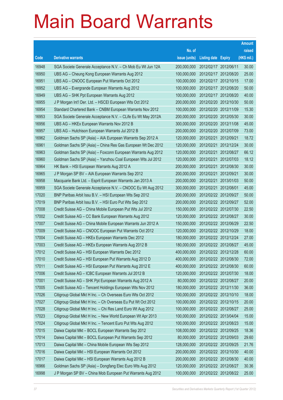|       |                                                              |               |                       |            | <b>Amount</b> |
|-------|--------------------------------------------------------------|---------------|-----------------------|------------|---------------|
|       |                                                              | No. of        |                       |            | raised        |
| Code  | <b>Derivative warrants</b>                                   | issue (units) | Listing date Expiry   |            | (HK\$ mil.)   |
| 16948 | SGA Societe Generale Acceptance N.V. - Ch Mob Eu Wt Jun 12A  | 200,000,000   | 2012/02/17 2012/06/11 |            | 30.00         |
| 16950 | UBS AG – Cheung Kong European Warrants Aug 2012              | 100,000,000   | 2012/02/17 2012/08/20 |            | 25.00         |
| 16951 | UBS AG - CNOOC European Put Warrants Oct 2012                | 100,000,000   | 2012/02/17 2012/10/15 |            | 17.00         |
| 16952 | UBS AG – Evergrande European Warrants Aug 2012               | 100,000,000   | 2012/02/17 2012/08/20 |            | 50.00         |
| 16949 | UBS AG - SHK Ppt European Warrants Aug 2012                  | 100,000,000   | 2012/02/17 2012/08/20 |            | 40.00         |
| 16955 | J P Morgan Int'l Der. Ltd. - HSCEI European Wts Oct 2012     | 200,000,000   | 2012/02/20 2012/10/30 |            | 50.00         |
| 16954 | Standard Chartered Bank – CNBM European Warrants Nov 2012    | 100,000,000   | 2012/02/20 2012/11/09 |            | 15.30         |
| 16953 | SGA Societe Generale Acceptance N.V. - CLife Eu Wt May 2012A | 200,000,000   | 2012/02/20 2012/05/30 |            | 30.00         |
| 16956 | UBS AG - HKEx European Warrants Nov 2012 B                   | 300,000,000   | 2012/02/20 2012/11/08 |            | 45.00         |
| 16957 | UBS AG - Hutchison European Warrants Jul 2012 B              | 200,000,000   | 2012/02/20 2012/07/09 |            | 73.00         |
| 16962 | Goldman Sachs SP (Asia) - AIA European Warrants Sep 2012 A   | 120,000,000   | 2012/02/21            | 2012/09/21 | 18.72         |
| 16961 | Goldman Sachs SP (Asia) – China Res Gas European Wt Dec 2012 | 120,000,000   | 2012/02/21 2012/12/24 |            | 30.00         |
| 16963 | Goldman Sachs SP (Asia) – Foxconn European Warrants Aug 2012 | 120,000,000   | 2012/02/21 2012/08/27 |            | 66.12         |
| 16960 | Goldman Sachs SP (Asia) - Yanzhou Coal European Wts Jul 2012 | 120,000,000   | 2012/02/21 2012/07/03 |            | 18.12         |
| 16964 | HK Bank - HSI European Warrants Aug 2012 A                   | 200,000,000   | 2012/02/21            | 2012/08/30 | 30.00         |
| 16965 | J P Morgan SP BV - AIA European Warrants Sep 2012            | 200,000,000   | 2012/02/21 2012/09/21 |            | 30.00         |
| 16958 | Macquarie Bank Ltd. - Esprit European Warrants Jan 2013 A    | 200,000,000   | 2012/02/21 2013/01/03 |            | 50.00         |
| 16959 | SGA Societe Generale Acceptance N.V. - CNOOC Eu Wt Aug 2012  | 300,000,000   | 2012/02/21 2012/08/01 |            | 45.00         |
| 17020 | BNP Paribas Arbit Issu B.V. - HSI European Wts Sep 2012      | 200,000,000   | 2012/02/22 2012/09/27 |            | 50.00         |
| 17019 | BNP Paribas Arbit Issu B.V. - HSI Euro Put Wts Sep 2012      | 200,000,000   | 2012/02/22 2012/09/27 |            | 52.00         |
| 17008 | Credit Suisse AG – China Mobile European Put Wts Jul 2012    | 150,000,000   | 2012/02/22 2012/07/30 |            | 22.50         |
| 17002 | Credit Suisse AG - CC Bank European Warrants Aug 2012        | 120,000,000   | 2012/02/22 2012/08/27 |            | 30.00         |
| 17007 | Credit Suisse AG - China Mobile European Warrants Jun 2012 A | 150,000,000   | 2012/02/22 2012/06/29 |            | 22.50         |
| 17009 | Credit Suisse AG – CNOOC European Put Warrants Oct 2012      | 120,000,000   | 2012/02/22 2012/10/29 |            | 18.00         |
| 17004 | Credit Suisse AG - HKEx European Warrants Dec 2012           | 180,000,000   | 2012/02/22 2012/12/24 |            | 27.00         |
| 17003 | Credit Suisse AG - HKEx European Warrants Aug 2012 B         | 180,000,000   | 2012/02/22 2012/08/27 |            | 45.00         |
| 17012 | Credit Suisse AG - HSI European Warrants Dec 2012            | 400,000,000   | 2012/02/22 2012/12/28 |            | 60.00         |
| 17010 | Credit Suisse AG - HSI European Put Warrants Aug 2012 D      | 400,000,000   | 2012/02/22 2012/08/30 |            | 72.00         |
| 17011 | Credit Suisse AG - HSI European Put Warrants Aug 2012 E      | 400,000,000   | 2012/02/22 2012/08/30 |            | 60.00         |
| 17006 | Credit Suisse AG - ICBC European Warrants Jul 2012 B         | 120,000,000   | 2012/02/22 2012/07/30 |            | 18.00         |
| 17001 | Credit Suisse AG - SHK Ppt European Warrants Aug 2012 A      | 80,000,000    | 2012/02/22 2012/08/27 |            | 20.00         |
| 17005 | Credit Suisse AG - Tencent Holdings European Wts Nov 2012    | 180,000,000   | 2012/02/22 2012/11/30 |            | 36.00         |
| 17026 | Citigroup Global Mkt H Inc. - Ch Overseas Euro Wts Oct 2012  | 100,000,000   | 2012/02/22 2012/10/10 |            | 18.00         |
| 17027 | Citigroup Global Mkt H Inc. - Ch Overseas Eu Put Wt Oct 2012 | 100,000,000   | 2012/02/22 2012/10/15 |            | 20.00         |
| 17028 | Citigroup Global Mkt H Inc. - Chi Res Land Euro Wt Aug 2012  | 100,000,000   | 2012/02/22 2012/08/27 |            | 25.00         |
| 17023 | Citigroup Global Mkt H Inc. - New World European Wt Apr 2013 | 100,000,000   | 2012/02/22 2013/04/04 |            | 15.00         |
| 17024 | Citigroup Global Mkt H Inc. - Tencent Euro Put Wts Aug 2012  | 100,000,000   | 2012/02/22 2012/08/23 |            | 15.00         |
| 17015 | Daiwa Capital Mkt - BOCL European Warrants Sep 2012          | 108,000,000   | 2012/02/22 2012/09/25 |            | 18.36         |
| 17014 | Daiwa Capital Mkt - BOCL European Put Warrants Sep 2012      | 80,000,000    | 2012/02/22 2012/09/03 |            | 29.60         |
| 17013 | Daiwa Capital Mkt - China Mobile European Wts Sep 2012       | 128,000,000   | 2012/02/22 2012/09/25 |            | 21.76         |
| 17016 | Daiwa Capital Mkt - HSI European Warrants Oct 2012           | 200,000,000   | 2012/02/22 2012/10/30 |            | 40.00         |
| 17017 | Daiwa Capital Mkt - HSI European Warrants Aug 2012 B         | 200,000,000   | 2012/02/22 2012/08/30 |            | 40.00         |
| 16966 | Goldman Sachs SP (Asia) - Dongfang Elec Euro Wts Aug 2012    | 120,000,000   | 2012/02/22 2012/08/27 |            | 30.36         |
| 16998 | J P Morgan SP BV - China Mob European Put Warrants Aug 2012  | 100,000,000   | 2012/02/22 2012/08/22 |            | 25.00         |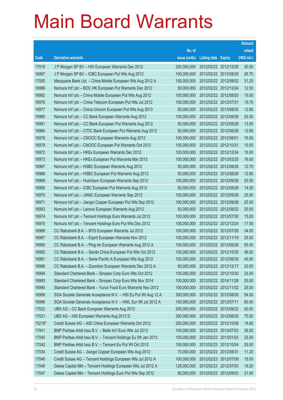|        |                                                               |               |                            | <b>Amount</b> |
|--------|---------------------------------------------------------------|---------------|----------------------------|---------------|
|        |                                                               | No. of        |                            | raised        |
| Code   | <b>Derivative warrants</b>                                    | issue (units) | <b>Listing date Expiry</b> | (HK\$ mil.)   |
| 17018  | J P Morgan SP BV - HSI European Warrants Dec 2012             | 200,000,000   | 2012/02/22 2012/12/28      | 30.00         |
| 16997  | J P Morgan SP BV - ICBC European Put Wts Aug 2012             | 100,000,000   | 2012/02/22 2012/08/30      | 26.70         |
| 17000  | Macquarie Bank Ltd. - China Mobile European Wts Aug 2012 A    | 150,000,000   | 2012/02/22 2012/08/02      | 31.20         |
| 16986  | Nomura Int'l plc - BOC HK European Put Warrants Dec 2012      | 50,000,000    | 2012/02/22 2012/12/24      | 12.50         |
| 16982  | Nomura Int'l plc - China Mobile European Put Wts Aug 2012     | 100,000,000   | 2012/02/22 2012/08/20      | 15.00         |
| 16976  | Nomura Int'l plc - China Telecom European Put Wts Jul 2012    | 100,000,000   | 2012/02/22 2012/07/31      | 15.70         |
| 16977  | Nomura Int'l plc - China Unicom European Put Wts Aug 2013     | 50,000,000    | 2012/02/22 2013/08/30      | 12.80         |
| 16980  | Nomura Int'l plc - CC Bank European Warrants Aug 2012         | 100,000,000   | 2012/02/22 2012/08/28      | 25.00         |
| 16981  | Nomura Int'l plc - CC Bank European Put Warrants Aug 2012     | 50,000,000    | 2012/02/22 2012/08/28      | 13.55         |
| 16984  | Nomura Int'l plc - CITIC Bank European Put Warrants Aug 2012  | 50,000,000    | 2012/02/22 2012/08/28      | 12.65         |
| 16978  | Nomura Int'l plc - CNOOC European Warrants Aug 2012           | 100,000,000   | 2012/02/22 2012/08/01      | 15.50         |
| 16979  | Nomura Int'l plc - CNOOC European Put Warrants Oct 2012       | 100,000,000   | 2012/02/22 2012/10/31      | 15.00         |
| 16972  | Nomura Int'l plc - HKEx European Warrants Dec 2012            | 100,000,000   | 2012/02/22 2012/12/24      | 15.00         |
| 16973  | Nomura Int'l plc - HKEx European Put Warrants Mar 2013        | 100,000,000   | 2012/02/22 2013/03/25      | 16.00         |
| 16967  | Nomura Int'l plc - HSBC European Warrants Aug 2012            | 50,000,000    | 2012/02/22 2012/08/28      | 12.70         |
| 16968  | Nomura Int'l plc - HSBC European Put Warrants Aug 2012        | 50,000,000    | 2012/02/22 2012/08/28      | 12.80         |
| 16969  | Nomura Int'l plc - Hutchison European Warrants Sep 2012       | 100,000,000   | 2012/02/22 2012/09/28      | 25.00         |
| 16985  | Nomura Int'l plc - ICBC European Put Warrants Aug 2012        | 50,000,000    | 2012/02/22 2012/08/28      | 14.50         |
| 16970  | Nomura Int'l plc - JIANC European Warrants Sep 2012           | 100,000,000   | 2012/02/22 2012/09/28      | 25.00         |
| 16971  | Nomura Int'l plc - Jiangxi Copper European Put Wts Sep 2012   | 100,000,000   | 2012/02/22 2012/09/28      | 25.00         |
| 16983  | Nomura Int'l plc - Lenovo European Warrants Aug 2012          | 50,000,000    | 2012/02/22 2012/08/22      | 25.00         |
| 16974  | Nomura Int'l plc - Tencent Holdings Euro Warrants Jul 2012    | 100,000,000   | 2012/02/22 2012/07/30      | 15.00         |
| 16975  | Nomura Int'l plc - Tencent Holdings Euro Put Wts Dec 2012     | 100,000,000   | 2012/02/22 2012/12/24      | 17.50         |
| 16989  | CC Rabobank B.A. - BYD European Warrants Jul 2012             | 100,000,000   | 2012/02/22 2012/07/26      | 34.00         |
| 16987  | CC Rabobank B.A. - Esprit European Warrants Nov 2012          | 100,000,000   | 2012/02/22 2012/11/19      | 25.00         |
| 16990  | CC Rabobank B.A. - Ping An European Warrants Aug 2012 A       | 100,000,000   | 2012/02/22 2012/08/28      | 55.00         |
| 16992  | CC Rabobank B.A. - Sands China European Put Wts Oct 2012      | 100,000,000   | 2012/02/22 2012/10/30      | 46.00         |
| 16991  | CC Rabobank B.A. - Swrie Pacific A European Wts Aug 2012      | 100,000,000   | 2012/02/22 2012/08/30      | 45.00         |
| 16988  | CC Rabobank B.A. - Zoomlion European Warrants Dec 2012 A      | 80,000,000    | 2012/02/22 2012/12/17      | 20.00         |
| 16994  | Standard Chartered Bank - Sinopec Corp Euro Wts Oct 2012      | 100,000,000   | 2012/02/22 2012/10/30      | 25.00         |
| 16993  | Standard Chartered Bank - Sinopec Corp Euro Wts Nov 2014      | 100,000,000   | 2012/02/22 2014/11/28      | 25.00         |
| 16995  | Standard Chartered Bank - Yurun Food Euro Warrants Nov 2012   | 100,000,000   | 2012/02/22 2012/11/02      | 25.00         |
| 16999  | SGA Societe Generale Acceptance N.V. - HSI Eu Put Wt Aug 12 A | 300,000,000   | 2012/02/22 2012/08/30      | 54.00         |
| 16996  | SGA Societe Generale Acceptance N.V. - HWL Eur Wt Jul 2012 A  | 150,000,000   | 2012/02/22 2012/07/11      | 60.00         |
| 17022  | UBS AG - CC Bank European Warrants Aug 2012                   | 200,000,000   | 2012/02/22 2012/08/22      | 50.00         |
| 17021  | UBS AG - HSI European Warrants Aug 2012 D                     | 300,000,000   | 2012/02/22 2012/08/30      | 75.00         |
| 15216# | Credit Suisse AG - A50 China European Warrants Oct 2012       | 200,000,000   | 2012/02/22 2012/10/08      | 14.60         |
| 17041  | BNP Paribas Arbit Issu B.V. - Belle Int'l Euro Wts Jul 2013   | 100,000,000   | 2012/02/23 2013/07/03      | 26.00         |
| 17040  | BNP Paribas Arbit Issu B.V. - Tencent Holdings Eu Wt Jan 2013 | 100,000,000   | 2012/02/23 2013/01/03      | 25.00         |
| 17042  | BNP Paribas Arbit Issu B.V. - Tencent Eu Put Wt Oct 2012      | 100,000,000   | 2012/02/23 2012/10/04      | 25.00         |
| 17034  | Credit Suisse AG - Jiangxi Copper European Wts Aug 2012       | 70,000,000    | 2012/02/23 2012/08/31      | 11.20         |
| 17046  | Credit Suisse AG - Tencent Holdings European Wts Jul 2012 A   | 100,000,000   | 2012/02/23 2012/07/09      | 15.00         |
| 17048  | Daiwa Capital Mkt - Tencent Holdings European Wts Jul 2012 A  | 128,000,000   | 2012/02/23 2012/07/03      | 19.20         |
| 17047  | Daiwa Capital Mkt - Tencent Holdings Euro Put Wts Sep 2012    | 80,000,000    | 2012/02/23 2012/09/03      | 21.60         |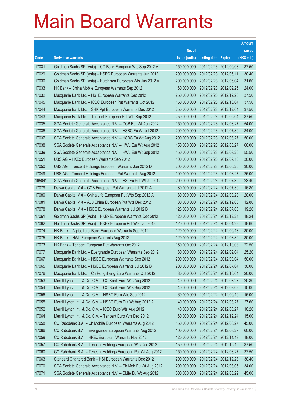|        |                                                               |               |                            |                       | <b>Amount</b> |
|--------|---------------------------------------------------------------|---------------|----------------------------|-----------------------|---------------|
|        |                                                               | No. of        |                            |                       | raised        |
| Code   | <b>Derivative warrants</b>                                    | issue (units) | <b>Listing date Expiry</b> |                       | (HK\$ mil.)   |
| 17031  | Goldman Sachs SP (Asia) - CC Bank European Wts Sep 2012 A     | 150,000,000   |                            | 2012/02/23 2012/09/03 | 37.50         |
| 17029  | Goldman Sachs SP (Asia) - HSBC European Warrants Jun 2012     | 200,000,000   | 2012/02/23 2012/06/11      |                       | 30.40         |
| 17030  | Goldman Sachs SP (Asia) - Hutchison European Wts Jun 2012 A   | 200,000,000   |                            | 2012/02/23 2012/06/04 | 31.60         |
| 17033  | HK Bank - China Mobile European Warrants Sep 2012             | 160,000,000   |                            | 2012/02/23 2012/09/25 | 24.00         |
| 17032  | Macquarie Bank Ltd. - HSI European Warrants Dec 2012          | 250,000,000   |                            | 2012/02/23 2012/12/28 | 37.50         |
| 17045  | Macquarie Bank Ltd. - ICBC European Put Warrants Oct 2012     | 150,000,000   |                            | 2012/02/23 2012/10/04 | 37.50         |
| 17044  | Macquarie Bank Ltd. - SHK Ppt European Warrants Dec 2012      | 250,000,000   |                            | 2012/02/23 2012/12/04 | 37.50         |
| 17043  | Macquarie Bank Ltd. - Tencent European Put Wts Sep 2012       | 250,000,000   |                            | 2012/02/23 2012/09/04 | 37.50         |
| 17035  | SGA Societe Generale Acceptance N.V. - CCB Eur Wt Aug 2012    | 150,000,000   |                            | 2012/02/23 2012/08/27 | 54.00         |
| 17036  | SGA Societe Generale Acceptance N.V. - HSBC Eu Wt Jul 2012    | 200,000,000   |                            | 2012/02/23 2012/07/30 | 34.00         |
| 17037  | SGA Societe Generale Acceptance N.V. - HSBC Eu Wt Aug 2012    | 200,000,000   |                            | 2012/02/23 2012/08/27 | 50.00         |
| 17038  | SGA Societe Generale Acceptance N.V. - HWL Eur Wt Aug 2012    | 150,000,000   |                            | 2012/02/23 2012/08/27 | 66.00         |
| 17039  | SGA Societe Generale Acceptance N.V. - HWL Eur Wt Sep 2012    | 150,000,000   |                            | 2012/02/23 2012/09/26 | 55.50         |
| 17051  | UBS AG - HKEx European Warrants Sep 2012                      | 100,000,000   |                            | 2012/02/23 2012/09/10 | 30.00         |
| 17050  | UBS AG - Tencent Holdings European Warrants Jun 2012 D        | 200,000,000   |                            | 2012/02/23 2012/06/25 | 30.00         |
| 17049  | UBS AG - Tencent Holdings European Put Warrants Aug 2012      | 100,000,000   |                            | 2012/02/23 2012/08/27 | 25.00         |
| 16504# | SGA Societe Generale Acceptance N.V. - HSI Eu Put Wt Jul 2012 | 200,000,000   |                            | 2012/02/23 2012/07/30 | 23.40         |
| 17079  | Daiwa Capital Mkt - CCB European Put Warrants Jul 2012 A      | 80,000,000    |                            | 2012/02/24 2012/07/30 | 16.80         |
| 17080  | Daiwa Capital Mkt - China Life European Put Wts Sep 2012 A    | 80,000,000    |                            | 2012/02/24 2012/09/20 | 20.00         |
| 17081  | Daiwa Capital Mkt - A50 China European Put Wts Dec 2012       | 80,000,000    |                            | 2012/02/24 2012/12/03 | 12.80         |
| 17078  | Daiwa Capital Mkt - HSBC European Warrants Jul 2012 B         | 128,000,000   |                            | 2012/02/24 2012/07/03 | 19.20         |
| 17061  | Goldman Sachs SP (Asia) - HKEx European Warrants Dec 2012     | 120,000,000   |                            | 2012/02/24 2012/12/24 | 18.24         |
| 17062  | Goldman Sachs SP (Asia) - HKEx European Put Wts Jan 2013      | 120,000,000   |                            | 2012/02/24 2013/01/28 | 18.60         |
| 17074  | HK Bank - Agricultural Bank European Warrants Sep 2012        | 120,000,000   |                            | 2012/02/24 2012/09/18 | 30.00         |
| 17075  | HK Bank - HWL European Warrants Aug 2012                      | 120,000,000   |                            | 2012/02/24 2012/08/30 | 30.00         |
| 17073  | HK Bank - Tencent European Put Warrants Oct 2012              | 150,000,000   |                            | 2012/02/24 2012/10/08 | 22.50         |
| 17077  | Macquarie Bank Ltd. - Evergrande European Warrants Sep 2012   | 80,000,000    |                            | 2012/02/24 2012/09/04 | 25.20         |
| 17067  | Macquarie Bank Ltd. - HSBC European Warrants Sep 2012         | 200,000,000   | 2012/02/24 2012/09/04      |                       | 50.00         |
| 17065  | Macquarie Bank Ltd. - HSBC European Warrants Jul 2012 B       | 200,000,000   |                            | 2012/02/24 2012/07/04 | 30.00         |
| 17076  | Macquarie Bank Ltd. - Ch Rongsheng Euro Warrants Oct 2012     | 80,000,000    | 2012/02/24 2012/10/04      |                       | 20.00         |
| 17053  | Merrill Lynch Int'l & Co. C.V. - CC Bank Euro Wts Aug 2012    | 40,000,000    |                            | 2012/02/24 2012/08/27 | 20.80         |
| 17054  | Merrill Lynch Int'l & Co. C.V. - CC Bank Euro Wts Sep 2012    | 40,000,000    |                            | 2012/02/24 2012/09/03 | 10.00         |
| 17056  | Merrill Lynch Int'l & Co. C.V. - HSBC Euro Wts Sep 2012       | 60,000,000    |                            | 2012/02/24 2012/09/10 | 15.00         |
| 17055  | Merrill Lynch Int'l & Co. C.V. - HSBC Euro Put Wt Aug 2012 A  | 40,000,000    |                            | 2012/02/24 2012/08/27 | 27.60         |
| 17052  | Merrill Lynch Int'l & Co. C.V. - ICBC Euro Wts Aug 2012       | 40,000,000    |                            | 2012/02/24 2012/08/27 | 10.20         |
| 17064  | Merrill Lynch Int'l & Co. C.V. - Tencent Euro Wts Dec 2012    | 60,000,000    |                            | 2012/02/24 2012/12/24 | 15.00         |
| 17058  | CC Rabobank B.A. - Ch Mobile European Warrants Aug 2012       | 150,000,000   |                            | 2012/02/24 2012/08/27 | 45.00         |
| 17066  | CC Rabobank B.A. - Evergrande European Warrants Aug 2012      | 100,000,000   | 2012/02/24 2012/08/27      |                       | 60.00         |
| 17059  | CC Rabobank B.A. - HKEx European Warrants Nov 2012            | 120,000,000   |                            | 2012/02/24 2012/11/19 | 18.00         |
| 17057  | CC Rabobank B.A. - Tencent Holdings European Wts Dec 2012     | 150,000,000   |                            | 2012/02/24 2012/12/10 | 37.50         |
| 17060  | CC Rabobank B.A. - Tencent Holdings European Put Wt Aug 2012  | 150,000,000   |                            | 2012/02/24 2012/08/27 | 37.50         |
| 17063  | Standard Chartered Bank - HSI European Warrants Dec 2012      | 200,000,000   | 2012/02/24 2012/12/28      |                       | 30.40         |
| 17070  | SGA Societe Generale Acceptance N.V. - Ch Mob Eu Wt Aug 2012  | 200,000,000   |                            | 2012/02/24 2012/08/06 | 34.00         |
| 17071  | SGA Societe Generale Acceptance N.V. - CLife Eu Wt Aug 2012   | 300,000,000   |                            | 2012/02/24 2012/08/22 | 45.00         |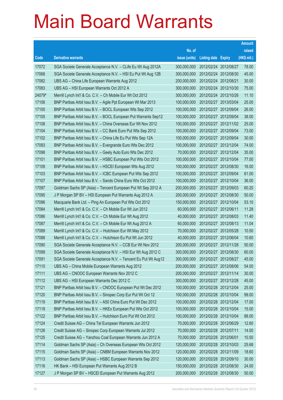|        |                                                                |               |                            |                       | <b>Amount</b> |
|--------|----------------------------------------------------------------|---------------|----------------------------|-----------------------|---------------|
|        |                                                                | No. of        |                            |                       | raised        |
| Code   | <b>Derivative warrants</b>                                     | issue (units) | <b>Listing date Expiry</b> |                       | (HK\$ mil.)   |
| 17072  | SGA Societe Generale Acceptance N.V. - CLife Eu Wt Aug 2012A   | 300,000,000   |                            | 2012/02/24 2012/08/27 | 78.00         |
| 17068  | SGA Societe Generale Acceptance N.V. - HSI Eu Put Wt Aug 12B   | 300,000,000   |                            | 2012/02/24 2012/08/30 | 45.00         |
| 17082  | UBS AG - China Life European Warrants Aug 2012                 | 200,000,000   | 2012/02/24 2012/08/21      |                       | 30.00         |
| 17083  | UBS AG - HSI European Warrants Oct 2012 A                      | 300,000,000   |                            | 2012/02/24 2012/10/30 | 75.00         |
| 24079# | Merrill Lynch Int'l & Co. C.V. - Ch Mobile Eur Wt Oct 2012     | 300,000,000   |                            | 2012/02/24 2012/10/26 | 11.10         |
| 17106  | BNP Paribas Arbit Issu B.V. - Agile Ppt European Wt Mar 2013   | 100,000,000   |                            | 2012/02/27 2013/03/04 | 25.00         |
| 17100  | BNP Paribas Arbit Issu B.V. - BOCL European Wts Sep 2012       | 100,000,000   |                            | 2012/02/27 2012/09/04 | 26.00         |
| 17105  | BNP Paribas Arbit Issu B.V. - BOCL European Put Warrants Sep12 | 100,000,000   |                            | 2012/02/27 2012/09/04 | 38.00         |
| 17108  | BNP Paribas Arbit Issu B.V. - China Overseas Eur Wt Nov 2012   | 100,000,000   |                            | 2012/02/27 2012/11/02 | 25.00         |
| 17104  | BNP Paribas Arbit Issu B.V. - CC Bank Euro Put Wts Sep 2012    | 100,000,000   |                            | 2012/02/27 2012/09/04 | 73.00         |
| 17102  | BNP Paribas Arbit Issu B.V. - China Life Eu Put Wts Sep 12A    | 100,000,000   |                            | 2012/02/27 2012/09/04 | 30.00         |
| 17093  | BNP Paribas Arbit Issu B.V. - Evergrande Euro Wts Dec 2012     | 100,000,000   |                            | 2012/02/27 2012/12/04 | 74.00         |
| 17098  | BNP Paribas Arbit Issu B.V. - Geely Auto Euro Wts Dec 2012     | 70,000,000    |                            | 2012/02/27 2012/12/04 | 35.00         |
| 17101  | BNP Paribas Arbit Issu B.V. - HSBC European Put Wts Oct 2012   | 100,000,000   |                            | 2012/02/27 2012/10/04 | 77.00         |
| 17109  | BNP Paribas Arbit Issu B.V. - HSCEI European Wts Aug 2012      | 100,000,000   |                            | 2012/02/27 2012/08/30 | 16.00         |
| 17103  | BNP Paribas Arbit Issu B.V. - ICBC European Put Wts Sep 2012   | 100,000,000   |                            | 2012/02/27 2012/09/04 | 61.00         |
| 17107  | BNP Paribas Arbit Issu B.V. - Sands China Euro Wts Oct 2012    | 100,000,000   |                            | 2012/02/27 2012/10/04 | 36.00         |
| 17097  | Goldman Sachs SP (Asia) - Tencent European Put Wt Sep 2012 A   | 200,000,000   |                            | 2012/02/27 2012/09/03 | 60.20         |
| 17095  | J P Morgan SP BV - HSI European Put Warrants Aug 2012 A        | 200,000,000   | 2012/02/27                 | 2012/08/30            | 50.00         |
| 17096  | Macquarie Bank Ltd. - Ping An European Put Wts Oct 2012        | 150,000,000   |                            | 2012/02/27 2012/10/04 | 53.10         |
| 17084  | Merrill Lynch Int'l & Co. C.V. - Ch Mobile Eur Wt Jun 2012     | 60,000,000    | 2012/02/27 2012/06/11      |                       | 11.28         |
| 17086  | Merrill Lynch Int'l & Co. C.V. - Ch Mobile Eur Wt Aug 2012     | 40,000,000    |                            | 2012/02/27 2012/08/03 | 11.40         |
| 17087  | Merrill Lynch Int'l & Co. C.V. - Ch Mobile Eur Wt Aug 2012 A   | 60,000,000    |                            | 2012/02/27 2012/08/13 | 11.04         |
| 17089  | Merrill Lynch Int'l & Co. C.V. - Hutchison Eur Wt May 2012     | 70,000,000    |                            | 2012/02/27 2012/05/28 | 10.50         |
| 17088  | Merrill Lynch Int'l & Co. C.V. - Hutchison Eu Put Wt Jun 2012  | 40,000,000    |                            | 2012/02/27 2012/06/04 | 10.60         |
| 17090  | SGA Societe Generale Acceptance N.V. - CCB Eur Wt Nov 2012     | 200,000,000   | 2012/02/27 2012/11/28      |                       | 50.00         |
| 17099  | SGA Societe Generale Acceptance N.V. - HSI Eur Wt Aug 2012 C   | 300,000,000   |                            | 2012/02/27 2012/08/30 | 60.00         |
| 17091  | SGA Societe Generale Acceptance N.V. - Tencent Eu Put Wt Aug12 | 300,000,000   | 2012/02/27 2012/08/27      |                       | 45.00         |
| 17110  | UBS AG - China Mobile European Warrants Aug 2012               | 200,000,000   | 2012/02/27 2012/08/06      |                       | 54.00         |
| 17111  | UBS AG - CNOOC European Warrants Nov 2012 C                    | 200,000,000   |                            | 2012/02/27 2012/11/14 | 30.00         |
| 17112  | UBS AG - HSI European Warrants Dec 2012 C                      | 300,000,000   | 2012/02/27 2012/12/28      |                       | 45.00         |
| 17121  | BNP Paribas Arbit Issu B.V. - CNOOC European Put Wt Dec 2012   | 100,000,000   | 2012/02/28 2012/12/04      |                       | 25.00         |
| 17120  | BNP Paribas Arbit Issu B.V. - Sinopec Corp Eur Put Wt Oct 12   | 100,000,000   |                            | 2012/02/28 2012/10/04 | 99.00         |
| 17119  | BNP Paribas Arbit Issu B.V. - A50 China Euro Put Wt Dec 2012   | 100,000,000   | 2012/02/28 2012/12/04      |                       | 17.00         |
| 17118  | BNP Paribas Arbit Issu B.V. - HKEx European Put Wts Oct 2012   | 100,000,000   |                            | 2012/02/28 2012/10/04 | 15.00         |
| 17122  | BNP Paribas Arbit Issu B.V. - Hutchison Euro Put Wt Oct 2012   | 100,000,000   | 2012/02/28 2012/10/04      |                       | 88.00         |
| 17124  | Credit Suisse AG - China Tel European Warrants Jun 2012        | 70,000,000    | 2012/02/28 2012/06/29      |                       | 12.60         |
| 17126  | Credit Suisse AG - Sinopec Corp European Warrants Jul 2012     | 70,000,000    | 2012/02/28 2012/07/11      |                       | 14.00         |
| 17125  | Credit Suisse AG - Yanzhou Coal European Warrants Jun 2012 A   | 70,000,000    | 2012/02/28 2012/06/01      |                       | 10.50         |
| 17114  | Goldman Sachs SP (Asia) - Ch Overseas European Wts Oct 2012    | 120,000,000   | 2012/02/28 2012/10/03      |                       | 25.68         |
| 17115  | Goldman Sachs SP (Asia) - CNBM European Warrants Nov 2012      | 120,000,000   | 2012/02/28 2012/11/09      |                       | 18.60         |
| 17113  | Goldman Sachs SP (Asia) - HSBC European Warrants Sep 2012      | 120,000,000   |                            | 2012/02/28 2012/09/10 | 30.00         |
| 17116  | HK Bank - HSI European Put Warrants Aug 2012 B                 | 150,000,000   |                            | 2012/02/28 2012/08/30 | 24.00         |
| 17127  | J P Morgan SP BV - HSCEI European Put Warrants Aug 2012        | 200,000,000   |                            | 2012/02/28 2012/08/30 | 50.00         |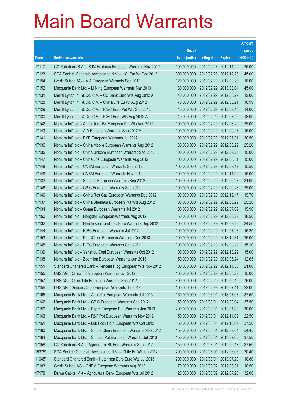|        |                                                              |               |                       |            | <b>Amount</b> |
|--------|--------------------------------------------------------------|---------------|-----------------------|------------|---------------|
|        |                                                              | No. of        |                       |            | raised        |
| Code   | <b>Derivative warrants</b>                                   | issue (units) | Listing date Expiry   |            | (HK\$ mil.)   |
| 17117  | CC Rabobank B.A. - SJM Holdings European Warrants Nov 2012   | 100,000,000   | 2012/02/28 2012/11/29 |            | 25.00         |
| 17123  | SGA Societe Generale Acceptance N.V. - HSI Eur Wt Dec 2012   | 300,000,000   | 2012/02/28 2012/12/28 |            | 45.00         |
| 17154  | Credit Suisse AG - AIA European Warrants Sep 2012            | 120,000,000   | 2012/02/29 2012/09/28 |            | 18.00         |
| 17152  | Macquarie Bank Ltd. - Li Ning European Warrants Mar 2013     | 180,000,000   | 2012/02/29 2013/03/04 |            | 45.00         |
| 17131  | Merrill Lynch Int'l & Co. C.V. - CC Bank Euro Wts Aug 2012 A | 40,000,000    | 2012/02/29 2012/08/29 |            | 19.00         |
| 17128  | Merrill Lynch Int'l & Co. C.V. - China Life Eu Wt Aug 2012   | 70,000,000    | 2012/02/29 2012/08/21 |            | 10.99         |
| 17129  | Merrill Lynch Int'l & Co. C.V. - ICBC Euro Put Wts Sep 2012  | 40,000,000    | 2012/02/29 2012/09/10 |            | 14.00         |
| 17130  | Merrill Lynch Int'l & Co. C.V. - ICBC Euro Wts Aug 2012 A    | 40,000,000    | 2012/02/29 2012/08/29 |            | 18.00         |
| 17142  | Nomura Int'l plc - Agricultural Bk European Put Wts Aug 2012 | 100,000,000   | 2012/02/29 2012/08/29 |            | 25.00         |
| 17143  | Nomura Int'l plc - AIA European Warrants Sep 2012 A          | 100,000,000   | 2012/02/29 2012/09/28 |            | 15.00         |
| 17141  | Nomura Int'l plc - BYD European Warrants Jul 2012            | 100,000,000   | 2012/02/29 2012/07/31 |            | 30.50         |
| 17136  | Nomura Int'l plc - China Mobile European Warrants Aug 2012   | 100,000,000   | 2012/02/29 2012/08/29 |            | 25.20         |
| 17135  | Nomura Int'l plc - China Unicom European Warrants Sep 2012   | 100,000,000   | 2012/02/29 2012/09/24 |            | 15.00         |
| 17147  | Nomura Int'l plc - China Life European Warrants Aug 2012     | 100,000,000   | 2012/02/29 2012/08/31 |            | 15.00         |
| 17148  | Nomura Int'l plc - CNBM European Warrants Sep 2012           | 100,000,000   | 2012/02/29 2012/09/12 |            | 15.50         |
| 17149  | Nomura Int'l plc - CNBM European Warrants Nov 2012           | 100,000,000   | 2012/02/29 2012/11/09 |            | 15.00         |
| 17133  | Nomura Int'l plc - Sinopec European Warrants Sep 2012        | 100,000,000   | 2012/02/29 2012/09/28 |            | 31.00         |
| 17146  | Nomura Int'l plc - CPIC European Warrants Sep 2012           | 100,000,000   | 2012/02/29 2012/09/28 |            | 25.00         |
| 17140  | Nomura Int'l plc - China Res Gas European Warrants Dec 2012  | 100,000,000   | 2012/02/29 2012/12/17 |            | 19.70         |
| 17137  | Nomura Int'l plc - China Shenhua European Put Wts Aug 2012   | 100,000,000   | 2012/02/29 2012/08/29 |            | 25.20         |
| 17134  | Nomura Int'l plc - Gome European Warrants Jul 2012           | 100,000,000   | 2012/02/29 2012/07/09 |            | 15.90         |
| 17150  | Nomura Int'l plc - Hengdeli European Warrants Aug 2012       | 50,000,000    | 2012/02/29 2012/08/29 |            | 18.50         |
| 17132  | Nomura Int'l plc - Henderson Land Dev Euro Warrants Sep 2012 | 100,000,000   | 2012/02/29 2012/09/28 |            | 34.50         |
| 17144  | Nomura Int'l plc - ICBC European Warrants Jul 2012           | 100,000,000   | 2012/02/29 2012/07/23 |            | 15.20         |
| 17153  | Nomura Int'l plc - PetroChina European Warrants Dec 2013     | 100,000,000   | 2012/02/29 2013/12/31 |            | 25.00         |
| 17145  | Nomura Int'l plc - PICC European Warrants Sep 2012           | 100,000,000   | 2012/02/29 2012/09/28 |            | 15.10         |
| 17139  | Nomura Int'l plc - Yanzhou Coal European Warrants Oct 2012   | 100,000,000   | 2012/02/29 2012/10/22 |            | 15.00         |
| 17138  | Nomura Int'l plc - Zoomlion European Warrants Jun 2013       | 50,000,000    | 2012/02/29 2013/06/24 |            | 12.65         |
| 17151  | Standard Chartered Bank - Tencent Hidg European Wts Nov 2012 | 100,000,000   | 2012/02/29 2012/11/30 |            | 21.00         |
| 17155  | UBS AG - China Tel European Warrants Jun 2012                | 100,000,000   | 2012/02/29 2012/06/29 |            | 15.00         |
| 17157  | UBS AG - China Life European Warrants Sep 2012               | 300,000,000   | 2012/02/29 2012/09/10 |            | 75.00         |
| 17156  | UBS AG - Sinopec Corp European Warrants Jul 2012             | 100,000,000   | 2012/02/29 2012/07/11 |            | 22.00         |
| 17165  | Macquarie Bank Ltd. - Agile Ppt European Warrants Jul 2013   | 150,000,000   | 2012/03/01            | 2013/07/03 | 37.50         |
| 17162  | Macquarie Bank Ltd. - CPIC European Warrants Sep 2012        | 150,000,000   | 2012/03/01            | 2012/09/04 | 37.50         |
| 17159  | Macquarie Bank Ltd. - Esprit European Put Warrants Jan 2013  | 200,000,000   | 2012/03/01            | 2013/01/03 | 30.00         |
| 17163  | Macquarie Bank Ltd. - R&F Ppt European Warrants Nov 2012     | 150,000,000   | 2012/03/01            | 2012/11/09 | 22.50         |
| 17161  | Macquarie Bank Ltd. - Luk Fook Hold European Wts Oct 2012    | 150,000,000   | 2012/03/01            | 2012/10/04 | 37.50         |
| 17160  | Macquarie Bank Ltd. - Sands China European Warrants Sep 2012 | 150,000,000   | 2012/03/01            | 2012/09/04 | 54.45         |
| 17164  | Macquarie Bank Ltd. - Shimao Ppt European Warrants Jul 2013  | 150,000,000   | 2012/03/01            | 2013/07/03 | 37.50         |
| 17158  | CC Rabobank B.A. - Agricultural Bk Euro Warrants Sep 2012    | 150,000,000   | 2012/03/01            | 2012/09/17 | 37.50         |
| 15375# | SGA Societe Generale Acceptance N.V. - CLife Eu Wt Jun 2012  | 200,000,000   | 2012/03/01            | 2012/06/06 | 20.40         |
| 11045# | Standard Chartered Bank - Hutchison Euro Euro Wts Jul 2013   | 200,000,000   | 2012/03/01            | 2013/07/29 | 10.80         |
| 17183  | Credit Suisse AG - CNBM European Warrants Aug 2012           | 70,000,000    | 2012/03/02 2012/08/31 |            | 10.50         |
| 17178  | Daiwa Capital Mkt - Agricultural Bank European Wts Jul 2012  | 128,000,000   | 2012/03/02 2012/07/25 |            | 32.00         |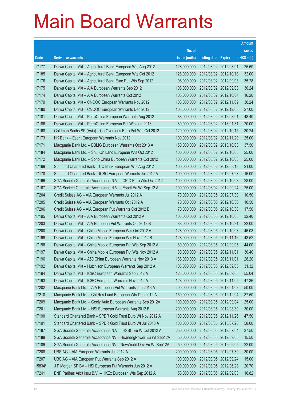|        |                                                                |               |                            |                       | <b>Amount</b> |
|--------|----------------------------------------------------------------|---------------|----------------------------|-----------------------|---------------|
|        |                                                                | No. of        |                            |                       | raised        |
| Code   | <b>Derivative warrants</b>                                     | issue (units) | <b>Listing date Expiry</b> |                       | (HK\$ mil.)   |
| 17177  | Daiwa Capital Mkt - Agricultural Bank European Wts Aug 2012    | 128,000,000   | 2012/03/02 2012/08/01      |                       | 25.60         |
| 17185  | Daiwa Capital Mkt - Agricultural Bank European Wts Oct 2012    | 128,000,000   |                            | 2012/03/02 2012/10/18 | 32.00         |
| 17176  | Daiwa Capital Mkt - Agricultural Bank Euro Put Wts Sep 2012    | 98,000,000    |                            | 2012/03/02 2012/09/03 | 35.28         |
| 17175  | Daiwa Capital Mkt - AIA European Warrants Sep 2012             | 108,000,000   |                            | 2012/03/02 2012/09/03 | 30.24         |
| 17174  | Daiwa Capital Mkt - AIA European Warrants Oct 2012             | 108,000,000   |                            | 2012/03/02 2012/10/04 | 16.20         |
| 17179  | Daiwa Capital Mkt - CNOOC European Warrants Nov 2012           | 108,000,000   |                            | 2012/03/02 2012/11/09 | 30.24         |
| 17180  | Daiwa Capital Mkt - CNOOC European Warrants Dec 2012           | 108,000,000   |                            | 2012/03/02 2012/12/03 | 27.00         |
| 17181  | Daiwa Capital Mkt - PetroChina European Warrants Aug 2012      | 88,000,000    | 2012/03/02 2012/08/01      |                       | 48.40         |
| 17186  | Daiwa Capital Mkt - PetroChina European Put Wts Jan 2013       | 80,000,000    |                            | 2012/03/02 2013/01/31 | 20.00         |
| 17168  | Goldman Sachs SP (Asia) - Ch Overseas Euro Put Wts Oct 2012    | 120,000,000   |                            | 2012/03/02 2012/10/15 | 30.24         |
| 17173  | HK Bank - Esprit European Warrants Nov 2012                    | 100,000,000   |                            | 2012/03/02 2012/11/29 | 25.00         |
| 17171  | Macquarie Bank Ltd. - BBMG European Warrants Oct 2013 A        | 150,000,000   |                            | 2012/03/02 2013/10/03 | 37.50         |
| 17184  | Macquarie Bank Ltd. - Shui On Land European Wts Oct 2012       | 100,000,000   |                            | 2012/03/02 2012/10/03 | 25.00         |
| 17172  | Macquarie Bank Ltd. - Soho China European Warrants Oct 2012    | 100,000,000   |                            | 2012/03/02 2012/10/03 | 25.00         |
| 17169  | Standard Chartered Bank - CC Bank European Wts Aug 2012        | 100,000,000   |                            | 2012/03/02 2012/08/13 | 21.00         |
| 17170  | Standard Chartered Bank - ICBC European Warrants Jul 2012 A    | 100,000,000   |                            | 2012/03/02 2012/07/23 | 16.00         |
| 17166  | SGA Societe Generale Acceptance N.V. - CPIC Euro Wts Oct 2012  | 100,000,000   |                            | 2012/03/02 2012/10/03 | 28.00         |
| 17167  | SGA Societe Generale Acceptance N.V. - Esprit Eu Wt Sep 12 A   | 100,000,000   |                            | 2012/03/02 2012/09/24 | 25.00         |
| 17204  | Credit Suisse AG - AIA European Warrants Jul 2012 A            | 70,000,000    |                            | 2012/03/05 2012/07/30 | 10.50         |
| 17205  | Credit Suisse AG - AIA European Warrants Oct 2012 A            | 70,000,000    |                            | 2012/03/05 2012/10/30 | 10.50         |
| 17206  | Credit Suisse AG - AIA European Put Warrants Oct 2012 B        | 70,000,000    |                            | 2012/03/05 2012/10/30 | 17.50         |
| 17195  | Daiwa Capital Mkt - AIA European Warrants Oct 2012 A           | 108,000,000   |                            | 2012/03/05 2012/10/03 | 32.40         |
| 17203  | Daiwa Capital Mkt - AIA European Put Warrants Oct 2012 B       | 88,000,000    | 2012/03/05 2012/10/31      |                       | 22.00         |
| 17200  | Daiwa Capital Mkt - China Mobile European Wts Oct 2012 A       | 128,000,000   |                            | 2012/03/05 2012/10/03 | 46.08         |
| 17199  | Daiwa Capital Mkt - China Mobile European Wts Nov 2012 B       | 128,000,000   |                            | 2012/03/05 2012/11/16 | 43.52         |
| 17198  | Daiwa Capital Mkt - China Mobile European Put Wts Sep 2012 A   | 80,000,000    |                            | 2012/03/05 2012/09/05 | 44.00         |
| 17197  | Daiwa Capital Mkt – China Mobile European Put Wts Nov 2012 A   | 80,000,000    | 2012/03/05 2012/11/01      |                       | 30.40         |
| 17196  | Daiwa Capital Mkt - A50 China European Warrants Nov 2013 A     | 188,000,000   | 2012/03/05 2013/11/01      |                       | 28.20         |
| 17192  | Daiwa Capital Mkt - Hutchison European Warrants Sep 2012 A     | 108,000,000   |                            | 2012/03/05 2012/09/05 | 31.32         |
| 17194  | Daiwa Capital Mkt - ICBC European Warrants Sep 2012 A          | 128,000,000   |                            | 2012/03/05 2012/09/05 | 55.04         |
| 17193  | Daiwa Capital Mkt - ICBC European Warrants Nov 2012 A          | 128,000,000   |                            | 2012/03/05 2012/11/05 | 47.36         |
| 17202  | Macquarie Bank Ltd. - AIA European Put Warrants Jan 2013 A     | 200,000,000   |                            | 2012/03/05 2013/01/03 | 50.00         |
| 17210  | Macquarie Bank Ltd. - Chi Res Land European Wts Dec 2012 A     | 150,000,000   |                            | 2012/03/05 2012/12/04 | 37.50         |
| 17209  | Macquarie Bank Ltd. - Geely Auto European Warrants Sep 2012A   | 100,000,000   |                            | 2012/03/05 2012/09/04 | 25.00         |
| 17201  | Macquarie Bank Ltd. - HSI European Warrants Aug 2012 B         | 200,000,000   |                            | 2012/03/05 2012/08/30 | 30.00         |
| 17190  | Standard Chartered Bank - SPDR Gold Trust Euro Wt Nov 2012 A   | 100,000,000   |                            | 2012/03/05 2012/11/26 | 47.50         |
| 17191  | Standard Chartered Bank - SPDR Gold Trust Euro Wt Jul 2013 A   | 100,000,000   |                            | 2012/03/05 2013/07/26 | 58.00         |
| 17187  | SGA Societe Generale Acceptance N.V. - HSBC Eu Wt Jul 2012 A   | 250,000,000   |                            | 2012/03/05 2012/07/04 | 37.50         |
| 17188  | SGA Societe Generale Acceptance NV - HuanengPower Eu Wt Sep12A | 50,000,000    |                            | 2012/03/05 2012/09/05 | 15.50         |
| 17189  | SGA Societe Generale Acceptance NV - NewWorld Dev Eu Wt Sep12A | 50,000,000    |                            | 2012/03/05 2012/09/05 | 22.00         |
| 17208  | UBS AG - AIA European Warrants Jul 2012 A                      | 200,000,000   |                            | 2012/03/05 2012/07/30 | 30.00         |
| 17207  | UBS AG - AIA European Put Warrants Sep 2012 A                  | 100,000,000   |                            | 2012/03/05 2012/09/24 | 15.00         |
| 15834# | J P Morgan SP BV - HSI European Put Warrants Jun 2012 A        | 300,000,000   |                            | 2012/03/05 2012/06/28 | 20.70         |
| 17241  | BNP Paribas Arbit Issu B.V. - HKEx European Wts Sep 2012 A     | 58,000,000    |                            | 2012/03/06 2012/09/03 | 16.82         |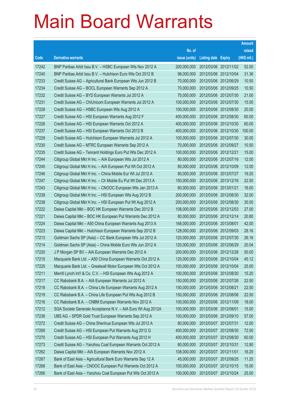|       |                                                               |               |                            |                       | <b>Amount</b> |
|-------|---------------------------------------------------------------|---------------|----------------------------|-----------------------|---------------|
|       |                                                               | No. of        |                            |                       | raised        |
| Code  | <b>Derivative warrants</b>                                    | issue (units) | <b>Listing date Expiry</b> |                       | (HK\$ mil.)   |
| 17242 | BNP Paribas Arbit Issu B.V. - HSBC European Wts Nov 2012 A    | 200,000,000   |                            | 2012/03/06 2012/11/02 | 52.00         |
| 17240 | BNP Paribas Arbit Issu B.V. - Hutchison Euro Wts Oct 2012 B   | 98,000,000    | 2012/03/06 2012/10/04      |                       | 31.36         |
| 17233 | Credit Suisse AG - Agricultural Bank European Wts Jun 2012 B  | 70,000,000    | 2012/03/06 2012/06/29      |                       | 10.50         |
| 17234 | Credit Suisse AG - BOCL European Warrants Sep 2012 A          | 70,000,000    | 2012/03/06 2012/09/25      |                       | 10.50         |
| 17232 | Credit Suisse AG - BYD European Warrants Jul 2012 A           | 70,000,000    |                            | 2012/03/06 2012/07/30 | 21.00         |
| 17231 | Credit Suisse AG - ChiUnicom European Warrants Jul 2012 A     | 100,000,000   | 2012/03/06 2012/07/30      |                       | 15.00         |
| 17228 | Credit Suisse AG - HSBC European Wts Aug 2012 A               | 100,000,000   |                            | 2012/03/06 2012/08/30 | 20.00         |
| 17227 | Credit Suisse AG - HSI European Warrants Aug 2012 F           | 400,000,000   | 2012/03/06 2012/08/30      |                       | 60.00         |
| 17226 | Credit Suisse AG - HSI European Warrants Oct 2012 A           | 400,000,000   |                            | 2012/03/06 2012/10/30 | 60.00         |
| 17237 | Credit Suisse AG - HSI European Warrants Oct 2012 B           | 400,000,000   |                            | 2012/03/06 2012/10/30 | 100.00        |
| 17229 | Credit Suisse AG - Hutchison European Warrants Jul 2012 A     | 100,000,000   |                            | 2012/03/06 2012/07/30 | 30.00         |
| 17230 | Credit Suisse AG - MTRC European Warrants Sep 2012 A          | 70,000,000    | 2012/03/06 2012/09/27      |                       | 10.50         |
| 17235 | Credit Suisse AG - Tencent Holdings Euro Put Wts Dec 2012 A   | 100,000,000   | 2012/03/06 2012/12/21      |                       | 15.00         |
| 17244 | Citigroup Global Mkt H Inc. - AIA European Wts Jul 2012 A     | 80,000,000    | 2012/03/06 2012/07/16      |                       | 12.00         |
| 17245 | Citigroup Global Mkt H Inc. - AIA European Put Wt Oct 2012 A  | 80,000,000    | 2012/03/06 2012/10/09      |                       | 12.00         |
| 17246 | Citigroup Global Mkt H Inc. - China Mobile Eur Wt Jul 2012 A  | 80,000,000    | 2012/03/06 2012/07/27      |                       | 19.20         |
| 17247 | Citigroup Global Mkt H Inc. - Ch Mobile Eu Put Wt Dec 2013 A  | 150,000,000   |                            | 2012/03/06 2013/12/16 | 22.50         |
| 17243 | Citigroup Global Mkt H Inc. - CNOOC European Wts Jan 2013 A   | 80,000,000    | 2012/03/06 2013/01/21      |                       | 16.00         |
| 17239 | Citigroup Global Mkt H Inc. - HSI European Wts Aug 2012 B     | 200,000,000   |                            | 2012/03/06 2012/08/30 | 32.00         |
| 17238 | Citigroup Global Mkt H Inc. - HSI European Put Wt Aug 2012 A  | 200,000,000   | 2012/03/06 2012/08/30      |                       | 30.00         |
| 17222 | Daiwa Capital Mkt - BOC HK European Warrants Dec 2012 B       | 108,000,000   |                            | 2012/03/06 2012/12/03 | 27.00         |
| 17221 | Daiwa Capital Mkt - BOC HK European Put Warrants Dec 2012 A   | 80,000,000    | 2012/03/06 2012/12/14      |                       | 20.80         |
| 17224 | Daiwa Capital Mkt - A50 China European Warrants Aug 2013 A    | 168,000,000   | 2012/03/06 2013/08/01      |                       | 42.00         |
| 17223 | Daiwa Capital Mkt - Hutchison European Warrants Sep 2012 B    | 128,000,000   | 2012/03/06 2012/09/03      |                       | 28.16         |
| 17213 | Goldman Sachs SP (Asia) - CC Bank European Wts Jul 2012 A     | 120,000,000   |                            | 2012/03/06 2012/07/30 | 26.16         |
| 17214 | Goldman Sachs SP (Asia) - China Mobile Euro Wts Jun 2012 A    | 120,000,000   | 2012/03/06 2012/06/29      |                       | 20.04         |
| 17220 | J P Morgan SP BV - AIA European Warrants Dec 2012 A           | 200,000,000   | 2012/03/06 2012/12/28      |                       | 50.00         |
| 17215 | Macquarie Bank Ltd. - A50 China European Warrants Oct 2012 A  | 120,000,000   | 2012/03/06 2012/10/04      |                       | 45.12         |
| 17225 | Macquarie Bank Ltd. - Greatwall Motor European Wts Oct 2012 A | 100,000,000   |                            | 2012/03/06 2012/10/04 | 25.00         |
| 17211 | Merrill Lynch Int'l & Co. C.V. - HSI European Wts Aug 2012 A  | 100,000,000   | 2012/03/06 2012/08/30      |                       | 15.20         |
| 17217 | CC Rabobank B.A. - AIA European Warrants Jul 2012 A           | 150,000,000   | 2012/03/06 2012/07/26      |                       | 22.50         |
| 17218 | CC Rabobank B.A. - China Life European Warrants Aug 2012 A    | 150,000,000   | 2012/03/06 2012/08/21      |                       | 22.50         |
| 17219 | CC Rabobank B.A. - China Life European Put Wts Aug 2012 B     | 150,000,000   | 2012/03/06 2012/08/06      |                       | 22.50         |
| 17216 | CC Rabobank B.A. - CNBM European Warrants Nov 2012 A          | 100,000,000   | 2012/03/06 2012/11/09      |                       | 18.00         |
| 17212 | SGA Societe Generale Acceptance N.V. - AIA Euro Wt Aug 2012A  | 100,000,000   | 2012/03/06 2012/08/01      |                       | 15.00         |
| 17236 | UBS AG - SPDR Gold Trust European Warrants Sep 2012 A         | 100,000,000   | 2012/03/06 2012/09/10      |                       | 57.00         |
| 17272 | Credit Suisse AG - China Shenhua European Wts Jul 2012 A      | 80,000,000    | 2012/03/07 2012/07/31      |                       | 12.00         |
| 17269 | Credit Suisse AG - HSI European Put Warrants Aug 2012 G       | 400,000,000   | 2012/03/07 2012/08/30      |                       | 72.00         |
| 17270 | Credit Suisse AG - HSI European Put Warrants Aug 2012 H       | 400,000,000   |                            | 2012/03/07 2012/08/30 | 60.00         |
| 17273 | Credit Suisse AG - Yanzhou Coal European Warrants Oct 2012 A  | 80,000,000    | 2012/03/07 2012/10/31      |                       | 12.80         |
| 17262 | Daiwa Capital Mkt - AIA European Warrants Nov 2012 A          | 108,000,000   | 2012/03/07 2012/11/01      |                       | 16.20         |
| 17267 | Bank of East Asia - Agricultural Bank Euro Warrants Sep 12 A  | 45,000,000    | 2012/03/07 2012/09/25      |                       | 11.25         |
| 17268 | Bank of East Asia - CNOOC European Put Warrants Oct 2012 A    | 100,000,000   | 2012/03/07 2012/10/15      |                       | 15.00         |
| 17266 | Bank of East Asia - Yanzhou Coal European Put Wts Oct 2012 A  | 100,000,000   | 2012/03/07 2012/10/24      |                       | 25.00         |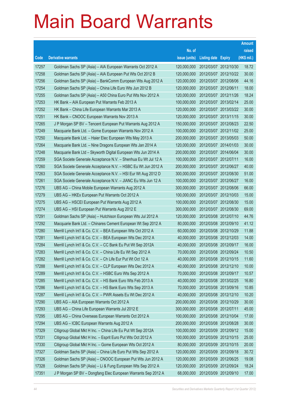|       |                                                               |               |                            |                       | <b>Amount</b> |
|-------|---------------------------------------------------------------|---------------|----------------------------|-----------------------|---------------|
|       |                                                               | No. of        |                            |                       | raised        |
| Code  | <b>Derivative warrants</b>                                    | issue (units) | <b>Listing date Expiry</b> |                       | (HK\$ mil.)   |
| 17257 | Goldman Sachs SP (Asia) - AIA European Warrants Oct 2012 A    | 120,000,000   |                            | 2012/03/07 2012/10/30 | 18.72         |
| 17258 | Goldman Sachs SP (Asia) - AIA European Put Wts Oct 2012 B     | 120,000,000   |                            | 2012/03/07 2012/10/22 | 30.00         |
| 17256 | Goldman Sachs SP (Asia) - BankComm European Wts Aug 2012 A    | 120,000,000   |                            | 2012/03/07 2012/08/06 | 44.16         |
| 17254 | Goldman Sachs SP (Asia) - China Life Euro Wts Jun 2012 B      | 120,000,000   | 2012/03/07 2012/06/11      |                       | 18.00         |
| 17255 | Goldman Sachs SP (Asia) - A50 China Euro Put Wts Nov 2012 A   | 120,000,000   |                            | 2012/03/07 2012/11/26 | 18.24         |
| 17253 | HK Bank – AIA European Put Warrants Feb 2013 A                | 100,000,000   |                            | 2012/03/07 2013/02/14 | 25.00         |
| 17252 | HK Bank - China Life European Warrants Mar 2013 A             | 120,000,000   |                            | 2012/03/07 2013/03/22 | 30.00         |
| 17251 | HK Bank - CNOOC European Warrants Nov 2013 A                  | 120,000,000   |                            | 2012/03/07 2013/11/15 | 30.00         |
| 17265 | J P Morgan SP BV - Tencent European Put Warrants Aug 2012 A   | 150,000,000   |                            | 2012/03/07 2012/08/23 | 22.50         |
| 17249 | Macquarie Bank Ltd. - Gome European Warrants Nov 2012 A       | 100,000,000   |                            | 2012/03/07 2012/11/02 | 25.00         |
| 17250 | Macquarie Bank Ltd. - Haier Elec European Wts May 2013 A      | 200,000,000   |                            | 2012/03/07 2013/05/03 | 50.00         |
| 17264 | Macquarie Bank Ltd. - Nine Dragons European Wts Jan 2014 A    | 120,000,000   |                            | 2012/03/07 2014/01/03 | 30.00         |
| 17248 | Macquarie Bank Ltd - Skyworth Digital European Wts Jun 2014 A | 200,000,000   |                            | 2012/03/07 2014/06/04 | 30.00         |
| 17259 | SGA Societe Generale Acceptance N.V. - Shenhua Eu Wt Jul 12 A | 100,000,000   | 2012/03/07 2012/07/11      |                       | 16.00         |
| 17260 | SGA Societe Generale Acceptance N.V. - HSBC Eu Wt Jun 2012 A  | 200,000,000   | 2012/03/07 2012/06/27      |                       | 40.00         |
| 17263 | SGA Societe Generale Acceptance N.V. - HSI Eur Wt Aug 2012 D  | 300,000,000   |                            | 2012/03/07 2012/08/30 | 51.00         |
| 17261 | SGA Societe Generale Acceptance N.V. - JIANC Eu Wts Jun 12 A  | 100,000,000   |                            | 2012/03/07 2012/06/27 | 16.00         |
| 17276 | UBS AG - China Mobile European Warrants Aug 2012 A            | 300,000,000   |                            | 2012/03/07 2012/08/06 | 66.00         |
| 17279 | UBS AG - HKEx European Put Warrants Oct 2012 A                | 100,000,000   |                            | 2012/03/07 2012/10/03 | 15.00         |
| 17275 | UBS AG - HSCEI European Put Warrants Aug 2012 A               | 100,000,000   |                            | 2012/03/07 2012/08/30 | 15.00         |
| 17274 | UBS AG - HSI European Put Warrants Aug 2012 E                 | 300,000,000   |                            | 2012/03/07 2012/08/30 | 69.00         |
| 17291 | Goldman Sachs SP (Asia) - Hutchison European Wts Jul 2012 A   | 120,000,000   |                            | 2012/03/08 2012/07/10 | 44.76         |
| 17292 | Macquarie Bank Ltd. - Chinares Cement European Wt Sep 2012 A  | 80,000,000    |                            | 2012/03/08 2012/09/10 | 41.12         |
| 17280 | Merrill Lynch Int'l & Co. C.V. - BEA European Wts Oct 2012 A  | 60,000,000    |                            | 2012/03/08 2012/10/29 | 11.88         |
| 17281 | Merrill Lynch Int'l & Co. C.V. - BEA European Wts Dec 2012 A  | 40,000,000    |                            | 2012/03/08 2012/12/03 | 14.00         |
| 17284 | Merrill Lynch Int'l & Co. C.V. - CC Bank Eu Put Wt Sep 2012A  | 40,000,000    | 2012/03/08 2012/09/17      |                       | 16.00         |
| 17283 | Merrill Lynch Int'l & Co. C.V. - China Life Eu Wt Sep 2012 A  | 70,000,000    | 2012/03/08 2012/09/24      |                       | 10.50         |
| 17282 | Merrill Lynch Int'l & Co. C.V. - Ch Life Eur Put Wt Oct 12 A  | 40,000,000    | 2012/03/08 2012/10/15      |                       | 11.60         |
| 17288 | Merrill Lynch Int'l & Co. C.V. - CLP European Wts Dec 2012 A  | 40,000,000    | 2012/03/08 2012/12/10      |                       | 10.00         |
| 17289 | Merrill Lynch Int'l & Co. C.V. - HSBC Euro Wts Sep 2012 A     | 70,000,000    | 2012/03/08 2012/09/17      |                       | 10.57         |
| 17285 | Merrill Lynch Int'l & Co. C.V. - HS Bank Euro Wts Feb 2013 A  | 40,000,000    | 2012/03/08 2013/02/25      |                       | 16.80         |
| 17286 | Merrill Lynch Int'l & Co. C.V. - HS Bank Euro Wts Sep 2013 A  | 70,000,000    | 2012/03/08 2013/09/16      |                       | 10.85         |
| 17287 | Merrill Lynch Int'l & Co. C.V. - PWR Assets Eu Wt Dec 2012 A  | 40,000,000    | 2012/03/08 2012/12/10      |                       | 10.20         |
| 17290 | UBS AG - AIA European Warrants Oct 2012 A                     | 200,000,000   |                            | 2012/03/08 2012/10/29 | 30.00         |
| 17293 | UBS AG - China Life European Warrants Jul 2012 E              | 300,000,000   | 2012/03/08 2012/07/11      |                       | 45.00         |
| 17295 | UBS AG - China Overseas European Warrants Oct 2012 A          | 100,000,000   | 2012/03/08 2012/10/04      |                       | 17.00         |
| 17294 | UBS AG - ICBC European Warrants Aug 2012 A                    | 200,000,000   | 2012/03/08 2012/08/28      |                       | 30.00         |
| 17329 | Citigroup Global Mkt H Inc. - China Life Eu Put Wt Sep 2012A  | 100,000,000   |                            | 2012/03/09 2012/09/12 | 15.00         |
| 17331 | Citigroup Global Mkt H Inc. - Esprit Euro Put Wts Oct 2012 A  | 100,000,000   | 2012/03/09 2012/10/15      |                       | 25.00         |
| 17330 | Citigroup Global Mkt H Inc. - Gome European Wts Oct 2012 A    | 80,000,000    | 2012/03/09 2012/10/15      |                       | 20.00         |
| 17327 | Goldman Sachs SP (Asia) - China Life Euro Put Wts Sep 2012 A  | 120,000,000   | 2012/03/09 2012/09/18      |                       | 30.72         |
| 17326 | Goldman Sachs SP (Asia) - CNOOC European Put Wts Jun 2012 A   | 120,000,000   |                            | 2012/03/09 2012/06/25 | 19.08         |
| 17328 | Goldman Sachs SP (Asia) - Li & Fung European Wts Sep 2012 A   | 120,000,000   | 2012/03/09 2012/09/24      |                       | 18.24         |
| 17351 | J P Morgan SP BV - Dongfang Elec European Warrants Sep 2012 A | 68,000,000    | 2012/03/09 2012/09/10      |                       | 17.00         |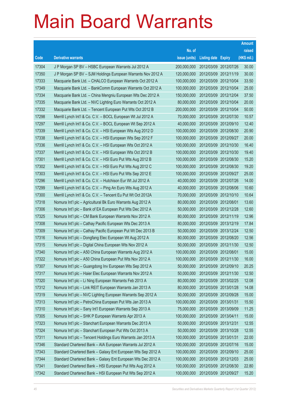|       |                                                              |               |                            |            | <b>Amount</b> |
|-------|--------------------------------------------------------------|---------------|----------------------------|------------|---------------|
|       |                                                              | No. of        |                            |            | raised        |
| Code  | <b>Derivative warrants</b>                                   | issue (units) | <b>Listing date Expiry</b> |            | (HK\$ mil.)   |
| 17304 | J P Morgan SP BV - HSBC European Warrants Jul 2012 A         | 200,000,000   | 2012/03/09 2012/07/26      |            | 30.00         |
| 17350 | J P Morgan SP BV - SJM Holdings European Warrants Nov 2012 A | 120,000,000   | 2012/03/09 2012/11/19      |            | 30.00         |
| 17333 | Macquarie Bank Ltd. - CHALCO European Warrants Oct 2012 A    | 100,000,000   | 2012/03/09                 | 2012/10/04 | 33.50         |
| 17349 | Macquarie Bank Ltd. - BankComm European Warrants Oct 2012 A  | 100,000,000   | 2012/03/09 2012/10/04      |            | 25.00         |
| 17334 | Macquarie Bank Ltd. - China Mengniu European Wts Dec 2012 A  | 150,000,000   | 2012/03/09 2012/12/04      |            | 37.50         |
| 17335 | Macquarie Bank Ltd. - NVC Lighting Euro Warrants Oct 2012 A  | 80,000,000    | 2012/03/09 2012/10/04      |            | 20.00         |
| 17332 | Macquarie Bank Ltd. - Tencent European Put Wts Oct 2012 B    | 200,000,000   | 2012/03/09                 | 2012/10/04 | 50.00         |
| 17298 | Merrill Lynch Int'l & Co. C.V. - BOCL European Wt Jul 2012 A | 70,000,000    | 2012/03/09 2012/07/30      |            | 10.57         |
| 17297 | Merrill Lynch Int'l & Co. C.V. - BOCL European Wt Sep 2012 A | 40,000,000    | 2012/03/09 2012/09/10      |            | 12.40         |
| 17339 | Merrill Lynch Int'l & Co. C.V. - HSI European Wts Aug 2012 D | 100,000,000   | 2012/03/09 2012/08/30      |            | 20.90         |
| 17338 | Merrill Lynch Int'l & Co. C.V. - HSI European Wts Sep 2012 F | 100,000,000   | 2012/03/09                 | 2012/09/27 | 20.00         |
| 17336 | Merrill Lynch Int'l & Co. C.V. - HSI European Wts Oct 2012 A | 100,000,000   | 2012/03/09 2012/10/30      |            | 16.40         |
| 17337 | Merrill Lynch Int'l & Co. C.V. - HSI European Wts Oct 2012 B | 100,000,000   | 2012/03/09 2012/10/30      |            | 19.40         |
| 17301 | Merrill Lynch Int'l & Co. C.V. - HSI Euro Put Wts Aug 2012 B | 100,000,000   | 2012/03/09 2012/08/30      |            | 15.20         |
| 17302 | Merrill Lynch Int'l & Co. C.V. - HSI Euro Put Wts Aug 2012 C | 100,000,000   | 2012/03/09                 | 2012/08/30 | 19.20         |
| 17303 | Merrill Lynch Int'l & Co. C.V. - HSI Euro Put Wts Sep 2012 E | 100,000,000   | 2012/03/09 2012/09/27      |            | 25.00         |
| 17296 | Merrill Lynch Int'l & Co. C.V. - Hutchison Eur Wt Jul 2012 A | 40,000,000    | 2012/03/09 2012/07/26      |            | 14.00         |
| 17299 | Merrill Lynch Int'l & Co. C.V. - Ping An Euro Wts Aug 2012 A | 40,000,000    | 2012/03/09 2012/08/06      |            | 10.60         |
| 17300 | Merrill Lynch Int'l & Co. C.V. - Tencent Eu Put Wt Oct 2012A | 70,000,000    | 2012/03/09                 | 2012/10/10 | 10.64         |
| 17318 | Nomura Int'l plc - Agricultural Bk Euro Warrants Aug 2012 A  | 80,000,000    | 2012/03/09 2012/08/01      |            | 13.60         |
| 17306 | Nomura Int'l plc - Bank of EA European Put Wts Dec 2012 A    | 50,000,000    | 2012/03/09 2012/12/28      |            | 12.60         |
| 17325 | Nomura Int'l plc - CM Bank European Warrants Nov 2012 A      | 80,000,000    | 2012/03/09 2012/11/19      |            | 12.96         |
| 17308 | Nomura Int'l plc - Cathay Pacific European Wts Dec 2013 A    | 80,000,000    | 2012/03/09                 | 2013/12/19 | 17.84         |
| 17309 | Nomura Int'l plc - Cathay Pacific European Put Wt Dec 2013 B | 50,000,000    | 2012/03/09 2013/12/24      |            | 12.50         |
| 17316 | Nomura Int'l plc - Dongfang Elec European Wt Aug 2012 A      | 80,000,000    | 2012/03/09 2012/08/20      |            | 12.56         |
| 17315 | Nomura Int'l plc - Digital China European Wts Nov 2012 A     | 50,000,000    | 2012/03/09 2012/11/30      |            | 12.50         |
| 17340 | Nomura Int'l plc - A50 China European Warrants Aug 2012 A    | 100,000,000   | 2012/03/09 2012/08/01      |            | 15.00         |
| 17322 | Nomura Int'l plc - A50 China European Put Wts Nov 2012 A     | 100,000,000   | 2012/03/09 2012/11/30      |            | 16.00         |
| 17307 | Nomura Int'l plc - Guangdong Inv European Wts Sep 2012 A     | 50,000,000    | 2012/03/09 2012/09/10      |            | 20.25         |
| 17317 | Nomura Int'l plc - Haier Elec European Warrants Nov 2012 A   | 50,000,000    | 2012/03/09 2012/11/30      |            | 12.50         |
| 17320 | Nomura Int'l plc - Li Ning European Warrants Feb 2013 A      | 80,000,000    | 2012/03/09 2013/02/25      |            | 12.08         |
| 17312 | Nomura Int'l plc - Link REIT European Warrants Jan 2013 A    | 80,000,000    | 2012/03/09 2013/01/28      |            | 14.08         |
| 17319 | Nomura Int'l plc - NVC Lighting European Warrants Sep 2012 A | 50,000,000    | 2012/03/09 2012/09/28      |            | 15.00         |
| 17313 | Nomura Int'l plc - PetroChina European Put Wts Jan 2013 A    | 100,000,000   | 2012/03/09 2013/01/31      |            | 15.50         |
| 17310 | Nomura Int'l plc - Sany Int'l European Warrants Sep 2013 A   | 75,000,000    | 2012/03/09 2013/09/09      |            | 11.25         |
| 17305 | Nomura Int'l plc - SHK P European Warrants Apr 2013 A        | 100,000,000   | 2012/03/09 2013/04/11      |            | 15.00         |
| 17323 | Nomura Int'l plc - Stanchart European Warrants Dec 2013 A    | 50,000,000    | 2012/03/09 2013/12/31      |            | 12.55         |
| 17324 | Nomura Int'l plc - Stanchart European Put Wts Oct 2013 A     | 50,000,000    | 2012/03/09 2013/10/28      |            | 12.55         |
| 17311 | Nomura Int'l plc - Tencent Holdings Euro Warrants Jan 2013 A | 100,000,000   | 2012/03/09 2013/01/31      |            | 22.00         |
| 17346 | Standard Chartered Bank - AIA European Warrants Jul 2012 A   | 100,000,000   | 2012/03/09 2012/07/16      |            | 15.00         |
| 17343 | Standard Chartered Bank - Galaxy Ent European Wts Sep 2012 A | 100,000,000   | 2012/03/09                 | 2012/09/10 | 25.00         |
| 17344 | Standard Chartered Bank - Galaxy Ent European Wts Dec 2012 A | 100,000,000   | 2012/03/09 2012/12/03      |            | 25.00         |
| 17341 | Standard Chartered Bank - HSI European Put Wts Aug 2012 A    | 100,000,000   | 2012/03/09 2012/08/30      |            | 22.80         |
| 17342 | Standard Chartered Bank - HSI European Put Wts Sep 2012 A    | 100,000,000   | 2012/03/09 2012/09/27      |            | 15.20         |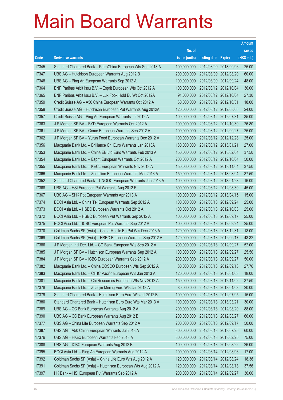|       |                                                              |               |                            |                       | Amount      |
|-------|--------------------------------------------------------------|---------------|----------------------------|-----------------------|-------------|
|       |                                                              | No. of        |                            |                       | raised      |
| Code  | <b>Derivative warrants</b>                                   | issue (units) | <b>Listing date Expiry</b> |                       | (HK\$ mil.) |
| 17345 | Standard Chartered Bank – PetroChina European Wts Sep 2013 A | 100,000,000   | 2012/03/09 2013/09/06      |                       | 25.00       |
| 17347 | UBS AG - Hutchison European Warrants Aug 2012 B              | 200,000,000   | 2012/03/09 2012/08/20      |                       | 60.00       |
| 17348 | UBS AG - Ping An European Warrants Sep 2012 A                | 100,000,000   |                            | 2012/03/09 2012/09/24 | 48.00       |
| 17364 | BNP Paribas Arbit Issu B.V. - Esprit European Wts Oct 2012 A | 100,000,000   | 2012/03/12 2012/10/04      |                       | 30.00       |
| 17365 | BNP Paribas Arbit Issu B.V. - Luk Fook Hold Eu Wt Oct 2012A  | 91,000,000    |                            | 2012/03/12 2012/10/04 | 27.30       |
| 17359 | Credit Suisse AG - A50 China European Warrants Oct 2012 A    | 60,000,000    | 2012/03/12 2012/10/31      |                       | 18.00       |
| 17358 | Credit Suisse AG - Hutchison European Put Warrants Aug 2012A | 120,000,000   | 2012/03/12 2012/08/06      |                       | 24.00       |
| 17357 | Credit Suisse AG - Ping An European Warrants Jul 2012 A      | 100,000,000   | 2012/03/12 2012/07/31      |                       | 35.00       |
| 17363 | J P Morgan SP BV - BYD European Warrants Oct 2012 A          | 100,000,000   |                            | 2012/03/12 2012/10/30 | 26.80       |
| 17361 | J P Morgan SP BV - Gome European Warrants Sep 2012 A         | 100,000,000   | 2012/03/12 2012/09/27      |                       | 25.00       |
| 17362 | J P Morgan SP BV - Yurun Food European Warrants Dec 2012 A   | 100,000,000   | 2012/03/12 2012/12/28      |                       | 25.00       |
| 17356 | Macquarie Bank Ltd. - Brilliance Chi Euro Warrants Jan 2013A | 180,000,000   | 2012/03/12 2013/01/21      |                       | 27.00       |
| 17353 | Macquarie Bank Ltd. - China EB Ltd Euro Warrants Feb 2013 A  | 150,000,000   |                            | 2012/03/12 2013/02/04 | 37.50       |
| 17354 | Macquarie Bank Ltd. - Esprit European Warrants Oct 2012 A    | 200,000,000   | 2012/03/12 2012/10/04      |                       | 50.00       |
| 17355 | Macquarie Bank Ltd. - KECL European Warrants Nov 2013 A      | 150,000,000   | 2012/03/12 2013/11/04      |                       | 37.50       |
| 17366 | Macquarie Bank Ltd. - Zoomlion European Warrants Mar 2013 A  | 150,000,000   | 2012/03/12 2013/03/04      |                       | 37.50       |
| 17352 | Standard Chartered Bank - CNOOC European Warrants Jan 2013 A | 100,000,000   | 2012/03/12 2013/01/28      |                       | 16.00       |
| 17368 | UBS AG - HSI European Put Warrants Aug 2012 F                | 300,000,000   | 2012/03/12 2012/08/30      |                       | 45.00       |
| 17367 | UBS AG - SHK Ppt European Warrants Apr 2013 A                | 100,000,000   |                            | 2012/03/12 2013/04/15 | 15.00       |
| 17374 | BOCI Asia Ltd. - China Tel European Warrants Sep 2012 A      | 100,000,000   | 2012/03/13 2012/09/24      |                       | 25.00       |
| 17373 | BOCI Asia Ltd. - HSBC European Warrants Oct 2012 A           | 100,000,000   |                            | 2012/03/13 2012/10/03 | 25.00       |
| 17372 | BOCI Asia Ltd. - HSBC European Put Warrants Sep 2012 A       | 100,000,000   | 2012/03/13 2012/09/17      |                       | 25.00       |
| 17375 | BOCI Asia Ltd. - ICBC European Put Warrants Sep 2012 A       | 100,000,000   |                            | 2012/03/13 2012/09/24 | 25.00       |
| 17370 | Goldman Sachs SP (Asia) - China Mobile Eu Put Wts Dec 2013 A | 120,000,000   | 2012/03/13 2013/12/31      |                       | 18.00       |
| 17369 | Goldman Sachs SP (Asia) – HSBC European Warrants Sep 2012 A  | 120,000,000   | 2012/03/13 2012/09/17      |                       | 43.32       |
| 17386 | J P Morgan Int'l Der. Ltd. - CC Bank European Wts Sep 2012 A | 200,000,000   | 2012/03/13 2012/09/27      |                       | 52.00       |
| 17385 | J P Morgan SP BV - Hutchison European Warrants Sep 2012 A    | 100,000,000   | 2012/03/13 2012/09/27      |                       | 25.50       |
| 17384 | J P Morgan SP BV - ICBC European Warrants Sep 2012 A         | 200,000,000   | 2012/03/13 2012/09/27      |                       | 50.00       |
| 17382 | Macquarie Bank Ltd. - China COSCO European Wts Sep 2012 A    | 80,000,000    | 2012/03/13 2012/09/13      |                       | 27.76       |
| 17383 | Macquarie Bank Ltd. - CITIC Pacific European Wts Jan 2013 A  | 120,000,000   | 2012/03/13 2013/01/03      |                       | 18.00       |
| 17381 | Macquarie Bank Ltd. - Chi Resources European Wts Nov 2012 A  | 150,000,000   |                            | 2012/03/13 2012/11/02 | 37.50       |
| 17378 | Macquarie Bank Ltd. - Zhaojin Mining Euro Wts Jan 2013 A     | 80,000,000    | 2012/03/13 2013/01/03      |                       | 20.00       |
| 17379 | Standard Chartered Bank - Hutchison Euro Euro Wts Jul 2012 B | 100,000,000   | 2012/03/13 2012/07/05      |                       | 15.00       |
| 17380 | Standard Chartered Bank - Hutchison Euro Euro Wts Mar 2013 A | 100,000,000   | 2012/03/13 2013/03/21      |                       | 30.00       |
| 17389 | UBS AG - CC Bank European Warrants Aug 2012 A                | 200,000,000   |                            | 2012/03/13 2012/08/20 | 88.00       |
| 17390 | UBS AG - CC Bank European Warrants Aug 2012 B                | 200,000,000   | 2012/03/13 2012/08/27      |                       | 60.00       |
| 17377 | UBS AG - China Life European Warrants Sep 2012 A             | 200,000,000   | 2012/03/13 2012/09/17      |                       | 50.00       |
| 17387 | UBS AG - A50 China European Warrants Jul 2013 A              | 300,000,000   | 2012/03/13 2013/07/25      |                       | 60.00       |
| 17376 | UBS AG - HKEx European Warrants Feb 2013 A                   | 300,000,000   | 2012/03/13 2013/02/25      |                       | 75.00       |
| 17388 | UBS AG - ICBC European Warrants Aug 2012 B                   | 100,000,000   | 2012/03/13 2012/08/22      |                       | 26.00       |
| 17395 | BOCI Asia Ltd. - Ping An European Warrants Aug 2012 A        | 100,000,000   | 2012/03/14 2012/08/06      |                       | 17.00       |
| 17392 | Goldman Sachs SP (Asia) - China Life Euro Wts Aug 2012 A     | 120,000,000   | 2012/03/14 2012/08/24      |                       | 18.36       |
| 17391 | Goldman Sachs SP (Asia) - Hutchison European Wts Aug 2012 A  | 120,000,000   | 2012/03/14 2012/08/13      |                       | 37.56       |
| 17397 | HK Bank - HSI European Put Warrants Sep 2012 A               | 200,000,000   | 2012/03/14 2012/09/27      |                       | 30.00       |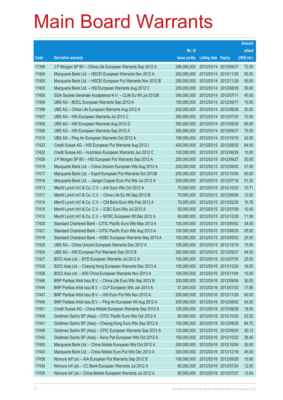|       |                                                              |               |                            |                       | <b>Amount</b> |
|-------|--------------------------------------------------------------|---------------|----------------------------|-----------------------|---------------|
|       |                                                              | No. of        |                            |                       | raised        |
| Code  | <b>Derivative warrants</b>                                   | issue (units) | <b>Listing date Expiry</b> |                       | (HK\$ mil.)   |
| 17399 | J P Morgan SP BV - China Life European Warrants Sep 2012 A   | 288,000,000   |                            | 2012/03/14 2012/09/27 | 72.00         |
| 17404 | Macquarie Bank Ltd. - HSCEI European Warrants Nov 2012 A     | 200,000,000   | 2012/03/14 2012/11/28      |                       | 50.00         |
| 17405 | Macquarie Bank Ltd. - HSCEI European Put Warrants Nov 2012 B | 200,000,000   | 2012/03/14 2012/11/28      |                       | 50.00         |
| 17403 | Macquarie Bank Ltd. - HSI European Warrants Aug 2012 C       | 200,000,000   | 2012/03/14 2012/08/30      |                       | 30.00         |
| 17400 | SGA Societe Generale Acceptance N.V. - CLife Eu Wt Jul 2012B | 300,000,000   | 2012/03/14 2012/07/11      |                       | 45.00         |
| 17409 | UBS AG - BOCL European Warrants Sep 2012 A                   | 100,000,000   |                            | 2012/03/14 2012/09/17 | 15.00         |
| 17398 | UBS AG - China Life European Warrants Aug 2012 A             | 200,000,000   | 2012/03/14 2012/08/28      |                       | 30.00         |
| 17407 | UBS AG - HSI European Warrants Jul 2012 C                    | 300,000,000   |                            | 2012/03/14 2012/07/30 | 73.50         |
| 17408 | UBS AG - HSI European Warrants Aug 2012 G                    | 300,000,000   |                            | 2012/03/14 2012/08/30 | 60.00         |
| 17406 | UBS AG - HSI European Warrants Sep 2012 A                    | 300,000,000   |                            | 2012/03/14 2012/09/27 | 75.00         |
| 17410 | UBS AG - Ping An European Warrants Oct 2012 A                | 100,000,000   | 2012/03/14 2012/10/10      |                       | 42.00         |
| 17423 | Credit Suisse AG - HSI European Put Warrants Aug 2012 I      | 400,000,000   |                            | 2012/03/15 2012/08/30 | 64.00         |
| 17422 | Credit Suisse AG - Hutchison European Warrants Jun 2012 C    | 100,000,000   |                            | 2012/03/15 2012/06/29 | 15.00         |
| 17426 | J P Morgan SP BV - HSI European Put Warrants Sep 2012 A      | 200,000,000   |                            | 2012/03/15 2012/09/27 | 30.00         |
| 17419 | Macquarie Bank Ltd. - China Unicom European Wts Aug 2012 A   | 200,000,000   |                            | 2012/03/15 2012/08/02 | 31.00         |
| 17417 | Macquarie Bank Ltd. - Esprit European Put Warrants Oct 2012B | 200,000,000   |                            | 2012/03/15 2012/10/04 | 50.00         |
| 17416 | Macquarie Bank Ltd. - Jiangxi Copper Euro Put Wts Jul 2012 A | 200,000,000   |                            | 2012/03/15 2012/07/16 | 31.20         |
| 17413 | Merrill Lynch Int'l & Co. C.V. - AIA Euro Wts Oct 2012 A     | 70,000,000    |                            | 2012/03/15 2012/10/03 | 10.71         |
| 17411 | Merrill Lynch Int'l & Co. C.V. - China Life Eu Wt Sep 2012 B | 70,000,000    |                            | 2012/03/15 2012/09/06 | 10.50         |
| 17414 | Merrill Lynch Int'l & Co. C.V. - CM Bank Euro Wts Feb 2013 A | 70,000,000    |                            | 2012/03/15 2013/02/25 | 10.78         |
| 17415 | Merrill Lynch Int'l & Co. C.V. - ICBC Euro Wts Jul 2012 A    | 50,000,000    |                            | 2012/03/15 2012/07/09 | 10.40         |
| 17412 | Merrill Lynch Int'l & Co. C.V. - MTRC European Wt Dec 2012 A | 60,000,000    |                            | 2012/03/15 2012/12/28 | 11.58         |
| 17420 | Standard Chartered Bank - CITIC Pacific Euro Wts May 2013 A  | 100,000,000   |                            | 2012/03/15 2013/05/02 | 34.50         |
| 17421 | Standard Chartered Bank - CITIC Pacific Euro Wts Aug 2013 A  | 100,000,000   |                            | 2012/03/15 2013/08/30 | 25.00         |
| 17418 | Standard Chartered Bank - HSBC European Warrants May 2013 A  | 100,000,000   |                            | 2012/03/15 2013/05/02 | 25.00         |
| 17425 | UBS AG - China Unicom European Warrants Dec 2012 A           | 100,000,000   | 2012/03/15 2012/12/19      |                       | 15.00         |
| 17424 | UBS AG - HSI European Put Warrants Sep 2012 B                | 300,000,000   |                            | 2012/03/15 2012/09/27 | 54.00         |
| 17427 | BOCI Asia Ltd. - BYD European Warrants Jul 2012 A            | 100,000,000   | 2012/03/16 2012/07/30      |                       | 25.00         |
| 17429 | BOCI Asia Ltd. - Cheung Kong European Warrants Dec 2013 A    | 100,000,000   | 2012/03/16 2013/12/24      |                       | 16.00         |
| 17428 | BOCI Asia Ltd. - A50 China European Warrants Nov 2013 A      | 100,000,000   | 2012/03/16 2013/11/04      |                       | 15.00         |
| 17446 | BNP Paribas Arbit Issu B.V. - China Life Euro Wts Sep 2012 B | 200,000,000   | 2012/03/16 2012/09/04      |                       | 30.00         |
| 17444 | BNP Paribas Arbit Issu B.V. - CLP European Wts Jan 2013 A    | 51,000,000    |                            | 2012/03/16 2013/01/03 | 17.85         |
| 17447 | BNP Paribas Arbit Issu B.V. - HSI Euro Put Wts Nov 2012 A    | 200,000,000   | 2012/03/16 2012/11/29      |                       | 60.00         |
| 17445 | BNP Paribas Arbit Issu B.V. - Ping An European Wt Aug 2012 A | 200,000,000   |                            | 2012/03/16 2012/08/02 | 54.00         |
| 17451 | Credit Suisse AG - China Mobile European Warrants Sep 2012 A | 120,000,000   | 2012/03/16 2012/09/28      |                       | 18.00         |
| 17449 | Goldman Sachs SP (Asia) - CITIC Pacific Euro Wts Oct 2012 A  | 80,000,000    | 2012/03/16 2012/10/30      |                       | 53.52         |
| 17441 | Goldman Sachs SP (Asia) - Cheung Kong Euro Wts Sep 2012 A    | 150,000,000   | 2012/03/16 2012/09/28      |                       | 84.75         |
| 17448 | Goldman Sachs SP (Asia) - CPIC European Warrants Sep 2012 A  | 120,000,000   | 2012/03/16 2012/09/24      |                       | 30.12         |
| 17442 | Goldman Sachs SP (Asia) - Kerry Ppt European Wts Oct 2012 A  | 150,000,000   |                            | 2012/03/16 2012/10/22 | 38.40         |
| 17450 | Macquarie Bank Ltd. - China Mobile European Wts Oct 2012 A   | 200,000,000   | 2012/03/16 2012/10/04      |                       | 30.00         |
| 17443 | Macquarie Bank Ltd. - China Mobile Euro Put Wts Dec 2013 A   | 300,000,000   | 2012/03/16 2013/12/16      |                       | 45.00         |
| 17436 | Nomura Int'l plc - AIA European Put Warrants Sep 2012 B      | 100,000,000   | 2012/03/16 2012/09/28      |                       | 15.00         |
| 17434 | Nomura Int'l plc - CC Bank European Warrants Jul 2012 A      | 80,000,000    | 2012/03/16 2012/07/24      |                       | 12.00         |
| 17435 | Nomura Int'l plc - China Mobile European Warrants Jul 2012 A | 80,000,000    | 2012/03/16 2012/07/27      |                       | 13.04         |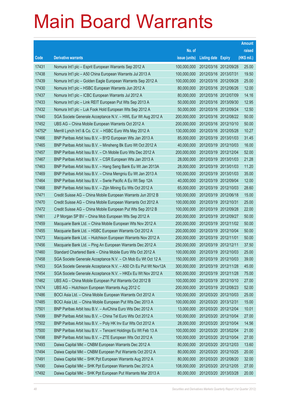|        |                                                                |               |                            | <b>Amount</b> |
|--------|----------------------------------------------------------------|---------------|----------------------------|---------------|
|        |                                                                | No. of        |                            | raised        |
| Code   | <b>Derivative warrants</b>                                     | issue (units) | <b>Listing date Expiry</b> | (HK\$ mil.)   |
| 17431  | Nomura Int'l plc - Esprit European Warrants Sep 2012 A         | 100,000,000   | 2012/03/16 2012/09/28      | 25.00         |
| 17438  | Nomura Int'l plc - A50 China European Warrants Jul 2013 A      | 100,000,000   | 2012/03/16 2013/07/31      | 19.50         |
| 17439  | Nomura Int'l plc - Golden Eagle European Warrants Sep 2012 A   | 100,000,000   | 2012/03/16 2012/09/28      | 25.00         |
| 17430  | Nomura Int'l plc - HSBC European Warrants Jun 2012 A           | 80,000,000    | 2012/03/16 2012/06/26      | 12.00         |
| 17437  | Nomura Int'l plc - ICBC European Warrants Jul 2012 A           | 80,000,000    | 2012/03/16 2012/07/09      | 14.16         |
| 17433  | Nomura Int'l plc - Link REIT European Put Wts Sep 2013 A       | 50,000,000    | 2012/03/16 2013/09/30      | 12.95         |
| 17432  | Nomura Int'l plc - Luk Fook Hold European Wts Sep 2012 A       | 50,000,000    | 2012/03/16 2012/09/24      | 12.50         |
| 17440  | SGA Societe Generale Acceptance N.V. - HWL Eur Wt Aug 2012 A   | 200,000,000   | 2012/03/16 2012/08/22      | 50.00         |
| 17452  | UBS AG – China Mobile European Warrants Oct 2012 A             | 200,000,000   | 2012/03/16 2012/10/10      | 50.00         |
| 14752# | Merrill Lynch Int'l & Co. C.V. - HSBC Euro Wts May 2012 A      | 130,000,000   | 2012/03/16 2012/05/28      | 10.27         |
| 17466  | BNP Paribas Arbit Issu B.V. - BYD European Wts Jan 2013 A      | 85,000,000    | 2012/03/19 2013/01/03      | 31.45         |
| 17465  | BNP Paribas Arbit Issu B.V. - Minsheng Bk Euro Wt Oct 2012 A   | 40,000,000    | 2012/03/19 2012/10/03      | 16.00         |
| 17457  | BNP Paribas Arbit Issu B.V. - Ch Mobile Euro Wts Dec 2012 A    | 200,000,000   | 2012/03/19 2012/12/04      | 52.00         |
| 17467  | BNP Paribas Arbit Issu B.V. - CSR European Wts Jan 2013 A      | 28,000,000    | 2012/03/19 2013/01/03      | 21.28         |
| 17463  | BNP Paribas Arbit Issu B.V. - Hang Seng Bank Eu Wt Jan 2013A   | 28,000,000    | 2012/03/19 2013/01/03      | 11.20         |
| 17469  | BNP Paribas Arbit Issu B.V. - China Mengniu Eu Wt Jan 2013 A   | 100,000,000   | 2012/03/19 2013/01/03      | 35.00         |
| 17464  | BNP Paribas Arbit Issu B.V. - Swrie Pacific A Eu Wt Sep 12A    | 40,000,000    | 2012/03/19 2012/09/04      | 12.00         |
| 17468  | BNP Paribas Arbit Issu B.V. - Zijin Mining Eu Wts Oct 2012 A   | 65,000,000    | 2012/03/19 2012/10/03      | 28.60         |
| 17471  | Credit Suisse AG - China Mobile European Warrants Jun 2012 B   | 100,000,000   | 2012/03/19 2012/06/18      | 15.00         |
| 17470  | Credit Suisse AG - China Mobile European Warrants Oct 2012 A   | 100,000,000   | 2012/03/19 2012/10/31      | 25.00         |
| 17472  | Credit Suisse AG - China Mobile European Put Wts Sep 2012 B    | 100,000,000   | 2012/03/19 2012/09/28      | 22.00         |
| 17461  | J P Morgan SP BV - China Mob European Wts Sep 2012 A           | 200,000,000   | 2012/03/19 2012/09/27      | 50.00         |
| 17459  | Macquarie Bank Ltd. - China Mobile European Wts Nov 2012 A     | 200,000,000   | 2012/03/19 2012/11/02      | 50.00         |
| 17455  | Macquarie Bank Ltd. - HSBC European Warrants Oct 2012 A        | 200,000,000   | 2012/03/19 2012/10/04      | 50.00         |
| 17473  | Macquarie Bank Ltd. - Hutchison European Warrants Nov 2012 A   | 200,000,000   | 2012/03/19 2012/11/01      | 50.00         |
| 17456  | Macquarie Bank Ltd. - Ping An European Warrants Dec 2012 A     | 250,000,000   | 2012/03/19 2012/12/11      | 37.50         |
| 17460  | Standard Chartered Bank – China Mobile Euro Wts Oct 2012 A     | 100,000,000   | 2012/03/19 2012/10/03      | 25.00         |
| 17458  | SGA Societe Generale Acceptance N.V. - Ch Mob Eu Wt Oct 12 A   | 150,000,000   | 2012/03/19 2012/10/03      | 39.00         |
| 17453  | SGA Societe Generale Acceptance N.V. - A50 Ch Eu Put Wt Nov12A | 300,000,000   | 2012/03/19 2012/11/28      | 45.00         |
| 17454  | SGA Societe Generale Acceptance N.V. - HKEx Eu Wt Nov 2012 A   | 500,000,000   | 2012/03/19 2012/11/28      | 75.00         |
| 17462  | UBS AG - China Mobile European Put Warrants Oct 2012 B         | 100,000,000   | 2012/03/19 2012/10/10      | 27.00         |
| 17474  | UBS AG - Hutchison European Warrants Aug 2012 C                | 200,000,000   | 2012/03/19 2012/08/23      | 52.00         |
| 17486  | BOCI Asia Ltd. - China Mobile European Warrants Oct 2012 A     | 100,000,000   | 2012/03/20 2012/10/03      | 25.00         |
| 17485  | BOCI Asia Ltd. - China Mobile European Put Wts Dec 2013 A      | 100,000,000   | 2012/03/20 2013/12/31      | 15.00         |
| 17501  | BNP Paribas Arbit Issu B.V. - AviChina Euro Wts Dec 2012 A     | 13,000,000    | 2012/03/20 2012/12/04      | 10.01         |
| 17499  | BNP Paribas Arbit Issu B.V. - China Tel Euro Wts Oct 2012 A    | 100,000,000   | 2012/03/20 2012/10/04      | 27.00         |
| 17502  | BNP Paribas Arbit Issu B.V. - Poly HK Inv Eur Wts Oct 2012 A   | 28,000,000    | 2012/03/20 2012/10/04      | 14.56         |
| 17500  | BNP Paribas Arbit Issu B.V. - Tencent Holdings Eu Wt Feb 13 A  | 100,000,000   | 2012/03/20 2013/02/04      | 21.00         |
| 17498  | BNP Paribas Arbit Issu B.V. - ZTE European Wts Oct 2012 A      | 100,000,000   | 2012/03/20 2012/10/04      | 27.00         |
| 17493  | Daiwa Capital Mkt - CNBM European Warrants Dec 2012 A          | 80,000,000    | 2012/03/20 2012/12/03      | 13.60         |
| 17494  | Daiwa Capital Mkt - CNBM European Put Warrants Oct 2012 A      | 80,000,000    | 2012/03/20 2012/10/25      | 20.00         |
| 17491  | Daiwa Capital Mkt – SHK Ppt European Warrants Aug 2012 A       | 80,000,000    | 2012/03/20 2012/08/20      | 32.00         |
| 17490  | Daiwa Capital Mkt - SHK Ppt European Warrants Dec 2012 A       | 108,000,000   | 2012/03/20 2012/12/05      | 27.00         |
| 17492  | Daiwa Capital Mkt - SHK Ppt European Put Warrants Mar 2013 A   | 80,000,000    | 2012/03/20 2013/03/28      | 20.00         |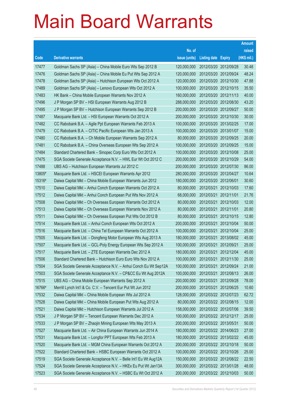|        |                                                                 |               |                            |            | <b>Amount</b> |
|--------|-----------------------------------------------------------------|---------------|----------------------------|------------|---------------|
|        |                                                                 | No. of        |                            |            | raised        |
| Code   | <b>Derivative warrants</b>                                      | issue (units) | <b>Listing date Expiry</b> |            | (HK\$ mil.)   |
| 17477  | Goldman Sachs SP (Asia) – China Mobile Euro Wts Sep 2012 B      | 120,000,000   | 2012/03/20 2012/09/28      |            | 30.48         |
| 17476  | Goldman Sachs SP (Asia) – China Mobile Eu Put Wts Sep 2012 A    | 120,000,000   | 2012/03/20 2012/09/24      |            | 48.24         |
| 17478  | Goldman Sachs SP (Asia) - Hutchison European Wts Oct 2012 A     | 120,000,000   | 2012/03/20 2012/10/30      |            | 47.88         |
| 17489  | Goldman Sachs SP (Asia) – Lenovo European Wts Oct 2012 A        | 100,000,000   | 2012/03/20 2012/10/15      |            | 35.50         |
| 17483  | HK Bank - China Mobile European Warrants Nov 2012 A             | 160,000,000   | 2012/03/20 2012/11/13      |            | 40.00         |
| 17496  | J P Morgan SP BV - HSI European Warrants Aug 2012 B             | 288,000,000   | 2012/03/20 2012/08/30      |            | 43.20         |
| 17495  | J P Morgan SP BV - Hutchison European Warrants Sep 2012 B       | 200,000,000   | 2012/03/20 2012/09/27      |            | 50.00         |
| 17487  | Macquarie Bank Ltd. - HSI European Warrants Oct 2012 A          | 200,000,000   | 2012/03/20 2012/10/30      |            | 30.00         |
| 17482  | CC Rabobank B.A. - Agile Ppt European Warrants Feb 2013 A       | 100,000,000   | 2012/03/20 2013/02/25      |            | 17.00         |
| 17479  | CC Rabobank B.A. - CITIC Pacific European Wts Jan 2013 A        | 100,000,000   | 2012/03/20 2013/01/07      |            | 15.00         |
| 17480  | CC Rabobank B.A. - Ch Mobile European Warrants Sep 2012 A       | 80,000,000    | 2012/03/20 2012/09/25      |            | 20.00         |
| 17481  | CC Rabobank B.A. - China Overseas European Wts Sep 2012 A       | 100,000,000   | 2012/03/20 2012/09/25      |            | 15.00         |
| 17484  | Standard Chartered Bank – Sinopec Corp Euro Wts Oct 2012 A      | 100,000,000   | 2012/03/20 2012/10/08      |            | 25.00         |
| 17475  | SGA Societe Generale Acceptance N.V. - HWL Eur Wt Oct 2012 C    | 200,000,000   | 2012/03/20 2012/10/29      |            | 54.00         |
| 17488  | UBS AG - Hutchison European Warrants Jul 2012 C                 | 200,000,000   | 2012/03/20 2012/07/30      |            | 86.00         |
| 13805# | Macquarie Bank Ltd. - HSCEI European Warrants Apr 2012          | 280,000,000   | 2012/03/20 2012/04/27      |            | 10.64         |
| 15316# | Daiwa Capital Mkt - China Mobile European Warrants Jun 2012     | 180,000,000   | 2012/03/20 2012/06/01      |            | 30.60         |
| 17510  | Daiwa Capital Mkt - Anhui Conch European Warrants Oct 2012 A    | 80,000,000    | 2012/03/21 2012/10/03      |            | 17.60         |
| 17512  | Daiwa Capital Mkt - Anhui Conch European Put Wts Nov 2012 A     | 68,000,000    | 2012/03/21                 | 2012/11/01 | 21.76         |
| 17508  | Daiwa Capital Mkt – Ch Overseas European Warrants Oct 2012 A    | 80,000,000    | 2012/03/21 2012/10/03      |            | 12.00         |
| 17513  | Daiwa Capital Mkt – Ch Overseas European Warrants Nov 2012 A    | 80,000,000    | 2012/03/21                 | 2012/11/01 | 20.80         |
| 17511  | Daiwa Capital Mkt – Ch Overseas European Put Wts Oct 2012 B     | 80,000,000    | 2012/03/21                 | 2012/10/15 | 12.80         |
| 17514  | Macquarie Bank Ltd. - Anhui Conch European Wts Oct 2012 A       | 200,000,000   | 2012/03/21                 | 2012/10/04 | 50.00         |
| 17516  | Macquarie Bank Ltd. - China Tel European Warrants Oct 2012 A    | 100,000,000   | 2012/03/21 2012/10/04      |            | 25.00         |
| 17505  | Macquarie Bank Ltd. - Dongfeng Motor European Wts Aug 2013 A    | 180,000,000   | 2012/03/21                 | 2013/08/02 | 45.00         |
| 17507  | Macquarie Bank Ltd. - GCL-Poly Energy European Wts Sep 2012 A   | 100,000,000   | 2012/03/21                 | 2012/09/21 | 25.00         |
| 17517  | Macquarie Bank Ltd. - ZTE European Warrants Dec 2012 A          | 180,000,000   | 2012/03/21 2012/12/04      |            | 45.00         |
| 17506  | Standard Chartered Bank - Hutchison Euro Euro Wts Nov 2012 A    | 100,000,000   | 2012/03/21 2012/11/30      |            | 25.00         |
| 17504  | SGA Societe Generale Acceptance N.V. - Anhui Conch Eu Wt Sep12A | 100,000,000   | 2012/03/21                 | 2012/09/24 | 21.00         |
| 17503  | SGA Societe Generale Acceptance N.V. - CP&CC Eu Wt Aug 2012A    | 100,000,000   | 2012/03/21 2012/08/13      |            | 26.00         |
| 17515  | UBS AG - China Mobile European Warrants Sep 2012 A              | 200,000,000   | 2012/03/21                 | 2012/09/28 | 78.00         |
| 16766# | Merrill Lynch Int'l & Co. C.V. - Tencent Eur Put Wt Jun 2012    | 200,000,000   | 2012/03/21 2012/06/25      |            | 10.60         |
| 17532  | Daiwa Capital Mkt - China Mobile European Wts Jul 2012 A        | 128,000,000   | 2012/03/22 2012/07/23      |            | 62.72         |
| 17528  | Daiwa Capital Mkt - China Mobile European Put Wts Aug 2012 A    | 80,000,000    | 2012/03/22 2012/08/15      |            | 12.00         |
| 17521  | Daiwa Capital Mkt - Hutchison European Warrants Jul 2012 A      | 158,000,000   | 2012/03/22 2012/07/06      |            | 39.50         |
| 17534  | J P Morgan SP BV - Tencent European Warrants Dec 2012 A         | 100,000,000   | 2012/03/22 2012/12/17      |            | 25.00         |
| 17533  | J P Morgan SP BV - Zhaojin Mining European Wts May 2013 A       | 200,000,000   | 2012/03/22 2013/05/31      |            | 50.00         |
| 17527  | Macquarie Bank Ltd. - Air China European Warrants Jun 2014 A    | 180,000,000   | 2012/03/22 2014/06/23      |            | 27.00         |
| 17531  | Macquarie Bank Ltd. - Longfor PPT European Wts Feb 2013 A       | 180,000,000   | 2012/03/22 2013/02/22      |            | 45.00         |
| 17520  | Macquarie Bank Ltd. - MGM China European Warrants Oct 2012 A    | 200,000,000   | 2012/03/22 2012/10/18      |            | 50.00         |
| 17522  | Standard Chartered Bank - HSBC European Warrants Oct 2012 A     | 100,000,000   | 2012/03/22 2012/10/26      |            | 25.00         |
| 17519  | SGA Societe Generale Acceptance N.V. - Belle Int'l Eu Wt Aug12A | 150,000,000   | 2012/03/22 2012/08/22      |            | 22.50         |
| 17524  | SGA Societe Generale Acceptance N.V. - HKEx Eu Put Wt Jan13A    | 300,000,000   | 2012/03/22 2013/01/28      |            | 48.00         |
| 17523  | SGA Societe Generale Acceptance N.V. - HSBC Eu Wt Oct 2012 A    | 200,000,000   | 2012/03/22 2012/10/03      |            | 50.00         |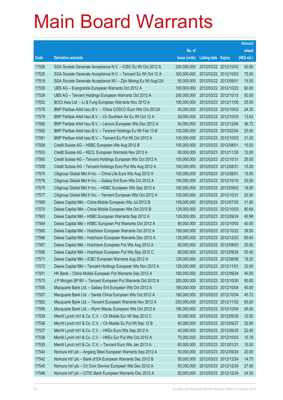|       |                                                                |               |                            |                       | <b>Amount</b> |
|-------|----------------------------------------------------------------|---------------|----------------------------|-----------------------|---------------|
|       |                                                                | No. of        |                            |                       | raised        |
| Code  | <b>Derivative warrants</b>                                     | issue (units) | <b>Listing date Expiry</b> |                       | (HK\$ mil.)   |
| 17526 | SGA Societe Generale Acceptance N.V. - ICBC Eu Wt Oct 2012 A   | 200,000,000   | 2012/03/22 2012/10/03      |                       | 50.00         |
| 17525 | SGA Societe Generale Acceptance N.V. - Tencent Eu Wt Oct 12 A  | 300,000,000   |                            | 2012/03/22 2012/10/03 | 75.00         |
| 17518 | SGA Societe Generale Acceptance NV - Zijin Mining Eu Wt Aug12A | 50,000,000    | 2012/03/22 2012/08/01      |                       | 15.00         |
| 17530 | UBS AG - Evergrande European Warrants Oct 2012 A               | 100,000,000   |                            | 2012/03/22 2012/10/22 | 60.00         |
| 17529 | UBS AG - Tencent Holdings European Warrants Oct 2012 A         | 200,000,000   |                            | 2012/03/22 2012/10/15 | 50.00         |
| 17552 | BOCI Asia Ltd. - Li & Fung European Warrants Nov 2012 A        | 100,000,000   |                            | 2012/03/23 2012/11/05 | 25.00         |
| 17578 | BNP Paribas Arbit Issu B.V. - China COSCO Euro Wts Oct 2012A   | 45,000,000    |                            | 2012/03/23 2012/10/03 | 24.30         |
| 17579 | BNP Paribas Arbit Issu B.V. - Ch Southern Air Eu Wt Oct 12 A   | 29,000,000    |                            | 2012/03/23 2012/10/03 | 13.63         |
| 17580 | BNP Paribas Arbit Issu B.V. - Lenovo European Wts Dec 2012 A   | 54,000,000    |                            | 2012/03/23 2012/12/04 | 36.72         |
| 17582 | BNP Paribas Arbit Issu B.V. - Tencent Holdings Eu Wt Feb 13 B  | 100,000,000   |                            | 2012/03/23 2013/02/04 | 25.00         |
| 17581 | BNP Paribas Arbit Issu B.V. - Tencent Eu Put Wt Oct 2012 A     | 100,000,000   |                            | 2012/03/23 2012/10/03 | 31.00         |
| 17558 | Credit Suisse AG - HSBC European Wts Aug 2012 B                | 100,000,000   | 2012/03/23 2012/08/01      |                       | 15.00         |
| 17553 | Credit Suisse AG - KECL European Warrants Nov 2012 A           | 80,000,000    |                            | 2012/03/23 2012/11/30 | 12.00         |
| 17560 | Credit Suisse AG - Tencent Holdings European Wts Oct 2012 A    | 100,000,000   | 2012/03/23 2012/10/31      |                       | 25.00         |
| 17559 | Credit Suisse AG - Tencent Holdings Euro Put Wts Aug 2012 A    | 100,000,000   | 2012/03/23 2012/08/31      |                       | 15.00         |
| 17574 | Citigroup Global Mkt H Inc. - China Life Euro Wts Aug 2012 A   | 100,000,000   | 2012/03/23 2012/08/01      |                       | 15.00         |
| 17576 | Citigroup Global Mkt H Inc. - Galaxy Ent Euro Wts Oct 2012 A   | 100,000,000   |                            | 2012/03/23 2012/10/10 | 25.00         |
| 17575 | Citigroup Global Mkt H Inc. - HSBC European Wts Sep 2012 A     | 100,000,000   |                            | 2012/03/23 2012/09/03 | 18.00         |
| 17577 | Citigroup Global Mkt H Inc. - Tencent European Wts Oct 2012 A  | 100,000,000   | 2012/03/23 2012/10/31      |                       | 25.00         |
| 17569 | Daiwa Capital Mkt - China Mobile European Wts Jul 2012 B       | 158,000,000   |                            | 2012/03/23 2012/07/03 | 31.60         |
| 17570 | Daiwa Capital Mkt - China Mobile European Wts Oct 2012 B       | 128,000,000   |                            | 2012/03/23 2012/10/03 | 80.64         |
| 17563 | Daiwa Capital Mkt - HSBC European Warrants Sep 2012 A          | 128,000,000   |                            | 2012/03/23 2012/09/24 | 40.96         |
| 17564 | Daiwa Capital Mkt - HSBC European Put Warrants Oct 2012 A      | 80,000,000    |                            | 2012/03/23 2012/10/03 | 40.00         |
| 17565 | Daiwa Capital Mkt - Hutchison European Warrants Oct 2012 A     | 158,000,000   |                            | 2012/03/23 2012/10/22 | 39.50         |
| 17566 | Daiwa Capital Mkt - Hutchison European Warrants Dec 2012 A     | 128,000,000   |                            | 2012/03/23 2012/12/03 | 80.64         |
| 17567 | Daiwa Capital Mkt - Hutchison European Put Wts Aug 2012 A      | 80,000,000    | 2012/03/23 2012/08/03      |                       | 20.00         |
| 17568 | Daiwa Capital Mkt – Hutchison European Put Wts Sep 2012 C      | 80,000,000    | 2012/03/23 2012/09/24      |                       | 50.40         |
| 17571 | Daiwa Capital Mkt - ICBC European Warrants Aug 2012 A          | 128,000,000   | 2012/03/23 2012/08/08      |                       | 19.20         |
| 17572 | Daiwa Capital Mkt - Tencent Holdings European Wts Nov 2012 A   | 128,000,000   | 2012/03/23 2012/11/01      |                       | 32.00         |
| 17551 | HK Bank - China Mobile European Put Warrants Sep 2012 A        | 160,000,000   |                            | 2012/03/23 2012/09/24 | 40.00         |
| 17573 | J P Morgan SP BV - Tencent European Put Warrants Oct 2012 A    | 200,000,000   |                            | 2012/03/23 2012/10/30 | 50.00         |
| 17555 | Macquarie Bank Ltd. - Galaxy Ent European Wts Oct 2012 A       | 180,000,000   |                            | 2012/03/23 2012/10/04 | 45.00         |
| 17557 | Macquarie Bank Ltd. - Sands China European Wts Oct 2012 A      | 180,000,000   |                            | 2012/03/23 2012/10/04 | 45.72         |
| 17562 | Macquarie Bank Ltd. - Tencent European Warrants Nov 2012 A     | 250,000,000   |                            | 2012/03/23 2012/11/02 | 63.00         |
| 17556 | Macquarie Bank Ltd. - Wynn Macau European Wts Oct 2012 A       | 180,000,000   |                            | 2012/03/23 2012/10/04 | 45.00         |
| 17539 | Merrill Lynch Int'l & Co. C.V. - Ch Mobile Eur Wt Sep 2012 C   | 50,000,000    |                            | 2012/03/23 2012/09/26 | 12.50         |
| 17538 | Merrill Lynch Int'l & Co. C.V. - Ch Mobile Eu Put Wt Sep 12 B  | 40,000,000    |                            | 2012/03/23 2012/09/27 | 32.80         |
| 17537 | Merrill Lynch Int'l & Co. C.V. - HKEx Euro Wts Sep 2012 A      | 40,000,000    |                            | 2012/03/23 2012/09/25 | 22.40         |
| 17536 | Merrill Lynch Int'l & Co. C.V. - HKEx Eur Put Wts Oct 2012 A   | 70,000,000    |                            | 2012/03/23 2012/10/03 | 10.78         |
| 17535 | Merrill Lynch Int'l & Co. C.V. - Tencent Euro Wts Jan 2013 A   | 60,000,000    | 2012/03/23 2013/01/21      |                       | 15.00         |
| 17544 | Nomura Int'l plc - Angang Steel European Warrants Sep 2012 A   | 50,000,000    |                            | 2012/03/23 2012/09/24 | 20.00         |
| 17542 | Nomura Int'l plc - Bank of EA European Warrants Dec 2012 B     | 50,000,000    |                            | 2012/03/23 2012/12/24 | 14.75         |
| 17545 | Nomura Int'l plc - Ch Com Service European Wts Dec 2012 A      | 50,000,000    |                            | 2012/03/23 2012/12/24 | 27.90         |
| 17548 | Nomura Int'l plc - CITIC Bank European Warrants Dec 2012 A     | 50,000,000    |                            | 2012/03/23 2012/12/24 | 24.50         |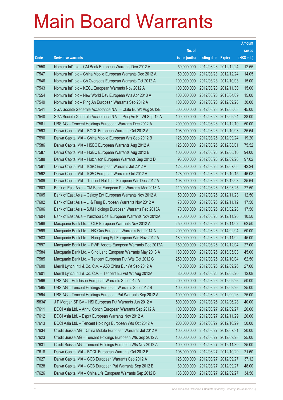|        |                                                               |               |                       |                       | <b>Amount</b> |
|--------|---------------------------------------------------------------|---------------|-----------------------|-----------------------|---------------|
|        |                                                               | No. of        |                       |                       | raised        |
| Code   | <b>Derivative warrants</b>                                    | issue (units) | Listing date Expiry   |                       | (HK\$ mil.)   |
| 17550  | Nomura Int'l plc - CM Bank European Warrants Dec 2012 A       | 50,000,000    | 2012/03/23 2012/12/24 |                       | 12.55         |
| 17547  | Nomura Int'l plc - China Mobile European Warrants Dec 2012 A  | 50,000,000    | 2012/03/23 2012/12/24 |                       | 14.05         |
| 17546  | Nomura Int'l plc - Ch Overseas European Warrants Oct 2012 A   | 100,000,000   | 2012/03/23 2012/10/03 |                       | 15.00         |
| 17543  | Nomura Int'l plc - KECL European Warrants Nov 2012 A          | 100,000,000   | 2012/03/23 2012/11/30 |                       | 15.00         |
| 17554  | Nomura Int'l plc - New World Dev European Wts Apr 2013 A      | 100,000,000   | 2012/03/23 2013/04/09 |                       | 15.00         |
| 17549  | Nomura Int'l plc - Ping An European Warrants Sep 2012 A       | 100,000,000   | 2012/03/23 2012/09/28 |                       | 30.00         |
| 17541  | SGA Societe Generale Acceptance N.V. - CLife Eu Wt Aug 2012B  | 300,000,000   | 2012/03/23 2012/08/08 |                       | 45.00         |
| 17540  | SGA Societe Generale Acceptance N.V. - Ping An Eu Wt Sep 12 A | 100,000,000   | 2012/03/23 2012/09/24 |                       | 38.00         |
| 17561  | UBS AG - Tencent Holdings European Warrants Dec 2012 A        | 200,000,000   | 2012/03/23 2012/12/10 |                       | 50.00         |
| 17593  | Daiwa Capital Mkt - BOCL European Warrants Oct 2012 A         | 108,000,000   | 2012/03/26 2012/10/03 |                       | 35.64         |
| 17590  | Daiwa Capital Mkt - China Mobile European Wts Sep 2012 B      | 128,000,000   | 2012/03/26 2012/09/24 |                       | 19.20         |
| 17586  | Daiwa Capital Mkt - HSBC European Warrants Aug 2012 A         | 128,000,000   | 2012/03/26 2012/08/01 |                       | 75.52         |
| 17587  | Daiwa Capital Mkt - HSBC European Warrants Aug 2012 B         | 100,000,000   | 2012/03/26 2012/08/10 |                       | 94.00         |
| 17588  | Daiwa Capital Mkt - Hutchison European Warrants Sep 2012 D    | 98,000,000    | 2012/03/26 2012/09/26 |                       | 97.02         |
| 17591  | Daiwa Capital Mkt - ICBC European Warrants Jul 2012 A         | 128,000,000   | 2012/03/26 2012/07/06 |                       | 42.24         |
| 17592  | Daiwa Capital Mkt - ICBC European Warrants Oct 2012 A         | 128,000,000   | 2012/03/26 2012/10/15 |                       | 46.08         |
| 17589  | Daiwa Capital Mkt - Tencent Holdings European Wts Dec 2012 A  | 108,000,000   | 2012/03/26 2012/12/03 |                       | 35.64         |
| 17603  | Bank of East Asia - CM Bank European Put Warrants Mar 2013 A  | 110,000,000   | 2012/03/26 2013/03/25 |                       | 27.50         |
| 17605  | Bank of East Asia - Galaxy Ent European Warrants Nov 2012 A   | 50,000,000    |                       | 2012/03/26 2012/11/23 | 12.50         |
| 17602  | Bank of East Asia - Li & Fung European Warrants Nov 2012 A    | 70,000,000    |                       | 2012/03/26 2012/11/12 | 17.50         |
| 17606  | Bank of East Asia - SJM Holdings European Warrants Feb 2013A  | 70,000,000    | 2012/03/26 2013/02/28 |                       | 17.50         |
| 17604  | Bank of East Asia - Yanzhou Coal European Warrants Nov 2012A  | 70,000,000    | 2012/03/26 2012/11/20 |                       | 10.50         |
| 17598  | Macquarie Bank Ltd. - CLP European Warrants Nov 2012 A        | 250,000,000   | 2012/03/26 2012/11/02 |                       | 62.50         |
| 17599  | Macquarie Bank Ltd. - HK Gas European Warrants Feb 2014 A     | 200,000,000   | 2012/03/26 2014/02/04 |                       | 50.00         |
| 17583  | Macquarie Bank Ltd. - Hang Lung Ppt European Wts Nov 2012 A   | 180,000,000   | 2012/03/26 2012/11/02 |                       | 45.00         |
| 17597  | Macquarie Bank Ltd. - PWR Assets European Warrants Dec 2012A  | 180,000,000   | 2012/03/26 2012/12/04 |                       | 27.00         |
| 17584  | Macquarie Bank Ltd. - Sino Land European Warrants May 2013 A  | 180,000,000   | 2012/03/26 2013/05/03 |                       | 45.00         |
| 17585  | Macquarie Bank Ltd. - Tencent European Put Wts Oct 2012 C     | 250,000,000   | 2012/03/26 2012/10/04 |                       | 62.50         |
| 17600  | Merrill Lynch Int'l & Co. C.V. - A50 China Eur Wt Sep 2012 A  | 40,000,000    | 2012/03/26 2012/09/26 |                       | 27.60         |
| 17601  | Merrill Lynch Int'l & Co. C.V. - Tencent Eu Put Wt Aug 2012A  | 80,000,000    | 2012/03/26 2012/08/20 |                       | 12.08         |
| 17596  | UBS AG - Hutchison European Warrants Sep 2012 A               | 200,000,000   | 2012/03/26 2012/09/26 |                       | 50.00         |
| 17595  | UBS AG - Tencent Holdings European Warrants Sep 2012 B        | 100,000,000   | 2012/03/26 2012/09/26 |                       | 25.00         |
| 17594  | UBS AG - Tencent Holdings European Put Warrants Sep 2012 A    | 100,000,000   | 2012/03/26 2012/09/26 |                       | 25.00         |
| 15834# | J P Morgan SP BV - HSI European Put Warrants Jun 2012 A       | 500,000,000   | 2012/03/26 2012/06/28 |                       | 40.00         |
| 17611  | BOCI Asia Ltd. - Anhui Conch European Warrants Sep 2012 A     | 100,000,000   | 2012/03/27 2012/09/27 |                       | 20.00         |
| 17612  | BOCI Asia Ltd. - Esprit European Warrants Nov 2012 A          | 100,000,000   | 2012/03/27 2012/11/29 |                       | 20.00         |
| 17613  | BOCI Asia Ltd. - Tencent Holdings European Wts Oct 2012 A     | 200,000,000   | 2012/03/27 2012/10/29 |                       | 50.00         |
| 17634  | Credit Suisse AG - China Mobile European Warrants Jul 2012 A  | 100,000,000   | 2012/03/27 2012/07/31 |                       | 20.00         |
| 17623  | Credit Suisse AG - Tencent Holdings European Wts Sep 2012 A   | 100,000,000   | 2012/03/27 2012/09/28 |                       | 25.00         |
| 17631  | Credit Suisse AG - Tencent Holdings European Wts Nov 2012 A   | 100,000,000   | 2012/03/27 2012/11/30 |                       | 25.00         |
| 17618  | Daiwa Capital Mkt - BOCL European Warrants Oct 2012 B         | 108,000,000   | 2012/03/27 2012/10/29 |                       | 21.60         |
| 17627  | Daiwa Capital Mkt - CCB European Warrants Sep 2012 A          | 128,000,000   | 2012/03/27 2012/09/27 |                       | 37.12         |
| 17628  | Daiwa Capital Mkt - CCB European Put Warrants Sep 2012 B      | 80,000,000    | 2012/03/27 2012/09/27 |                       | 48.00         |
| 17626  | Daiwa Capital Mkt - China Life European Warrants Sep 2012 B   | 138,000,000   | 2012/03/27 2012/09/27 |                       | 34.50         |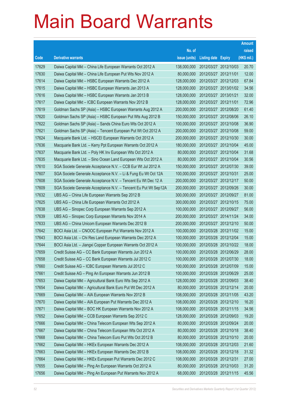|       |                                                                 |               |                            |            | <b>Amount</b> |
|-------|-----------------------------------------------------------------|---------------|----------------------------|------------|---------------|
|       |                                                                 | No. of        |                            |            | raised        |
| Code  | <b>Derivative warrants</b>                                      | issue (units) | <b>Listing date Expiry</b> |            | (HK\$ mil.)   |
| 17629 | Daiwa Capital Mkt - China Life European Warrants Oct 2012 A     | 138,000,000   | 2012/03/27 2012/10/03      |            | 20.70         |
| 17630 | Daiwa Capital Mkt - China Life European Put Wts Nov 2012 A      | 80,000,000    | 2012/03/27 2012/11/01      |            | 12.00         |
| 17614 | Daiwa Capital Mkt - HSBC European Warrants Dec 2012 A           | 128,000,000   | 2012/03/27                 | 2012/12/03 | 67.84         |
| 17615 | Daiwa Capital Mkt - HSBC European Warrants Jan 2013 A           | 128,000,000   | 2012/03/27 2013/01/02      |            | 34.56         |
| 17616 | Daiwa Capital Mkt - HSBC European Warrants Jan 2013 B           | 128,000,000   | 2012/03/27                 | 2013/01/21 | 32.00         |
| 17617 | Daiwa Capital Mkt - ICBC European Warrants Nov 2012 B           | 128,000,000   | 2012/03/27 2012/11/01      |            | 72.96         |
| 17619 | Goldman Sachs SP (Asia) - HSBC European Warrants Aug 2012 A     | 200,000,000   | 2012/03/27                 | 2012/08/20 | 61.40         |
| 17620 | Goldman Sachs SP (Asia) - HSBC European Put Wts Aug 2012 B      | 150,000,000   | 2012/03/27 2012/08/06      |            | 26.10         |
| 17622 | Goldman Sachs SP (Asia) - Sands China Euro Wts Oct 2012 A       | 100,000,000   | 2012/03/27 2012/10/08      |            | 36.90         |
| 17621 | Goldman Sachs SP (Asia) - Tencent European Put Wt Oct 2012 A    | 200,000,000   | 2012/03/27 2012/10/08      |            | 59.00         |
| 17624 | Macquarie Bank Ltd. - HSCEI European Warrants Oct 2012 A        | 200,000,000   | 2012/03/27                 | 2012/10/30 | 30.00         |
| 17636 | Macquarie Bank Ltd. - Kerry Ppt European Warrants Oct 2012 A    | 180,000,000   | 2012/03/27 2012/10/04      |            | 45.00         |
| 17637 | Macquarie Bank Ltd. - Poly HK Inv European Wts Oct 2012 A       | 80,000,000    | 2012/03/27 2012/10/04      |            | 31.68         |
| 17635 | Macquarie Bank Ltd. - Sino Ocean Land European Wts Oct 2012 A   | 80,000,000    | 2012/03/27 2012/10/04      |            | 30.56         |
| 17610 | SGA Societe Generale Acceptance N.V. - CCB Eur Wt Jul 2012 A    | 150,000,000   | 2012/03/27                 | 2012/07/30 | 39.00         |
| 17607 | SGA Societe Generale Acceptance N.V. - Li & Fung Eu Wt Oct 12A  | 100,000,000   | 2012/03/27 2012/10/31      |            | 25.00         |
| 17608 | SGA Societe Generale Acceptance N.V. - Tencent Eu Wt Dec 12 A   | 200,000,000   | 2012/03/27 2012/12/17      |            | 50.00         |
| 17609 | SGA Societe Generale Acceptance N.V. - Tencent Eu Put Wt Sep12A | 200,000,000   | 2012/03/27 2012/09/26      |            | 30.00         |
| 17632 | UBS AG - China Life European Warrants Sep 2012 B                | 300,000,000   | 2012/03/27                 | 2012/09/27 | 81.00         |
| 17625 | UBS AG - China Life European Warrants Oct 2012 A                | 300,000,000   | 2012/03/27 2012/10/15      |            | 75.00         |
| 17638 | UBS AG - Sinopec Corp European Warrants Sep 2012 A              | 100,000,000   | 2012/03/27 2012/09/27      |            | 56.00         |
| 17639 | UBS AG - Sinopec Corp European Warrants Nov 2014 A              | 200,000,000   | 2012/03/27 2014/11/24      |            | 34.00         |
| 17633 | UBS AG - China Unicom European Warrants Dec 2012 B              | 200,000,000   | 2012/03/27                 | 2012/12/10 | 50.00         |
| 17642 | BOCI Asia Ltd. - CNOOC European Put Warrants Nov 2012 A         | 100,000,000   | 2012/03/28 2012/11/02      |            | 15.00         |
| 17643 | BOCI Asia Ltd. - Chi Res Land European Warrants Dec 2012 A      | 100,000,000   | 2012/03/28 2012/12/04      |            | 15.00         |
| 17644 | BOCI Asia Ltd. - Jiangxi Copper European Warrants Oct 2012 A    | 100,000,000   | 2012/03/28 2012/10/22      |            | 18.00         |
| 17659 | Credit Suisse AG - CC Bank European Warrants Jun 2012 A         | 100,000,000   | 2012/03/28 2012/06/29      |            | 28.00         |
| 17658 | Credit Suisse AG - CC Bank European Warrants Jul 2012 C         | 100,000,000   | 2012/03/28 2012/07/30      |            | 18.00         |
| 17660 | Credit Suisse AG - ICBC European Warrants Jul 2012 C            | 100,000,000   | 2012/03/28 2012/07/09      |            | 15.00         |
| 17661 | Credit Suisse AG - Ping An European Warrants Jun 2012 B         | 100,000,000   | 2012/03/28 2012/06/29      |            | 25.00         |
| 17653 | Daiwa Capital Mkt - Agricultural Bank Euro Wts Sep 2012 A       | 128,000,000   | 2012/03/28 2012/09/03      |            | 38.40         |
| 17654 | Daiwa Capital Mkt - Agricultural Bank Euro Put Wt Dec 2012 A    | 80,000,000    | 2012/03/28 2012/12/14      |            | 20.00         |
| 17669 | Daiwa Capital Mkt - AIA European Warrants Nov 2012 B            | 108,000,000   | 2012/03/28 2012/11/05      |            | 43.20         |
| 17670 | Daiwa Capital Mkt - AIA European Put Warrants Dec 2012 A        | 108,000,000   | 2012/03/28 2012/12/10      |            | 16.20         |
| 17671 | Daiwa Capital Mkt - BOC HK European Warrants Nov 2012 A         | 108,000,000   | 2012/03/28 2012/11/15      |            | 34.56         |
| 17652 | Daiwa Capital Mkt - CCB European Warrants Sep 2012 C            | 128,000,000   | 2012/03/28 2012/09/03      |            | 19.20         |
| 17666 | Daiwa Capital Mkt - China Telecom European Wts Sep 2012 A       | 80,000,000    | 2012/03/28 2012/09/24      |            | 20.00         |
| 17667 | Daiwa Capital Mkt - China Telecom European Wts Oct 2012 A       | 80,000,000    | 2012/03/28 2012/10/18      |            | 38.40         |
| 17668 | Daiwa Capital Mkt - China Telecom Euro Put Wts Oct 2012 B       | 80,000,000    | 2012/03/28 2012/10/10      |            | 20.00         |
| 17662 | Daiwa Capital Mkt - HKEx European Warrants Dec 2012 A           | 108,000,000   | 2012/03/28 2012/12/03      |            | 21.60         |
| 17663 | Daiwa Capital Mkt - HKEx European Warrants Dec 2012 B           | 108,000,000   | 2012/03/28 2012/12/18      |            | 31.32         |
| 17664 | Daiwa Capital Mkt - HKEx European Put Warrants Dec 2012 C       | 108,000,000   | 2012/03/28 2012/12/31      |            | 27.00         |
| 17655 | Daiwa Capital Mkt - Ping An European Warrants Oct 2012 A        | 80,000,000    | 2012/03/28 2012/10/03      |            | 31.20         |
| 17656 | Daiwa Capital Mkt - Ping An European Put Warrants Nov 2012 A    | 68,000,000    | 2012/03/28 2012/11/15      |            | 45.56         |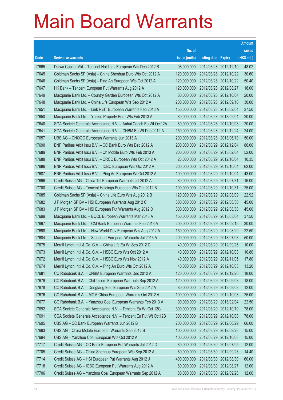|       |                                                                 |               |                            |            | <b>Amount</b> |
|-------|-----------------------------------------------------------------|---------------|----------------------------|------------|---------------|
|       |                                                                 | No. of        |                            |            | raised        |
| Code  | <b>Derivative warrants</b>                                      | issue (units) | <b>Listing date Expiry</b> |            | (HK\$ mil.)   |
| 17665 | Daiwa Capital Mkt - Tencent Holdings European Wts Dec 2012 B    | 98,000,000    | 2012/03/28 2012/12/10      |            | 48.02         |
| 17645 | Goldman Sachs SP (Asia) - China Shenhua Euro Wts Oct 2012 A     | 120,000,000   | 2012/03/28 2012/10/22      |            | 30.60         |
| 17646 | Goldman Sachs SP (Asia) - Ping An European Wts Oct 2012 A       | 120,000,000   | 2012/03/28 2012/10/22      |            | 50.40         |
| 17647 | HK Bank – Tencent European Put Warrants Aug 2012 A              | 120,000,000   | 2012/03/28 2012/08/27      |            | 18.00         |
| 17649 | Macquarie Bank Ltd. - Country Garden European Wts Oct 2012 A    | 80,000,000    | 2012/03/28 2012/10/04      |            | 20.00         |
| 17648 | Macquarie Bank Ltd. - China Life European Wts Sep 2012 A        | 200,000,000   | 2012/03/28 2012/09/10      |            | 30.00         |
| 17651 | Macquarie Bank Ltd. - Link REIT European Warrants Feb 2013 A    | 150,000,000   | 2012/03/28 2013/02/04      |            | 37.50         |
| 17650 | Macquarie Bank Ltd. - Yuexiu Property Euro Wts Feb 2013 A       | 80,000,000    | 2012/03/28 2013/02/04      |            | 20.00         |
| 17640 | SGA Societe Generale Acceptance N.V. - Anhui Conch Eu Wt Oct12A | 80,000,000    | 2012/03/28 2012/10/08      |            | 20.00         |
| 17641 | SGA Societe Generale Acceptance N.V. - CNBM Eu Wt Dec 2012 A    | 150,000,000   | 2012/03/28 2012/12/24      |            | 24.00         |
| 17657 | UBS AG – CNOOC European Warrants Jun 2013 A                     | 200,000,000   | 2012/03/28 2013/06/10      |            | 50.00         |
| 17690 | BNP Paribas Arbit Issu B.V. - CC Bank Euro Wts Dec 2012 A       | 200,000,000   | 2012/03/29 2012/12/04      |            | 86.00         |
| 17689 | BNP Paribas Arbit Issu B.V. - Ch Mobile Euro Wts Feb 2013 A     | 200,000,000   | 2012/03/29 2013/02/04      |            | 52.00         |
| 17688 | BNP Paribas Arbit Issu B.V. - CRCC European Wts Oct 2012 A      | 23,000,000    | 2012/03/29 2012/10/04      |            | 10.35         |
| 17686 | BNP Paribas Arbit Issu B.V. - ICBC European Wts Oct 2012 A      | 200,000,000   | 2012/03/29                 | 2012/10/04 | 62.00         |
| 17687 | BNP Paribas Arbit Issu B.V. - Ping An European Wt Oct 2012 A    | 100,000,000   | 2012/03/29 2012/10/04      |            | 43.00         |
| 17696 | Credit Suisse AG - China Tel European Warrants Jul 2012 A       | 80,000,000    | 2012/03/29 2012/07/31      |            | 16.00         |
| 17700 | Credit Suisse AG - Tencent Holdings European Wts Oct 2012 B     | 100,000,000   | 2012/03/29 2012/10/31      |            | 25.00         |
| 17685 | Goldman Sachs SP (Asia) - China Life Euro Wts Aug 2012 B        | 120,000,000   | 2012/03/29                 | 2012/08/09 | 22.92         |
| 17682 | J P Morgan SP BV - HSI European Warrants Aug 2012 C             | 300,000,000   | 2012/03/29 2012/08/30      |            | 45.00         |
| 17683 | J P Morgan SP BV - HSI European Put Warrants Aug 2012 D         | 300,000,000   | 2012/03/29                 | 2012/08/30 | 45.00         |
| 17699 | Macquarie Bank Ltd. - BOCL European Warrants Mar 2013 A         | 150,000,000   | 2012/03/29 2013/03/04      |            | 37.50         |
| 17697 | Macquarie Bank Ltd. - CM Bank European Warrants Feb 2013 A      | 200,000,000   | 2012/03/29                 | 2013/02/15 | 30.00         |
| 17698 | Macquarie Bank Ltd. - New World Dev European Wts Aug 2012 A     | 150,000,000   | 2012/03/29 2012/08/29      |            | 22.50         |
| 17684 | Macquarie Bank Ltd. - Stanchart European Warrants Jul 2013 A    | 200,000,000   | 2012/03/29 2013/07/03      |            | 50.00         |
| 17675 | Merrill Lynch Int'l & Co. C.V. - China Life Eu Wt Sep 2012 C    | 40,000,000    | 2012/03/29 2012/09/25      |            | 10.00         |
| 17673 | Merrill Lynch Int'l & Co. C.V. - HSBC Euro Wts Oct 2012 A       | 40,000,000    | 2012/03/29 2012/10/03      |            | 10.80         |
| 17672 | Merrill Lynch Int'l & Co. C.V. - HSBC Euro Wts Nov 2012 A       | 40,000,000    | 2012/03/29 2012/11/05      |            | 17.80         |
| 17674 | Merrill Lynch Int'l & Co. C.V. - Ping An Euro Wts Oct 2012 A    | 40,000,000    | 2012/03/29 2012/10/03      |            | 13.20         |
| 17681 | CC Rabobank B.A. - CNBM European Warrants Dec 2012 A            | 120,000,000   | 2012/03/29 2012/12/20      |            | 18.00         |
| 17679 | CC Rabobank B.A. - ChiUnicom European Warrants Sep 2012 A       | 120,000,000   | 2012/03/29 2012/09/03      |            | 18.00         |
| 17678 | CC Rabobank B.A. - Dongfang Elec European Wts Sep 2012 A        | 80,000,000    | 2012/03/29 2012/09/03      |            | 12.00         |
| 17676 | CC Rabobank B.A. - MGM China European Warrants Oct 2012 A       | 100,000,000   | 2012/03/29                 | 2012/10/03 | 25.00         |
| 17677 | CC Rabobank B.A. - Yanzhou Coal European Warrants Feb 2013 A    | 90,000,000    | 2012/03/29 2013/02/04      |            | 22.50         |
| 17692 | SGA Societe Generale Acceptance N.V. - Tencent Eu Wt Oct 12C    | 300,000,000   | 2012/03/29 2012/10/10      |            | 78.00         |
| 17691 | SGA Societe Generale Acceptance N.V. - Tencent Eu Put Wt Oct12B | 300,000,000   | 2012/03/29 2012/10/08      |            | 78.00         |
| 17695 | UBS AG - CC Bank European Warrants Jun 2012 B                   | 200,000,000   | 2012/03/29 2012/06/29      |            | 66.00         |
| 17693 | UBS AG - China Mobile European Warrants Sep 2012 B              | 100,000,000   | 2012/03/29 2012/09/28      |            | 15.00         |
| 17694 | UBS AG - Yanzhou Coal European Wts Oct 2012 A                   | 100,000,000   | 2012/03/29 2012/10/08      |            | 15.00         |
| 17717 | Credit Suisse AG - CC Bank European Put Warrants Jul 2012 D     | 80,000,000    | 2012/03/30 2012/07/05      |            | 12.00         |
| 17705 | Credit Suisse AG - China Shenhua European Wts Sep 2012 A        | 80,000,000    | 2012/03/30 2012/09/28      |            | 14.40         |
| 17714 | Credit Suisse AG - HSI European Put Warrants Aug 2012 J         | 400,000,000   | 2012/03/30 2012/08/30      |            | 60.00         |
| 17718 | Credit Suisse AG - ICBC European Put Warrants Aug 2012 A        | 80,000,000    | 2012/03/30 2012/08/27      |            | 12.00         |
| 17706 | Credit Suisse AG - Yanzhou Coal European Warrants Sep 2012 A    | 80,000,000    | 2012/03/30 2012/09/28      |            | 12.00         |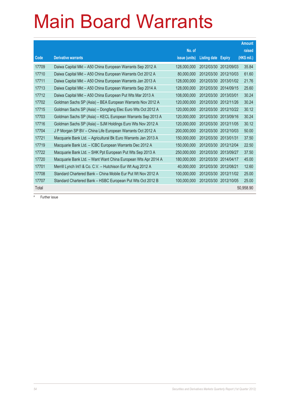|       |                                                                |               |                     |               | <b>Amount</b> |
|-------|----------------------------------------------------------------|---------------|---------------------|---------------|---------------|
|       |                                                                | No. of        |                     |               | raised        |
| Code  | <b>Derivative warrants</b>                                     | issue (units) | <b>Listing date</b> | <b>Expiry</b> | (HK\$ mil.)   |
| 17709 | Daiwa Capital Mkt - A50 China European Warrants Sep 2012 A     | 128,000,000   | 2012/03/30          | 2012/09/03    | 35.84         |
| 17710 | Daiwa Capital Mkt - A50 China European Warrants Oct 2012 A     | 80.000.000    | 2012/03/30          | 2012/10/03    | 61.60         |
| 17711 | Daiwa Capital Mkt - A50 China European Warrants Jan 2013 A     | 128.000.000   | 2012/03/30          | 2013/01/02    | 21.76         |
| 17713 | Daiwa Capital Mkt - A50 China European Warrants Sep 2014 A     | 128,000,000   | 2012/03/30          | 2014/09/15    | 25.60         |
| 17712 | Daiwa Capital Mkt - A50 China European Put Wts Mar 2013 A      | 108,000,000   | 2012/03/30          | 2013/03/01    | 30.24         |
| 17702 | Goldman Sachs SP (Asia) - BEA European Warrants Nov 2012 A     | 120,000,000   | 2012/03/30          | 2012/11/26    | 30.24         |
| 17715 | Goldman Sachs SP (Asia) - Dongfang Elec Euro Wts Oct 2012 A    | 120,000,000   | 2012/03/30          | 2012/10/22    | 30.12         |
| 17703 | Goldman Sachs SP (Asia) - KECL European Warrants Sep 2013 A    | 120,000,000   | 2012/03/30          | 2013/09/16    | 30.24         |
| 17716 | Goldman Sachs SP (Asia) - SJM Holdings Euro Wts Nov 2012 A     | 120,000,000   | 2012/03/30          | 2012/11/05    | 30.12         |
| 17704 | J P Morgan SP BV - China Life European Warrants Oct 2012 A     | 200,000,000   | 2012/03/30          | 2012/10/03    | 50.00         |
| 17721 | Macquarie Bank Ltd. - Agricultural Bk Euro Warrants Jan 2013 A | 150,000,000   | 2012/03/30          | 2013/01/31    | 37.50         |
| 17719 | Macquarie Bank Ltd. - ICBC European Warrants Dec 2012 A        | 150,000,000   | 2012/03/30          | 2012/12/04    | 22.50         |
| 17722 | Macquarie Bank Ltd. - SHK Ppt European Put Wts Sep 2013 A      | 250.000.000   | 2012/03/30          | 2013/09/27    | 37.50         |
| 17720 | Macquarie Bank Ltd. - Want Want China European Wts Apr 2014 A  | 180,000,000   | 2012/03/30          | 2014/04/17    | 45.00         |
| 17701 | Merrill Lynch Int'l & Co. C.V. - Hutchison Eur Wt Aug 2012 A   | 40,000,000    | 2012/03/30          | 2012/08/21    | 12.60         |
| 17708 | Standard Chartered Bank – China Mobile Eur Put Wt Nov 2012 A   | 100,000,000   | 2012/03/30          | 2012/11/02    | 25.00         |
| 17707 | Standard Chartered Bank - HSBC European Put Wts Oct 2012 B     | 100,000,000   | 2012/03/30          | 2012/10/05    | 25.00         |
| Total |                                                                |               |                     |               | 50,958.90     |

# Further issue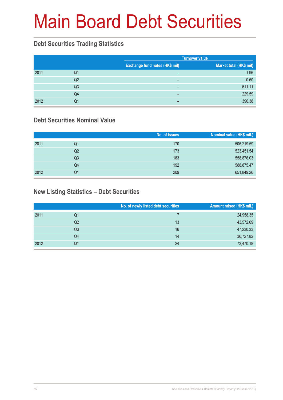# Main Board Debt Securities

### **Debt Securities Trading Statistics**

|      |                |                                | <b>Turnover value</b>   |
|------|----------------|--------------------------------|-------------------------|
|      |                | Exchange fund notes (HK\$ mil) | Market total (HK\$ mil) |
| 2011 | Q1             | $\overline{\phantom{0}}$       | 1.96                    |
|      | Q2             | $\overline{\phantom{0}}$       | 0.60                    |
|      | Q <sub>3</sub> | $\overline{\phantom{0}}$       | 611.11                  |
|      | Q4             | $\overline{\phantom{0}}$       | 229.59                  |
| 2012 | Q1             | -                              | 390.38                  |

### **Debt Securities Nominal Value**

|      |                | No. of issues | Nominal value (HK\$ mil.) |
|------|----------------|---------------|---------------------------|
| 2011 | Q1             | 170           | 506,219.59                |
|      | Q2             | 173           | 523,451.54                |
|      | Q <sub>3</sub> | 183           | 558,876.03                |
|      | Q4             | 192           | 588,875.47                |
| 2012 | Q1             | 209           | 651,849.26                |

### **New Listing Statistics – Debt Securities**

|      |                | No. of newly listed debt securities | Amount raised (HK\$ mil.) |
|------|----------------|-------------------------------------|---------------------------|
| 2011 | Q1             |                                     | 24,958.35                 |
|      | Q2             | 13                                  | 43,572.09                 |
|      | Q <sub>3</sub> | 16                                  | 47,230.33                 |
|      | Q4             | 14                                  | 36,727.82                 |
| 2012 | Q1             | 24                                  | 73,470.18                 |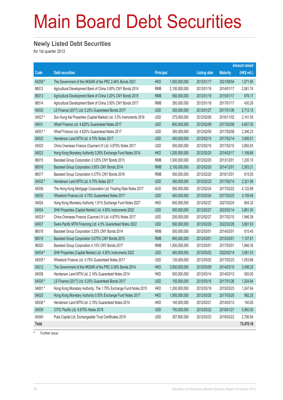# Main Board Debt Securities

#### **Newly Listed Debt Securities**

for 1st quarter 2012

|         |                                                                     |                  |               |                     |                 | <b>Amount raised</b> |
|---------|---------------------------------------------------------------------|------------------|---------------|---------------------|-----------------|----------------------|
| Code    | <b>Debt securities</b>                                              | <b>Principal</b> |               | <b>Listing date</b> | <b>Maturity</b> | (HK\$ mil.)          |
| 04209 # | The Government of the HKSAR of the PRC 2.46% Bonds 2021             | <b>HKD</b>       | 1,500,000,000 | 2012/01/17          | 2021/08/04      | 1,571.85             |
| 86012   | Agricultural Development Bank of China 3.00% CNY Bonds 2014         | <b>RMB</b>       | 2,100,000,000 | 2012/01/18          | 2014/01/17      | 2,581.74             |
| 86013   | Agricultural Development Bank of China 3.20% CNY Bonds 2015         | <b>RMB</b>       | 550,000,000   | 2012/01/18          | 2015/01/17      | 676.17               |
| 86014   | Agricultural Development Bank of China 3.50% CNY Bonds 2017         | <b>RMB</b>       | 350,000,000   | 2012/01/18          | 2017/01/17      | 430.29               |
| 04530   | LS Finance (2017) Ltd. 5.25% Guaranteed Bonds 2017                  | <b>USD</b>       | 350,000,000   | 2012/01/27          | 2017/01/26      | 2,712.15             |
| 04527 # | Sun Hung Kai Properties (Capital Market) Ltd. 3.5% Instruments 2016 | <b>USD</b>       | 275,000,000   | 2012/02/06          | 2016/11/02      | 2,141.55             |
| 04531   | Wharf Finance Ltd. 4.625% Guaranteed Notes 2017                     | <b>USD</b>       | 600,000,000   | 2012/02/09          | 2017/02/08      | 4,657.30             |
| 04531 # | Wharf Finance Ltd. 4.625% Guaranteed Notes 2017                     | <b>USD</b>       | 300,000,000   | 2012/02/09          | 2017/02/08      | 2,346.23             |
| 04532   | Henderson Land MTN Ltd. 4.75% Notes 2017                            | <b>USD</b>       | 400,000,000   | 2012/02/15          | 2017/02/14      | 3,095.51             |
| 04533   | China Overseas Finance (Cayman) IV Ltd. 4.875% Notes 2017           | <b>USD</b>       | 500,000,000   | 2012/02/16          | 2017/02/15      | 3,892.83             |
| 04023   | Hong Kong Monetary Authority 0.26% Exchange Fund Notes 2014         | <b>HKD</b>       | 1,200,000,000 | 2012/02/20          | 2014/02/17      | 1,199.88             |
| 86015   | Baosteel Group Corporation 3.125% CNY Bonds 2013                    | <b>RMB</b>       | 1,000,000,000 | 2012/02/20          | 2013/12/01      | 1,230.10             |
| 86016   | Baosteel Group Corporation 3.50% CNY Bonds 2014                     | <b>RMB</b>       | 2,100,000,000 | 2012/02/20          | 2014/12/01      | 2,583.21             |
| 86017   | Baosteel Group Corporation 4.375% CNY Bonds 2016                    | <b>RMB</b>       | 500,000,000   | 2012/02/20          | 2016/12/01      | 615.05               |
| 04532 # | Henderson Land MTN Ltd. 4.75% Notes 2017                            | <b>USD</b>       | 300,000,000   | 2012/02/23          | 2017/02/14      | 2,321.89             |
| 04536   | The Hong Kong Mortgage Corporation Ltd. Floating Rate Notes 2017    | <b>AUD</b>       | 500,000,000   | 2012/02/24          | 2017/02/22      | 4,122.88             |
| 04535   | Wheelock Finance Ltd. 4.75% Guaranteed Notes 2017                   | <b>USD</b>       | 400,000,000   | 2012/02/24          | 2017/02/23      | 3,109.46             |
| 04024   | Hong Kong Monetary Authority 1.51% Exchange Fund Notes 2027         | <b>HKD</b>       | 600,000,000   | 2012/02/27          | 2027/02/24      | 604.32               |
| 04534   | SHK Properties (Capital Market) Ltd. 4.50% Instruments 2022         | <b>USD</b>       | 500,000,000   | 2012/02/27          | 2022/02/14      | 3,861.00             |
| 04533#  | China Overseas Finance (Cayman) IV Ltd. 4.875% Notes 2017           | <b>USD</b>       | 250,000,000   | 2012/02/27          | 2017/02/15      | 1,946.39             |
| 04537   | Swire Pacific MTN Financing Ltd. 4.5% Guaranteed Notes 2022         | <b>USD</b>       | 500,000,000   | 2012/02/29          | 2022/02/28      | 3,861.63             |
| 86018   | Baosteel Group Corporation 3.25% CNY Bonds 2014                     | <b>RMB</b>       | 500,000,000   | 2012/03/01          | 2014/03/01      | 615.45               |
| 86019   | Baosteel Group Corporation 3.675% CNY Bonds 2015                    | <b>RMB</b>       | 900,000,000   | 2012/03/01          | 2015/03/01      | 1,107.81             |
| 86020   | Baosteel Group Corporation 4.15% CNY Bonds 2017                     | <b>RMB</b>       | 1,500,000,000 | 2012/03/01          | 2017/03/01      | 1,846.35             |
| 04534 # | SHK Properties (Capital Market) Ltd. 4.50% Instruments 2022         | <b>USD</b>       | 400,000,000   | 2012/03/02          | 2022/02/14      | 3,061.53             |
| 04535 # | Wheelock Finance Ltd. 4.75% Guaranteed Notes 2017                   | <b>USD</b>       | 135,000,000   | 2012/03/02          | 2017/02/23      | 1,053.86             |
| 04212   | The Government of the HKSAR of the PRC 0.38% Bonds 2014             | <b>HKD</b>       | 3,500,000,000 | 2012/03/09          | 2014/03/10      | 3,498.25             |
| 04538   | Henderson Land MTN Ltd. 2.16% Guaranteed Notes 2014                 | <b>HKD</b>       | 500,000,000   | 2012/03/14          | 2014/03/13      | 500.00               |
| 04530 # | LS Finance (2017) Ltd. 5.25% Guaranteed Bonds 2017                  | <b>USD</b>       | 150,000,000   | 2012/03/16          | 2017/01/26      | 1,204.84             |
| 04001#  | Hong Kong Monetary Authority, The 1.75% Exchange Fund Notes 2015    | <b>HKD</b>       | 1,200,000,000 | 2012/03/19          | 2015/03/23      | 1,247.64             |
| 04025   | Hong Kong Monetary Authority 0.55% Exchange Fund Notes 2017         | <b>HKD</b>       | 1,000,000,000 | 2012/03/20          | 2017/03/20      | 992.20               |
| 04538 # | Henderson Land MTN Ltd. 2.16% Guaranteed Notes 2014                 | <b>HKD</b>       | 140,000,000   | 2012/03/21          | 2014/03/13      | 140.00               |
| 04539   | CITIC Pacific Ltd. 6.875% Notes 2018                                | <b>USD</b>       | 750,000,000   | 2012/03/22          | 2018/01/21      | 5,850.00             |
| 04540   | Pulai Capital Ltd. Exchangeable Trust Certificates 2019             | <b>USD</b>       | 357,800,000   | 2012/03/23          | 2019/03/22      | 2,790.84             |
| Total   |                                                                     |                  |               |                     |                 | 73,470.18            |

# Further issue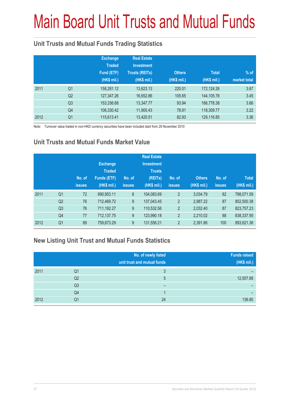# Main Board Unit Trusts and Mutual Funds

### **Unit Trusts and Mutual Funds Trading Statistics**

|      |                | <b>Exchange</b><br><b>Traded</b><br>Fund (ETF)<br>(HK\$ mil.) | <b>Real Estate</b><br><b>Investment</b><br><b>Trusts (REITs)</b><br>(HK\$ mil.) | <b>Others</b><br>(HK\$ mil.) | <b>Total</b><br>(HK\$ mil.) | $%$ of<br>market total |
|------|----------------|---------------------------------------------------------------|---------------------------------------------------------------------------------|------------------------------|-----------------------------|------------------------|
| 2011 | Q <sub>1</sub> | 158,281.12                                                    | 13,623.13                                                                       | 220.01                       | 172,124.26                  | 3.67                   |
|      | Q <sub>2</sub> | 127,347.26                                                    | 16,652.86                                                                       | 105.65                       | 144,105.78                  | 3.45                   |
|      | Q <sub>3</sub> | 153,336.68                                                    | 13,347.77                                                                       | 93.94                        | 166,778.38                  | 3.66                   |
|      | Q4             | 106,330.42                                                    | 11,900.43                                                                       | 78.91                        | 118,309.77                  | 3.22                   |
| 2012 | Q <sub>1</sub> | 115,613.41                                                    | 13,420.51                                                                       | 82.93                        | 129,116.85                  | 3.36                   |

Note: Turnover value traded in non-HKD currency securities have been included start from 29 November 2010

### **Unit Trusts and Mutual Funds Market Value**

|      |                | No. of<br><b>issues</b> | <b>Exchange</b><br><b>Traded</b><br><b>Funds (ETF)</b><br>(HK\$ mil.) | No. of<br><b>issues</b> | <b>Real Estate</b><br><b>Investment</b><br><b>Trusts</b><br>(REITs)<br>(HK\$ mil.) | No. of<br><b>issues</b> | <b>Others</b><br>(HK\$ mil.) | No. of<br><b>issues</b> | <b>Total</b><br>(HK\$ mil.) |
|------|----------------|-------------------------|-----------------------------------------------------------------------|-------------------------|------------------------------------------------------------------------------------|-------------------------|------------------------------|-------------------------|-----------------------------|
| 2011 | Q <sub>1</sub> | 72                      | 690,953.11                                                            | 8                       | 104,083.69                                                                         | $\overline{2}$          | 3.034.79                     | 82                      | 798,071.59                  |
|      | Q2             | 76                      | 712,469.72                                                            | 9                       | 137,043.45                                                                         | $\overline{2}$          | 2,987.22                     | 87                      | 852,500.38                  |
|      | Q <sub>3</sub> | 76                      | 711,192.27                                                            | 9                       | 110,532.56                                                                         | 2                       | 2,032.40                     | 87                      | 823,757.23                  |
|      | Q <sub>4</sub> | 77                      | 712,137.75                                                            | 9                       | 123,990.18                                                                         | $\overline{2}$          | 2,210.02                     | 88                      | 838,337.95                  |
| 2012 | Q <sub>1</sub> | 89                      | 759,673.29                                                            | 9                       | 131,556.21                                                                         | $\overline{2}$          | 2,391.86                     | 100                     | 893,621.36                  |

#### **New Listing Unit Trust and Mutual Funds Statistics**

|      |                | No. of newly listed<br>unit trust and mutual funds | <b>Funds raised</b><br>(HK\$ mil.) |
|------|----------------|----------------------------------------------------|------------------------------------|
| 2011 | Q1             | 3                                                  |                                    |
|      | Q2             | 5                                                  | 12,507.88                          |
|      | Q <sub>3</sub> | -                                                  |                                    |
|      | Q4             |                                                    |                                    |
| 2012 | Q1             | 24                                                 | 136.80                             |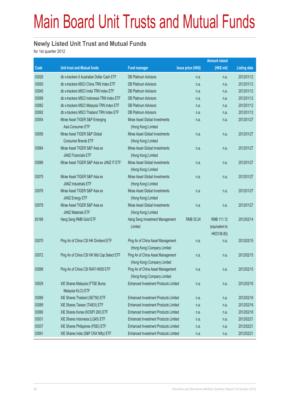# Main Board Unit Trusts and Mutual Funds

#### **Newly Listed Unit Trust and Mutual Funds**

for 1st quarter 2012

|       |                                                              |                                                                  |                           | <b>Amount raised</b>                       |                     |
|-------|--------------------------------------------------------------|------------------------------------------------------------------|---------------------------|--------------------------------------------|---------------------|
| Code  | <b>Unit trust and Mutual funds</b>                           | <b>Fund manager</b>                                              | <b>Issue price (HK\$)</b> | (HK\$ mil)                                 | <b>Listing date</b> |
| 03026 | db x-trackers II Australian Dollar Cash ETF                  | <b>DB Platinum Advisors</b>                                      | n.a.                      | n.a.                                       | 2012/01/12          |
| 03055 | db x-trackers MSCI China TRN Index ETF                       | <b>DB Platinum Advisors</b>                                      | n.a.                      | n.a.                                       | 2012/01/12          |
| 03045 | db x-trackers MSCI India TRN Index ETF                       | <b>DB Platinum Advisors</b>                                      | n.a.                      | n.a.                                       | 2012/01/12          |
| 03099 | db x-trackers MSCI Indonesia TRN Index ETF                   | <b>DB Platinum Advisors</b>                                      | n.a.                      | n.a.                                       | 2012/01/12          |
| 03082 | db x-trackers MSCI Malaysia TRN Index ETF                    | <b>DB Platinum Advisors</b>                                      | n.a.                      | n.a.                                       | 2012/01/12          |
| 03092 | db x-trackers MSCI Thailand TRN Index ETF                    | <b>DB Platinum Advisors</b>                                      | n.a.                      | n.a.                                       | 2012/01/12          |
| 03054 | Mirae Asset TIGER S&P Emerging<br>Asia Consumer ETF          | Mirae Asset Global Investments<br>(Hong Kong) Limited            | n.a.                      | n.a.                                       | 2012/01/27          |
| 03056 | Mirae Asset TIGER S&P Global<br><b>Consumer Brands ETF</b>   | Mirae Asset Global Investments<br>(Hong Kong) Limited            | n.a.                      | n.a.                                       | 2012/01/27          |
| 03064 | Mirae Asset TIGER S&P Asia ex<br><b>JANZ Financials ETF</b>  | Mirae Asset Global Investments<br>(Hong Kong) Limited            | n.a.                      | n.a.                                       | 2012/01/27          |
| 03066 | Mirae Asset TIGER S&P Asia ex JANZ IT ETF                    | Mirae Asset Global Investments<br>(Hong Kong) Limited            | n.a.                      | n.a.                                       | 2012/01/27          |
| 03075 | Mirae Asset TIGER S&P Asia ex<br><b>JANZ Industrials ETF</b> | Mirae Asset Global Investments<br>(Hong Kong) Limited            | n.a.                      | n.a.                                       | 2012/01/27          |
| 03076 | Mirae Asset TIGER S&P Asia ex<br><b>JANZ Energy ETF</b>      | Mirae Asset Global Investments<br>(Hong Kong) Limited            | n.a.                      | n.a.                                       | 2012/01/27          |
| 03078 | Mirae Asset TIGER S&P Asia ex<br><b>JANZ Materials ETF</b>   | Mirae Asset Global Investments<br>(Hong Kong) Limited            | n.a.                      | n.a.                                       | 2012/01/27          |
| 83168 | Hang Seng RMB Gold ETF                                       | Hang Seng Investment Management<br>Limited                       | RMB 35.24                 | RMB 111.12<br>(equivalent to<br>HKD136.80) | 2012/02/14          |
| 03070 | Ping An of China CSI HK Dividend ETF                         | Ping An of China Asset Management<br>(Hong Kong) Company Limited | n.a.                      | n.a.                                       | 2012/02/15          |
| 03072 | Ping An of China CSI HK Mid Cap Select ETF                   | Ping An of China Asset Management<br>(Hong Kong) Company Limited | n.a.                      | n.a.                                       | 2012/02/15          |
| 03098 | Ping An of China CSI RAFI HK50 ETF                           | Ping An of China Asset Management<br>(Hong Kong) Company Limited | n.a.                      | n.a.                                       | 2012/02/15          |
| 03029 | XIE Shares Malaysia (FTSE Bursa<br>Malaysia KLCI) ETF        | <b>Enhanced Investment Products Limited</b>                      | n.a.                      | n.a.                                       | 2012/02/16          |
| 03069 | XIE Shares Thailand (SET50) ETF                              | <b>Enhanced Investment Products Limited</b>                      | n.a.                      | n.a.                                       | 2012/02/16          |
| 03089 | XIE Shares Taiwan (TAIEX) ETF                                | <b>Enhanced Investment Products Limited</b>                      | n.a.                      | n.a.                                       | 2012/02/16          |
| 03090 | XIE Shares Korea (KOSPI 200) ETF                             | <b>Enhanced Investment Products Limited</b>                      | n.a.                      | n.a.                                       | 2012/02/16          |
| 03031 | XIE Shares Indonesia (LQ45) ETF                              | <b>Enhanced Investment Products Limited</b>                      | n.a.                      | n.a.                                       | 2012/02/21          |
| 03037 | XIE Shares Philippines (PSEi) ETF                            | <b>Enhanced Investment Products Limited</b>                      | n.a.                      | n.a.                                       | 2012/02/21          |
| 03091 | XIE Shares India (S&P CNX Nifty) ETF                         | Enhanced Investment Products Limited                             | n.a.                      | n.a.                                       | 2012/02/21          |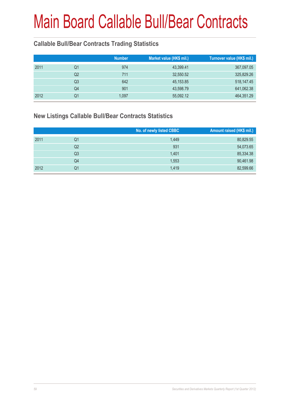### **Callable Bull/Bear Contracts Trading Statistics**

|      |    | <b>Number</b> | Market value (HK\$ mil.) | Turnover value (HK\$ mil.) |
|------|----|---------------|--------------------------|----------------------------|
| 2011 | Q1 | 974           | 43,399.41                | 367,097.05                 |
|      | Q2 | 711           | 32,550.52                | 325,829.26                 |
|      | Q3 | 642           | 45, 153.85               | 518,147.45                 |
|      | Q4 | 901           | 43,598.79                | 641,062.38                 |
| 2012 | Q1 | 1.097         | 55,092.12                | 464,351.29                 |

#### **New Listings Callable Bull/Bear Contracts Statistics**

|      |                | No. of newly listed CBBC | Amount raised (HK\$ mil.) |
|------|----------------|--------------------------|---------------------------|
| 2011 | Q1             | 1.449                    | 80,829.55                 |
|      | Q2             | 931                      | 54,073.65                 |
|      | Q <sub>3</sub> | 1,401                    | 85,334.38                 |
|      | Q4             | 1,553                    | 90,461.98                 |
| 2012 | Q1             | 1,419                    | 82,599.66                 |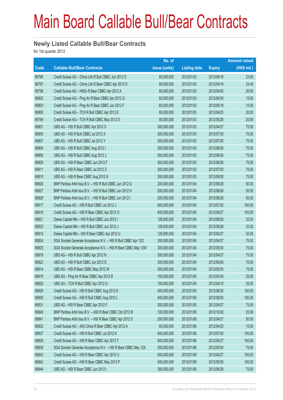#### **Newly Listed Callable Bull/Bear Contracts**

for 1st quarter 2012

| issue (units)<br>(HK\$ mil.)<br>Code<br><b>Callable Bull/Bear Contracts</b><br><b>Listing date</b><br><b>Expiry</b><br>69796<br>Credit Suisse AG - China Life R Bull CBBC Jun 2012 D<br>80,000,000<br>2012/01/03<br>2012/06/18<br>23.60<br>24.40<br>69797<br>Credit Suisse AG - China Life R Bear CBBC Apr 2012 D<br>2012/01/03<br>80,000,000<br>2012/04/16<br>69798<br>Credit Suisse AG - HKEx R Bear CBBC Apr 2012 A<br>80,000,000<br>2012/01/03<br>2012/04/05<br>20.00<br>69802<br>Credit Suisse AG - Ping An R Bear CBBC Apr 2012 G<br>15.00<br>60,000,000<br>2012/01/03<br>2012/04/30<br>69803<br>Credit Suisse AG - Ping An R Bear CBBC Jun 2012 F<br>2012/01/03<br>2012/06/18<br>15.00<br>60,000,000<br>69800<br>Credit Suisse AG - TCH R Bull CBBC Apr 2012 E<br>2012/01/03<br>20.00<br>80,000,000<br>2012/04/23<br>69799<br>Credit Suisse AG - TCH R Bull CBBC May 2012 D<br>80,000,000<br>2012/01/03<br>2012/05/28<br>20.80<br>69801<br>UBS AG - HSI R Bull CBBC Apr 2012 S<br>75.00<br>300,000,000<br>2012/01/03<br>2012/04/27<br>69805<br>UBS AG - HSI R Bull CBBC Jul 2012 X<br>2012/01/03<br>2012/07/30<br>75.00<br>300,000,000<br>69807<br>UBS AG - HSI R Bull CBBC Jul 2012 Y<br>75.00<br>300,000,000<br>2012/01/03<br>2012/07/30<br>69804<br>UBS AG - HSI R Bull CBBC Aug 2012 I<br>300,000,000<br>2012/01/03<br>2012/08/30<br>75.00<br>69806<br>UBS AG - HSI R Bull CBBC Aug 2012 J<br>75.00<br>300,000,000<br>2012/01/03<br>2012/08/30<br>UBS AG - HSI R Bear CBBC Jun 2012 F<br>69809<br>2012/01/03<br>75.00<br>300,000,000<br>2012/06/28<br>69811<br>UBS AG - HSI R Bear CBBC Jul 2012 Z<br>75.00<br>300,000,000<br>2012/01/03<br>2012/07/30<br>69810<br>UBS AG - HSI R Bear CBBC Aug 2012 K<br>300,000,000<br>2012/01/03<br>2012/08/30<br>75.00<br>69826<br>BNP Paribas Arbit Issu B.V. - HSI R Bull CBBC Jun 2012 G<br>50.00<br>200,000,000<br>2012/01/04<br>2012/06/28<br>69827<br>BNP Paribas Arbit Issu B.V. - HSI R Bull CBBC Jun 2012 H<br>2012/01/04<br>50.00<br>200,000,000<br>2012/06/28<br>69828<br>BNP Paribas Arbit Issu B.V. - HSI R Bull CBBC Jun 2012 I<br>50.00<br>200,000,000<br>2012/01/04<br>2012/06/28<br>69817<br>Credit Suisse AG - HSI R Bull CBBC Jul 2012 J<br>2012/01/04<br>2012/07/30<br>100.00<br>400,000,000<br>69816<br>Credit Suisse AG - HSI R Bear CBBC Apr 2012 O<br>100.00<br>400,000,000<br>2012/01/04<br>2012/04/27<br>69821<br>Daiwa Capital Mkt - HSI R Bull CBBC Jun 2012 I<br>2012/01/04<br>32.00<br>128,000,000<br>2012/06/28<br>69823<br>Daiwa Capital Mkt - HSI R Bull CBBC Jun 2012 J<br>32.00<br>128,000,000<br>2012/01/04<br>2012/06/28<br>69815<br>Daiwa Capital Mkt - HSI R Bear CBBC Apr 2012 U<br>2012/01/04<br>32.00<br>128,000,000<br>2012/04/27<br>69824<br>SGA Societe Generale Acceptance N.V. - HSI R Bull CBBC Apr 12O<br>75.00<br>300,000,000<br>2012/01/04<br>2012/04/27<br>69825<br>SGA Societe Generale Acceptance N.V. - HSI R Bear CBBC May 12W<br>2012/01/04<br>75.00<br>300,000,000<br>2012/05/30<br>69818<br>UBS AG - HSI R Bull CBBC Apr 2012 N<br>75.00<br>300,000,000<br>2012/01/04<br>2012/04/27<br>UBS AG - HSI R Bull CBBC Jun 2012 D<br>69822<br>300,000,000<br>2012/01/04<br>2012/06/28<br>75.00<br>69814<br>75.00<br>UBS AG - HSI R Bear CBBC May 2012 W<br>300,000,000<br>2012/01/04<br>2012/05/30<br>69819<br>UBS AG - Ping An R Bear CBBC Apr 2012 B<br>100,000,000<br>2012/01/04<br>25.00<br>2012/04/30<br>69820<br>UBS AG - TCH R Bull CBBC Apr 2012 G<br>100,000,000<br>2012/01/04<br>25.00<br>2012/04/10<br>69829<br>Credit Suisse AG - HSI R Bull CBBC Aug 2012 K<br>400,000,000<br>2012/01/05<br>100.00<br>2012/08/30 |
|----------------------------------------------------------------------------------------------------------------------------------------------------------------------------------------------------------------------------------------------------------------------------------------------------------------------------------------------------------------------------------------------------------------------------------------------------------------------------------------------------------------------------------------------------------------------------------------------------------------------------------------------------------------------------------------------------------------------------------------------------------------------------------------------------------------------------------------------------------------------------------------------------------------------------------------------------------------------------------------------------------------------------------------------------------------------------------------------------------------------------------------------------------------------------------------------------------------------------------------------------------------------------------------------------------------------------------------------------------------------------------------------------------------------------------------------------------------------------------------------------------------------------------------------------------------------------------------------------------------------------------------------------------------------------------------------------------------------------------------------------------------------------------------------------------------------------------------------------------------------------------------------------------------------------------------------------------------------------------------------------------------------------------------------------------------------------------------------------------------------------------------------------------------------------------------------------------------------------------------------------------------------------------------------------------------------------------------------------------------------------------------------------------------------------------------------------------------------------------------------------------------------------------------------------------------------------------------------------------------------------------------------------------------------------------------------------------------------------------------------------------------------------------------------------------------------------------------------------------------------------------------------------------------------------------------------------------------------------------------------------------------------------------------------------------------------------------------------------------------------------------------------------------------------------------------------------------------------------------------------------------------------------------------------------------------------------------------------------------------------------------------------------------------------------------------------------------------------------------------------------------------------------------------------------------------------------------------------------------------------------------|
|                                                                                                                                                                                                                                                                                                                                                                                                                                                                                                                                                                                                                                                                                                                                                                                                                                                                                                                                                                                                                                                                                                                                                                                                                                                                                                                                                                                                                                                                                                                                                                                                                                                                                                                                                                                                                                                                                                                                                                                                                                                                                                                                                                                                                                                                                                                                                                                                                                                                                                                                                                                                                                                                                                                                                                                                                                                                                                                                                                                                                                                                                                                                                                                                                                                                                                                                                                                                                                                                                                                                                                                                                                  |
|                                                                                                                                                                                                                                                                                                                                                                                                                                                                                                                                                                                                                                                                                                                                                                                                                                                                                                                                                                                                                                                                                                                                                                                                                                                                                                                                                                                                                                                                                                                                                                                                                                                                                                                                                                                                                                                                                                                                                                                                                                                                                                                                                                                                                                                                                                                                                                                                                                                                                                                                                                                                                                                                                                                                                                                                                                                                                                                                                                                                                                                                                                                                                                                                                                                                                                                                                                                                                                                                                                                                                                                                                                  |
|                                                                                                                                                                                                                                                                                                                                                                                                                                                                                                                                                                                                                                                                                                                                                                                                                                                                                                                                                                                                                                                                                                                                                                                                                                                                                                                                                                                                                                                                                                                                                                                                                                                                                                                                                                                                                                                                                                                                                                                                                                                                                                                                                                                                                                                                                                                                                                                                                                                                                                                                                                                                                                                                                                                                                                                                                                                                                                                                                                                                                                                                                                                                                                                                                                                                                                                                                                                                                                                                                                                                                                                                                                  |
|                                                                                                                                                                                                                                                                                                                                                                                                                                                                                                                                                                                                                                                                                                                                                                                                                                                                                                                                                                                                                                                                                                                                                                                                                                                                                                                                                                                                                                                                                                                                                                                                                                                                                                                                                                                                                                                                                                                                                                                                                                                                                                                                                                                                                                                                                                                                                                                                                                                                                                                                                                                                                                                                                                                                                                                                                                                                                                                                                                                                                                                                                                                                                                                                                                                                                                                                                                                                                                                                                                                                                                                                                                  |
|                                                                                                                                                                                                                                                                                                                                                                                                                                                                                                                                                                                                                                                                                                                                                                                                                                                                                                                                                                                                                                                                                                                                                                                                                                                                                                                                                                                                                                                                                                                                                                                                                                                                                                                                                                                                                                                                                                                                                                                                                                                                                                                                                                                                                                                                                                                                                                                                                                                                                                                                                                                                                                                                                                                                                                                                                                                                                                                                                                                                                                                                                                                                                                                                                                                                                                                                                                                                                                                                                                                                                                                                                                  |
|                                                                                                                                                                                                                                                                                                                                                                                                                                                                                                                                                                                                                                                                                                                                                                                                                                                                                                                                                                                                                                                                                                                                                                                                                                                                                                                                                                                                                                                                                                                                                                                                                                                                                                                                                                                                                                                                                                                                                                                                                                                                                                                                                                                                                                                                                                                                                                                                                                                                                                                                                                                                                                                                                                                                                                                                                                                                                                                                                                                                                                                                                                                                                                                                                                                                                                                                                                                                                                                                                                                                                                                                                                  |
|                                                                                                                                                                                                                                                                                                                                                                                                                                                                                                                                                                                                                                                                                                                                                                                                                                                                                                                                                                                                                                                                                                                                                                                                                                                                                                                                                                                                                                                                                                                                                                                                                                                                                                                                                                                                                                                                                                                                                                                                                                                                                                                                                                                                                                                                                                                                                                                                                                                                                                                                                                                                                                                                                                                                                                                                                                                                                                                                                                                                                                                                                                                                                                                                                                                                                                                                                                                                                                                                                                                                                                                                                                  |
|                                                                                                                                                                                                                                                                                                                                                                                                                                                                                                                                                                                                                                                                                                                                                                                                                                                                                                                                                                                                                                                                                                                                                                                                                                                                                                                                                                                                                                                                                                                                                                                                                                                                                                                                                                                                                                                                                                                                                                                                                                                                                                                                                                                                                                                                                                                                                                                                                                                                                                                                                                                                                                                                                                                                                                                                                                                                                                                                                                                                                                                                                                                                                                                                                                                                                                                                                                                                                                                                                                                                                                                                                                  |
|                                                                                                                                                                                                                                                                                                                                                                                                                                                                                                                                                                                                                                                                                                                                                                                                                                                                                                                                                                                                                                                                                                                                                                                                                                                                                                                                                                                                                                                                                                                                                                                                                                                                                                                                                                                                                                                                                                                                                                                                                                                                                                                                                                                                                                                                                                                                                                                                                                                                                                                                                                                                                                                                                                                                                                                                                                                                                                                                                                                                                                                                                                                                                                                                                                                                                                                                                                                                                                                                                                                                                                                                                                  |
|                                                                                                                                                                                                                                                                                                                                                                                                                                                                                                                                                                                                                                                                                                                                                                                                                                                                                                                                                                                                                                                                                                                                                                                                                                                                                                                                                                                                                                                                                                                                                                                                                                                                                                                                                                                                                                                                                                                                                                                                                                                                                                                                                                                                                                                                                                                                                                                                                                                                                                                                                                                                                                                                                                                                                                                                                                                                                                                                                                                                                                                                                                                                                                                                                                                                                                                                                                                                                                                                                                                                                                                                                                  |
|                                                                                                                                                                                                                                                                                                                                                                                                                                                                                                                                                                                                                                                                                                                                                                                                                                                                                                                                                                                                                                                                                                                                                                                                                                                                                                                                                                                                                                                                                                                                                                                                                                                                                                                                                                                                                                                                                                                                                                                                                                                                                                                                                                                                                                                                                                                                                                                                                                                                                                                                                                                                                                                                                                                                                                                                                                                                                                                                                                                                                                                                                                                                                                                                                                                                                                                                                                                                                                                                                                                                                                                                                                  |
|                                                                                                                                                                                                                                                                                                                                                                                                                                                                                                                                                                                                                                                                                                                                                                                                                                                                                                                                                                                                                                                                                                                                                                                                                                                                                                                                                                                                                                                                                                                                                                                                                                                                                                                                                                                                                                                                                                                                                                                                                                                                                                                                                                                                                                                                                                                                                                                                                                                                                                                                                                                                                                                                                                                                                                                                                                                                                                                                                                                                                                                                                                                                                                                                                                                                                                                                                                                                                                                                                                                                                                                                                                  |
|                                                                                                                                                                                                                                                                                                                                                                                                                                                                                                                                                                                                                                                                                                                                                                                                                                                                                                                                                                                                                                                                                                                                                                                                                                                                                                                                                                                                                                                                                                                                                                                                                                                                                                                                                                                                                                                                                                                                                                                                                                                                                                                                                                                                                                                                                                                                                                                                                                                                                                                                                                                                                                                                                                                                                                                                                                                                                                                                                                                                                                                                                                                                                                                                                                                                                                                                                                                                                                                                                                                                                                                                                                  |
|                                                                                                                                                                                                                                                                                                                                                                                                                                                                                                                                                                                                                                                                                                                                                                                                                                                                                                                                                                                                                                                                                                                                                                                                                                                                                                                                                                                                                                                                                                                                                                                                                                                                                                                                                                                                                                                                                                                                                                                                                                                                                                                                                                                                                                                                                                                                                                                                                                                                                                                                                                                                                                                                                                                                                                                                                                                                                                                                                                                                                                                                                                                                                                                                                                                                                                                                                                                                                                                                                                                                                                                                                                  |
|                                                                                                                                                                                                                                                                                                                                                                                                                                                                                                                                                                                                                                                                                                                                                                                                                                                                                                                                                                                                                                                                                                                                                                                                                                                                                                                                                                                                                                                                                                                                                                                                                                                                                                                                                                                                                                                                                                                                                                                                                                                                                                                                                                                                                                                                                                                                                                                                                                                                                                                                                                                                                                                                                                                                                                                                                                                                                                                                                                                                                                                                                                                                                                                                                                                                                                                                                                                                                                                                                                                                                                                                                                  |
|                                                                                                                                                                                                                                                                                                                                                                                                                                                                                                                                                                                                                                                                                                                                                                                                                                                                                                                                                                                                                                                                                                                                                                                                                                                                                                                                                                                                                                                                                                                                                                                                                                                                                                                                                                                                                                                                                                                                                                                                                                                                                                                                                                                                                                                                                                                                                                                                                                                                                                                                                                                                                                                                                                                                                                                                                                                                                                                                                                                                                                                                                                                                                                                                                                                                                                                                                                                                                                                                                                                                                                                                                                  |
|                                                                                                                                                                                                                                                                                                                                                                                                                                                                                                                                                                                                                                                                                                                                                                                                                                                                                                                                                                                                                                                                                                                                                                                                                                                                                                                                                                                                                                                                                                                                                                                                                                                                                                                                                                                                                                                                                                                                                                                                                                                                                                                                                                                                                                                                                                                                                                                                                                                                                                                                                                                                                                                                                                                                                                                                                                                                                                                                                                                                                                                                                                                                                                                                                                                                                                                                                                                                                                                                                                                                                                                                                                  |
|                                                                                                                                                                                                                                                                                                                                                                                                                                                                                                                                                                                                                                                                                                                                                                                                                                                                                                                                                                                                                                                                                                                                                                                                                                                                                                                                                                                                                                                                                                                                                                                                                                                                                                                                                                                                                                                                                                                                                                                                                                                                                                                                                                                                                                                                                                                                                                                                                                                                                                                                                                                                                                                                                                                                                                                                                                                                                                                                                                                                                                                                                                                                                                                                                                                                                                                                                                                                                                                                                                                                                                                                                                  |
|                                                                                                                                                                                                                                                                                                                                                                                                                                                                                                                                                                                                                                                                                                                                                                                                                                                                                                                                                                                                                                                                                                                                                                                                                                                                                                                                                                                                                                                                                                                                                                                                                                                                                                                                                                                                                                                                                                                                                                                                                                                                                                                                                                                                                                                                                                                                                                                                                                                                                                                                                                                                                                                                                                                                                                                                                                                                                                                                                                                                                                                                                                                                                                                                                                                                                                                                                                                                                                                                                                                                                                                                                                  |
|                                                                                                                                                                                                                                                                                                                                                                                                                                                                                                                                                                                                                                                                                                                                                                                                                                                                                                                                                                                                                                                                                                                                                                                                                                                                                                                                                                                                                                                                                                                                                                                                                                                                                                                                                                                                                                                                                                                                                                                                                                                                                                                                                                                                                                                                                                                                                                                                                                                                                                                                                                                                                                                                                                                                                                                                                                                                                                                                                                                                                                                                                                                                                                                                                                                                                                                                                                                                                                                                                                                                                                                                                                  |
|                                                                                                                                                                                                                                                                                                                                                                                                                                                                                                                                                                                                                                                                                                                                                                                                                                                                                                                                                                                                                                                                                                                                                                                                                                                                                                                                                                                                                                                                                                                                                                                                                                                                                                                                                                                                                                                                                                                                                                                                                                                                                                                                                                                                                                                                                                                                                                                                                                                                                                                                                                                                                                                                                                                                                                                                                                                                                                                                                                                                                                                                                                                                                                                                                                                                                                                                                                                                                                                                                                                                                                                                                                  |
|                                                                                                                                                                                                                                                                                                                                                                                                                                                                                                                                                                                                                                                                                                                                                                                                                                                                                                                                                                                                                                                                                                                                                                                                                                                                                                                                                                                                                                                                                                                                                                                                                                                                                                                                                                                                                                                                                                                                                                                                                                                                                                                                                                                                                                                                                                                                                                                                                                                                                                                                                                                                                                                                                                                                                                                                                                                                                                                                                                                                                                                                                                                                                                                                                                                                                                                                                                                                                                                                                                                                                                                                                                  |
|                                                                                                                                                                                                                                                                                                                                                                                                                                                                                                                                                                                                                                                                                                                                                                                                                                                                                                                                                                                                                                                                                                                                                                                                                                                                                                                                                                                                                                                                                                                                                                                                                                                                                                                                                                                                                                                                                                                                                                                                                                                                                                                                                                                                                                                                                                                                                                                                                                                                                                                                                                                                                                                                                                                                                                                                                                                                                                                                                                                                                                                                                                                                                                                                                                                                                                                                                                                                                                                                                                                                                                                                                                  |
|                                                                                                                                                                                                                                                                                                                                                                                                                                                                                                                                                                                                                                                                                                                                                                                                                                                                                                                                                                                                                                                                                                                                                                                                                                                                                                                                                                                                                                                                                                                                                                                                                                                                                                                                                                                                                                                                                                                                                                                                                                                                                                                                                                                                                                                                                                                                                                                                                                                                                                                                                                                                                                                                                                                                                                                                                                                                                                                                                                                                                                                                                                                                                                                                                                                                                                                                                                                                                                                                                                                                                                                                                                  |
|                                                                                                                                                                                                                                                                                                                                                                                                                                                                                                                                                                                                                                                                                                                                                                                                                                                                                                                                                                                                                                                                                                                                                                                                                                                                                                                                                                                                                                                                                                                                                                                                                                                                                                                                                                                                                                                                                                                                                                                                                                                                                                                                                                                                                                                                                                                                                                                                                                                                                                                                                                                                                                                                                                                                                                                                                                                                                                                                                                                                                                                                                                                                                                                                                                                                                                                                                                                                                                                                                                                                                                                                                                  |
|                                                                                                                                                                                                                                                                                                                                                                                                                                                                                                                                                                                                                                                                                                                                                                                                                                                                                                                                                                                                                                                                                                                                                                                                                                                                                                                                                                                                                                                                                                                                                                                                                                                                                                                                                                                                                                                                                                                                                                                                                                                                                                                                                                                                                                                                                                                                                                                                                                                                                                                                                                                                                                                                                                                                                                                                                                                                                                                                                                                                                                                                                                                                                                                                                                                                                                                                                                                                                                                                                                                                                                                                                                  |
|                                                                                                                                                                                                                                                                                                                                                                                                                                                                                                                                                                                                                                                                                                                                                                                                                                                                                                                                                                                                                                                                                                                                                                                                                                                                                                                                                                                                                                                                                                                                                                                                                                                                                                                                                                                                                                                                                                                                                                                                                                                                                                                                                                                                                                                                                                                                                                                                                                                                                                                                                                                                                                                                                                                                                                                                                                                                                                                                                                                                                                                                                                                                                                                                                                                                                                                                                                                                                                                                                                                                                                                                                                  |
|                                                                                                                                                                                                                                                                                                                                                                                                                                                                                                                                                                                                                                                                                                                                                                                                                                                                                                                                                                                                                                                                                                                                                                                                                                                                                                                                                                                                                                                                                                                                                                                                                                                                                                                                                                                                                                                                                                                                                                                                                                                                                                                                                                                                                                                                                                                                                                                                                                                                                                                                                                                                                                                                                                                                                                                                                                                                                                                                                                                                                                                                                                                                                                                                                                                                                                                                                                                                                                                                                                                                                                                                                                  |
|                                                                                                                                                                                                                                                                                                                                                                                                                                                                                                                                                                                                                                                                                                                                                                                                                                                                                                                                                                                                                                                                                                                                                                                                                                                                                                                                                                                                                                                                                                                                                                                                                                                                                                                                                                                                                                                                                                                                                                                                                                                                                                                                                                                                                                                                                                                                                                                                                                                                                                                                                                                                                                                                                                                                                                                                                                                                                                                                                                                                                                                                                                                                                                                                                                                                                                                                                                                                                                                                                                                                                                                                                                  |
|                                                                                                                                                                                                                                                                                                                                                                                                                                                                                                                                                                                                                                                                                                                                                                                                                                                                                                                                                                                                                                                                                                                                                                                                                                                                                                                                                                                                                                                                                                                                                                                                                                                                                                                                                                                                                                                                                                                                                                                                                                                                                                                                                                                                                                                                                                                                                                                                                                                                                                                                                                                                                                                                                                                                                                                                                                                                                                                                                                                                                                                                                                                                                                                                                                                                                                                                                                                                                                                                                                                                                                                                                                  |
|                                                                                                                                                                                                                                                                                                                                                                                                                                                                                                                                                                                                                                                                                                                                                                                                                                                                                                                                                                                                                                                                                                                                                                                                                                                                                                                                                                                                                                                                                                                                                                                                                                                                                                                                                                                                                                                                                                                                                                                                                                                                                                                                                                                                                                                                                                                                                                                                                                                                                                                                                                                                                                                                                                                                                                                                                                                                                                                                                                                                                                                                                                                                                                                                                                                                                                                                                                                                                                                                                                                                                                                                                                  |
|                                                                                                                                                                                                                                                                                                                                                                                                                                                                                                                                                                                                                                                                                                                                                                                                                                                                                                                                                                                                                                                                                                                                                                                                                                                                                                                                                                                                                                                                                                                                                                                                                                                                                                                                                                                                                                                                                                                                                                                                                                                                                                                                                                                                                                                                                                                                                                                                                                                                                                                                                                                                                                                                                                                                                                                                                                                                                                                                                                                                                                                                                                                                                                                                                                                                                                                                                                                                                                                                                                                                                                                                                                  |
| 69830<br>Credit Suisse AG - HSI R Bull CBBC Aug 2012 L<br>2012/01/05<br>100.00<br>400,000,000<br>2012/08/30                                                                                                                                                                                                                                                                                                                                                                                                                                                                                                                                                                                                                                                                                                                                                                                                                                                                                                                                                                                                                                                                                                                                                                                                                                                                                                                                                                                                                                                                                                                                                                                                                                                                                                                                                                                                                                                                                                                                                                                                                                                                                                                                                                                                                                                                                                                                                                                                                                                                                                                                                                                                                                                                                                                                                                                                                                                                                                                                                                                                                                                                                                                                                                                                                                                                                                                                                                                                                                                                                                                      |
| 69831<br>UBS AG - HSI R Bear CBBC Apr 2012 F<br>300,000,000<br>2012/01/05<br>75.00<br>2012/04/27                                                                                                                                                                                                                                                                                                                                                                                                                                                                                                                                                                                                                                                                                                                                                                                                                                                                                                                                                                                                                                                                                                                                                                                                                                                                                                                                                                                                                                                                                                                                                                                                                                                                                                                                                                                                                                                                                                                                                                                                                                                                                                                                                                                                                                                                                                                                                                                                                                                                                                                                                                                                                                                                                                                                                                                                                                                                                                                                                                                                                                                                                                                                                                                                                                                                                                                                                                                                                                                                                                                                 |
| 69840<br>BNP Paribas Arbit Issu B.V. - A50 R Bear CBBC Oct 2012 B<br>25.00<br>100,000,000<br>2012/01/06<br>2012/10/30                                                                                                                                                                                                                                                                                                                                                                                                                                                                                                                                                                                                                                                                                                                                                                                                                                                                                                                                                                                                                                                                                                                                                                                                                                                                                                                                                                                                                                                                                                                                                                                                                                                                                                                                                                                                                                                                                                                                                                                                                                                                                                                                                                                                                                                                                                                                                                                                                                                                                                                                                                                                                                                                                                                                                                                                                                                                                                                                                                                                                                                                                                                                                                                                                                                                                                                                                                                                                                                                                                            |
| 69841<br>BNP Paribas Arbit Issu B.V. - HSI R Bear CBBC Apr 2012 D<br>2012/01/06<br>50.00<br>200,000,000<br>2012/04/27                                                                                                                                                                                                                                                                                                                                                                                                                                                                                                                                                                                                                                                                                                                                                                                                                                                                                                                                                                                                                                                                                                                                                                                                                                                                                                                                                                                                                                                                                                                                                                                                                                                                                                                                                                                                                                                                                                                                                                                                                                                                                                                                                                                                                                                                                                                                                                                                                                                                                                                                                                                                                                                                                                                                                                                                                                                                                                                                                                                                                                                                                                                                                                                                                                                                                                                                                                                                                                                                                                            |
| 69832<br>Credit Suisse AG - A50 China R Bear CBBC Apr 2012 A<br>2012/01/06<br>15.00<br>60,000,000<br>2012/04/23                                                                                                                                                                                                                                                                                                                                                                                                                                                                                                                                                                                                                                                                                                                                                                                                                                                                                                                                                                                                                                                                                                                                                                                                                                                                                                                                                                                                                                                                                                                                                                                                                                                                                                                                                                                                                                                                                                                                                                                                                                                                                                                                                                                                                                                                                                                                                                                                                                                                                                                                                                                                                                                                                                                                                                                                                                                                                                                                                                                                                                                                                                                                                                                                                                                                                                                                                                                                                                                                                                                  |
| 69837<br>Credit Suisse AG - HSI R Bull CBBC Jul 2012 K<br>400,000,000<br>2012/01/06<br>100.00<br>2012/07/30                                                                                                                                                                                                                                                                                                                                                                                                                                                                                                                                                                                                                                                                                                                                                                                                                                                                                                                                                                                                                                                                                                                                                                                                                                                                                                                                                                                                                                                                                                                                                                                                                                                                                                                                                                                                                                                                                                                                                                                                                                                                                                                                                                                                                                                                                                                                                                                                                                                                                                                                                                                                                                                                                                                                                                                                                                                                                                                                                                                                                                                                                                                                                                                                                                                                                                                                                                                                                                                                                                                      |
| 69836<br>Credit Suisse AG - HSI R Bear CBBC Apr 2012 T<br>100.00<br>400,000,000<br>2012/01/06<br>2012/04/27                                                                                                                                                                                                                                                                                                                                                                                                                                                                                                                                                                                                                                                                                                                                                                                                                                                                                                                                                                                                                                                                                                                                                                                                                                                                                                                                                                                                                                                                                                                                                                                                                                                                                                                                                                                                                                                                                                                                                                                                                                                                                                                                                                                                                                                                                                                                                                                                                                                                                                                                                                                                                                                                                                                                                                                                                                                                                                                                                                                                                                                                                                                                                                                                                                                                                                                                                                                                                                                                                                                      |
| 69838<br>SGA Societe Generale Acceptance N.V. - HSI R Bear CBBC May 12X<br>2012/01/06<br>75.00<br>300,000,000<br>2012/05/30                                                                                                                                                                                                                                                                                                                                                                                                                                                                                                                                                                                                                                                                                                                                                                                                                                                                                                                                                                                                                                                                                                                                                                                                                                                                                                                                                                                                                                                                                                                                                                                                                                                                                                                                                                                                                                                                                                                                                                                                                                                                                                                                                                                                                                                                                                                                                                                                                                                                                                                                                                                                                                                                                                                                                                                                                                                                                                                                                                                                                                                                                                                                                                                                                                                                                                                                                                                                                                                                                                      |
| 69843<br>Credit Suisse AG - HSI R Bear CBBC Apr 2012 U<br>100.00<br>400,000,000<br>2012/01/09<br>2012/04/27                                                                                                                                                                                                                                                                                                                                                                                                                                                                                                                                                                                                                                                                                                                                                                                                                                                                                                                                                                                                                                                                                                                                                                                                                                                                                                                                                                                                                                                                                                                                                                                                                                                                                                                                                                                                                                                                                                                                                                                                                                                                                                                                                                                                                                                                                                                                                                                                                                                                                                                                                                                                                                                                                                                                                                                                                                                                                                                                                                                                                                                                                                                                                                                                                                                                                                                                                                                                                                                                                                                      |
| 69842<br>Credit Suisse AG - HSI R Bear CBBC May 2012 P<br>400,000,000<br>2012/01/09<br>100.00<br>2012/05/30                                                                                                                                                                                                                                                                                                                                                                                                                                                                                                                                                                                                                                                                                                                                                                                                                                                                                                                                                                                                                                                                                                                                                                                                                                                                                                                                                                                                                                                                                                                                                                                                                                                                                                                                                                                                                                                                                                                                                                                                                                                                                                                                                                                                                                                                                                                                                                                                                                                                                                                                                                                                                                                                                                                                                                                                                                                                                                                                                                                                                                                                                                                                                                                                                                                                                                                                                                                                                                                                                                                      |
| 69844<br>UBS AG - HSI R Bear CBBC Jun 2012 I<br>300,000,000<br>2012/01/09<br>2012/06/28<br>75.00                                                                                                                                                                                                                                                                                                                                                                                                                                                                                                                                                                                                                                                                                                                                                                                                                                                                                                                                                                                                                                                                                                                                                                                                                                                                                                                                                                                                                                                                                                                                                                                                                                                                                                                                                                                                                                                                                                                                                                                                                                                                                                                                                                                                                                                                                                                                                                                                                                                                                                                                                                                                                                                                                                                                                                                                                                                                                                                                                                                                                                                                                                                                                                                                                                                                                                                                                                                                                                                                                                                                 |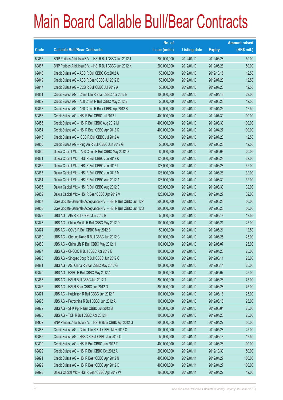|             |                                                                | No. of        |                     |               | <b>Amount raised</b> |
|-------------|----------------------------------------------------------------|---------------|---------------------|---------------|----------------------|
| <b>Code</b> | <b>Callable Bull/Bear Contracts</b>                            | issue (units) | <b>Listing date</b> | <b>Expiry</b> | $(HK$$ mil.)         |
| 69866       | BNP Paribas Arbit Issu B.V. - HSI R Bull CBBC Jun 2012 J       | 200,000,000   | 2012/01/10          | 2012/06/28    | 50.00                |
| 69867       | BNP Paribas Arbit Issu B.V. - HSI R Bull CBBC Jun 2012 K       | 200,000,000   | 2012/01/10          | 2012/06/28    | 50.00                |
| 69848       | Credit Suisse AG - ABC R Bull CBBC Oct 2012 A                  | 50,000,000    | 2012/01/10          | 2012/10/15    | 12.50                |
| 69849       | Credit Suisse AG - ABC R Bear CBBC Jul 2012 B                  | 50,000,000    | 2012/01/10          | 2012/07/23    | 12.50                |
| 69847       | Credit Suisse AG - CCB R Bull CBBC Jul 2012 A                  | 50,000,000    | 2012/01/10          | 2012/07/23    | 12.50                |
| 69851       | Credit Suisse AG - China Life R Bear CBBC Apr 2012 E           | 100,000,000   | 2012/01/10          | 2012/04/16    | 29.00                |
| 69852       | Credit Suisse AG - A50 China R Bull CBBC May 2012 B            | 50,000,000    | 2012/01/10          | 2012/05/28    | 12.50                |
| 69853       | Credit Suisse AG - A50 China R Bear CBBC Apr 2012 B            | 50,000,000    | 2012/01/10          | 2012/04/23    | 12.50                |
| 69856       | Credit Suisse AG - HSI R Bull CBBC Jul 2012 L                  | 400,000,000   | 2012/01/10          | 2012/07/30    | 100.00               |
| 69855       | Credit Suisse AG - HSI R Bull CBBC Aug 2012 M                  | 400,000,000   | 2012/01/10          | 2012/08/30    | 100.00               |
| 69854       | Credit Suisse AG - HSI R Bear CBBC Apr 2012 K                  | 400,000,000   | 2012/01/10          | 2012/04/27    | 100.00               |
| 69846       | Credit Suisse AG - ICBC R Bull CBBC Jul 2012 A                 | 50,000,000    | 2012/01/10          | 2012/07/23    | 12.50                |
| 69850       | Credit Suisse AG - Ping An R Bull CBBC Jun 2012 G              | 50,000,000    | 2012/01/10          | 2012/06/28    | 12.50                |
| 69860       | Daiwa Capital Mkt - A50 China R Bull CBBC May 2012 D           | 80,000,000    | 2012/01/10          | 2012/05/08    | 20.00                |
| 69861       | Daiwa Capital Mkt - HSI R Bull CBBC Jun 2012 K                 | 128,000,000   | 2012/01/10          | 2012/06/28    | 32.00                |
| 69862       | Daiwa Capital Mkt - HSI R Bull CBBC Jun 2012 L                 | 128,000,000   | 2012/01/10          | 2012/06/28    | 32.00                |
| 69863       | Daiwa Capital Mkt - HSI R Bull CBBC Jun 2012 M                 | 128,000,000   | 2012/01/10          | 2012/06/28    | 32.00                |
| 69864       | Daiwa Capital Mkt - HSI R Bull CBBC Aug 2012 A                 | 128,000,000   | 2012/01/10          | 2012/08/30    | 32.00                |
| 69865       | Daiwa Capital Mkt - HSI R Bull CBBC Aug 2012 B                 | 128,000,000   | 2012/01/10          | 2012/08/30    | 32.00                |
| 69859       | Daiwa Capital Mkt - HSI R Bear CBBC Apr 2012 V                 | 128,000,000   | 2012/01/10          | 2012/04/27    | 32.00                |
| 69857       | SGA Societe Generale Acceptance N.V. - HSI R Bull CBBC Jun 12P | 200,000,000   | 2012/01/10          | 2012/06/28    | 50.00                |
| 69858       | SGA Societe Generale Acceptance N.V. - HSI R Bull CBBC Jun 12Q | 200,000,000   | 2012/01/10          | 2012/06/28    | 50.00                |
| 69879       | UBS AG - AIA R Bull CBBC Jun 2012 B                            | 50,000,000    | 2012/01/10          | 2012/06/18    | 12.50                |
| 69878       | UBS AG - China Mobile R Bull CBBC May 2012 D                   | 100,000,000   | 2012/01/10          | 2012/05/21    | 25.00                |
| 69874       | UBS AG - COVS R Bull CBBC May 2012 B                           | 50,000,000    | 2012/01/10          | 2012/05/21    | 12.50                |
| 69869       | UBS AG - Cheung Kong R Bull CBBC Jun 2012 C                    | 100,000,000   | 2012/01/10          | 2012/06/25    | 25.00                |
| 69880       | UBS AG - China Life R Bull CBBC May 2012 H                     | 100,000,000   | 2012/01/10          | 2012/05/07    | 25.00                |
| 69877       | UBS AG - CNOOC R Bull CBBC Apr 2012 E                          | 100,000,000   | 2012/01/10          | 2012/04/23    | 25.00                |
| 69873       | UBS AG - Sinopec Corp R Bull CBBC Jun 2012 C                   | 100,000,000   | 2012/01/10          | 2012/06/11    | 25.00                |
| 69881       | UBS AG - A50 China R Bear CBBC May 2012 G                      | 100,000,000   | 2012/01/10          | 2012/05/14    | 25.00                |
| 69870       | UBS AG - HSBC R Bull CBBC May 2012 A                           | 100,000,000   | 2012/01/10          | 2012/05/07    | 25.00                |
| 69868       | UBS AG - HSI R Bull CBBC Jun 2012 T                            | 300,000,000   | 2012/01/10          | 2012/06/28    | 75.00                |
| 69845       | UBS AG - HSI R Bear CBBC Jun 2012 O                            | 300,000,000   | 2012/01/10          | 2012/06/28    | 75.00                |
| 69871       | UBS AG - Hutchison R Bull CBBC Jun 2012 F                      | 100,000,000   | 2012/01/10          | 2012/06/18    | 25.00                |
| 69876       | UBS AG - Petrochina R Bull CBBC Jun 2012 A                     | 100,000,000   | 2012/01/10          | 2012/06/18    | 25.00                |
| 69872       | UBS AG - SHK Ppt R Bull CBBC Jun 2012 B                        | 100,000,000   | 2012/01/10          | 2012/06/04    | 25.00                |
| 69875       | UBS AG - TCH R Bull CBBC Apr 2012 H                            | 100,000,000   | 2012/01/10          | 2012/04/23    | 25.00                |
| 69902       | BNP Paribas Arbit Issu B.V. - HSI R Bear CBBC Apr 2012 G       | 200,000,000   | 2012/01/11          | 2012/04/27    | 50.00                |
| 69888       | Credit Suisse AG - China Life R Bull CBBC May 2012 C           | 100,000,000   | 2012/01/11          | 2012/05/28    | 25.00                |
| 69889       | Credit Suisse AG - HSBC R Bull CBBC Jun 2012 C                 | 50,000,000    | 2012/01/11          | 2012/06/18    | 12.50                |
| 69890       | Credit Suisse AG - HSI R Bull CBBC Jun 2012 T                  | 400,000,000   | 2012/01/11          | 2012/06/28    | 100.00               |
| 69892       | Credit Suisse AG - HSI R Bull CBBC Oct 2012 A                  | 200,000,000   | 2012/01/11          | 2012/10/30    | 50.00                |
| 69891       | Credit Suisse AG - HSI R Bear CBBC Apr 2012 N                  | 400,000,000   | 2012/01/11          | 2012/04/27    | 100.00               |
| 69899       | Credit Suisse AG - HSI R Bear CBBC Apr 2012 Q                  | 400,000,000   | 2012/01/11          | 2012/04/27    | 100.00               |
| 69893       | Daiwa Capital Mkt - HSI R Bear CBBC Apr 2012 W                 | 168,000,000   | 2012/01/11          | 2012/04/27    | 42.00                |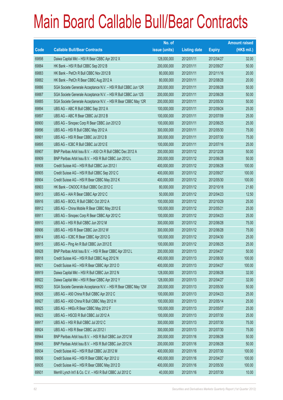|       |                                                                | No. of        |                     |               | <b>Amount raised</b> |
|-------|----------------------------------------------------------------|---------------|---------------------|---------------|----------------------|
| Code  | <b>Callable Bull/Bear Contracts</b>                            | issue (units) | <b>Listing date</b> | <b>Expiry</b> | (HK\$ mil.)          |
| 69898 | Daiwa Capital Mkt - HSI R Bear CBBC Apr 2012 X                 | 128,000,000   | 2012/01/11          | 2012/04/27    | 32.00                |
| 69884 | HK Bank - HSI R Bull CBBC Sep 2012 B                           | 200,000,000   | 2012/01/11          | 2012/09/27    | 50.00                |
| 69883 | HK Bank - PetCh R Bull CBBC Nov 2012 B                         | 80,000,000    | 2012/01/11          | 2012/11/16    | 20.00                |
| 69882 | HK Bank - PetCh R Bear CBBC Aug 2012 A                         | 80,000,000    | 2012/01/11          | 2012/08/28    | 20.00                |
| 69886 | SGA Societe Generale Acceptance N.V. - HSI R Bull CBBC Jun 12R | 200,000,000   | 2012/01/11          | 2012/06/28    | 50.00                |
| 69887 | SGA Societe Generale Acceptance N.V. - HSI R Bull CBBC Jun 12S | 200,000,000   | 2012/01/11          | 2012/06/28    | 50.00                |
| 69885 | SGA Societe Generale Acceptance N.V. - HSI R Bear CBBC May 12R | 200,000,000   | 2012/01/11          | 2012/05/30    | 50.00                |
| 69894 | UBS AG - ABC R Bull CBBC Sep 2012 A                            | 100,000,000   | 2012/01/11          | 2012/09/24    | 25.00                |
| 69897 | UBS AG - ABC R Bear CBBC Jul 2012 B                            | 100,000,000   | 2012/01/11          | 2012/07/09    | 25.00                |
| 69900 | UBS AG - Sinopec Corp R Bear CBBC Jun 2012 D                   | 100,000,000   | 2012/01/11          | 2012/06/25    | 25.00                |
| 69896 | UBS AG - HSI R Bull CBBC May 2012 A                            | 300,000,000   | 2012/01/11          | 2012/05/30    | 75.00                |
| 69901 | UBS AG - HSI R Bear CBBC Jul 2012 B                            | 300,000,000   | 2012/01/11          | 2012/07/30    | 75.00                |
| 69895 | UBS AG - ICBC R Bull CBBC Jul 2012 E                           | 100,000,000   | 2012/01/11          | 2012/07/16    | 25.00                |
| 69907 | BNP Paribas Arbit Issu B.V. - A50 Ch R Bull CBBC Dec 2012 A    | 200,000,000   | 2012/01/12          | 2012/12/28    | 50.00                |
| 69909 | BNP Paribas Arbit Issu B.V. - HSI R Bull CBBC Jun 2012 L       | 200,000,000   | 2012/01/12          | 2012/06/28    | 50.00                |
| 69908 | Credit Suisse AG - HSI R Bull CBBC Jun 2012 I                  | 400,000,000   | 2012/01/12          | 2012/06/28    | 100.00               |
| 69905 | Credit Suisse AG - HSI R Bull CBBC Sep 2012 C                  | 400,000,000   | 2012/01/12          | 2012/09/27    | 100.00               |
| 69904 | Credit Suisse AG - HSI R Bear CBBC May 2012 K                  | 400,000,000   | 2012/01/12          | 2012/05/30    | 100.00               |
| 69903 | HK Bank - CNOOC R Bull CBBC Oct 2012 C                         | 80,000,000    | 2012/01/12          | 2012/10/18    | 21.60                |
| 69913 | UBS AG - AIA R Bear CBBC Apr 2012 C                            | 50,000,000    | 2012/01/12          | 2012/04/23    | 12.50                |
| 69916 | UBS AG - BOCL R Bull CBBC Oct 2012 A                           | 100,000,000   | 2012/01/12          | 2012/10/29    | 25.00                |
| 69912 | UBS AG - China Mobile R Bear CBBC May 2012 E                   | 100,000,000   | 2012/01/12          | 2012/05/21    | 25.00                |
| 69911 | UBS AG - Sinopec Corp R Bear CBBC Apr 2012 C                   | 100,000,000   | 2012/01/12          | 2012/04/23    | 25.00                |
| 69910 | UBS AG - HSI R Bull CBBC Jun 2012 M                            | 300,000,000   | 2012/01/12          | 2012/06/28    | 75.00                |
| 69906 | UBS AG - HSI R Bear CBBC Jun 2012 W                            | 300,000,000   | 2012/01/12          | 2012/06/28    | 75.00                |
| 69914 | UBS AG - ICBC R Bear CBBC Apr 2012 G                           | 100,000,000   | 2012/01/12          | 2012/04/30    | 25.00                |
| 69915 | UBS AG - Ping An R Bull CBBC Jun 2012 E                        | 100,000,000   | 2012/01/12          | 2012/06/25    | 25.00                |
| 69928 | BNP Paribas Arbit Issu B.V. - HSI R Bear CBBC Apr 2012 L       | 200,000,000   | 2012/01/13          | 2012/04/27    | 50.00                |
| 69918 | Credit Suisse AG - HSI R Bull CBBC Aug 2012 N                  | 400,000,000   | 2012/01/13          | 2012/08/30    | 100.00               |
| 69921 | Credit Suisse AG - HSI R Bear CBBC Apr 2012 O                  | 400,000,000   | 2012/01/13          | 2012/04/27    | 100.00               |
| 69919 | Daiwa Capital Mkt - HSI R Bull CBBC Jun 2012 N                 | 128,000,000   | 2012/01/13          | 2012/06/28    | 32.00                |
| 69922 | Daiwa Capital Mkt - HSI R Bear CBBC Apr 2012 Y                 | 128,000,000   | 2012/01/13          | 2012/04/27    | 32.00                |
| 69920 | SGA Societe Generale Acceptance N.V. - HSI R Bear CBBC May 12W | 200,000,000   | 2012/01/13          | 2012/05/30    | 50.00                |
| 69926 | UBS AG - A50 China R Bull CBBC Apr 2012 C                      | 100,000,000   | 2012/01/13          | 2012/04/23    | 25.00                |
| 69927 | UBS AG - A50 China R Bull CBBC May 2012 H                      | 100,000,000   | 2012/01/13          | 2012/05/14    | 25.00                |
| 69925 | UBS AG - HKEx R Bear CBBC May 2012 F                           | 100,000,000   | 2012/01/13          | 2012/05/07    | 25.00                |
| 69923 | UBS AG - HSCEI R Bull CBBC Jul 2012 A                          | 100,000,000   | 2012/01/13          | 2012/07/30    | 25.00                |
| 69917 | UBS AG - HSI R Bull CBBC Jul 2012 C                            | 300,000,000   | 2012/01/13          | 2012/07/30    | 75.00                |
| 69924 | UBS AG - HSI R Bear CBBC Jul 2012 I                            | 300,000,000   | 2012/01/13          | 2012/07/30    | 75.00                |
| 69944 | BNP Paribas Arbit Issu B.V. - HSI R Bull CBBC Jun 2012 M       | 200,000,000   | 2012/01/16          | 2012/06/28    | 50.00                |
| 69945 | BNP Paribas Arbit Issu B.V. - HSI R Bull CBBC Jun 2012 N       | 200,000,000   | 2012/01/16          | 2012/06/28    | 50.00                |
| 69934 | Credit Suisse AG - HSI R Bull CBBC Jul 2012 M                  | 400,000,000   | 2012/01/16          | 2012/07/30    | 100.00               |
| 69936 | Credit Suisse AG - HSI R Bear CBBC Apr 2012 U                  | 400,000,000   | 2012/01/16          | 2012/04/27    | 100.00               |
| 69935 | Credit Suisse AG - HSI R Bear CBBC May 2012 D                  | 400,000,000   | 2012/01/16          | 2012/05/30    | 100.00               |
| 69931 | Merrill Lynch Int'l & Co. C.V. - HSI R Bull CBBC Jul 2012 C    | 40,000,000    | 2012/01/16          | 2012/07/30    | 10.00                |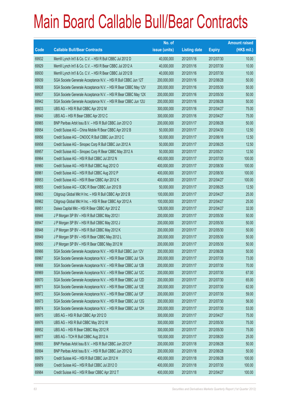|             |                                                                | No. of        |                     |               | <b>Amount raised</b> |
|-------------|----------------------------------------------------------------|---------------|---------------------|---------------|----------------------|
| <b>Code</b> | <b>Callable Bull/Bear Contracts</b>                            | issue (units) | <b>Listing date</b> | <b>Expiry</b> | $(HK$$ mil.)         |
| 69932       | Merrill Lynch Int'l & Co. C.V. - HSI R Bull CBBC Jul 2012 D    | 40,000,000    | 2012/01/16          | 2012/07/30    | 10.00                |
| 69929       | Merrill Lynch Int'l & Co. C.V. - HSI R Bear CBBC Jul 2012 A    | 40,000,000    | 2012/01/16          | 2012/07/30    | 10.00                |
| 69930       | Merrill Lynch Int'l & Co. C.V. - HSI R Bear CBBC Jul 2012 B    | 40,000,000    | 2012/01/16          | 2012/07/30    | 10.00                |
| 69939       | SGA Societe Generale Acceptance N.V. - HSI R Bull CBBC Jun 12T | 200,000,000   | 2012/01/16          | 2012/06/28    | 50.00                |
| 69938       | SGA Societe Generale Acceptance N.V. - HSI R Bear CBBC May 12V | 200,000,000   | 2012/01/16          | 2012/05/30    | 50.00                |
| 69937       | SGA Societe Generale Acceptance N.V. - HSI R Bear CBBC May 12X | 200,000,000   | 2012/01/16          | 2012/05/30    | 50.00                |
| 69942       | SGA Societe Generale Acceptance N.V. - HSI R Bear CBBC Jun 12U | 200,000,000   | 2012/01/16          | 2012/06/28    | 50.00                |
| 69933       | UBS AG - HSI R Bull CBBC Apr 2012 M                            | 300,000,000   | 2012/01/16          | 2012/04/27    | 75.00                |
| 69940       | UBS AG - HSI R Bear CBBC Apr 2012 C                            | 300,000,000   | 2012/01/16          | 2012/04/27    | 75.00                |
| 69965       | BNP Paribas Arbit Issu B.V. - HSI R Bull CBBC Jun 2012 O       | 200,000,000   | 2012/01/17          | 2012/06/28    | 50.00                |
| 69954       | Credit Suisse AG - China Mobile R Bear CBBC Apr 2012 B         | 50,000,000    | 2012/01/17          | 2012/04/30    | 12.50                |
| 69956       | Credit Suisse AG - CNOOC R Bull CBBC Jun 2012 C                | 50,000,000    | 2012/01/17          | 2012/06/18    | 12.50                |
| 69958       | Credit Suisse AG - Sinopec Corp R Bull CBBC Jun 2012 A         | 50,000,000    | 2012/01/17          | 2012/06/25    | 12.50                |
| 69957       | Credit Suisse AG - Sinopec Corp R Bear CBBC May 2012 A         | 50,000,000    | 2012/01/17          | 2012/05/21    | 12.50                |
| 69964       | Credit Suisse AG - HSI R Bull CBBC Jul 2012 N                  | 400,000,000   | 2012/01/17          | 2012/07/30    | 100.00               |
| 69960       | Credit Suisse AG - HSI R Bull CBBC Aug 2012 O                  | 400,000,000   | 2012/01/17          | 2012/08/30    | 100.00               |
| 69961       | Credit Suisse AG - HSI R Bull CBBC Aug 2012 P                  | 400,000,000   | 2012/01/17          | 2012/08/30    | 100.00               |
| 69953       | Credit Suisse AG - HSI R Bear CBBC Apr 2012 K                  | 400,000,000   | 2012/01/17          | 2012/04/27    | 100.00               |
| 69955       | Credit Suisse AG - ICBC R Bear CBBC Jun 2012 B                 | 50,000,000    | 2012/01/17          | 2012/06/25    | 12.50                |
| 69963       | Citigroup Global Mkt H Inc. - HSI R Bull CBBC Apr 2012 B       | 100,000,000   | 2012/01/17          | 2012/04/27    | 25.00                |
| 69962       | Citigroup Global Mkt H Inc. - HSI R Bear CBBC Apr 2012 A       | 100,000,000   | 2012/01/17          | 2012/04/27    | 25.00                |
| 69951       | Daiwa Capital Mkt - HSI R Bear CBBC Apr 2012 Z                 | 128,000,000   | 2012/01/17          | 2012/04/27    | 32.00                |
| 69946       | J P Morgan SP BV - HSI R Bull CBBC May 2012 I                  | 200,000,000   | 2012/01/17          | 2012/05/30    | 50.00                |
| 69947       | J P Morgan SP BV - HSI R Bull CBBC May 2012 J                  | 200,000,000   | 2012/01/17          | 2012/05/30    | 50.00                |
| 69948       | J P Morgan SP BV - HSI R Bull CBBC May 2012 K                  | 200,000,000   | 2012/01/17          | 2012/05/30    | 50.00                |
| 69949       | J P Morgan SP BV - HSI R Bear CBBC May 2012 L                  | 200,000,000   | 2012/01/17          | 2012/05/30    | 50.00                |
| 69950       | J P Morgan SP BV - HSI R Bear CBBC May 2012 M                  | 200,000,000   | 2012/01/17          | 2012/05/30    | 50.00                |
| 69966       | SGA Societe Generale Acceptance N.V. - HSI R Bull CBBC Jun 12V | 200,000,000   | 2012/01/17          | 2012/06/28    | 50.00                |
| 69967       | SGA Societe Generale Acceptance N.V. - HSI R Bear CBBC Jul 12A | 200,000,000   | 2012/01/17          | 2012/07/30    | 73.00                |
| 69968       | SGA Societe Generale Acceptance N.V. - HSI R Bear CBBC Jul 12B | 200,000,000   | 2012/01/17          | 2012/07/30    | 70.00                |
| 69969       | SGA Societe Generale Acceptance N.V. - HSI R Bear CBBC Jul 12C | 200,000,000   | 2012/01/17          | 2012/07/30    | 67.00                |
| 69970       | SGA Societe Generale Acceptance N.V. - HSI R Bear CBBC Jul 12D | 200,000,000   | 2012/01/17          | 2012/07/30    | 65.00                |
| 69971       | SGA Societe Generale Acceptance N.V. - HSI R Bear CBBC Jul 12E | 200,000,000   | 2012/01/17          | 2012/07/30    | 62.00                |
| 69972       | SGA Societe Generale Acceptance N.V. - HSI R Bear CBBC Jul 12F | 200,000,000   | 2012/01/17          | 2012/07/30    | 59.00                |
| 69973       | SGA Societe Generale Acceptance N.V. - HSI R Bear CBBC Jul 12G | 200,000,000   | 2012/01/17          | 2012/07/30    | 56.00                |
| 69974       | SGA Societe Generale Acceptance N.V. - HSI R Bear CBBC Jul 12H | 200,000,000   | 2012/01/17          | 2012/07/30    | 53.00                |
| 69975       | UBS AG - HSI R Bull CBBC Apr 2012 D                            | 300,000,000   | 2012/01/17          | 2012/04/27    | 75.00                |
| 69976       | UBS AG - HSI R Bull CBBC May 2012 W                            | 300,000,000   | 2012/01/17          | 2012/05/30    | 75.00                |
| 69952       | UBS AG - HSI R Bear CBBC May 2012 R                            | 300,000,000   | 2012/01/17          | 2012/05/30    | 75.00                |
| 69977       | UBS AG - TCH R Bull CBBC Aug 2012 A                            | 100,000,000   | 2012/01/17          | 2012/08/20    | 25.00                |
| 69993       | BNP Paribas Arbit Issu B.V. - HSI R Bull CBBC Jun 2012 P       | 200,000,000   | 2012/01/18          | 2012/06/28    | 50.00                |
| 69994       | BNP Paribas Arbit Issu B.V. - HSI R Bull CBBC Jun 2012 Q       | 200,000,000   | 2012/01/18          | 2012/06/28    | 50.00                |
| 69979       | Credit Suisse AG - HSI R Bull CBBC Jun 2012 H                  | 400,000,000   | 2012/01/18          | 2012/06/28    | 100.00               |
| 69989       | Credit Suisse AG - HSI R Bull CBBC Jul 2012 O                  | 400,000,000   | 2012/01/18          | 2012/07/30    | 100.00               |
| 69984       | Credit Suisse AG - HSI R Bear CBBC Apr 2012 T                  | 400,000,000   | 2012/01/18          | 2012/04/27    | 100.00               |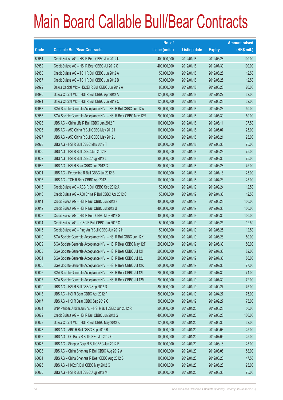|       |                                                                | No. of        |                     |               | <b>Amount raised</b> |
|-------|----------------------------------------------------------------|---------------|---------------------|---------------|----------------------|
| Code  | <b>Callable Bull/Bear Contracts</b>                            | issue (units) | <b>Listing date</b> | <b>Expiry</b> | (HK\$ mil.)          |
| 69981 | Credit Suisse AG - HSI R Bear CBBC Jun 2012 U                  | 400,000,000   | 2012/01/18          | 2012/06/28    | 100.00               |
| 69982 | Credit Suisse AG - HSI R Bear CBBC Jul 2012 S                  | 400,000,000   | 2012/01/18          | 2012/07/30    | 100.00               |
| 69980 | Credit Suisse AG - TCH R Bull CBBC Jun 2012 A                  | 50,000,000    | 2012/01/18          | 2012/06/25    | 12.50                |
| 69987 | Credit Suisse AG - TCH R Bull CBBC Jun 2012 B                  | 50,000,000    | 2012/01/18          | 2012/06/25    | 12.50                |
| 69992 | Daiwa Capital Mkt - HSCEI R Bull CBBC Jun 2012 A               | 80,000,000    | 2012/01/18          | 2012/06/28    | 20.00                |
| 69990 | Daiwa Capital Mkt - HSI R Bull CBBC Apr 2012 A                 | 128,000,000   | 2012/01/18          | 2012/04/27    | 32.00                |
| 69991 | Daiwa Capital Mkt - HSI R Bull CBBC Jun 2012 O                 | 128,000,000   | 2012/01/18          | 2012/06/28    | 32.00                |
| 69983 | SGA Societe Generale Acceptance N.V. - HSI R Bull CBBC Jun 12W | 200,000,000   | 2012/01/18          | 2012/06/28    | 50.00                |
| 69985 | SGA Societe Generale Acceptance N.V. - HSI R Bear CBBC May 12R | 200,000,000   | 2012/01/18          | 2012/05/30    | 50.00                |
| 69998 | UBS AG - China Life R Bull CBBC Jun 2012 F                     | 100,000,000   | 2012/01/18          | 2012/06/11    | 37.50                |
| 69996 | UBS AG - A50 China R Bull CBBC May 2012 I                      | 100,000,000   | 2012/01/18          | 2012/05/07    | 25.00                |
| 69997 | UBS AG - A50 China R Bull CBBC May 2012 J                      | 100,000,000   | 2012/01/18          | 2012/05/21    | 25.00                |
| 69978 | UBS AG - HSI R Bull CBBC May 2012 T                            | 300,000,000   | 2012/01/18          | 2012/05/30    | 75.00                |
| 60000 | UBS AG - HSI R Bull CBBC Jun 2012 P                            | 300,000,000   | 2012/01/18          | 2012/06/28    | 75.00                |
| 60002 | UBS AG - HSI R Bull CBBC Aug 2012 L                            | 300,000,000   | 2012/01/18          | 2012/08/30    | 75.00                |
| 69986 | UBS AG - HSI R Bear CBBC Jun 2012 C                            | 300,000,000   | 2012/01/18          | 2012/06/28    | 75.00                |
| 60001 | UBS AG - Petrochina R Bull CBBC Jul 2012 B                     | 100,000,000   | 2012/01/18          | 2012/07/16    | 25.00                |
| 69995 | UBS AG - TCH R Bear CBBC Apr 2012 I                            | 100,000,000   | 2012/01/18          | 2012/04/23    | 25.00                |
| 60013 | Credit Suisse AG - ABC R Bull CBBC Sep 2012 A                  | 50,000,000    | 2012/01/19          | 2012/09/24    | 12.50                |
| 60016 | Credit Suisse AG - A50 China R Bull CBBC Apr 2012 C            | 50,000,000    | 2012/01/19          | 2012/04/30    | 12.50                |
| 60011 | Credit Suisse AG - HSI R Bull CBBC Jun 2012 F                  | 400,000,000   | 2012/01/19          | 2012/06/28    | 100.00               |
| 60012 | Credit Suisse AG - HSI R Bull CBBC Jul 2012 U                  | 400,000,000   | 2012/01/19          | 2012/07/30    | 100.00               |
| 60008 | Credit Suisse AG - HSI R Bear CBBC May 2012 G                  | 400,000,000   | 2012/01/19          | 2012/05/30    | 100.00               |
| 60014 | Credit Suisse AG - ICBC R Bull CBBC Jun 2012 C                 | 50,000,000    | 2012/01/19          | 2012/06/25    | 12.50                |
| 60015 | Credit Suisse AG - Ping An R Bull CBBC Jun 2012 H              | 50,000,000    | 2012/01/19          | 2012/06/25    | 12.50                |
| 60010 | SGA Societe Generale Acceptance N.V. - HSI R Bull CBBC Jun 12X | 200,000,000   | 2012/01/19          | 2012/06/28    | 50.00                |
| 60009 | SGA Societe Generale Acceptance N.V. - HSI R Bear CBBC May 12T | 200,000,000   | 2012/01/19          | 2012/05/30    | 50.00                |
| 60003 | SGA Societe Generale Acceptance N.V. - HSI R Bear CBBC Jul 121 | 200,000,000   | 2012/01/19          | 2012/07/30    | 82.00                |
| 60004 | SGA Societe Generale Acceptance N.V. - HSI R Bear CBBC Jul 12J | 200,000,000   | 2012/01/19          | 2012/07/30    | 80.00                |
| 60005 | SGA Societe Generale Acceptance N.V. - HSI R Bear CBBC Jul 12K | 200,000,000   | 2012/01/19          | 2012/07/30    | 77.00                |
| 60006 | SGA Societe Generale Acceptance N.V. - HSI R Bear CBBC Jul 12L | 200,000,000   | 2012/01/19          | 2012/07/30    | 74.00                |
| 60007 | SGA Societe Generale Acceptance N.V. - HSI R Bear CBBC Jul 12M | 200,000,000   | 2012/01/19          | 2012/07/30    | 72.00                |
| 60019 | UBS AG - HSI R Bull CBBC Sep 2012 D                            | 300,000,000   | 2012/01/19          | 2012/09/27    | 75.00                |
| 60018 | UBS AG - HSI R Bear CBBC Apr 2012 F                            | 300,000,000   | 2012/01/19          | 2012/04/27    | 75.00                |
| 60017 | UBS AG - HSI R Bear CBBC Sep 2012 C                            | 300,000,000   | 2012/01/19          | 2012/09/27    | 75.00                |
| 60024 | BNP Paribas Arbit Issu B.V. - HSI R Bull CBBC Jun 2012 R       | 200,000,000   | 2012/01/20          | 2012/06/28    | 50.00                |
| 60022 | Credit Suisse AG - HSI R Bull CBBC Jun 2012 G                  | 400,000,000   | 2012/01/20          | 2012/06/28    | 100.00               |
| 60023 | Daiwa Capital Mkt - HSI R Bull CBBC May 2012 K                 | 128,000,000   | 2012/01/20          | 2012/05/30    | 32.00                |
| 60028 | UBS AG - ABC R Bull CBBC Sep 2012 B                            | 100,000,000   | 2012/01/20          | 2012/09/03    | 25.00                |
| 60032 | UBS AG - CC Bank R Bull CBBC Jul 2012 C                        | 100,000,000   | 2012/01/20          | 2012/07/09    | 25.00                |
| 60025 | UBS AG - Sinopec Corp R Bull CBBC Jun 2012 E                   | 100,000,000   | 2012/01/20          | 2012/06/18    | 25.00                |
| 60033 | UBS AG - China Shenhua R Bull CBBC Aug 2012 A                  | 100,000,000   | 2012/01/20          | 2012/08/06    | 53.00                |
| 60034 | UBS AG - China Shenhua R Bear CBBC Aug 2012 B                  | 100,000,000   | 2012/01/20          | 2012/08/20    | 47.50                |
| 60026 | UBS AG - HKEx R Bull CBBC May 2012 G                           | 100,000,000   | 2012/01/20          | 2012/05/28    | 25.00                |
| 60020 | UBS AG - HSI R Bull CBBC Aug 2012 M                            | 300,000,000   | 2012/01/20          | 2012/08/30    | 75.00                |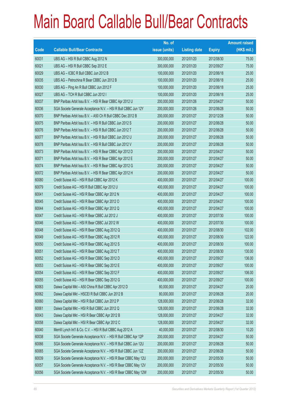|       |                                                                | No. of        |                     |               | <b>Amount raised</b> |
|-------|----------------------------------------------------------------|---------------|---------------------|---------------|----------------------|
| Code  | <b>Callable Bull/Bear Contracts</b>                            | issue (units) | <b>Listing date</b> | <b>Expiry</b> | (HK\$ mil.)          |
| 60031 | UBS AG - HSI R Bull CBBC Aug 2012 N                            | 300,000,000   | 2012/01/20          | 2012/08/30    | 75.00                |
| 60021 | UBS AG - HSI R Bull CBBC Sep 2012 E                            | 300,000,000   | 2012/01/20          | 2012/09/27    | 75.00                |
| 60029 | UBS AG - ICBC R Bull CBBC Jun 2012 B                           | 100,000,000   | 2012/01/20          | 2012/06/18    | 25.00                |
| 60035 | UBS AG - Petrochina R Bear CBBC Jun 2012 B                     | 100,000,000   | 2012/01/20          | 2012/06/18    | 25.00                |
| 60030 | UBS AG - Ping An R Bull CBBC Jun 2012 F                        | 100,000,000   | 2012/01/20          | 2012/06/18    | 25.00                |
| 60027 | UBS AG - TCH R Bull CBBC Jun 2012 I                            | 100,000,000   | 2012/01/20          | 2012/06/18    | 25.00                |
| 60037 | BNP Paribas Arbit Issu B.V. - HSI R Bear CBBC Apr 2012 U       | 200,000,000   | 2012/01/26          | 2012/04/27    | 50.00                |
| 60036 | SGA Societe Generale Acceptance N.V. - HSI R Bull CBBC Jun 12Y | 200,000,000   | 2012/01/26          | 2012/06/28    | 50.00                |
| 60070 | BNP Paribas Arbit Issu B.V. - A50 Ch R Bull CBBC Dec 2012 B    | 200,000,000   | 2012/01/27          | 2012/12/28    | 50.00                |
| 60075 | BNP Paribas Arbit Issu B.V. - HSI R Bull CBBC Jun 2012 S       | 200,000,000   | 2012/01/27          | 2012/06/28    | 50.00                |
| 60076 | BNP Paribas Arbit Issu B.V. - HSI R Bull CBBC Jun 2012 T       | 200,000,000   | 2012/01/27          | 2012/06/28    | 50.00                |
| 60077 | BNP Paribas Arbit Issu B.V. - HSI R Bull CBBC Jun 2012 U       | 200,000,000   | 2012/01/27          | 2012/06/28    | 50.00                |
| 60078 | BNP Paribas Arbit Issu B.V. - HSI R Bull CBBC Jun 2012 V       | 200,000,000   | 2012/01/27          | 2012/06/28    | 50.00                |
| 60073 | BNP Paribas Arbit Issu B.V. - HSI R Bear CBBC Apr 2012 D       | 200,000,000   | 2012/01/27          | 2012/04/27    | 50.00                |
| 60071 | BNP Paribas Arbit Issu B.V. - HSI R Bear CBBC Apr 2012 E       | 200,000,000   | 2012/01/27          | 2012/04/27    | 50.00                |
| 60074 | BNP Paribas Arbit Issu B.V. - HSI R Bear CBBC Apr 2012 G       | 200,000,000   | 2012/01/27          | 2012/04/27    | 50.00                |
| 60072 | BNP Paribas Arbit Issu B.V. - HSI R Bear CBBC Apr 2012 H       | 200,000,000   | 2012/01/27          | 2012/04/27    | 50.00                |
| 60080 | Credit Suisse AG - HSI R Bull CBBC Apr 2012 K                  | 400,000,000   | 2012/01/27          | 2012/04/27    | 100.00               |
| 60079 | Credit Suisse AG - HSI R Bull CBBC Apr 2012 U                  | 400,000,000   | 2012/01/27          | 2012/04/27    | 100.00               |
| 60041 | Credit Suisse AG - HSI R Bear CBBC Apr 2012 N                  | 400,000,000   | 2012/01/27          | 2012/04/27    | 100.00               |
| 60045 | Credit Suisse AG - HSI R Bear CBBC Apr 2012 O                  | 400,000,000   | 2012/01/27          | 2012/04/27    | 100.00               |
| 60044 | Credit Suisse AG - HSI R Bear CBBC Apr 2012 Q                  | 400,000,000   | 2012/01/27          | 2012/04/27    | 100.00               |
| 60047 | Credit Suisse AG - HSI R Bear CBBC Jul 2012 J                  | 400,000,000   | 2012/01/27          | 2012/07/30    | 100.00               |
| 60046 | Credit Suisse AG - HSI R Bear CBBC Jul 2012 W                  | 400,000,000   | 2012/01/27          | 2012/07/30    | 100.00               |
| 60048 | Credit Suisse AG - HSI R Bear CBBC Aug 2012 Q                  | 400,000,000   | 2012/01/27          | 2012/08/30    | 102.00               |
| 60049 | Credit Suisse AG - HSI R Bear CBBC Aug 2012 R                  | 400,000,000   | 2012/01/27          | 2012/08/30    | 122.00               |
| 60050 | Credit Suisse AG - HSI R Bear CBBC Aug 2012 S                  | 400,000,000   | 2012/01/27          | 2012/08/30    | 100.00               |
| 60051 | Credit Suisse AG - HSI R Bear CBBC Aug 2012 T                  | 400,000,000   | 2012/01/27          | 2012/08/30    | 130.00               |
| 60052 | Credit Suisse AG - HSI R Bear CBBC Sep 2012 D                  | 400,000,000   | 2012/01/27          | 2012/09/27    | 136.00               |
| 60053 | Credit Suisse AG - HSI R Bear CBBC Sep 2012 E                  | 400,000,000   | 2012/01/27          | 2012/09/27    | 100.00               |
| 60054 | Credit Suisse AG - HSI R Bear CBBC Sep 2012 F                  | 400,000,000   | 2012/01/27          | 2012/09/27    | 106.00               |
| 60055 | Credit Suisse AG - HSI R Bear CBBC Sep 2012 G                  | 400,000,000   | 2012/01/27          | 2012/09/27    | 100.00               |
| 60063 | Daiwa Capital Mkt - A50 China R Bull CBBC Apr 2012 D           | 80,000,000    | 2012/01/27          | 2012/04/27    | 20.00                |
| 60062 | Daiwa Capital Mkt - HSCEI R Bull CBBC Jun 2012 B               | 80,000,000    | 2012/01/27          | 2012/06/28    | 20.00                |
| 60060 | Daiwa Capital Mkt - HSI R Bull CBBC Jun 2012 P                 | 128,000,000   | 2012/01/27          | 2012/06/28    | 32.00                |
| 60061 | Daiwa Capital Mkt - HSI R Bull CBBC Jun 2012 Q                 | 128,000,000   | 2012/01/27          | 2012/06/28    | 32.00                |
| 60043 | Daiwa Capital Mkt - HSI R Bear CBBC Apr 2012 B                 | 128,000,000   | 2012/01/27          | 2012/04/27    | 32.00                |
| 60058 | Daiwa Capital Mkt - HSI R Bear CBBC Apr 2012 C                 | 128,000,000   | 2012/01/27          | 2012/04/27    | 32.00                |
| 60040 | Merrill Lynch Int'l & Co. C.V. - HSI R Bull CBBC Aug 2012 A    | 40,000,000    | 2012/01/27          | 2012/08/30    | 10.20                |
| 60038 | SGA Societe Generale Acceptance N.V. - HSI R Bull CBBC Apr 12P | 200,000,000   | 2012/01/27          | 2012/04/27    | 50.00                |
| 60066 | SGA Societe Generale Acceptance N.V. - HSI R Bull CBBC Jun 12U | 200,000,000   | 2012/01/27          | 2012/06/28    | 50.00                |
| 60065 | SGA Societe Generale Acceptance N.V. - HSI R Bull CBBC Jun 12Z | 200,000,000   | 2012/01/27          | 2012/06/28    | 50.00                |
| 60039 | SGA Societe Generale Acceptance N.V. - HSI R Bear CBBC May 12U | 200,000,000   | 2012/01/27          | 2012/05/30    | 50.00                |
| 60057 | SGA Societe Generale Acceptance N.V. - HSI R Bear CBBC May 12V | 200,000,000   | 2012/01/27          | 2012/05/30    | 50.00                |
| 60056 | SGA Societe Generale Acceptance N.V. - HSI R Bear CBBC May 12W | 200,000,000   | 2012/01/27          | 2012/05/30    | 50.00                |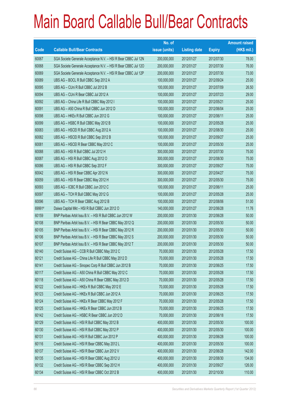|        |                                                                | No. of        |                     |               | <b>Amount raised</b> |
|--------|----------------------------------------------------------------|---------------|---------------------|---------------|----------------------|
| Code   | <b>Callable Bull/Bear Contracts</b>                            | issue (units) | <b>Listing date</b> | <b>Expiry</b> | $(HK$$ mil.)         |
| 60067  | SGA Societe Generale Acceptance N.V. - HSI R Bear CBBC Jul 12N | 200,000,000   | 2012/01/27          | 2012/07/30    | 78.00                |
| 60068  | SGA Societe Generale Acceptance N.V. - HSI R Bear CBBC Jul 120 | 200,000,000   | 2012/01/27          | 2012/07/30    | 76.00                |
| 60069  | SGA Societe Generale Acceptance N.V. - HSI R Bear CBBC Jul 12P | 200,000,000   | 2012/01/27          | 2012/07/30    | 73.00                |
| 60089  | UBS AG - BOCL R Bull CBBC Sep 2012 A                           | 100,000,000   | 2012/01/27          | 2012/09/24    | 25.00                |
| 60095  | UBS AG - CUni R Bull CBBC Jul 2012 B                           | 100,000,000   | 2012/01/27          | 2012/07/09    | 26.50                |
| 60094  | UBS AG - CUni R Bear CBBC Jul 2012 A                           | 100,000,000   | 2012/01/27          | 2012/07/23    | 29.00                |
| 60092  | UBS AG - China Life R Bull CBBC May 2012 I                     | 100,000,000   | 2012/01/27          | 2012/05/21    | 25.00                |
| 60091  | UBS AG - A50 China R Bull CBBC Jun 2012 D                      | 100,000,000   | 2012/01/27          | 2012/06/04    | 25.00                |
| 60098  | UBS AG - HKEx R Bull CBBC Jun 2012 G                           | 100,000,000   | 2012/01/27          | 2012/06/11    | 25.00                |
| 60099  | UBS AG - HSBC R Bull CBBC May 2012 B                           | 100,000,000   | 2012/01/27          | 2012/05/28    | 25.00                |
| 60083  | UBS AG - HSCEI R Bull CBBC Aug 2012 A                          | 100,000,000   | 2012/01/27          | 2012/08/30    | 25.00                |
| 60082  | UBS AG - HSCEI R Bull CBBC Sep 2012 B                          | 100,000,000   | 2012/01/27          | 2012/09/27    | 25.00                |
| 60081  | UBS AG - HSCEI R Bear CBBC May 2012 C                          | 100,000,000   | 2012/01/27          | 2012/05/30    | 25.00                |
| 60088  | UBS AG - HSI R Bull CBBC Jul 2012 H                            | 300,000,000   | 2012/01/27          | 2012/07/30    | 75.00                |
| 60087  | UBS AG - HSI R Bull CBBC Aug 2012 O                            | 300,000,000   | 2012/01/27          | 2012/08/30    | 75.00                |
| 60086  | UBS AG - HSI R Bull CBBC Sep 2012 F                            | 300,000,000   | 2012/01/27          | 2012/09/27    | 75.00                |
| 60042  | UBS AG - HSI R Bear CBBC Apr 2012 N                            | 300,000,000   | 2012/01/27          | 2012/04/27    | 75.00                |
| 60059  | UBS AG - HSI R Bear CBBC May 2012 H                            | 300,000,000   | 2012/01/27          | 2012/05/30    | 75.00                |
| 60093  | UBS AG - ICBC R Bull CBBC Jun 2012 C                           | 100,000,000   | 2012/01/27          | 2012/06/11    | 25.00                |
| 60097  | UBS AG - TCH R Bull CBBC May 2012 G                            | 100,000,000   | 2012/01/27          | 2012/05/28    | 25.00                |
| 60096  | UBS AG - TCH R Bear CBBC Aug 2012 B                            | 100,000,000   | 2012/01/27          | 2012/08/06    | 51.00                |
| 69991# | Daiwa Capital Mkt - HSI R Bull CBBC Jun 2012 O                 | 140,000,000   | 2012/01/27          | 2012/06/28    | 11.76                |
| 60159  | BNP Paribas Arbit Issu B.V. - HSI R Bull CBBC Jun 2012 W       | 200,000,000   | 2012/01/30          | 2012/06/28    | 50.00                |
| 60108  | BNP Paribas Arbit Issu B.V. - HSI R Bear CBBC May 2012 Q       | 200,000,000   | 2012/01/30          | 2012/05/30    | 50.00                |
| 60105  | BNP Paribas Arbit Issu B.V. - HSI R Bear CBBC May 2012 R       | 200,000,000   | 2012/01/30          | 2012/05/30    | 50.00                |
| 60106  | BNP Paribas Arbit Issu B.V. - HSI R Bear CBBC May 2012 S       | 200,000,000   | 2012/01/30          | 2012/05/30    | 50.00                |
| 60107  | BNP Paribas Arbit Issu B.V. - HSI R Bear CBBC May 2012 T       | 200,000,000   | 2012/01/30          | 2012/05/30    | 50.00                |
| 60140  | Credit Suisse AG - CCB R Bull CBBC May 2012 C                  | 70,000,000    | 2012/01/30          | 2012/05/28    | 17.50                |
| 60121  | Credit Suisse AG - China Life R Bull CBBC May 2012 D           | 70,000,000    | 2012/01/30          | 2012/05/28    | 17.50                |
| 60141  | Credit Suisse AG - Sinopec Corp R Bull CBBC Jun 2012 B         | 70,000,000    | 2012/01/30          | 2012/06/25    | 17.50                |
| 60117  | Credit Suisse AG - A50 China R Bull CBBC May 2012 C            | 70,000,000    | 2012/01/30          | 2012/05/28    | 17.50                |
| 60118  | Credit Suisse AG - A50 China R Bear CBBC May 2012 D            | 70,000,000    | 2012/01/30          | 2012/05/28    | 17.50                |
| 60122  | Credit Suisse AG - HKEx R Bull CBBC May 2012 E                 | 70,000,000    | 2012/01/30          | 2012/05/28    | 17.50                |
| 60123  | Credit Suisse AG - HKEx R Bull CBBC Jun 2012 A                 | 70,000,000    | 2012/01/30          | 2012/06/25    | 17.50                |
| 60124  | Credit Suisse AG - HKEx R Bear CBBC May 2012 F                 | 70,000,000    | 2012/01/30          | 2012/05/28    | 17.50                |
| 60125  | Credit Suisse AG - HKEx R Bear CBBC Jun 2012 B                 | 70,000,000    | 2012/01/30          | 2012/06/25    | 17.50                |
| 60142  | Credit Suisse AG - HSBC R Bear CBBC Jun 2012 D                 | 70,000,000    | 2012/01/30          | 2012/06/18    | 17.50                |
| 60129  | Credit Suisse AG - HSI R Bull CBBC May 2012 B                  | 400,000,000   | 2012/01/30          | 2012/05/30    | 100.00               |
| 60130  | Credit Suisse AG - HSI R Bull CBBC May 2012 P                  | 400,000,000   | 2012/01/30          | 2012/05/30    | 100.00               |
| 60131  | Credit Suisse AG - HSI R Bull CBBC Jun 2012 P                  | 400,000,000   | 2012/01/30          | 2012/06/28    | 100.00               |
| 60116  | Credit Suisse AG - HSI R Bear CBBC May 2012 L                  | 400,000,000   | 2012/01/30          | 2012/05/30    | 100.00               |
| 60137  | Credit Suisse AG - HSI R Bear CBBC Jun 2012 V                  | 400,000,000   | 2012/01/30          | 2012/06/28    | 142.00               |
| 60135  | Credit Suisse AG - HSI R Bear CBBC Aug 2012 U                  | 400,000,000   | 2012/01/30          | 2012/08/30    | 134.00               |
| 60132  | Credit Suisse AG - HSI R Bear CBBC Sep 2012 H                  | 400,000,000   | 2012/01/30          | 2012/09/27    | 126.00               |
| 60134  | Credit Suisse AG - HSI R Bear CBBC Oct 2012 B                  | 400,000,000   | 2012/01/30          | 2012/10/30    | 110.00               |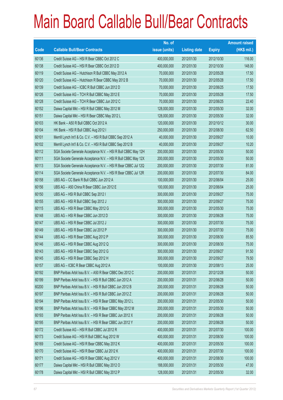|       |                                                                | No. of        |                     |               | <b>Amount raised</b> |
|-------|----------------------------------------------------------------|---------------|---------------------|---------------|----------------------|
| Code  | <b>Callable Bull/Bear Contracts</b>                            | issue (units) | <b>Listing date</b> | <b>Expiry</b> | $(HK$$ mil.)         |
| 60136 | Credit Suisse AG - HSI R Bear CBBC Oct 2012 C                  | 400,000,000   | 2012/01/30          | 2012/10/30    | 116.00               |
| 60138 | Credit Suisse AG - HSI R Bear CBBC Oct 2012 D                  | 400,000,000   | 2012/01/30          | 2012/10/30    | 148.00               |
| 60119 | Credit Suisse AG - Hutchison R Bull CBBC May 2012 A            | 70,000,000    | 2012/01/30          | 2012/05/28    | 17.50                |
| 60120 | Credit Suisse AG - Hutchison R Bear CBBC May 2012 B            | 70,000,000    | 2012/01/30          | 2012/05/28    | 17.50                |
| 60139 | Credit Suisse AG - ICBC R Bull CBBC Jun 2012 D                 | 70,000,000    | 2012/01/30          | 2012/06/25    | 17.50                |
| 60126 | Credit Suisse AG - TCH R Bull CBBC May 2012 E                  | 70,000,000    | 2012/01/30          | 2012/05/28    | 17.50                |
| 60128 | Credit Suisse AG - TCH R Bear CBBC Jun 2012 C                  | 70,000,000    | 2012/01/30          | 2012/06/25    | 22.40                |
| 60152 | Daiwa Capital Mkt - HSI R Bull CBBC May 2012 M                 | 128,000,000   | 2012/01/30          | 2012/05/30    | 32.00                |
| 60151 | Daiwa Capital Mkt - HSI R Bear CBBC May 2012 L                 | 128,000,000   | 2012/01/30          | 2012/05/30    | 32.00                |
| 60103 | HK Bank - A50 R Bull CBBC Oct 2012 A                           | 120,000,000   | 2012/01/30          | 2012/10/12    | 30.00                |
| 60104 | HK Bank - HSI R Bull CBBC Aug 2012 I                           | 250,000,000   | 2012/01/30          | 2012/08/30    | 62.50                |
| 60101 | Merrill Lynch Int'l & Co. C.V. - HSI R Bull CBBC Sep 2012 A    | 40,000,000    | 2012/01/30          | 2012/09/27    | 10.00                |
| 60102 | Merrill Lynch Int'l & Co. C.V. - HSI R Bull CBBC Sep 2012 B    | 40,000,000    | 2012/01/30          | 2012/09/27    | 10.20                |
| 60112 | SGA Societe Generale Acceptance N.V. - HSI R Bull CBBC May 12H | 200,000,000   | 2012/01/30          | 2012/05/30    | 50.00                |
| 60111 | SGA Societe Generale Acceptance N.V. - HSI R Bull CBBC May 12X | 200,000,000   | 2012/01/30          | 2012/05/30    | 50.00                |
| 60113 | SGA Societe Generale Acceptance N.V. - HSI R Bear CBBC Jul 12Q | 200,000,000   | 2012/01/30          | 2012/07/30    | 81.00                |
| 60114 | SGA Societe Generale Acceptance N.V. - HSI R Bear CBBC Jul 12R | 200,000,000   | 2012/01/30          | 2012/07/30    | 84.00                |
| 60158 | UBS AG - CC Bank R Bull CBBC Jun 2012 A                        | 100,000,000   | 2012/01/30          | 2012/06/04    | 25.00                |
| 60156 | UBS AG - A50 China R Bear CBBC Jun 2012 E                      | 100,000,000   | 2012/01/30          | 2012/06/04    | 25.00                |
| 60150 | UBS AG - HSI R Bull CBBC Sep 2012 I                            | 300,000,000   | 2012/01/30          | 2012/09/27    | 75.00                |
| 60155 | UBS AG - HSI R Bull CBBC Sep 2012 J                            | 300,000,000   | 2012/01/30          | 2012/09/27    | 75.00                |
| 60115 | UBS AG - HSI R Bear CBBC May 2012 G                            | 300,000,000   | 2012/01/30          | 2012/05/30    | 75.00                |
| 60148 | UBS AG - HSI R Bear CBBC Jun 2012 D                            | 300,000,000   | 2012/01/30          | 2012/06/28    | 75.00                |
| 60147 | UBS AG - HSI R Bear CBBC Jul 2012 J                            | 300,000,000   | 2012/01/30          | 2012/07/30    | 75.00                |
| 60149 | UBS AG - HSI R Bear CBBC Jul 2012 P                            | 300,000,000   | 2012/01/30          | 2012/07/30    | 75.00                |
| 60144 | UBS AG - HSI R Bear CBBC Aug 2012 P                            | 300,000,000   | 2012/01/30          | 2012/08/30    | 85.50                |
| 60146 | UBS AG - HSI R Bear CBBC Aug 2012 Q                            | 300,000,000   | 2012/01/30          | 2012/08/30    | 75.00                |
| 60143 | UBS AG - HSI R Bear CBBC Sep 2012 G                            | 300,000,000   | 2012/01/30          | 2012/09/27    | 91.50                |
| 60145 | UBS AG - HSI R Bear CBBC Sep 2012 H                            | 300,000,000   | 2012/01/30          | 2012/09/27    | 79.50                |
| 60157 | UBS AG - ICBC R Bear CBBC Aug 2012 A                           | 100,000,000   | 2012/01/30          | 2012/08/13    | 25.00                |
| 60192 | BNP Paribas Arbit Issu B.V. - A50 R Bear CBBC Dec 2012 C       | 200,000,000   | 2012/01/31          | 2012/12/28    | 50.00                |
| 60199 | BNP Paribas Arbit Issu B.V. - HSI R Bull CBBC Jun 2012 A       | 200,000,000   | 2012/01/31          | 2012/06/28    | 50.00                |
| 60200 | BNP Paribas Arbit Issu B.V. - HSI R Bull CBBC Jun 2012 B       | 200,000,000   | 2012/01/31          | 2012/06/28    | 50.00                |
| 60197 | BNP Paribas Arbit Issu B.V. - HSI R Bull CBBC Jun 2012 Z       | 200,000,000   | 2012/01/31          | 2012/06/28    | 50.00                |
| 60194 | BNP Paribas Arbit Issu B.V. - HSI R Bear CBBC May 2012 L       | 200,000,000   | 2012/01/31          | 2012/05/30    | 50.00                |
| 60196 | BNP Paribas Arbit Issu B.V. - HSI R Bear CBBC May 2012 M       | 200,000,000   | 2012/01/31          | 2012/05/30    | 50.00                |
| 60193 | BNP Paribas Arbit Issu B.V. - HSI R Bear CBBC Jun 2012 X       | 200,000,000   | 2012/01/31          | 2012/06/28    | 50.00                |
| 60195 | BNP Paribas Arbit Issu B.V. - HSI R Bear CBBC Jun 2012 Y       | 200,000,000   | 2012/01/31          | 2012/06/28    | 50.00                |
| 60172 | Credit Suisse AG - HSI R Bull CBBC Jul 2012 R                  | 400,000,000   | 2012/01/31          | 2012/07/30    | 100.00               |
| 60173 | Credit Suisse AG - HSI R Bull CBBC Aug 2012 W                  | 400,000,000   | 2012/01/31          | 2012/08/30    | 100.00               |
| 60169 | Credit Suisse AG - HSI R Bear CBBC May 2012 K                  | 400,000,000   | 2012/01/31          | 2012/05/30    | 100.00               |
| 60170 | Credit Suisse AG - HSI R Bear CBBC Jul 2012 K                  | 400,000,000   | 2012/01/31          | 2012/07/30    | 100.00               |
| 60171 | Credit Suisse AG - HSI R Bear CBBC Aug 2012 V                  | 400,000,000   | 2012/01/31          | 2012/08/30    | 100.00               |
| 60177 | Daiwa Capital Mkt - HSI R Bull CBBC May 2012 O                 | 188,000,000   | 2012/01/31          | 2012/05/30    | 47.00                |
| 60178 | Daiwa Capital Mkt - HSI R Bull CBBC May 2012 P                 | 128,000,000   | 2012/01/31          | 2012/05/30    | 32.00                |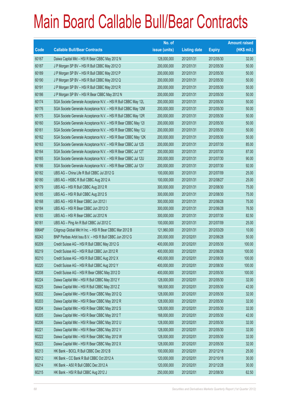|        |                                                                | No. of        |                     |               | <b>Amount raised</b> |
|--------|----------------------------------------------------------------|---------------|---------------------|---------------|----------------------|
| Code   | <b>Callable Bull/Bear Contracts</b>                            | issue (units) | <b>Listing date</b> | <b>Expiry</b> | $(HK$$ mil.)         |
| 60167  | Daiwa Capital Mkt - HSI R Bear CBBC May 2012 N                 | 128,000,000   | 2012/01/31          | 2012/05/30    | 32.00                |
| 60187  | J P Morgan SP BV - HSI R Bull CBBC May 2012 O                  | 200,000,000   | 2012/01/31          | 2012/05/30    | 50.00                |
| 60189  | J P Morgan SP BV - HSI R Bull CBBC May 2012 P                  | 200,000,000   | 2012/01/31          | 2012/05/30    | 50.00                |
| 60190  | J P Morgan SP BV - HSI R Bull CBBC May 2012 Q                  | 200,000,000   | 2012/01/31          | 2012/05/30    | 50.00                |
| 60191  | J P Morgan SP BV - HSI R Bull CBBC May 2012 R                  | 200,000,000   | 2012/01/31          | 2012/05/30    | 50.00                |
| 60186  | J P Morgan SP BV - HSI R Bear CBBC May 2012 N                  | 200,000,000   | 2012/01/31          | 2012/05/30    | 50.00                |
| 60174  | SGA Societe Generale Acceptance N.V. - HSI R Bull CBBC May 12L | 200,000,000   | 2012/01/31          | 2012/05/30    | 50.00                |
| 60176  | SGA Societe Generale Acceptance N.V. - HSI R Bull CBBC May 12M | 200,000,000   | 2012/01/31          | 2012/05/30    | 50.00                |
| 60175  | SGA Societe Generale Acceptance N.V. - HSI R Bull CBBC May 12R | 200,000,000   | 2012/01/31          | 2012/05/30    | 50.00                |
| 60160  | SGA Societe Generale Acceptance N.V. - HSI R Bear CBBC May 121 | 200,000,000   | 2012/01/31          | 2012/05/30    | 50.00                |
| 60161  | SGA Societe Generale Acceptance N.V. - HSI R Bear CBBC May 12J | 200,000,000   | 2012/01/31          | 2012/05/30    | 50.00                |
| 60162  | SGA Societe Generale Acceptance N.V. - HSI R Bear CBBC May 12K | 200,000,000   | 2012/01/31          | 2012/05/30    | 50.00                |
| 60163  | SGA Societe Generale Acceptance N.V. - HSI R Bear CBBC Jul 12S | 200,000,000   | 2012/01/31          | 2012/07/30    | 85.00                |
| 60164  | SGA Societe Generale Acceptance N.V. - HSI R Bear CBBC Jul 12T | 200,000,000   | 2012/01/31          | 2012/07/30    | 87.00                |
| 60165  | SGA Societe Generale Acceptance N.V. - HSI R Bear CBBC Jul 12U | 200,000,000   | 2012/01/31          | 2012/07/30    | 90.00                |
| 60166  | SGA Societe Generale Acceptance N.V. - HSI R Bear CBBC Jul 12V | 200,000,000   | 2012/01/31          | 2012/07/30    | 92.00                |
| 60182  | UBS AG - China Life R Bull CBBC Jul 2012 G                     | 100,000,000   | 2012/01/31          | 2012/07/09    | 25.00                |
| 60180  | UBS AG - HSBC R Bull CBBC Aug 2012 A                           | 100,000,000   | 2012/01/31          | 2012/08/27    | 25.00                |
| 60179  | UBS AG - HSI R Bull CBBC Aug 2012 R                            | 300,000,000   | 2012/01/31          | 2012/08/30    | 75.00                |
| 60185  | UBS AG - HSI R Bull CBBC Aug 2012 S                            | 300,000,000   | 2012/01/31          | 2012/08/30    | 75.00                |
| 60168  | UBS AG - HSI R Bear CBBC Jun 2012 I                            | 300,000,000   | 2012/01/31          | 2012/06/28    | 75.00                |
| 60184  | UBS AG - HSI R Bear CBBC Jun 2012 O                            | 300,000,000   | 2012/01/31          | 2012/06/28    | 76.50                |
| 60183  | UBS AG - HSI R Bear CBBC Jul 2012 N                            | 300,000,000   | 2012/01/31          | 2012/07/30    | 82.50                |
| 60181  | UBS AG - Ping An R Bull CBBC Jul 2012 C                        | 100,000,000   | 2012/01/31          | 2012/07/09    | 25.00                |
| 69646# | Citigroup Global Mkt H Inc. - HSI R Bear CBBC Mar 2012 B       | 121,960,000   | 2012/01/31          | 2012/03/29    | 10.00                |
| 60243  | BNP Paribas Arbit Issu B.V. - HSI R Bull CBBC Jun 2012 G       | 200,000,000   | 2012/02/01          | 2012/06/28    | 50.00                |
| 60209  | Credit Suisse AG - HSI R Bull CBBC May 2012 G                  | 400,000,000   | 2012/02/01          | 2012/05/30    | 100.00               |
| 60219  | Credit Suisse AG - HSI R Bull CBBC Jun 2012 R                  | 400,000,000   | 2012/02/01          | 2012/06/28    | 100.00               |
| 60210  | Credit Suisse AG - HSI R Bull CBBC Aug 2012 X                  | 400,000,000   | 2012/02/01          | 2012/08/30    | 100.00               |
| 60220  | Credit Suisse AG - HSI R Bull CBBC Aug 2012 Y                  | 400,000,000   | 2012/02/01          | 2012/08/30    | 100.00               |
| 60208  | Credit Suisse AG - HSI R Bear CBBC May 2012 D                  | 400,000,000   | 2012/02/01          | 2012/05/30    | 100.00               |
| 60224  | Daiwa Capital Mkt - HSI R Bull CBBC May 2012 Y                 | 128,000,000   | 2012/02/01          | 2012/05/30    | 32.00                |
| 60225  | Daiwa Capital Mkt - HSI R Bull CBBC May 2012 Z                 | 168,000,000   | 2012/02/01          | 2012/05/30    | 42.00                |
| 60202  | Daiwa Capital Mkt - HSI R Bear CBBC May 2012 Q                 | 128,000,000   | 2012/02/01          | 2012/05/30    | 32.00                |
| 60203  | Daiwa Capital Mkt - HSI R Bear CBBC May 2012 R                 | 128,000,000   | 2012/02/01          | 2012/05/30    | 32.00                |
| 60204  | Daiwa Capital Mkt - HSI R Bear CBBC May 2012 S                 | 128,000,000   | 2012/02/01          | 2012/05/30    | 32.00                |
| 60205  | Daiwa Capital Mkt - HSI R Bear CBBC May 2012 T                 | 168,000,000   | 2012/02/01          | 2012/05/30    | 42.00                |
| 60206  | Daiwa Capital Mkt - HSI R Bear CBBC May 2012 U                 | 128,000,000   | 2012/02/01          | 2012/05/30    | 32.00                |
| 60221  | Daiwa Capital Mkt - HSI R Bear CBBC May 2012 V                 | 128,000,000   | 2012/02/01          | 2012/05/30    | 32.00                |
| 60222  | Daiwa Capital Mkt - HSI R Bear CBBC May 2012 W                 | 128,000,000   | 2012/02/01          | 2012/05/30    | 32.00                |
| 60223  | Daiwa Capital Mkt - HSI R Bear CBBC May 2012 X                 | 128,000,000   | 2012/02/01          | 2012/05/30    | 32.00                |
| 60213  | HK Bank - BOCL R Bull CBBC Dec 2012 B                          | 100,000,000   | 2012/02/01          | 2012/12/18    | 25.00                |
| 60212  | HK Bank - CC Bank R Bull CBBC Oct 2012 A                       | 120,000,000   | 2012/02/01          | 2012/10/18    | 30.00                |
| 60214  | HK Bank - A50 R Bull CBBC Dec 2012 A                           | 120,000,000   | 2012/02/01          | 2012/12/28    | 30.00                |
| 60215  | HK Bank - HSI R Bull CBBC Aug 2012 J                           | 250,000,000   | 2012/02/01          | 2012/08/30    | 62.50                |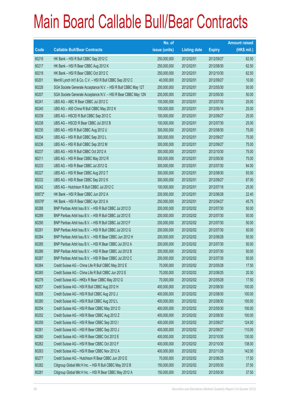|        |                                                                | No. of        |                     |               | <b>Amount raised</b> |
|--------|----------------------------------------------------------------|---------------|---------------------|---------------|----------------------|
| Code   | <b>Callable Bull/Bear Contracts</b>                            | issue (units) | <b>Listing date</b> | <b>Expiry</b> | $(HK$$ mil.)         |
| 60216  | HK Bank - HSI R Bull CBBC Sep 2012 C                           | 250,000,000   | 2012/02/01          | 2012/09/27    | 62.50                |
| 60217  | HK Bank - HSI R Bear CBBC Aug 2012 K                           | 250,000,000   | 2012/02/01          | 2012/08/30    | 62.50                |
| 60218  | HK Bank - HSI R Bear CBBC Oct 2012 C                           | 250,000,000   | 2012/02/01          | 2012/10/30    | 62.50                |
| 60201  | Merrill Lynch Int'l & Co. C.V. - HSI R Bull CBBC Sep 2012 C    | 40,000,000    | 2012/02/01          | 2012/09/27    | 10.00                |
| 60226  | SGA Societe Generale Acceptance N.V. - HSI R Bull CBBC May 12T | 200,000,000   | 2012/02/01          | 2012/05/30    | 50.00                |
| 60207  | SGA Societe Generale Acceptance N.V. - HSI R Bear CBBC May 12N | 200,000,000   | 2012/02/01          | 2012/05/30    | 50.00                |
| 60241  | UBS AG - ABC R Bear CBBC Jul 2012 C                            | 100,000,000   | 2012/02/01          | 2012/07/30    | 25.00                |
| 60240  | UBS AG - A50 China R Bull CBBC May 2012 K                      | 100,000,000   | 2012/02/01          | 2012/05/14    | 25.00                |
| 60239  | UBS AG - HSCEI R Bull CBBC Sep 2012 C                          | 100,000,000   | 2012/02/01          | 2012/09/27    | 25.00                |
| 60238  | UBS AG - HSCEI R Bear CBBC Jul 2012 B                          | 100,000,000   | 2012/02/01          | 2012/07/30    | 25.00                |
| 60235  | UBS AG - HSI R Bull CBBC Aug 2012 U                            | 300,000,000   | 2012/02/01          | 2012/08/30    | 75.00                |
| 60234  | UBS AG - HSI R Bull CBBC Sep 2012 L                            | 300,000,000   | 2012/02/01          | 2012/09/27    | 75.00                |
| 60236  | UBS AG - HSI R Bull CBBC Sep 2012 M                            | 300,000,000   | 2012/02/01          | 2012/09/27    | 75.00                |
| 60237  | UBS AG - HSI R Bull CBBC Oct 2012 A                            | 300,000,000   | 2012/02/01          | 2012/10/30    | 75.00                |
| 60211  | UBS AG - HSI R Bear CBBC May 2012 R                            | 300,000,000   | 2012/02/01          | 2012/05/30    | 75.00                |
| 60233  | UBS AG - HSI R Bear CBBC Jul 2012 Q                            | 300,000,000   | 2012/02/01          | 2012/07/30    | 84.00                |
| 60227  | UBS AG - HSI R Bear CBBC Aug 2012 T                            | 300,000,000   | 2012/02/01          | 2012/08/30    | 93.00                |
| 60232  | UBS AG - HSI R Bear CBBC Sep 2012 K                            | 300,000,000   | 2012/02/01          | 2012/09/27    | 87.00                |
| 60242  | UBS AG - Hutchison R Bull CBBC Jul 2012 C                      | 100,000,000   | 2012/02/01          | 2012/07/16    | 25.00                |
| 65872# | HK Bank - HSI R Bear CBBC Jun 2012 A                           | 200,000,000   | 2012/02/01          | 2012/06/28    | 22.40                |
| 65576# | HK Bank - HSI R Bear CBBC Apr 2012 A                           | 250,000,000   | 2012/02/01          | 2012/04/27    | 45.75                |
| 60288  | BNP Paribas Arbit Issu B.V. - HSI R Bull CBBC Jul 2012 D       | 200,000,000   | 2012/02/02          | 2012/07/30    | 50.00                |
| 60289  | BNP Paribas Arbit Issu B.V. - HSI R Bull CBBC Jul 2012 E       | 200,000,000   | 2012/02/02          | 2012/07/30    | 50.00                |
| 60290  | BNP Paribas Arbit Issu B.V. - HSI R Bull CBBC Jul 2012 F       | 200,000,000   | 2012/02/02          | 2012/07/30    | 50.00                |
| 60291  | BNP Paribas Arbit Issu B.V. - HSI R Bull CBBC Jul 2012 G       | 200,000,000   | 2012/02/02          | 2012/07/30    | 50.00                |
| 60284  | BNP Paribas Arbit Issu B.V. - HSI R Bear CBBC Jun 2012 H       | 200,000,000   | 2012/02/02          | 2012/06/28    | 50.00                |
| 60285  | BNP Paribas Arbit Issu B.V. - HSI R Bear CBBC Jul 2012 A       | 200,000,000   | 2012/02/02          | 2012/07/30    | 50.00                |
| 60286  | BNP Paribas Arbit Issu B.V. - HSI R Bear CBBC Jul 2012 B       | 200,000,000   | 2012/02/02          | 2012/07/30    | 50.00                |
| 60287  | BNP Paribas Arbit Issu B.V. - HSI R Bear CBBC Jul 2012 C       | 200,000,000   | 2012/02/02          | 2012/07/30    | 50.00                |
| 60264  | Credit Suisse AG - China Life R Bull CBBC May 2012 E           | 70,000,000    | 2012/02/02          | 2012/05/28    | 17.50                |
| 60265  | Credit Suisse AG - China Life R Bull CBBC Jun 2012 E           | 70,000,000    | 2012/02/02          | 2012/06/25    | 20.30                |
| 60278  | Credit Suisse AG - HKEx R Bear CBBC May 2012 G                 | 70,000,000    | 2012/02/02          | 2012/05/28    | 17.50                |
| 60257  | Credit Suisse AG - HSI R Bull CBBC Aug 2012 H                  | 400,000,000   | 2012/02/02          | 2012/08/30    | 100.00               |
| 60258  | Credit Suisse AG - HSI R Bull CBBC Aug 2012 J                  | 400,000,000   | 2012/02/02          | 2012/08/30    | 100.00               |
| 60280  | Credit Suisse AG - HSI R Bull CBBC Aug 2012 L                  | 400,000,000   | 2012/02/02          | 2012/08/30    | 100.00               |
| 60254  | Credit Suisse AG - HSI R Bear CBBC May 2012 O                  | 400,000,000   | 2012/02/02          | 2012/05/30    | 100.00               |
| 60252  | Credit Suisse AG - HSI R Bear CBBC Aug 2012 Z                  | 400,000,000   | 2012/02/02          | 2012/08/30    | 100.00               |
| 60259  | Credit Suisse AG - HSI R Bear CBBC Sep 2012 I                  | 400,000,000   | 2012/02/02          | 2012/09/27    | 124.00               |
| 60261  | Credit Suisse AG - HSI R Bear CBBC Sep 2012 J                  | 400,000,000   | 2012/02/02          | 2012/09/27    | 110.00               |
| 60260  | Credit Suisse AG - HSI R Bear CBBC Oct 2012 E                  | 400,000,000   | 2012/02/02          | 2012/10/30    | 130.00               |
| 60262  | Credit Suisse AG - HSI R Bear CBBC Oct 2012 F                  | 400,000,000   | 2012/02/02          | 2012/10/30    | 138.00               |
| 60263  | Credit Suisse AG - HSI R Bear CBBC Nov 2012 A                  | 400,000,000   | 2012/02/02          | 2012/11/29    | 142.00               |
| 60277  | Credit Suisse AG - Hutchison R Bear CBBC Jun 2012 E            | 70,000,000    | 2012/02/02          | 2012/06/25    | 17.50                |
| 60282  | Citigroup Global Mkt H Inc. - HSI R Bull CBBC May 2012 B       | 150,000,000   | 2012/02/02          | 2012/05/30    | 37.50                |
| 60281  | Citigroup Global Mkt H Inc. - HSI R Bear CBBC May 2012 A       | 150,000,000   | 2012/02/02          | 2012/05/30    | 37.50                |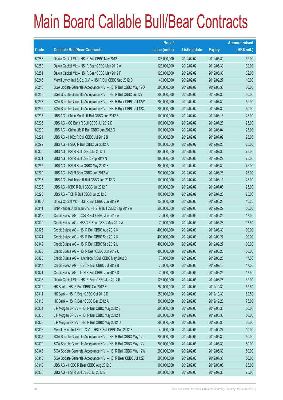|        |                                                                | No. of        |                     |               | <b>Amount raised</b> |
|--------|----------------------------------------------------------------|---------------|---------------------|---------------|----------------------|
| Code   | <b>Callable Bull/Bear Contracts</b>                            | issue (units) | <b>Listing date</b> | <b>Expiry</b> | (HK\$ mil.)          |
| 60283  | Daiwa Capital Mkt - HSI R Bull CBBC May 2012 J                 | 128,000,000   | 2012/02/02          | 2012/05/30    | 32.00                |
| 60250  | Daiwa Capital Mkt - HSI R Bear CBBC May 2012 A                 | 128,000,000   | 2012/02/02          | 2012/05/30    | 32.00                |
| 60251  | Daiwa Capital Mkt - HSI R Bear CBBC May 2012 F                 | 128,000,000   | 2012/02/02          | 2012/05/30    | 32.00                |
| 60245  | Merrill Lynch Int'l & Co. C.V. - HSI R Bull CBBC Sep 2012 D    | 40,000,000    | 2012/02/02          | 2012/09/27    | 10.00                |
| 60246  | SGA Societe Generale Acceptance N.V. - HSI R Bull CBBC May 120 | 200,000,000   | 2012/02/02          | 2012/05/30    | 50.00                |
| 60256  | SGA Societe Generale Acceptance N.V. - HSI R Bull CBBC Jul 12Y | 200,000,000   | 2012/02/02          | 2012/07/30    | 50.00                |
| 60248  | SGA Societe Generale Acceptance N.V. - HSI R Bear CBBC Jul 12W | 200,000,000   | 2012/02/02          | 2012/07/30    | 50.00                |
| 60249  | SGA Societe Generale Acceptance N.V. - HSI R Bear CBBC Jul 12X | 200,000,000   | 2012/02/02          | 2012/07/30    | 50.00                |
| 60297  | UBS AG - China Mobile R Bull CBBC Jun 2012 B                   | 100,000,000   | 2012/02/02          | 2012/06/18    | 25.00                |
| 60296  | UBS AG - CC Bank R Bull CBBC Jul 2012 D                        | 100,000,000   | 2012/02/02          | 2012/07/23    | 25.00                |
| 60299  | UBS AG - China Life R Bull CBBC Jun 2012 G                     | 100,000,000   | 2012/02/02          | 2012/06/04    | 25.00                |
| 60294  | UBS AG - HKEx R Bull CBBC Jul 2012 B                           | 100,000,000   | 2012/02/02          | 2012/07/09    | 25.00                |
| 60292  | UBS AG - HSBC R Bull CBBC Jul 2012 A                           | 100,000,000   | 2012/02/02          | 2012/07/23    | 25.00                |
| 60300  | UBS AG - HSI R Bull CBBC Jul 2012 T                            | 300,000,000   | 2012/02/02          | 2012/07/30    | 75.00                |
| 60301  | UBS AG - HSI R Bull CBBC Sep 2012 N                            | 300,000,000   | 2012/02/02          | 2012/09/27    | 75.00                |
| 60255  | UBS AG - HSI R Bear CBBC May 2012 F                            | 300,000,000   | 2012/02/02          | 2012/05/30    | 75.00                |
| 60279  | UBS AG - HSI R Bear CBBC Jun 2012 W                            | 300,000,000   | 2012/02/02          | 2012/06/28    | 75.00                |
| 60293  | UBS AG - Hutchison R Bull CBBC Jun 2012 G                      | 100,000,000   | 2012/02/02          | 2012/06/11    | 25.00                |
| 60298  | UBS AG - ICBC R Bull CBBC Jul 2012 F                           | 100,000,000   | 2012/02/02          | 2012/07/03    | 25.00                |
| 60295  | UBS AG - TCH R Bull CBBC Jul 2012 E                            | 100,000,000   | 2012/02/02          | 2012/07/23    | 25.00                |
| 60060# | Daiwa Capital Mkt - HSI R Bull CBBC Jun 2012 P                 | 150,000,000   | 2012/02/02          | 2012/06/28    | 10.20                |
| 60341  | BNP Paribas Arbit Issu B.V. - HSI R Bull CBBC Sep 2012 A       | 200,000,000   | 2012/02/03          | 2012/09/27    | 50.00                |
| 60318  | Credit Suisse AG - CCB R Bull CBBC Jun 2012 A                  | 70,000,000    | 2012/02/03          | 2012/06/25    | 17.50                |
| 60319  | Credit Suisse AG - HSBC R Bear CBBC May 2012 A                 | 70,000,000    | 2012/02/03          | 2012/05/28    | 17.50                |
| 60325  | Credit Suisse AG - HSI R Bull CBBC Aug 2012 K                  | 400,000,000   | 2012/02/03          | 2012/08/30    | 100.00               |
| 60324  | Credit Suisse AG - HSI R Bull CBBC Sep 2012 K                  | 400,000,000   | 2012/02/03          | 2012/09/27    | 100.00               |
| 60342  | Credit Suisse AG - HSI R Bull CBBC Sep 2012 L                  | 400.000.000   | 2012/02/03          | 2012/09/27    | 100.00               |
| 60323  | Credit Suisse AG - HSI R Bear CBBC Jun 2012 U                  | 400,000,000   | 2012/02/03          | 2012/06/28    | 100.00               |
| 60320  | Credit Suisse AG - Hutchison R Bull CBBC May 2012 C            | 70,000,000    | 2012/02/03          | 2012/05/28    | 17.50                |
| 60317  | Credit Suisse AG - ICBC R Bull CBBC Jul 2012 B                 | 70,000,000    | 2012/02/03          | 2012/07/16    | 17.50                |
| 60321  | Credit Suisse AG - TCH R Bull CBBC Jun 2012 D                  | 70,000,000    | 2012/02/03          | 2012/06/25    | 17.50                |
| 60315  | Daiwa Capital Mkt - HSI R Bear CBBC Jun 2012 R                 | 128,000,000   | 2012/02/03          | 2012/06/28    | 32.00                |
| 60312  | HK Bank - HSI R Bull CBBC Oct 2012 E                           | 250,000,000   | 2012/02/03          | 2012/10/30    | 62.50                |
| 60311  | HK Bank - HSI R Bear CBBC Oct 2012 D                           | 250,000,000   | 2012/02/03          | 2012/10/30    | 62.50                |
| 60313  | HK Bank - HSI R Bear CBBC Dec 2012 A                           | 300,000,000   | 2012/02/03          | 2012/12/28    | 75.00                |
| 60304  | J P Morgan SP BV - HSI R Bull CBBC May 2012 S                  | 200,000,000   | 2012/02/03          | 2012/05/30    | 50.00                |
| 60305  | J P Morgan SP BV - HSI R Bull CBBC May 2012 T                  | 200,000,000   | 2012/02/03          | 2012/05/30    | 50.00                |
| 60306  | J P Morgan SP BV - HSI R Bull CBBC May 2012 U                  | 200,000,000   | 2012/02/03          | 2012/05/30    | 50.00                |
| 60302  | Merrill Lynch Int'l & Co. C.V. - HSI R Bull CBBC Sep 2012 E    | 40,000,000    | 2012/02/03          | 2012/09/27    | 10.00                |
| 60307  | SGA Societe Generale Acceptance N.V. - HSI R Bull CBBC May 12U | 200,000,000   | 2012/02/03          | 2012/05/30    | 50.00                |
| 60309  | SGA Societe Generale Acceptance N.V. - HSI R Bull CBBC May 12V | 200,000,000   | 2012/02/03          | 2012/05/30    | 50.00                |
| 60343  | SGA Societe Generale Acceptance N.V. - HSI R Bull CBBC May 12W | 200,000,000   | 2012/02/03          | 2012/05/30    | 50.00                |
| 60310  | SGA Societe Generale Acceptance N.V. - HSI R Bear CBBC Jul 12Z | 200,000,000   | 2012/02/03          | 2012/07/30    | 50.00                |
| 60340  | UBS AG - HSBC R Bear CBBC Aug 2012 B                           | 100,000,000   | 2012/02/03          | 2012/08/06    | 25.00                |
| 60336  | UBS AG - HSI R Bull CBBC Jul 2012 B                            | 300,000,000   | 2012/02/03          | 2012/07/30    | 75.00                |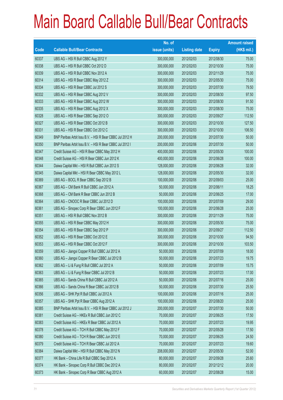|       |                                                          | No. of        |                     |               | <b>Amount raised</b> |
|-------|----------------------------------------------------------|---------------|---------------------|---------------|----------------------|
| Code  | <b>Callable Bull/Bear Contracts</b>                      | issue (units) | <b>Listing date</b> | <b>Expiry</b> | (HK\$ mil.)          |
| 60337 | UBS AG - HSI R Bull CBBC Aug 2012 Y                      | 300,000,000   | 2012/02/03          | 2012/08/30    | 75.00                |
| 60338 | UBS AG - HSI R Bull CBBC Oct 2012 D                      | 300,000,000   | 2012/02/03          | 2012/10/30    | 75.00                |
| 60339 | UBS AG - HSI R Bull CBBC Nov 2012 A                      | 300,000,000   | 2012/02/03          | 2012/11/29    | 75.00                |
| 60314 | UBS AG - HSI R Bear CBBC May 2012 Z                      | 300,000,000   | 2012/02/03          | 2012/05/30    | 75.00                |
| 60334 | UBS AG - HSI R Bear CBBC Jul 2012 S                      | 300,000,000   | 2012/02/03          | 2012/07/30    | 79.50                |
| 60332 | UBS AG - HSI R Bear CBBC Aug 2012 V                      | 300,000,000   | 2012/02/03          | 2012/08/30    | 97.50                |
| 60333 | UBS AG - HSI R Bear CBBC Aug 2012 W                      | 300,000,000   | 2012/02/03          | 2012/08/30    | 91.50                |
| 60335 | UBS AG - HSI R Bear CBBC Aug 2012 X                      | 300,000,000   | 2012/02/03          | 2012/08/30    | 75.00                |
| 60328 | UBS AG - HSI R Bear CBBC Sep 2012 O                      | 300,000,000   | 2012/02/03          | 2012/09/27    | 112.50               |
| 60327 | UBS AG - HSI R Bear CBBC Oct 2012 B                      | 300,000,000   | 2012/02/03          | 2012/10/30    | 127.50               |
| 60331 | UBS AG - HSI R Bear CBBC Oct 2012 C                      | 300,000,000   | 2012/02/03          | 2012/10/30    | 106.50               |
| 60349 | BNP Paribas Arbit Issu B.V. - HSI R Bear CBBC Jul 2012 H | 200,000,000   | 2012/02/06          | 2012/07/30    | 50.00                |
| 60350 | BNP Paribas Arbit Issu B.V. - HSI R Bear CBBC Jul 2012 I | 200,000,000   | 2012/02/06          | 2012/07/30    | 50.00                |
| 60347 | Credit Suisse AG - HSI R Bear CBBC May 2012 H            | 400,000,000   | 2012/02/06          | 2012/05/30    | 100.00               |
| 60348 | Credit Suisse AG - HSI R Bear CBBC Jun 2012 K            | 400,000,000   | 2012/02/06          | 2012/06/28    | 100.00               |
| 60344 | Daiwa Capital Mkt - HSI R Bull CBBC Jun 2012 S           | 128,000,000   | 2012/02/06          | 2012/06/28    | 32.00                |
| 60345 | Daiwa Capital Mkt - HSI R Bear CBBC May 2012 L           | 128,000,000   | 2012/02/06          | 2012/05/30    | 32.00                |
| 60369 | UBS AG - BOCL R Bear CBBC Sep 2012 B                     | 100,000,000   | 2012/02/06          | 2012/09/03    | 25.00                |
| 60367 | UBS AG - CM Bank R Bull CBBC Jun 2012 A                  | 50,000,000    | 2012/02/06          | 2012/06/11    | 18.25                |
| 60368 | UBS AG - CM Bank R Bear CBBC Jun 2012 B                  | 50,000,000    | 2012/02/06          | 2012/06/25    | 17.00                |
| 60364 | UBS AG - CNOOC R Bear CBBC Jul 2012 D                    | 100,000,000   | 2012/02/06          | 2012/07/09    | 29.00                |
| 60361 | UBS AG - Sinopec Corp R Bear CBBC Jun 2012 F             | 100,000,000   | 2012/02/06          | 2012/06/28    | 25.00                |
| 60351 | UBS AG - HSI R Bull CBBC Nov 2012 B                      | 300,000,000   | 2012/02/06          | 2012/11/29    | 75.00                |
| 60355 | UBS AG - HSI R Bear CBBC May 2012 H                      | 300,000,000   | 2012/02/06          | 2012/05/30    | 75.00                |
| 60354 | UBS AG - HSI R Bear CBBC Sep 2012 P                      | 300,000,000   | 2012/02/06          | 2012/09/27    | 112.50               |
| 60352 | UBS AG - HSI R Bear CBBC Oct 2012 E                      | 300,000,000   | 2012/02/06          | 2012/10/30    | 94.50                |
| 60353 | UBS AG - HSI R Bear CBBC Oct 2012 F                      | 300,000,000   | 2012/02/06          | 2012/10/30    | 103.50               |
| 60359 | UBS AG - Jiangxi Copper R Bull CBBC Jul 2012 A           | 50,000,000    | 2012/02/06          | 2012/07/09    | 18.00                |
| 60360 | UBS AG - Jiangxi Copper R Bear CBBC Jul 2012 B           | 50,000,000    | 2012/02/06          | 2012/07/23    | 19.75                |
| 60362 | UBS AG - Li & Fung R Bull CBBC Jul 2012 A                | 50,000,000    | 2012/02/06          | 2012/07/09    | 15.75                |
| 60363 | UBS AG - Li & Fung R Bear CBBC Jul 2012 B                | 50,000,000    | 2012/02/06          | 2012/07/23    | 17.00                |
| 60365 | UBS AG - Sands China R Bull CBBC Jul 2012 A              | 50,000,000    | 2012/02/06          | 2012/07/16    | 25.00                |
| 60366 | UBS AG - Sands China R Bear CBBC Jul 2012 B              | 50,000,000    | 2012/02/06          | 2012/07/30    | 25.50                |
| 60356 | UBS AG - SHK Ppt R Bull CBBC Jul 2012 A                  | 100,000,000   | 2012/02/06          | 2012/07/16    | 25.00                |
| 60357 | UBS AG - SHK Ppt R Bear CBBC Aug 2012 A                  | 100,000,000   | 2012/02/06          | 2012/08/20    | 25.00                |
| 60385 | BNP Paribas Arbit Issu B.V. - HSI R Bear CBBC Jul 2012 J | 200,000,000   | 2012/02/07          | 2012/07/30    | 50.00                |
| 60381 | Credit Suisse AG - HKEx R Bull CBBC Jun 2012 C           | 70,000,000    | 2012/02/07          | 2012/06/25    | 17.50                |
| 60383 | Credit Suisse AG - HKEx R Bear CBBC Jul 2012 A           | 70,000,000    | 2012/02/07          | 2012/07/23    | 19.95                |
| 60378 | Credit Suisse AG - TCH R Bull CBBC May 2012 F            | 70,000,000    | 2012/02/07          | 2012/05/28    | 17.50                |
| 60380 | Credit Suisse AG - TCH R Bear CBBC Jun 2012 E            | 70,000,000    | 2012/02/07          | 2012/06/25    | 24.50                |
| 60379 | Credit Suisse AG - TCH R Bear CBBC Jul 2012 A            | 70,000,000    | 2012/02/07          | 2012/07/23    | 19.60                |
| 60384 | Daiwa Capital Mkt - HSI R Bull CBBC May 2012 N           | 208,000,000   | 2012/02/07          | 2012/05/30    | 52.00                |
| 60377 | HK Bank - China Life R Bull CBBC Sep 2012 A              | 80,000,000    | 2012/02/07          | 2012/09/28    | 25.60                |
| 60374 | HK Bank - Sinopec Corp R Bull CBBC Dec 2012 A            | 80,000,000    | 2012/02/07          | 2012/12/12    | 20.00                |
| 60373 | HK Bank - Sinopec Corp R Bear CBBC Aug 2012 A            | 60,000,000    | 2012/02/07          | 2012/08/28    | 15.00                |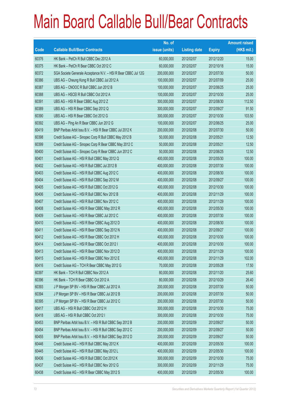|       |                                                                | No. of        |                     |               | <b>Amount raised</b> |
|-------|----------------------------------------------------------------|---------------|---------------------|---------------|----------------------|
| Code  | <b>Callable Bull/Bear Contracts</b>                            | issue (units) | <b>Listing date</b> | <b>Expiry</b> | (HK\$ mil.)          |
| 60376 | HK Bank - PetCh R Bull CBBC Dec 2012 A                         | 60,000,000    | 2012/02/07          | 2012/12/20    | 15.00                |
| 60375 | HK Bank - PetCh R Bear CBBC Oct 2012 C                         | 60,000,000    | 2012/02/07          | 2012/10/18    | 15.00                |
| 60372 | SGA Societe Generale Acceptance N.V. - HSI R Bear CBBC Jul 12G | 200,000,000   | 2012/02/07          | 2012/07/30    | 50.00                |
| 60386 | UBS AG - Cheung Kong R Bull CBBC Jul 2012 A                    | 100,000,000   | 2012/02/07          | 2012/07/09    | 25.00                |
| 60387 | UBS AG - CNOOC R Bull CBBC Jun 2012 B                          | 100,000,000   | 2012/02/07          | 2012/06/25    | 25.00                |
| 60388 | UBS AG - HSCEI R Bull CBBC Oct 2012 A                          | 100,000,000   | 2012/02/07          | 2012/10/30    | 25.00                |
| 60391 | UBS AG - HSI R Bear CBBC Aug 2012 Z                            | 300,000,000   | 2012/02/07          | 2012/08/30    | 112.50               |
| 60389 | UBS AG - HSI R Bear CBBC Sep 2012 Q                            | 300,000,000   | 2012/02/07          | 2012/09/27    | 91.50                |
| 60390 | UBS AG - HSI R Bear CBBC Oct 2012 G                            | 300,000,000   | 2012/02/07          | 2012/10/30    | 103.50               |
| 60392 | UBS AG - Ping An R Bear CBBC Jun 2012 G                        | 100,000,000   | 2012/02/07          | 2012/06/25    | 25.00                |
| 60419 | BNP Paribas Arbit Issu B.V. - HSI R Bear CBBC Jul 2012 K       | 200,000,000   | 2012/02/08          | 2012/07/30    | 50.00                |
| 60398 | Credit Suisse AG - Sinopec Corp R Bull CBBC May 2012 B         | 50,000,000    | 2012/02/08          | 2012/05/21    | 12.50                |
| 60399 | Credit Suisse AG - Sinopec Corp R Bear CBBC May 2012 C         | 50,000,000    | 2012/02/08          | 2012/05/21    | 12.50                |
| 60400 | Credit Suisse AG - Sinopec Corp R Bear CBBC Jun 2012 C         | 50,000,000    | 2012/02/08          | 2012/06/25    | 12.50                |
| 60401 | Credit Suisse AG - HSI R Bull CBBC May 2012 Q                  | 400,000,000   | 2012/02/08          | 2012/05/30    | 100.00               |
| 60402 | Credit Suisse AG - HSI R Bull CBBC Jul 2012 B                  | 400,000,000   | 2012/02/08          | 2012/07/30    | 100.00               |
| 60403 | Credit Suisse AG - HSI R Bull CBBC Aug 2012 C                  | 400,000,000   | 2012/02/08          | 2012/08/30    | 100.00               |
| 60404 | Credit Suisse AG - HSI R Bull CBBC Sep 2012 M                  | 400,000,000   | 2012/02/08          | 2012/09/27    | 100.00               |
| 60405 | Credit Suisse AG - HSI R Bull CBBC Oct 2012 G                  | 400,000,000   | 2012/02/08          | 2012/10/30    | 100.00               |
| 60406 | Credit Suisse AG - HSI R Bull CBBC Nov 2012 B                  | 400,000,000   | 2012/02/08          | 2012/11/29    | 100.00               |
| 60407 | Credit Suisse AG - HSI R Bull CBBC Nov 2012 C                  | 400,000,000   | 2012/02/08          | 2012/11/29    | 100.00               |
| 60408 | Credit Suisse AG - HSI R Bear CBBC May 2012 R                  | 400,000,000   | 2012/02/08          | 2012/05/30    | 100.00               |
| 60409 | Credit Suisse AG - HSI R Bear CBBC Jul 2012 C                  | 400,000,000   | 2012/02/08          | 2012/07/30    | 100.00               |
| 60410 | Credit Suisse AG - HSI R Bear CBBC Aug 2012 D                  | 400,000,000   | 2012/02/08          | 2012/08/30    | 100.00               |
| 60411 | Credit Suisse AG - HSI R Bear CBBC Sep 2012 N                  | 400,000,000   | 2012/02/08          | 2012/09/27    | 100.00               |
| 60412 | Credit Suisse AG - HSI R Bear CBBC Oct 2012 H                  | 400,000,000   | 2012/02/08          | 2012/10/30    | 100.00               |
| 60414 | Credit Suisse AG - HSI R Bear CBBC Oct 2012 I                  | 400,000,000   | 2012/02/08          | 2012/10/30    | 100.00               |
| 60413 | Credit Suisse AG - HSI R Bear CBBC Nov 2012 D                  | 400,000,000   | 2012/02/08          | 2012/11/29    | 100.00               |
| 60415 | Credit Suisse AG - HSI R Bear CBBC Nov 2012 E                  | 400,000,000   | 2012/02/08          | 2012/11/29    | 102.00               |
| 60416 | Credit Suisse AG - TCH R Bear CBBC May 2012 G                  | 70,000,000    | 2012/02/08          | 2012/05/28    | 17.50                |
| 60397 | HK Bank - TCH R Bull CBBC Nov 2012 A                           | 80,000,000    | 2012/02/08          | 2012/11/20    | 25.60                |
| 60396 | HK Bank - TCH R Bear CBBC Oct 2012 A                           | 80,000,000    | 2012/02/08          | 2012/10/29    | 26.40                |
| 60393 | J P Morgan SP BV - HSI R Bear CBBC Jul 2012 A                  | 200,000,000   | 2012/02/08          | 2012/07/30    | 50.00                |
| 60394 | J P Morgan SP BV - HSI R Bear CBBC Jul 2012 B                  | 200,000,000   | 2012/02/08          | 2012/07/30    | 50.00                |
| 60395 | J P Morgan SP BV - HSI R Bear CBBC Jul 2012 C                  | 200,000,000   | 2012/02/08          | 2012/07/30    | 50.00                |
| 60417 | UBS AG - HSI R Bull CBBC Oct 2012 H                            | 300,000,000   | 2012/02/08          | 2012/10/30    | 75.00                |
| 60418 | UBS AG - HSI R Bull CBBC Oct 2012 I                            | 300,000,000   | 2012/02/08          | 2012/10/30    | 75.00                |
| 60453 | BNP Paribas Arbit Issu B.V. - HSI R Bull CBBC Sep 2012 B       | 200,000,000   | 2012/02/09          | 2012/09/27    | 50.00                |
| 60454 | BNP Paribas Arbit Issu B.V. - HSI R Bull CBBC Sep 2012 C       | 200,000,000   | 2012/02/09          | 2012/09/27    | 50.00                |
| 60455 | BNP Paribas Arbit Issu B.V. - HSI R Bull CBBC Sep 2012 D       | 200,000,000   | 2012/02/09          | 2012/09/27    | 50.00                |
| 60446 | Credit Suisse AG - HSI R Bull CBBC May 2012 K                  | 400,000,000   | 2012/02/09          | 2012/05/30    | 100.00               |
| 60445 | Credit Suisse AG - HSI R Bull CBBC May 2012 L                  | 400,000,000   | 2012/02/09          | 2012/05/30    | 100.00               |
| 60436 | Credit Suisse AG - HSI R Bull CBBC Oct 2012 K                  | 300,000,000   | 2012/02/09          | 2012/10/30    | 75.00                |
| 60437 | Credit Suisse AG - HSI R Bull CBBC Nov 2012 G                  | 300,000,000   | 2012/02/09          | 2012/11/29    | 75.00                |
| 60438 | Credit Suisse AG - HSI R Bear CBBC May 2012 S                  | 400,000,000   | 2012/02/09          | 2012/05/30    | 100.00               |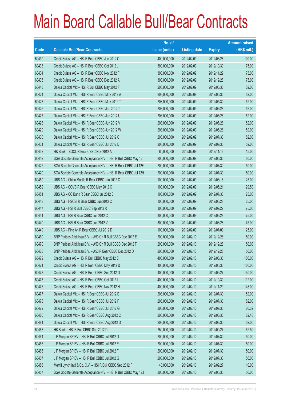|       |                                                                | No. of        |                     |               | <b>Amount raised</b> |
|-------|----------------------------------------------------------------|---------------|---------------------|---------------|----------------------|
| Code  | <b>Callable Bull/Bear Contracts</b>                            | issue (units) | <b>Listing date</b> | <b>Expiry</b> | $(HK$$ mil.)         |
| 60439 | Credit Suisse AG - HSI R Bear CBBC Jun 2012 O                  | 400,000,000   | 2012/02/09          | 2012/06/28    | 100.00               |
| 60433 | Credit Suisse AG - HSI R Bear CBBC Oct 2012 J                  | 300,000,000   | 2012/02/09          | 2012/10/30    | 75.00                |
| 60434 | Credit Suisse AG - HSI R Bear CBBC Nov 2012 F                  | 300,000,000   | 2012/02/09          | 2012/11/29    | 75.00                |
| 60435 | Credit Suisse AG - HSI R Bear CBBC Dec 2012 A                  | 300,000,000   | 2012/02/09          | 2012/12/28    | 75.00                |
| 60443 | Daiwa Capital Mkt - HSI R Bull CBBC May 2012 F                 | 208,000,000   | 2012/02/09          | 2012/05/30    | 52.00                |
| 60424 | Daiwa Capital Mkt - HSI R Bear CBBC May 2012 A                 | 208,000,000   | 2012/02/09          | 2012/05/30    | 52.00                |
| 60423 | Daiwa Capital Mkt - HSI R Bear CBBC May 2012 T                 | 208,000,000   | 2012/02/09          | 2012/05/30    | 52.00                |
| 60426 | Daiwa Capital Mkt - HSI R Bear CBBC Jun 2012 T                 | 208,000,000   | 2012/02/09          | 2012/06/28    | 52.00                |
| 60427 | Daiwa Capital Mkt - HSI R Bear CBBC Jun 2012 U                 | 208,000,000   | 2012/02/09          | 2012/06/28    | 52.00                |
| 60428 | Daiwa Capital Mkt - HSI R Bear CBBC Jun 2012 V                 | 208,000,000   | 2012/02/09          | 2012/06/28    | 52.00                |
| 60429 | Daiwa Capital Mkt - HSI R Bear CBBC Jun 2012 W                 | 208,000,000   | 2012/02/09          | 2012/06/28    | 52.00                |
| 60430 | Daiwa Capital Mkt - HSI R Bear CBBC Jul 2012 C                 | 208,000,000   | 2012/02/09          | 2012/07/30    | 52.00                |
| 60431 | Daiwa Capital Mkt - HSI R Bear CBBC Jul 2012 D                 | 208,000,000   | 2012/02/09          | 2012/07/30    | 52.00                |
| 60432 | HK Bank - BOCL R Bear CBBC Nov 2012 A                          | 60,000,000    | 2012/02/09          | 2012/11/16    | 15.00                |
| 60442 | SGA Societe Generale Acceptance N.V. - HSI R Bull CBBC May 121 | 200,000,000   | 2012/02/09          | 2012/05/30    | 50.00                |
| 60422 | SGA Societe Generale Acceptance N.V. - HSI R Bear CBBC Jul 12F | 200,000,000   | 2012/02/09          | 2012/07/30    | 50.00                |
| 60420 | SGA Societe Generale Acceptance N.V. - HSI R Bear CBBC Jul 12H | 200,000,000   | 2012/02/09          | 2012/07/30    | 50.00                |
| 60450 | UBS AG - China Mobile R Bear CBBC Jun 2012 C                   | 100,000,000   | 2012/02/09          | 2012/06/18    | 25.00                |
| 60452 | UBS AG - COVS R Bear CBBC May 2012 C                           | 100,000,000   | 2012/02/09          | 2012/05/21    | 29.50                |
| 60451 | UBS AG - CC Bank R Bear CBBC Jul 2012 E                        | 100,000,000   | 2012/02/09          | 2012/07/30    | 25.00                |
| 60448 | UBS AG - HSCEI R Bear CBBC Jun 2012 C                          | 100,000,000   | 2012/02/09          | 2012/06/28    | 25.00                |
| 60447 | UBS AG - HSI R Bull CBBC Sep 2012 R                            | 300,000,000   | 2012/02/09          | 2012/09/27    | 75.00                |
| 60441 | UBS AG - HSI R Bear CBBC Jun 2012 C                            | 300,000,000   | 2012/02/09          | 2012/06/28    | 75.00                |
| 60440 | UBS AG - HSI R Bear CBBC Jun 2012 V                            | 300,000,000   | 2012/02/09          | 2012/06/28    | 75.00                |
| 60449 | UBS AG - Ping An R Bear CBBC Jul 2012 D                        | 100,000,000   | 2012/02/09          | 2012/07/09    | 25.00                |
| 60469 | BNP Paribas Arbit Issu B.V. - A50 Ch R Bull CBBC Dec 2012 E    | 200,000,000   | 2012/02/10          | 2012/12/28    | 50.00                |
| 60470 | BNP Paribas Arbit Issu B.V. - A50 Ch R Bull CBBC Dec 2012 F    | 200,000,000   | 2012/02/10          | 2012/12/28    | 50.00                |
| 60468 | BNP Paribas Arbit Issu B.V. - A50 R Bear CBBC Dec 2012 D       | 200,000,000   | 2012/02/10          | 2012/12/28    | 50.00                |
| 60472 | Credit Suisse AG - HSI R Bull CBBC May 2012 C                  | 400,000,000   | 2012/02/10          | 2012/05/30    | 100.00               |
| 60471 | Credit Suisse AG - HSI R Bear CBBC May 2012 D                  | 400,000,000   | 2012/02/10          | 2012/05/30    | 100.00               |
| 60473 | Credit Suisse AG - HSI R Bear CBBC Sep 2012 O                  | 400,000,000   | 2012/02/10          | 2012/09/27    | 130.00               |
| 60475 | Credit Suisse AG - HSI R Bear CBBC Oct 2012 L                  | 400,000,000   | 2012/02/10          | 2012/10/30    | 112.00               |
| 60476 | Credit Suisse AG - HSI R Bear CBBC Nov 2012 H                  | 400,000,000   | 2012/02/10          | 2012/11/29    | 148.00               |
| 60477 | Daiwa Capital Mkt - HSI R Bear CBBC Jul 2012 E                 | 208,000,000   | 2012/02/10          | 2012/07/30    | 52.00                |
| 60478 | Daiwa Capital Mkt - HSI R Bear CBBC Jul 2012 F                 | 208,000,000   | 2012/02/10          | 2012/07/30    | 52.00                |
| 60479 | Daiwa Capital Mkt - HSI R Bear CBBC Jul 2012 G                 | 208,000,000   | 2012/02/10          | 2012/07/30    | 60.32                |
| 60480 | Daiwa Capital Mkt - HSI R Bear CBBC Aug 2012 C                 | 208,000,000   | 2012/02/10          | 2012/08/30    | 62.40                |
| 60481 | Daiwa Capital Mkt - HSI R Bear CBBC Aug 2012 D                 | 208,000,000   | 2012/02/10          | 2012/08/30    | 52.00                |
| 60463 | HK Bank - HSI R Bull CBBC Sep 2012 D                           | 250,000,000   | 2012/02/10          | 2012/09/27    | 62.50                |
| 60464 | J P Morgan SP BV - HSI R Bull CBBC Jul 2012 D                  | 200,000,000   | 2012/02/10          | 2012/07/30    | 50.00                |
| 60465 | J P Morgan SP BV - HSI R Bull CBBC Jul 2012 E                  | 200,000,000   | 2012/02/10          | 2012/07/30    | 50.00                |
| 60466 | J P Morgan SP BV - HSI R Bull CBBC Jul 2012 F                  | 200,000,000   | 2012/02/10          | 2012/07/30    | 50.00                |
| 60467 | J P Morgan SP BV - HSI R Bull CBBC Jul 2012 G                  | 200,000,000   | 2012/02/10          | 2012/07/30    | 50.00                |
| 60456 | Merrill Lynch Int'l & Co. C.V. - HSI R Bull CBBC Sep 2012 F    | 40,000,000    | 2012/02/10          | 2012/09/27    | 10.00                |
| 60457 | SGA Societe Generale Acceptance N.V. - HSI R Bull CBBC May 12J | 200,000,000   | 2012/02/10          | 2012/05/30    | 50.00                |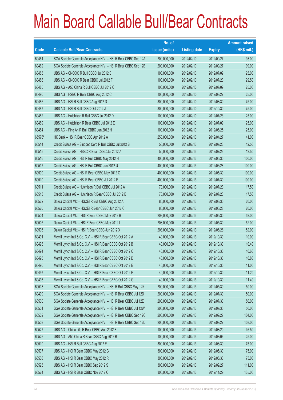|        |                                                                | No. of        |                     |               | <b>Amount raised</b> |
|--------|----------------------------------------------------------------|---------------|---------------------|---------------|----------------------|
| Code   | <b>Callable Bull/Bear Contracts</b>                            | issue (units) | <b>Listing date</b> | <b>Expiry</b> | $(HK$$ mil.)         |
| 60461  | SGA Societe Generale Acceptance N.V. - HSI R Bear CBBC Sep 12A | 200,000,000   | 2012/02/10          | 2012/09/27    | 93.00                |
| 60462  | SGA Societe Generale Acceptance N.V. - HSI R Bear CBBC Sep 12B | 200,000,000   | 2012/02/10          | 2012/09/27    | 99.00                |
| 60483  | UBS AG - CNOOC R Bull CBBC Jul 2012 E                          | 100,000,000   | 2012/02/10          | 2012/07/09    | 25.00                |
| 60488  | UBS AG - CNOOC R Bear CBBC Jul 2012 F                          | 100,000,000   | 2012/02/10          | 2012/07/23    | 29.50                |
| 60485  | UBS AG - A50 China R Bull CBBC Jul 2012 C                      | 100,000,000   | 2012/02/10          | 2012/07/09    | 25.00                |
| 60490  | UBS AG - HSBC R Bear CBBC Aug 2012 C                           | 100,000,000   | 2012/02/10          | 2012/08/27    | 25.00                |
| 60486  | UBS AG - HSI R Bull CBBC Aug 2012 D                            | 300,000,000   | 2012/02/10          | 2012/08/30    | 75.00                |
| 60487  | UBS AG - HSI R Bull CBBC Oct 2012 J                            | 300,000,000   | 2012/02/10          | 2012/10/30    | 75.00                |
| 60482  | UBS AG - Hutchison R Bull CBBC Jul 2012 D                      | 100,000,000   | 2012/02/10          | 2012/07/23    | 25.00                |
| 60489  | UBS AG - Hutchison R Bear CBBC Jul 2012 E                      | 100,000,000   | 2012/02/10          | 2012/07/09    | 25.00                |
| 60484  | UBS AG - Ping An R Bull CBBC Jun 2012 H                        | 100,000,000   | 2012/02/10          | 2012/06/25    | 25.00                |
| 65576# | HK Bank - HSI R Bear CBBC Apr 2012 A                           | 250,000,000   | 2012/02/10          | 2012/04/27    | 41.00                |
| 60514  | Credit Suisse AG - Sinopec Corp R Bull CBBC Jul 2012 B         | 50,000,000    | 2012/02/13          | 2012/07/23    | 12.50                |
| 60515  | Credit Suisse AG - HSBC R Bear CBBC Jul 2012 A                 | 50,000,000    | 2012/02/13          | 2012/07/23    | 12.50                |
| 60516  | Credit Suisse AG - HSI R Bull CBBC May 2012 H                  | 400,000,000   | 2012/02/13          | 2012/05/30    | 100.00               |
| 60517  | Credit Suisse AG - HSI R Bull CBBC Jun 2012 U                  | 400,000,000   | 2012/02/13          | 2012/06/28    | 100.00               |
| 60509  | Credit Suisse AG - HSI R Bear CBBC May 2012 O                  | 400,000,000   | 2012/02/13          | 2012/05/30    | 100.00               |
| 60510  | Credit Suisse AG - HSI R Bear CBBC Jul 2012 F                  | 400,000,000   | 2012/02/13          | 2012/07/30    | 100.00               |
| 60511  | Credit Suisse AG - Hutchison R Bull CBBC Jul 2012 A            | 70,000,000    | 2012/02/13          | 2012/07/23    | 17.50                |
| 60513  | Credit Suisse AG - Hutchison R Bear CBBC Jul 2012 B            | 70,000,000    | 2012/02/13          | 2012/07/23    | 17.50                |
| 60522  | Daiwa Capital Mkt - HSCEI R Bull CBBC Aug 2012 A               | 80,000,000    | 2012/02/13          | 2012/08/30    | 20.00                |
| 60520  | Daiwa Capital Mkt - HSCEI R Bear CBBC Jun 2012 C               | 80,000,000    | 2012/02/13          | 2012/06/28    | 20.00                |
| 60504  | Daiwa Capital Mkt - HSI R Bear CBBC May 2012 B                 | 208,000,000   | 2012/02/13          | 2012/05/30    | 52.00                |
| 60505  | Daiwa Capital Mkt - HSI R Bear CBBC May 2012 L                 | 208,000,000   | 2012/02/13          | 2012/05/30    | 52.00                |
| 60506  | Daiwa Capital Mkt - HSI R Bear CBBC Jun 2012 X                 | 208,000,000   | 2012/02/13          | 2012/06/28    | 52.00                |
| 60491  | Merrill Lynch Int'l & Co. C.V. - HSI R Bear CBBC Oct 2012 A    | 40,000,000    | 2012/02/13          | 2012/10/30    | 10.00                |
| 60493  | Merrill Lynch Int'l & Co. C.V. - HSI R Bear CBBC Oct 2012 B    | 40,000,000    | 2012/02/13          | 2012/10/30    | 10.40                |
| 60494  | Merrill Lynch Int'l & Co. C.V. - HSI R Bear CBBC Oct 2012 C    | 40,000,000    | 2012/02/13          | 2012/10/30    | 10.60                |
| 60495  | Merrill Lynch Int'l & Co. C.V. - HSI R Bear CBBC Oct 2012 D    | 40,000,000    | 2012/02/13          | 2012/10/30    | 10.80                |
| 60496  | Merrill Lynch Int'l & Co. C.V. - HSI R Bear CBBC Oct 2012 E    | 40,000,000    | 2012/02/13          | 2012/10/30    | 11.00                |
| 60497  | Merrill Lynch Int'l & Co. C.V. - HSI R Bear CBBC Oct 2012 F    | 40,000,000    | 2012/02/13          | 2012/10/30    | 11.20                |
| 60498  | Merrill Lynch Int'l & Co. C.V. - HSI R Bear CBBC Oct 2012 G    | 40,000,000    | 2012/02/13          | 2012/10/30    | 11.40                |
| 60518  | SGA Societe Generale Acceptance N.V. - HSI R Bull CBBC May 12K | 200,000,000   | 2012/02/13          | 2012/05/30    | 50.00                |
| 60499  | SGA Societe Generale Acceptance N.V. - HSI R Bear CBBC Jul 12D | 200,000,000   | 2012/02/13          | 2012/07/30    | 50.00                |
| 60500  | SGA Societe Generale Acceptance N.V. - HSI R Bear CBBC Jul 12E | 200,000,000   | 2012/02/13          | 2012/07/30    | 50.00                |
| 60501  | SGA Societe Generale Acceptance N.V. - HSI R Bear CBBC Jul 12W | 200,000,000   | 2012/02/13          | 2012/07/30    | 50.00                |
| 60502  | SGA Societe Generale Acceptance N.V. - HSI R Bear CBBC Sep 12C | 200,000,000   | 2012/02/13          | 2012/09/27    | 104.00               |
| 60503  | SGA Societe Generale Acceptance N.V. - HSI R Bear CBBC Sep 12D | 200,000,000   | 2012/02/13          | 2012/09/27    | 108.00               |
| 60527  | UBS AG - China Life R Bear CBBC Aug 2012 E                     | 100,000,000   | 2012/02/13          | 2012/08/20    | 46.50                |
| 60526  | UBS AG - A50 China R Bear CBBC Aug 2012 B                      | 100,000,000   | 2012/02/13          | 2012/08/06    | 25.00                |
| 60519  | UBS AG - HSI R Bull CBBC Aug 2012 E                            | 300,000,000   | 2012/02/13          | 2012/08/30    | 75.00                |
| 60507  | UBS AG - HSI R Bear CBBC May 2012 G                            | 300,000,000   | 2012/02/13          | 2012/05/30    | 75.00                |
| 60508  | UBS AG - HSI R Bear CBBC May 2012 R                            | 300,000,000   | 2012/02/13          | 2012/05/30    | 75.00                |
| 60525  | UBS AG - HSI R Bear CBBC Sep 2012 S                            | 300,000,000   | 2012/02/13          | 2012/09/27    | 111.00               |
| 60524  | UBS AG - HSI R Bear CBBC Nov 2012 C                            | 300,000,000   | 2012/02/13          | 2012/11/29    | 135.00               |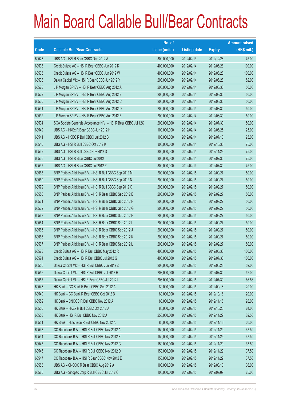|       |                                                                | No. of        |                     |               | <b>Amount raised</b> |
|-------|----------------------------------------------------------------|---------------|---------------------|---------------|----------------------|
| Code  | <b>Callable Bull/Bear Contracts</b>                            | issue (units) | <b>Listing date</b> | <b>Expiry</b> | $(HK$$ mil.)         |
| 60523 | UBS AG - HSI R Bear CBBC Dec 2012 A                            | 300,000,000   | 2012/02/13          | 2012/12/28    | 75.00                |
| 60533 | Credit Suisse AG - HSI R Bear CBBC Jun 2012 K                  | 400,000,000   | 2012/02/14          | 2012/06/28    | 100.00               |
| 60535 | Credit Suisse AG - HSI R Bear CBBC Jun 2012 W                  | 400,000,000   | 2012/02/14          | 2012/06/28    | 100.00               |
| 60538 | Daiwa Capital Mkt - HSI R Bear CBBC Jun 2012 Y                 | 208,000,000   | 2012/02/14          | 2012/06/28    | 52.00                |
| 60528 | J P Morgan SP BV - HSI R Bear CBBC Aug 2012 A                  | 200,000,000   | 2012/02/14          | 2012/08/30    | 50.00                |
| 60529 | J P Morgan SP BV - HSI R Bear CBBC Aug 2012 B                  | 200,000,000   | 2012/02/14          | 2012/08/30    | 50.00                |
| 60530 | J P Morgan SP BV - HSI R Bear CBBC Aug 2012 C                  | 200,000,000   | 2012/02/14          | 2012/08/30    | 50.00                |
| 60531 | J P Morgan SP BV - HSI R Bear CBBC Aug 2012 D                  | 200,000,000   | 2012/02/14          | 2012/08/30    | 50.00                |
| 60532 | J P Morgan SP BV - HSI R Bear CBBC Aug 2012 E                  | 200,000,000   | 2012/02/14          | 2012/08/30    | 50.00                |
| 60534 | SGA Societe Generale Acceptance N.V. - HSI R Bear CBBC Jul 12X | 200,000,000   | 2012/02/14          | 2012/07/30    | 50.00                |
| 60542 | UBS AG - HKEx R Bear CBBC Jun 2012 H                           | 100,000,000   | 2012/02/14          | 2012/06/25    | 25.00                |
| 60541 | UBS AG - HSBC R Bull CBBC Jul 2012 B                           | 100,000,000   | 2012/02/14          | 2012/07/13    | 25.00                |
| 60540 | UBS AG - HSI R Bull CBBC Oct 2012 K                            | 300,000,000   | 2012/02/14          | 2012/10/30    | 75.00                |
| 60539 | UBS AG - HSI R Bull CBBC Nov 2012 D                            | 300,000,000   | 2012/02/14          | 2012/11/29    | 75.00                |
| 60536 | UBS AG - HSI R Bear CBBC Jul 2012 I                            | 300,000,000   | 2012/02/14          | 2012/07/30    | 75.00                |
| 60537 | UBS AG - HSI R Bear CBBC Jul 2012 Z                            | 300,000,000   | 2012/02/14          | 2012/07/30    | 75.00                |
| 60568 | BNP Paribas Arbit Issu B.V. - HSI R Bull CBBC Sep 2012 M       | 200,000,000   | 2012/02/15          | 2012/09/27    | 50.00                |
| 60569 | BNP Paribas Arbit Issu B.V. - HSI R Bull CBBC Sep 2012 N       | 200,000,000   | 2012/02/15          | 2012/09/27    | 50.00                |
| 60572 | BNP Paribas Arbit Issu B.V. - HSI R Bull CBBC Sep 2012 O       | 200,000,000   | 2012/02/15          | 2012/09/27    | 50.00                |
| 60558 | BNP Paribas Arbit Issu B.V. - HSI R Bear CBBC Sep 2012 E       | 200,000,000   | 2012/02/15          | 2012/09/27    | 50.00                |
| 60561 | BNP Paribas Arbit Issu B.V. - HSI R Bear CBBC Sep 2012 F       | 200,000,000   | 2012/02/15          | 2012/09/27    | 50.00                |
| 60562 | BNP Paribas Arbit Issu B.V. - HSI R Bear CBBC Sep 2012 G       | 200,000,000   | 2012/02/15          | 2012/09/27    | 50.00                |
| 60563 | BNP Paribas Arbit Issu B.V. - HSI R Bear CBBC Sep 2012 H       | 200,000,000   | 2012/02/15          | 2012/09/27    | 50.00                |
| 60564 | BNP Paribas Arbit Issu B.V. - HSI R Bear CBBC Sep 2012 I       | 200,000,000   | 2012/02/15          | 2012/09/27    | 50.00                |
| 60565 | BNP Paribas Arbit Issu B.V. - HSI R Bear CBBC Sep 2012 J       | 200,000,000   | 2012/02/15          | 2012/09/27    | 50.00                |
| 60566 | BNP Paribas Arbit Issu B.V. - HSI R Bear CBBC Sep 2012 K       | 200,000,000   | 2012/02/15          | 2012/09/27    | 50.00                |
| 60567 | BNP Paribas Arbit Issu B.V. - HSI R Bear CBBC Sep 2012 L       | 200,000,000   | 2012/02/15          | 2012/09/27    | 50.00                |
| 60573 | Credit Suisse AG - HSI R Bull CBBC May 2012 R                  | 400,000,000   | 2012/02/15          | 2012/05/30    | 100.00               |
| 60574 | Credit Suisse AG - HSI R Bull CBBC Jul 2012 G                  | 400,000,000   | 2012/02/15          | 2012/07/30    | 100.00               |
| 60555 | Daiwa Capital Mkt - HSI R Bull CBBC Jun 2012 Z                 | 208,000,000   | 2012/02/15          | 2012/06/28    | 52.00                |
| 60556 | Daiwa Capital Mkt - HSI R Bull CBBC Jul 2012 H                 | 208,000,000   | 2012/02/15          | 2012/07/30    | 52.00                |
| 60557 | Daiwa Capital Mkt - HSI R Bear CBBC Jul 2012 I                 | 208,000,000   | 2012/02/15          | 2012/07/30    | 66.56                |
| 60548 | HK Bank - CC Bank R Bear CBBC Sep 2012 A                       | 80,000,000    | 2012/02/15          | 2012/09/18    | 20.00                |
| 60549 | HK Bank - CC Bank R Bear CBBC Oct 2012 B                       | 80,000,000    | 2012/02/15          | 2012/10/16    | 20.00                |
| 60552 | HK Bank - CNOOC R Bull CBBC Nov 2012 A                         | 80,000,000    | 2012/02/15          | 2012/11/16    | 28.00                |
| 60550 | HK Bank - HKEx R Bull CBBC Oct 2012 A                          | 80,000,000    | 2012/02/15          | 2012/10/26    | 24.00                |
| 60553 | HK Bank - HSI R Bull CBBC Nov 2012 A                           | 250,000,000   | 2012/02/15          | 2012/11/29    | 62.50                |
| 60551 | HK Bank - Hutchison R Bull CBBC Nov 2012 A                     | 80,000,000    | 2012/02/15          | 2012/11/16    | 20.00                |
| 60543 | CC Rabobank B.A. - HSI R Bull CBBC Nov 2012 A                  | 150,000,000   | 2012/02/15          | 2012/11/29    | 37.50                |
| 60544 | CC Rabobank B.A. - HSI R Bull CBBC Nov 2012 B                  | 150,000,000   | 2012/02/15          | 2012/11/29    | 37.50                |
| 60545 | CC Rabobank B.A. - HSI R Bull CBBC Nov 2012 C                  | 150,000,000   | 2012/02/15          | 2012/11/29    | 37.50                |
| 60546 | CC Rabobank B.A. - HSI R Bull CBBC Nov 2012 D                  | 150,000,000   | 2012/02/15          | 2012/11/29    | 37.50                |
| 60547 | CC Rabobank B.A. - HSI R Bear CBBC Nov 2012 E                  | 150,000,000   | 2012/02/15          | 2012/11/29    | 37.50                |
| 60583 | UBS AG - CNOOC R Bear CBBC Aug 2012 A                          | 100,000,000   | 2012/02/15          | 2012/08/13    | 36.00                |
| 60585 | UBS AG - Sinopec Corp R Bull CBBC Jul 2012 C                   | 100,000,000   | 2012/02/15          | 2012/07/09    | 25.00                |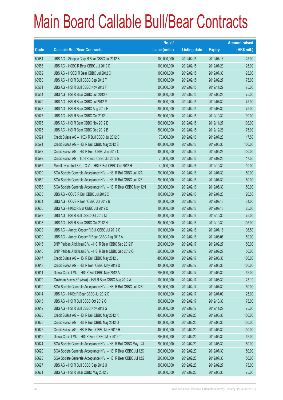|       |                                                                | No. of        |                     |               | <b>Amount raised</b> |
|-------|----------------------------------------------------------------|---------------|---------------------|---------------|----------------------|
| Code  | <b>Callable Bull/Bear Contracts</b>                            | issue (units) | <b>Listing date</b> | <b>Expiry</b> | (HK\$ mil.)          |
| 60584 | UBS AG - Sinopec Corp R Bear CBBC Jul 2012 B                   | 100,000,000   | 2012/02/15          | 2012/07/16    | 25.00                |
| 60586 | UBS AG - HSBC R Bear CBBC Jul 2012 C                           | 100,000,000   | 2012/02/15          | 2012/07/23    | 25.00                |
| 60582 | UBS AG - HSCEI R Bear CBBC Jul 2012 C                          | 100,000,000   | 2012/02/15          | 2012/07/30    | 25.00                |
| 60580 | UBS AG - HSI R Bull CBBC Sep 2012 T                            | 300,000,000   | 2012/02/15          | 2012/09/27    | 75.00                |
| 60581 | UBS AG - HSI R Bull CBBC Nov 2012 F                            | 300,000,000   | 2012/02/15          | 2012/11/29    | 75.00                |
| 60554 | UBS AG - HSI R Bear CBBC Jun 2012 F                            | 300,000,000   | 2012/02/15          | 2012/06/28    | 75.00                |
| 60579 | UBS AG - HSI R Bear CBBC Jul 2012 M                            | 300,000,000   | 2012/02/15          | 2012/07/30    | 75.00                |
| 60578 | UBS AG - HSI R Bear CBBC Aug 2012 H                            | 300,000,000   | 2012/02/15          | 2012/08/30    | 75.00                |
| 60577 | UBS AG - HSI R Bear CBBC Oct 2012 L                            | 300,000,000   | 2012/02/15          | 2012/10/30    | 99.00                |
| 60576 | UBS AG - HSI R Bear CBBC Nov 2012 E                            | 300,000,000   | 2012/02/15          | 2012/11/27    | 108.00               |
| 60575 | UBS AG - HSI R Bear CBBC Dec 2012 B                            | 300,000,000   | 2012/02/15          | 2012/12/28    | 75.00                |
| 60594 | Credit Suisse AG - HKEx R Bull CBBC Jul 2012 B                 | 70,000,000    | 2012/02/16          | 2012/07/23    | 17.50                |
| 60591 | Credit Suisse AG - HSI R Bull CBBC May 2012 S                  | 400,000,000   | 2012/02/16          | 2012/05/30    | 100.00               |
| 60592 | Credit Suisse AG - HSI R Bear CBBC Jun 2012 O                  | 400,000,000   | 2012/02/16          | 2012/06/28    | 100.00               |
| 60599 | Credit Suisse AG - TCH R Bear CBBC Jul 2012 B                  | 70,000,000    | 2012/02/16          | 2012/07/23    | 17.50                |
| 60587 | Merrill Lynch Int'l & Co. C.V. - HSI R Bull CBBC Oct 2012 H    | 40,000,000    | 2012/02/16          | 2012/10/30    | 10.00                |
| 60590 | SGA Societe Generale Acceptance N.V. - HSI R Bull CBBC Jul 12A | 200,000,000   | 2012/02/16          | 2012/07/30    | 50.00                |
| 60589 | SGA Societe Generale Acceptance N.V. - HSI R Bull CBBC Jul 12Z | 200,000,000   | 2012/02/16          | 2012/07/30    | 50.00                |
| 60588 | SGA Societe Generale Acceptance N.V. - HSI R Bear CBBC May 12N | 200,000,000   | 2012/02/16          | 2012/05/30    | 50.00                |
| 60605 | UBS AG - COVS R Bull CBBC Jul 2012 C                           | 100,000,000   | 2012/02/16          | 2012/07/23    | 26.50                |
| 60604 | UBS AG - COVS R Bear CBBC Jul 2012 B                           | 100,000,000   | 2012/02/16          | 2012/07/16    | 34.00                |
| 60606 | UBS AG - HKEx R Bull CBBC Jul 2012 C                           | 100,000,000   | 2012/02/16          | 2012/07/16    | 25.00                |
| 60593 | UBS AG - HSI R Bull CBBC Oct 2012 M                            | 300,000,000   | 2012/02/16          | 2012/10/30    | 75.00                |
| 60608 | UBS AG - HSI R Bear CBBC Oct 2012 N                            | 300,000,000   | 2012/02/16          | 2012/10/30    | 105.00               |
| 60602 | UBS AG - Jiangxi Copper R Bull CBBC Jul 2012 C                 | 100,000,000   | 2012/02/16          | 2012/07/16    | 36.50                |
| 60600 | UBS AG - Jiangxi Copper R Bear CBBC Aug 2012 A                 | 100,000,000   | 2012/02/16          | 2012/08/06    | 59.00                |
| 60615 | BNP Paribas Arbit Issu B.V. - HSI R Bear CBBC Sep 2012 P       | 200,000,000   | 2012/02/17          | 2012/09/27    | 50.00                |
| 60616 | BNP Paribas Arbit Issu B.V. - HSI R Bear CBBC Sep 2012 Q       | 200,000,000   | 2012/02/17          | 2012/09/27    | 50.00                |
| 60617 | Credit Suisse AG - HSI R Bull CBBC May 2012 L                  | 400,000,000   | 2012/02/17          | 2012/05/30    | 100.00               |
| 60618 | Credit Suisse AG - HSI R Bear CBBC May 2012 D                  | 400,000,000   | 2012/02/17          | 2012/05/30    | 100.00               |
| 60611 | Daiwa Capital Mkt - HSI R Bull CBBC May 2012 A                 | 208,000,000   | 2012/02/17          | 2012/05/30    | 52.00                |
| 60609 | Goldman Sachs SP (Asia) - HSI R Bear CBBC Aug 2012 A           | 100,000,000   | 2012/02/17          | 2012/08/30    | 25.10                |
| 60610 | SGA Societe Generale Acceptance N.V. - HSI R Bull CBBC Jul 12B | 200,000,000   | 2012/02/17          | 2012/07/30    | 50.00                |
| 60614 | UBS AG - HKEx R Bear CBBC Jul 2012 D                           | 100,000,000   | 2012/02/17          | 2012/07/09    | 25.00                |
| 60613 | UBS AG - HSI R Bull CBBC Oct 2012 O                            | 300,000,000   | 2012/02/17          | 2012/10/30    | 75.00                |
| 60612 | UBS AG - HSI R Bull CBBC Nov 2012 G                            | 300,000,000   | 2012/02/17          | 2012/11/29    | 75.00                |
| 60625 | Credit Suisse AG - HSI R Bull CBBC May 2012 K                  | 400,000,000   | 2012/02/20          | 2012/05/30    | 100.00               |
| 60626 | Credit Suisse AG - HSI R Bull CBBC May 2012 O                  | 400,000,000   | 2012/02/20          | 2012/05/30    | 100.00               |
| 60622 | Credit Suisse AG - HSI R Bear CBBC May 2012 H                  | 400,000,000   | 2012/02/20          | 2012/05/30    | 100.00               |
| 60619 | Daiwa Capital Mkt - HSI R Bear CBBC May 2012 T                 | 208,000,000   | 2012/02/20          | 2012/05/30    | 52.00                |
| 60624 | SGA Societe Generale Acceptance N.V. - HSI R Bull CBBC May 12J | 200,000,000   | 2012/02/20          | 2012/05/30    | 50.00                |
| 60620 | SGA Societe Generale Acceptance N.V. - HSI R Bear CBBC Jul 12C | 200,000,000   | 2012/02/20          | 2012/07/30    | 50.00                |
| 60628 | SGA Societe Generale Acceptance N.V. - HSI R Bear CBBC Jul 12G | 200,000,000   | 2012/02/20          | 2012/07/30    | 50.00                |
| 60627 | UBS AG - HSI R Bull CBBC Sep 2012 U                            | 300,000,000   | 2012/02/20          | 2012/09/27    | 75.00                |
| 60621 | UBS AG - HSI R Bear CBBC May 2012 E                            | 300,000,000   | 2012/02/20          | 2012/05/30    | 75.00                |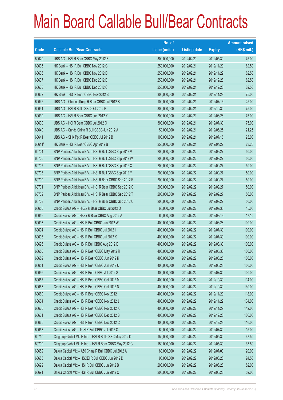|        |                                                          | No. of        |                     |               | <b>Amount raised</b> |
|--------|----------------------------------------------------------|---------------|---------------------|---------------|----------------------|
| Code   | <b>Callable Bull/Bear Contracts</b>                      | issue (units) | <b>Listing date</b> | <b>Expiry</b> | $(HK$$ mil.)         |
| 60629  | UBS AG - HSI R Bear CBBC May 2012 F                      | 300,000,000   | 2012/02/20          | 2012/05/30    | 75.00                |
| 60635  | HK Bank - HSI R Bull CBBC Nov 2012 C                     | 250,000,000   | 2012/02/21          | 2012/11/29    | 62.50                |
| 60636  | HK Bank - HSI R Bull CBBC Nov 2012 D                     | 250,000,000   | 2012/02/21          | 2012/11/29    | 62.50                |
| 60637  | HK Bank - HSI R Bull CBBC Dec 2012 B                     | 250,000,000   | 2012/02/21          | 2012/12/28    | 62.50                |
| 60638  | HK Bank - HSI R Bull CBBC Dec 2012 C                     | 250,000,000   | 2012/02/21          | 2012/12/28    | 62.50                |
| 60632  | HK Bank - HSI R Bear CBBC Nov 2012 B                     | 300,000,000   | 2012/02/21          | 2012/11/29    | 75.00                |
| 60642  | UBS AG - Cheung Kong R Bear CBBC Jul 2012 B              | 100,000,000   | 2012/02/21          | 2012/07/16    | 25.00                |
| 60631  | UBS AG - HSI R Bull CBBC Oct 2012 P                      | 300,000,000   | 2012/02/21          | 2012/10/30    | 75.00                |
| 60639  | UBS AG - HSI R Bear CBBC Jun 2012 X                      | 300,000,000   | 2012/02/21          | 2012/06/28    | 75.00                |
| 60630  | UBS AG - HSI R Bear CBBC Jul 2012 O                      | 300,000,000   | 2012/02/21          | 2012/07/30    | 75.00                |
| 60640  | UBS AG - Sands China R Bull CBBC Jun 2012 A              | 50,000,000    | 2012/02/21          | 2012/06/25    | 21.25                |
| 60641  | UBS AG - SHK Ppt R Bear CBBC Jul 2012 B                  | 100,000,000   | 2012/02/21          | 2012/07/16    | 25.00                |
| 65611# | HK Bank - HSI R Bear CBBC Apr 2012 B                     | 250,000,000   | 2012/02/21          | 2012/04/27    | 23.25                |
| 60704  | BNP Paribas Arbit Issu B.V. - HSI R Bull CBBC Sep 2012 V | 200,000,000   | 2012/02/22          | 2012/09/27    | 50.00                |
| 60705  | BNP Paribas Arbit Issu B.V. - HSI R Bull CBBC Sep 2012 W | 200,000,000   | 2012/02/22          | 2012/09/27    | 50.00                |
| 60707  | BNP Paribas Arbit Issu B.V. - HSI R Bull CBBC Sep 2012 X | 200,000,000   | 2012/02/22          | 2012/09/27    | 50.00                |
| 60708  | BNP Paribas Arbit Issu B.V. - HSI R Bull CBBC Sep 2012 Y | 200,000,000   | 2012/02/22          | 2012/09/27    | 50.00                |
| 60700  | BNP Paribas Arbit Issu B.V. - HSI R Bear CBBC Sep 2012 R | 200,000,000   | 2012/02/22          | 2012/09/27    | 50.00                |
| 60701  | BNP Paribas Arbit Issu B.V. - HSI R Bear CBBC Sep 2012 S | 200,000,000   | 2012/02/22          | 2012/09/27    | 50.00                |
| 60702  | BNP Paribas Arbit Issu B.V. - HSI R Bear CBBC Sep 2012 T | 200,000,000   | 2012/02/22          | 2012/09/27    | 50.00                |
| 60703  | BNP Paribas Arbit Issu B.V. - HSI R Bear CBBC Sep 2012 U | 200,000,000   | 2012/02/22          | 2012/09/27    | 50.00                |
| 60655  | Credit Suisse AG - HKEx R Bear CBBC Jul 2012 D           | 60,000,000    | 2012/02/22          | 2012/07/30    | 15.00                |
| 60656  | Credit Suisse AG - HKEx R Bear CBBC Aug 2012 A           | 60,000,000    | 2012/02/22          | 2012/08/13    | 17.10                |
| 60693  | Credit Suisse AG - HSI R Bull CBBC Jun 2012 W            | 400,000,000   | 2012/02/22          | 2012/06/28    | 100.00               |
| 60694  | Credit Suisse AG - HSI R Bull CBBC Jul 2012 I            | 400,000,000   | 2012/02/22          | 2012/07/30    | 100.00               |
| 60698  | Credit Suisse AG - HSI R Bull CBBC Jul 2012 K            | 400,000,000   | 2012/02/22          | 2012/07/30    | 100.00               |
| 60696  | Credit Suisse AG - HSI R Bull CBBC Aug 2012 E            | 400,000,000   | 2012/02/22          | 2012/08/30    | 100.00               |
| 60650  | Credit Suisse AG - HSI R Bear CBBC May 2012 R            | 400,000,000   | 2012/02/22          | 2012/05/30    | 100.00               |
| 60652  | Credit Suisse AG - HSI R Bear CBBC Jun 2012 K            | 400,000,000   | 2012/02/22          | 2012/06/28    | 100.00               |
| 60651  | Credit Suisse AG - HSI R Bear CBBC Jun 2012 U            | 400,000,000   | 2012/02/22          | 2012/06/28    | 100.00               |
| 60699  | Credit Suisse AG - HSI R Bear CBBC Jul 2012 S            | 400,000,000   | 2012/02/22          | 2012/07/30    | 100.00               |
| 60657  | Credit Suisse AG - HSI R Bear CBBC Oct 2012 M            | 400,000,000   | 2012/02/22          | 2012/10/30    | 114.00               |
| 60663  | Credit Suisse AG - HSI R Bear CBBC Oct 2012 N            | 400,000,000   | 2012/02/22          | 2012/10/30    | 130.00               |
| 60660  | Credit Suisse AG - HSI R Bear CBBC Nov 2012 I            | 400,000,000   | 2012/02/22          | 2012/11/29    | 118.00               |
| 60664  | Credit Suisse AG - HSI R Bear CBBC Nov 2012 J            | 400,000,000   | 2012/02/22          | 2012/11/29    | 134.00               |
| 60666  | Credit Suisse AG - HSI R Bear CBBC Nov 2012 K            | 400,000,000   | 2012/02/22          | 2012/11/29    | 142.00               |
| 60661  | Credit Suisse AG - HSI R Bear CBBC Dec 2012 B            | 400,000,000   | 2012/02/22          | 2012/12/28    | 106.00               |
| 60665  | Credit Suisse AG - HSI R Bear CBBC Dec 2012 C            | 400,000,000   | 2012/02/22          | 2012/12/28    | 116.00               |
| 60653  | Credit Suisse AG - TCH R Bull CBBC Jul 2012 C            | 60,000,000    | 2012/02/22          | 2012/07/30    | 15.00                |
| 60710  | Citigroup Global Mkt H Inc. - HSI R Bull CBBC May 2012 D | 150,000,000   | 2012/02/22          | 2012/05/30    | 37.50                |
| 60709  | Citigroup Global Mkt H Inc. - HSI R Bear CBBC May 2012 C | 150,000,000   | 2012/02/22          | 2012/05/30    | 37.50                |
| 60682  | Daiwa Capital Mkt - A50 China R Bull CBBC Jul 2012 A     | 80,000,000    | 2012/02/22          | 2012/07/03    | 20.00                |
| 60683  | Daiwa Capital Mkt - HSCEI R Bull CBBC Jun 2012 D         | 98,000,000    | 2012/02/22          | 2012/06/28    | 24.50                |
| 60692  | Daiwa Capital Mkt - HSI R Bull CBBC Jun 2012 B           | 208,000,000   | 2012/02/22          | 2012/06/28    | 52.00                |
| 60691  | Daiwa Capital Mkt - HSI R Bull CBBC Jun 2012 C           | 208,000,000   | 2012/02/22          | 2012/06/28    | 52.00                |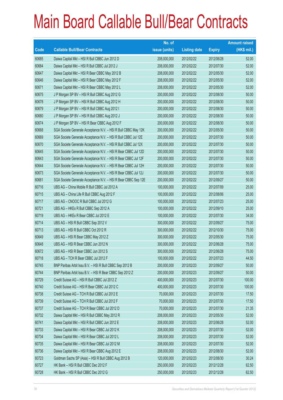|       |                                                                | No. of        |                     |               | <b>Amount raised</b> |
|-------|----------------------------------------------------------------|---------------|---------------------|---------------|----------------------|
| Code  | <b>Callable Bull/Bear Contracts</b>                            | issue (units) | <b>Listing date</b> | <b>Expiry</b> | $(HK$$ mil.)         |
| 60685 | Daiwa Capital Mkt - HSI R Bull CBBC Jun 2012 D                 | 208,000,000   | 2012/02/22          | 2012/06/28    | 52.00                |
| 60684 | Daiwa Capital Mkt - HSI R Bull CBBC Jul 2012 J                 | 208,000,000   | 2012/02/22          | 2012/07/30    | 52.00                |
| 60647 | Daiwa Capital Mkt - HSI R Bear CBBC May 2012 B                 | 208,000,000   | 2012/02/22          | 2012/05/30    | 52.00                |
| 60646 | Daiwa Capital Mkt - HSI R Bear CBBC May 2012 F                 | 208,000,000   | 2012/02/22          | 2012/05/30    | 52.00                |
| 60671 | Daiwa Capital Mkt - HSI R Bear CBBC May 2012 L                 | 208,000,000   | 2012/02/22          | 2012/05/30    | 52.00                |
| 60675 | J P Morgan SP BV - HSI R Bull CBBC Aug 2012 G                  | 200,000,000   | 2012/02/22          | 2012/08/30    | 50.00                |
| 60678 | J P Morgan SP BV - HSI R Bull CBBC Aug 2012 H                  | 200,000,000   | 2012/02/22          | 2012/08/30    | 50.00                |
| 60679 | J P Morgan SP BV - HSI R Bull CBBC Aug 2012 I                  | 200,000,000   | 2012/02/22          | 2012/08/30    | 50.00                |
| 60680 | J P Morgan SP BV - HSI R Bull CBBC Aug 2012 J                  | 200,000,000   | 2012/02/22          | 2012/08/30    | 50.00                |
| 60674 | J P Morgan SP BV - HSI R Bear CBBC Aug 2012 F                  | 200,000,000   | 2012/02/22          | 2012/08/30    | 50.00                |
| 60668 | SGA Societe Generale Acceptance N.V. - HSI R Bull CBBC May 12K | 200,000,000   | 2012/02/22          | 2012/05/30    | 50.00                |
| 60669 | SGA Societe Generale Acceptance N.V. - HSI R Bull CBBC Jul 12E | 200,000,000   | 2012/02/22          | 2012/07/30    | 50.00                |
| 60670 | SGA Societe Generale Acceptance N.V. - HSI R Bull CBBC Jul 12X | 200,000,000   | 2012/02/22          | 2012/07/30    | 50.00                |
| 60645 | SGA Societe Generale Acceptance N.V. - HSI R Bear CBBC Jul 12D | 200,000,000   | 2012/02/22          | 2012/07/30    | 50.00                |
| 60643 | SGA Societe Generale Acceptance N.V. - HSI R Bear CBBC Jul 12F | 200,000,000   | 2012/02/22          | 2012/07/30    | 50.00                |
| 60644 | SGA Societe Generale Acceptance N.V. - HSI R Bear CBBC Jul 12H | 200,000,000   | 2012/02/22          | 2012/07/30    | 50.00                |
| 60673 | SGA Societe Generale Acceptance N.V. - HSI R Bear CBBC Jul 12J | 200,000,000   | 2012/02/22          | 2012/07/30    | 50.00                |
| 60681 | SGA Societe Generale Acceptance N.V. - HSI R Bear CBBC Sep 12E | 200,000,000   | 2012/02/22          | 2012/09/27    | 50.00                |
| 60716 | UBS AG - China Mobile R Bull CBBC Jul 2012 A                   | 100,000,000   | 2012/02/22          | 2012/07/09    | 25.00                |
| 60715 | UBS AG - China Life R Bull CBBC Aug 2012 F                     | 100,000,000   | 2012/02/22          | 2012/08/06    | 25.00                |
| 60717 | UBS AG - CNOOC R Bull CBBC Jul 2012 G                          | 100,000,000   | 2012/02/22          | 2012/07/23    | 25.00                |
| 60721 | UBS AG - HKEx R Bull CBBC Sep 2012 A                           | 100,000,000   | 2012/02/22          | 2012/09/10    | 25.00                |
| 60719 | UBS AG - HKEx R Bear CBBC Jul 2012 E                           | 100,000,000   | 2012/02/22          | 2012/07/30    | 34.00                |
| 60714 | UBS AG - HSI R Bull CBBC Sep 2012 V                            | 300,000,000   | 2012/02/22          | 2012/09/27    | 75.00                |
| 60713 | UBS AG - HSI R Bull CBBC Oct 2012 R                            | 300,000,000   | 2012/02/22          | 2012/10/30    | 75.00                |
| 60649 | UBS AG - HSI R Bear CBBC May 2012 Z                            | 300,000,000   | 2012/02/22          | 2012/05/30    | 75.00                |
| 60648 | UBS AG - HSI R Bear CBBC Jun 2012 N                            | 300,000,000   | 2012/02/22          | 2012/06/28    | 75.00                |
| 60672 | UBS AG - HSI R Bear CBBC Jun 2012 S                            | 300,000,000   | 2012/02/22          | 2012/06/28    | 75.00                |
| 60718 | UBS AG - TCH R Bear CBBC Jul 2012 F                            | 100,000,000   | 2012/02/22          | 2012/07/23    | 44.50                |
| 60745 | BNP Paribas Arbit Issu B.V. - HSI R Bull CBBC Sep 2012 B       | 200,000,000   | 2012/02/23          | 2012/09/27    | 50.00                |
| 60744 | BNP Paribas Arbit Issu B.V. - HSI R Bear CBBC Sep 2012 Z       | 200,000,000   | 2012/02/23          | 2012/09/27    | 50.00                |
| 60729 | Credit Suisse AG - HSI R Bull CBBC Jul 2012 Z                  | 400,000,000   | 2012/02/23          | 2012/07/30    | 100.00               |
| 60740 | Credit Suisse AG - HSI R Bear CBBC Jul 2012 C                  | 400,000,000   | 2012/02/23          | 2012/07/30    | 100.00               |
| 60738 | Credit Suisse AG - TCH R Bull CBBC Jul 2012 E                  | 70,000,000    | 2012/02/23          | 2012/07/30    | 17.50                |
| 60739 | Credit Suisse AG - TCH R Bull CBBC Jul 2012 F                  | 70,000,000    | 2012/02/23          | 2012/07/30    | 17.50                |
| 60737 | Credit Suisse AG - TCH R Bear CBBC Jul 2012 D                  | 70,000,000    | 2012/02/23          | 2012/07/30    | 21.35                |
| 60732 | Daiwa Capital Mkt - HSI R Bull CBBC May 2012 R                 | 208,000,000   | 2012/02/23          | 2012/05/30    | 52.00                |
| 60741 | Daiwa Capital Mkt - HSI R Bull CBBC Jun 2012 E                 | 208,000,000   | 2012/02/23          | 2012/06/28    | 52.00                |
| 60733 | Daiwa Capital Mkt - HSI R Bear CBBC Jul 2012 K                 | 208,000,000   | 2012/02/23          | 2012/07/30    | 52.00                |
| 60734 | Daiwa Capital Mkt - HSI R Bear CBBC Jul 2012 L                 | 208,000,000   | 2012/02/23          | 2012/07/30    | 52.00                |
| 60735 | Daiwa Capital Mkt - HSI R Bear CBBC Jul 2012 M                 | 208,000,000   | 2012/02/23          | 2012/07/30    | 52.00                |
| 60736 | Daiwa Capital Mkt - HSI R Bear CBBC Aug 2012 E                 | 208,000,000   | 2012/02/23          | 2012/08/30    | 52.00                |
| 60723 | Goldman Sachs SP (Asia) - HSI R Bull CBBC Aug 2012 B           | 120,000,000   | 2012/02/23          | 2012/08/30    | 30.24                |
| 60727 | HK Bank - HSI R Bull CBBC Dec 2012 F                           | 250,000,000   | 2012/02/23          | 2012/12/28    | 62.50                |
| 60728 | HK Bank - HSI R Bull CBBC Dec 2012 G                           | 250,000,000   | 2012/02/23          | 2012/12/28    | 62.50                |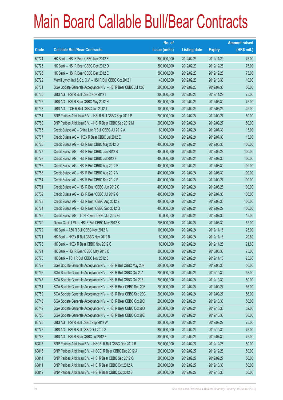|       |                                                                | No. of        |                     |               | <b>Amount raised</b> |
|-------|----------------------------------------------------------------|---------------|---------------------|---------------|----------------------|
| Code  | <b>Callable Bull/Bear Contracts</b>                            | issue (units) | <b>Listing date</b> | <b>Expiry</b> | $(HK$$ mil.)         |
| 60724 | HK Bank - HSI R Bear CBBC Nov 2012 E                           | 300,000,000   | 2012/02/23          | 2012/11/29    | 75.00                |
| 60725 | HK Bank - HSI R Bear CBBC Dec 2012 D                           | 300,000,000   | 2012/02/23          | 2012/12/28    | 75.00                |
| 60726 | HK Bank - HSI R Bear CBBC Dec 2012 E                           | 300,000,000   | 2012/02/23          | 2012/12/28    | 75.00                |
| 60722 | Merrill Lynch Int'l & Co. C.V. - HSI R Bull CBBC Oct 2012 I    | 40,000,000    | 2012/02/23          | 2012/10/30    | 10.00                |
| 60731 | SGA Societe Generale Acceptance N.V. - HSI R Bear CBBC Jul 12K | 200,000,000   | 2012/02/23          | 2012/07/30    | 50.00                |
| 60730 | UBS AG - HSI R Bull CBBC Nov 2012 I                            | 300,000,000   | 2012/02/23          | 2012/11/29    | 75.00                |
| 60742 | UBS AG - HSI R Bear CBBC May 2012 H                            | 300,000,000   | 2012/02/23          | 2012/05/30    | 75.00                |
| 60743 | UBS AG - TCH R Bull CBBC Jun 2012 J                            | 100,000,000   | 2012/02/23          | 2012/06/25    | 25.00                |
| 60781 | BNP Paribas Arbit Issu B.V. - HSI R Bull CBBC Sep 2012 P       | 200,000,000   | 2012/02/24          | 2012/09/27    | 50.00                |
| 60780 | BNP Paribas Arbit Issu B.V. - HSI R Bear CBBC Sep 2012 M       | 200,000,000   | 2012/02/24          | 2012/09/27    | 50.00                |
| 60765 | Credit Suisse AG - China Life R Bull CBBC Jul 2012 A           | 60,000,000    | 2012/02/24          | 2012/07/30    | 15.00                |
| 60767 | Credit Suisse AG - HKEx R Bear CBBC Jul 2012 E                 | 60,000,000    | 2012/02/24          | 2012/07/30    | 15.00                |
| 60760 | Credit Suisse AG - HSI R Bull CBBC May 2012 D                  | 400,000,000   | 2012/02/24          | 2012/05/30    | 100.00               |
| 60777 | Credit Suisse AG - HSI R Bull CBBC Jun 2012 B                  | 400,000,000   | 2012/02/24          | 2012/06/28    | 100.00               |
| 60778 | Credit Suisse AG - HSI R Bull CBBC Jul 2012 F                  | 400,000,000   | 2012/02/24          | 2012/07/30    | 100.00               |
| 60756 | Credit Suisse AG - HSI R Bull CBBC Aug 2012 F                  | 400,000,000   | 2012/02/24          | 2012/08/30    | 100.00               |
| 60758 | Credit Suisse AG - HSI R Bull CBBC Aug 2012 V                  | 400,000,000   | 2012/02/24          | 2012/08/30    | 100.00               |
| 60754 | Credit Suisse AG - HSI R Bull CBBC Sep 2012 P                  | 400,000,000   | 2012/02/24          | 2012/09/27    | 100.00               |
| 60761 | Credit Suisse AG - HSI R Bear CBBC Jun 2012 O                  | 400,000,000   | 2012/02/24          | 2012/06/28    | 100.00               |
| 60762 | Credit Suisse AG - HSI R Bear CBBC Jul 2012 G                  | 400,000,000   | 2012/02/24          | 2012/07/30    | 100.00               |
| 60763 | Credit Suisse AG - HSI R Bear CBBC Aug 2012 Z                  | 400,000,000   | 2012/02/24          | 2012/08/30    | 100.00               |
| 60764 | Credit Suisse AG - HSI R Bear CBBC Sep 2012 Q                  | 400,000,000   | 2012/02/24          | 2012/09/27    | 100.00               |
| 60766 | Credit Suisse AG - TCH R Bear CBBC Jul 2012 G                  | 60,000,000    | 2012/02/24          | 2012/07/30    | 15.00                |
| 60779 | Daiwa Capital Mkt - HSI R Bull CBBC May 2012 S                 | 208,000,000   | 2012/02/24          | 2012/05/30    | 52.00                |
| 60772 | HK Bank - A50 R Bull CBBC Nov 2012 A                           | 100,000,000   | 2012/02/24          | 2012/11/16    | 25.00                |
| 60771 | HK Bank - HKEx R Bull CBBC Nov 2012 B                          | 80,000,000    | 2012/02/24          | 2012/11/16    | 20.80                |
| 60773 | HK Bank - HKEx R Bear CBBC Nov 2012 C                          | 80,000,000    | 2012/02/24          | 2012/11/28    | 21.60                |
| 60774 | HK Bank - HSI R Bear CBBC May 2013 C                           | 300,000,000   | 2012/02/24          | 2013/05/30    | 75.00                |
| 60770 | HK Bank - TCH R Bull CBBC Nov 2012 B                           | 80,000,000    | 2012/02/24          | 2012/11/16    | 25.60                |
| 60769 | SGA Societe Generale Acceptance N.V. - HSI R Bull CBBC May 20N | 200,000,000   | 2012/02/24          | 2012/05/30    | 50.00                |
| 60746 | SGA Societe Generale Acceptance N.V. - HSI R Bull CBBC Oct 20A | 200,000,000   | 2012/02/24          | 2012/10/30    | 53.00                |
| 60747 | SGA Societe Generale Acceptance N.V. - HSI R Bull CBBC Oct 20B | 200,000,000   | 2012/02/24          | 2012/10/30    | 50.00                |
| 60751 | SGA Societe Generale Acceptance N.V. - HSI R Bear CBBC Sep 20F | 200,000,000   | 2012/02/24          | 2012/09/27    | 66.00                |
| 60752 | SGA Societe Generale Acceptance N.V. - HSI R Bear CBBC Sep 20G | 200,000,000   | 2012/02/24          | 2012/09/27    | 56.00                |
| 60748 | SGA Societe Generale Acceptance N.V. - HSI R Bear CBBC Oct 20C | 200,000,000   | 2012/02/24          | 2012/10/30    | 50.00                |
| 60749 | SGA Societe Generale Acceptance N.V. - HSI R Bear CBBC Oct 20D | 200,000,000   | 2012/02/24          | 2012/10/30    | 52.00                |
| 60750 | SGA Societe Generale Acceptance N.V. - HSI R Bear CBBC Oct 20E | 200,000,000   | 2012/02/24          | 2012/10/30    | 60.00                |
| 60776 | UBS AG - HSI R Bull CBBC Sep 2012 W                            | 300,000,000   | 2012/02/24          | 2012/09/27    | 75.00                |
| 60775 | UBS AG - HSI R Bull CBBC Oct 2012 S                            | 300,000,000   | 2012/02/24          | 2012/10/30    | 75.00                |
| 60768 | UBS AG - HSI R Bear CBBC Jul 2012 F                            | 300,000,000   | 2012/02/24          | 2012/07/30    | 75.00                |
| 60817 | BNP Paribas Arbit Issu B.V. - HSCEI R Bull CBBC Dec 2012 B     | 200,000,000   | 2012/02/27          | 2012/12/28    | 50.00                |
| 60816 | BNP Paribas Arbit Issu B.V. - HSCEI R Bear CBBC Dec 2012 A     | 200,000,000   | 2012/02/27          | 2012/12/28    | 50.00                |
| 60814 | BNP Paribas Arbit Issu B.V. - HSI R Bear CBBC Sep 2012 Q       | 200,000,000   | 2012/02/27          | 2012/09/27    | 50.00                |
| 60811 | BNP Paribas Arbit Issu B.V. - HSI R Bear CBBC Oct 2012 A       | 200,000,000   | 2012/02/27          | 2012/10/30    | 50.00                |
| 60812 | BNP Paribas Arbit Issu B.V. - HSI R Bear CBBC Oct 2012 B       | 200,000,000   | 2012/02/27          | 2012/10/30    | 50.00                |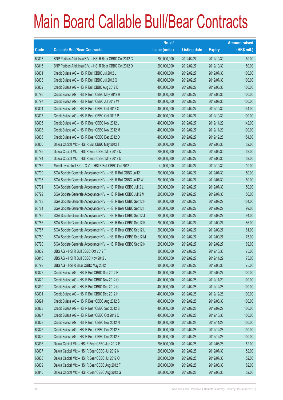|       |                                                                | No. of        |                     |               | <b>Amount raised</b> |
|-------|----------------------------------------------------------------|---------------|---------------------|---------------|----------------------|
| Code  | <b>Callable Bull/Bear Contracts</b>                            | issue (units) | <b>Listing date</b> | <b>Expiry</b> | $(HK$$ mil.)         |
| 60813 | BNP Paribas Arbit Issu B.V. - HSI R Bear CBBC Oct 2012 C       | 200,000,000   | 2012/02/27          | 2012/10/30    | 50.00                |
| 60815 | BNP Paribas Arbit Issu B.V. - HSI R Bear CBBC Oct 2012 D       | 200,000,000   | 2012/02/27          | 2012/10/30    | 50.00                |
| 60801 | Credit Suisse AG - HSI R Bull CBBC Jul 2012 J                  | 400,000,000   | 2012/02/27          | 2012/07/30    | 100.00               |
| 60803 | Credit Suisse AG - HSI R Bull CBBC Jul 2012 Q                  | 400,000,000   | 2012/02/27          | 2012/07/30    | 100.00               |
| 60802 | Credit Suisse AG - HSI R Bull CBBC Aug 2012 D                  | 400,000,000   | 2012/02/27          | 2012/08/30    | 100.00               |
| 60796 | Credit Suisse AG - HSI R Bear CBBC May 2012 H                  | 400,000,000   | 2012/02/27          | 2012/05/30    | 100.00               |
| 60797 | Credit Suisse AG - HSI R Bear CBBC Jul 2012 W                  | 400,000,000   | 2012/02/27          | 2012/07/30    | 100.00               |
| 60804 | Credit Suisse AG - HSI R Bear CBBC Oct 2012 O                  | 400,000,000   | 2012/02/27          | 2012/10/30    | 134.00               |
| 60807 | Credit Suisse AG - HSI R Bear CBBC Oct 2012 P                  | 400,000,000   | 2012/02/27          | 2012/10/30    | 100.00               |
| 60805 | Credit Suisse AG - HSI R Bear CBBC Nov 2012 L                  | 400,000,000   | 2012/02/27          | 2012/11/29    | 142.00               |
| 60808 | Credit Suisse AG - HSI R Bear CBBC Nov 2012 M                  | 400,000,000   | 2012/02/27          | 2012/11/29    | 100.00               |
| 60806 | Credit Suisse AG - HSI R Bear CBBC Dec 2012 D                  | 400,000,000   | 2012/02/27          | 2012/12/28    | 154.00               |
| 60800 | Daiwa Capital Mkt - HSI R Bull CBBC May 2012 T                 | 208,000,000   | 2012/02/27          | 2012/05/30    | 52.00                |
| 60795 | Daiwa Capital Mkt - HSI R Bear CBBC May 2012 Q                 | 208,000,000   | 2012/02/27          | 2012/05/30    | 52.00                |
| 60794 | Daiwa Capital Mkt - HSI R Bear CBBC May 2012 U                 | 208,000,000   | 2012/02/27          | 2012/05/30    | 52.00                |
| 60782 | Merrill Lynch Int'l & Co. C.V. - HSI R Bull CBBC Oct 2012 J    | 40,000,000    | 2012/02/27          | 2012/10/30    | 10.00                |
| 60799 | SGA Societe Generale Acceptance N.V. - HSI R Bull CBBC Jul12 I | 200,000,000   | 2012/02/27          | 2012/07/30    | 50.00                |
| 60798 | SGA Societe Generale Acceptance N.V. - HSI R Bull CBBC Jul12 W | 200,000,000   | 2012/02/27          | 2012/07/30    | 50.00                |
| 60791 | SGA Societe Generale Acceptance N.V. - HSI R Bear CBBC Jul12 L | 200,000,000   | 2012/02/27          | 2012/07/30    | 50.00                |
| 60792 | SGA Societe Generale Acceptance N.V. - HSI R Bear CBBC Jul12 M | 200,000,000   | 2012/02/27          | 2012/07/30    | 50.00                |
| 60783 | SGA Societe Generale Acceptance N.V. - HSI R Bear CBBC Sep12 H | 200,000,000   | 2012/02/27          | 2012/09/27    | 104.00               |
| 60784 | SGA Societe Generale Acceptance N.V. - HSI R Bear CBBC Sep12 I | 200,000,000   | 2012/02/27          | 2012/09/27    | 99.00                |
| 60785 | SGA Societe Generale Acceptance N.V. - HSI R Bear CBBC Sep12 J | 200,000,000   | 2012/02/27          | 2012/09/27    | 94.00                |
| 60786 | SGA Societe Generale Acceptance N.V. - HSI R Bear CBBC Sep12 K | 200,000,000   | 2012/02/27          | 2012/09/27    | 86.00                |
| 60787 | SGA Societe Generale Acceptance N.V. - HSI R Bear CBBC Sep12 L | 200,000,000   | 2012/02/27          | 2012/09/27    | 81.00                |
| 60789 | SGA Societe Generale Acceptance N.V. - HSI R Bear CBBC Sep12 M | 200,000,000   | 2012/02/27          | 2012/09/27    | 75.00                |
| 60790 | SGA Societe Generale Acceptance N.V. - HSI R Bear CBBC Sep12 N | 200,000,000   | 2012/02/27          | 2012/09/27    | 69.00                |
| 60809 | UBS AG - HSI R Bull CBBC Oct 2012 T                            | 300,000,000   | 2012/02/27          | 2012/10/30    | 75.00                |
| 60810 | UBS AG - HSI R Bull CBBC Nov 2012 J                            | 300,000,000   | 2012/02/27          | 2012/11/29    | 75.00                |
| 60793 | UBS AG - HSI R Bear CBBC May 2012 I                            | 300,000,000   | 2012/02/27          | 2012/05/30    | 75.00                |
| 60822 | Credit Suisse AG - HSI R Bull CBBC Sep 2012 R                  | 400,000,000   | 2012/02/28          | 2012/09/27    | 100.00               |
| 60829 | Credit Suisse AG - HSI R Bull CBBC Nov 2012 O                  | 400,000,000   | 2012/02/28          | 2012/11/29    | 100.00               |
| 60830 | Credit Suisse AG - HSI R Bull CBBC Dec 2012 G                  | 400,000,000   | 2012/02/28          | 2012/12/28    | 100.00               |
| 60831 | Credit Suisse AG - HSI R Bull CBBC Dec 2012 H                  | 400,000,000   | 2012/02/28          | 2012/12/28    | 100.00               |
| 60824 | Credit Suisse AG - HSI R Bear CBBC Aug 2012 S                  | 400,000,000   | 2012/02/28          | 2012/08/30    | 100.00               |
| 60823 | Credit Suisse AG - HSI R Bear CBBC Sep 2012 S                  | 400,000,000   | 2012/02/28          | 2012/09/27    | 100.00               |
| 60827 | Credit Suisse AG - HSI R Bear CBBC Oct 2012 Q                  | 400,000,000   | 2012/02/28          | 2012/10/30    | 100.00               |
| 60828 | Credit Suisse AG - HSI R Bear CBBC Nov 2012 N                  | 400,000,000   | 2012/02/28          | 2012/11/29    | 100.00               |
| 60825 | Credit Suisse AG - HSI R Bear CBBC Dec 2012 E                  | 400,000,000   | 2012/02/28          | 2012/12/28    | 100.00               |
| 60826 | Credit Suisse AG - HSI R Bear CBBC Dec 2012 F                  | 400,000,000   | 2012/02/28          | 2012/12/28    | 100.00               |
| 60836 | Daiwa Capital Mkt - HSI R Bear CBBC Jun 2012 F                 | 208,000,000   | 2012/02/28          | 2012/06/28    | 52.00                |
| 60837 | Daiwa Capital Mkt - HSI R Bear CBBC Jul 2012 N                 | 208,000,000   | 2012/02/28          | 2012/07/30    | 52.00                |
| 60838 | Daiwa Capital Mkt - HSI R Bear CBBC Jul 2012 O                 | 208,000,000   | 2012/02/28          | 2012/07/30    | 52.00                |
| 60839 | Daiwa Capital Mkt - HSI R Bear CBBC Aug 2012 F                 | 208,000,000   | 2012/02/28          | 2012/08/30    | 52.00                |
| 60840 | Daiwa Capital Mkt - HSI R Bear CBBC Aug 2012 G                 | 208,000,000   | 2012/02/28          | 2012/08/30    | 52.00                |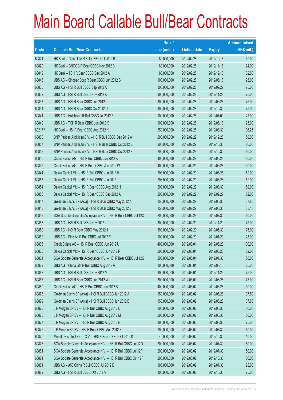|        |                                                                | No. of        |                     |               | <b>Amount raised</b> |
|--------|----------------------------------------------------------------|---------------|---------------------|---------------|----------------------|
| Code   | <b>Callable Bull/Bear Contracts</b>                            | issue (units) | <b>Listing date</b> | <b>Expiry</b> | (HK\$ mil.)          |
| 60821  | HK Bank - China Life R Bull CBBC Oct 2012 B                    | 80,000,000    | 2012/02/28          | 2012/10/18    | 32.00                |
| 60820  | HK Bank - CNOOC R Bear CBBC Nov 2012 B                         | 80,000,000    | 2012/02/28          | 2012/11/16    | 24.00                |
| 60819  | HK Bank - TCH R Bear CBBC Dec 2012 A                           | 80,000,000    | 2012/02/28          | 2012/12/18    | 32.80                |
| 60843  | UBS AG - Sinopec Corp R Bear CBBC Jun 2012 G                   | 100,000,000   | 2012/02/28          | 2012/06/18    | 25.00                |
| 60835  | UBS AG - HSI R Bull CBBC Sep 2012 X                            | 300,000,000   | 2012/02/28          | 2012/09/27    | 75.00                |
| 60832  | UBS AG - HSI R Bull CBBC Nov 2012 K                            | 300,000,000   | 2012/02/28          | 2012/11/29    | 75.00                |
| 60833  | UBS AG - HSI R Bear CBBC Jun 2012 I                            | 300,000,000   | 2012/02/28          | 2012/06/28    | 75.00                |
| 60834  | UBS AG - HSI R Bear CBBC Oct 2012 U                            | 300,000,000   | 2012/02/28          | 2012/10/30    | 75.00                |
| 60841  | UBS AG - Hutchison R Bull CBBC Jul 2012 F                      | 100,000,000   | 2012/02/28          | 2012/07/09    | 25.00                |
| 60842  | UBS AG - TCH R Bear CBBC Jun 2012 K                            | 100,000,000   | 2012/02/28          | 2012/06/18    | 25.00                |
| 60217# | HK Bank - HSI R Bear CBBC Aug 2012 K                           | 250,000,000   | 2012/02/28          | 2012/08/30    | 36.25                |
| 60860  | BNP Paribas Arbit Issu B.V. - HSI R Bull CBBC Dec 2012 A       | 200,000,000   | 2012/02/29          | 2012/12/28    | 50.00                |
| 60857  | BNP Paribas Arbit Issu B.V. - HSI R Bear CBBC Oct 2012 E       | 200,000,000   | 2012/02/29          | 2012/10/30    | 66.00                |
| 60859  | BNP Paribas Arbit Issu B.V. - HSI R Bear CBBC Oct 2012 F       | 200,000,000   | 2012/02/29          | 2012/10/30    | 60.00                |
| 60846  | Credit Suisse AG - HSI R Bull CBBC Jun 2012 K                  | 400,000,000   | 2012/02/29          | 2012/06/28    | 100.00               |
| 60845  | Credit Suisse AG - HSI R Bear CBBC Jun 2012 W                  | 400,000,000   | 2012/02/29          | 2012/06/28    | 100.00               |
| 60844  | Daiwa Capital Mkt - HSI R Bull CBBC Jun 2012 H                 | 208,000,000   | 2012/02/29          | 2012/06/28    | 52.00                |
| 60853  | Daiwa Capital Mkt - HSI R Bull CBBC Jun 2012 J                 | 208,000,000   | 2012/02/29          | 2012/06/28    | 52.00                |
| 60854  | Daiwa Capital Mkt - HSI R Bear CBBC Aug 2012 H                 | 208,000,000   | 2012/02/29          | 2012/08/30    | 52.00                |
| 60855  | Daiwa Capital Mkt - HSI R Bear CBBC Sep 2012 A                 | 208,000,000   | 2012/02/29          | 2012/09/27    | 52.00                |
| 60847  | Goldman Sachs SP (Asia) - HSI R Bear CBBC May 2012 A           | 150,000,000   | 2012/02/29          | 2012/05/30    | 37.80                |
| 60848  | Goldman Sachs SP (Asia) - HSI R Bear CBBC May 2012 B           | 150,000,000   | 2012/02/29          | 2012/05/30    | 38.10                |
| 60849  | SGA Societe Generale Acceptance N.V. - HSI R Bear CBBC Jul 12C | 200,000,000   | 2012/02/29          | 2012/07/30    | 50.00                |
| 60863  | UBS AG - HSI R Bull CBBC Nov 2012 L                            | 300,000,000   | 2012/02/29          | 2012/11/29    | 75.00                |
| 60850  | UBS AG - HSI R Bear CBBC May 2012 J                            | 300,000,000   | 2012/02/29          | 2012/05/30    | 75.00                |
| 60862  | UBS AG - Ping An R Bull CBBC Jul 2012 E                        | 100,000,000   | 2012/02/29          | 2012/07/23    | 25.00                |
| 60865  | Credit Suisse AG - HSI R Bear CBBC Jun 2012 U                  | 400,000,000   | 2012/03/01          | 2012/06/28    | 100.00               |
| 60866  | Daiwa Capital Mkt - HSI R Bear CBBC Jun 2012 R                 | 208,000,000   | 2012/03/01          | 2012/06/28    | 52.00                |
| 60864  | SGA Societe Generale Acceptance N.V. - HSI R Bear CBBC Jul 12G | 200,000,000   | 2012/03/01          | 2012/07/30    | 50.00                |
| 60869  | UBS AG - China Life R Bull CBBC Aug 2012 G                     | 100,000,000   | 2012/03/01          | 2012/08/13    | 25.00                |
| 60868  | UBS AG - HSI R Bull CBBC Nov 2012 M                            | 300,000,000   | 2012/03/01          | 2012/11/29    | 75.00                |
| 60867  | UBS AG - HSI R Bear CBBC Jun 2012 W                            | 300,000,000   | 2012/03/01          | 2012/06/28    | 75.00                |
| 60880  | Credit Suisse AG - HSI R Bull CBBC Jun 2012 B                  | 400,000,000   | 2012/03/02          | 2012/06/28    | 100.00               |
| 60878  | Goldman Sachs SP (Asia) - HSI R Bull CBBC Jun 2012 A           | 150,000,000   | 2012/03/02          | 2012/06/28    | 37.50                |
| 60879  | Goldman Sachs SP (Asia) - HSI R Bull CBBC Jun 2012 B           | 150,000,000   | 2012/03/02          | 2012/06/28    | 37.80                |
| 60873  | J P Morgan SP BV - HSI R Bull CBBC Aug 2012 L                  | 200,000,000   | 2012/03/02          | 2012/08/30    | 50.00                |
| 60876  | J P Morgan SP BV - HSI R Bull CBBC Aug 2012 M                  | 200,000,000   | 2012/03/02          | 2012/08/30    | 50.00                |
| 60877  | J P Morgan SP BV - HSI R Bull CBBC Aug 2012 N                  | 300,000,000   | 2012/03/02          | 2012/08/30    | 75.00                |
| 60872  | J P Morgan SP BV - HSI R Bear CBBC Aug 2012 K                  | 200,000,000   | 2012/03/02          | 2012/08/30    | 50.00                |
| 60870  | Merrill Lynch Int'l & Co. C.V. - HSI R Bear CBBC Oct 2012 K    | 40,000,000    | 2012/03/02          | 2012/10/30    | 10.00                |
| 60875  | SGA Societe Generale Acceptance N.V. - HSI R Bull CBBC Jul 120 | 200,000,000   | 2012/03/02          | 2012/07/30    | 50.00                |
| 60881  | SGA Societe Generale Acceptance N.V. - HSI R Bull CBBC Jul 12P | 200,000,000   | 2012/03/02          | 2012/07/30    | 50.00                |
| 60871  | SGA Societe Generale Acceptance N.V. - HSI R Bull CBBC Oct 12F | 200,000,000   | 2012/03/02          | 2012/10/30    | 50.00                |
| 60884  | UBS AG - A50 China R Bull CBBC Jul 2012 D                      | 100,000,000   | 2012/03/02          | 2012/07/30    | 25.00                |
| 60882  | UBS AG - HSI R Bull CBBC Oct 2012 V                            | 300,000,000   | 2012/03/02          | 2012/10/30    | 75.00                |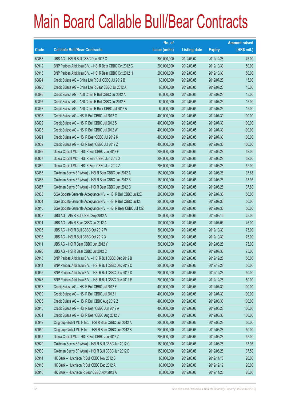|             |                                                                | No. of        |                     |               | <b>Amount raised</b> |
|-------------|----------------------------------------------------------------|---------------|---------------------|---------------|----------------------|
| <b>Code</b> | <b>Callable Bull/Bear Contracts</b>                            | issue (units) | <b>Listing date</b> | <b>Expiry</b> | $(HK$$ mil.)         |
| 60883       | UBS AG - HSI R Bull CBBC Dec 2012 C                            | 300,000,000   | 2012/03/02          | 2012/12/28    | 75.00                |
| 60912       | BNP Paribas Arbit Issu B.V. - HSI R Bear CBBC Oct 2012 G       | 200,000,000   | 2012/03/05          | 2012/10/30    | 50.00                |
| 60913       | BNP Paribas Arbit Issu B.V. - HSI R Bear CBBC Oct 2012 H       | 200,000,000   | 2012/03/05          | 2012/10/30    | 50.00                |
| 60894       | Credit Suisse AG - China Life R Bull CBBC Jul 2012 B           | 60,000,000    | 2012/03/05          | 2012/07/23    | 15.00                |
| 60895       | Credit Suisse AG - China Life R Bear CBBC Jul 2012 A           | 60,000,000    | 2012/03/05          | 2012/07/23    | 15.00                |
| 60896       | Credit Suisse AG - A50 China R Bull CBBC Jul 2012 A            | 60,000,000    | 2012/03/05          | 2012/07/23    | 15.00                |
| 60897       | Credit Suisse AG - A50 China R Bull CBBC Jul 2012 B            | 60,000,000    | 2012/03/05          | 2012/07/23    | 15.00                |
| 60898       | Credit Suisse AG - A50 China R Bear CBBC Jul 2012 A            | 60,000,000    | 2012/03/05          | 2012/07/23    | 15.00                |
| 60908       | Credit Suisse AG - HSI R Bull CBBC Jul 2012 G                  | 400,000,000   | 2012/03/05          | 2012/07/30    | 100.00               |
| 60892       | Credit Suisse AG - HSI R Bull CBBC Jul 2012 S                  | 400,000,000   | 2012/03/05          | 2012/07/30    | 100.00               |
| 60893       | Credit Suisse AG - HSI R Bull CBBC Jul 2012 W                  | 400,000,000   | 2012/03/05          | 2012/07/30    | 100.00               |
| 60891       | Credit Suisse AG - HSI R Bear CBBC Jul 2012 K                  | 400,000,000   | 2012/03/05          | 2012/07/30    | 100.00               |
| 60909       | Credit Suisse AG - HSI R Bear CBBC Jul 2012 Z                  | 400,000,000   | 2012/03/05          | 2012/07/30    | 100.00               |
| 60899       | Daiwa Capital Mkt - HSI R Bull CBBC Jun 2012 F                 | 208,000,000   | 2012/03/05          | 2012/06/28    | 52.00                |
| 60907       | Daiwa Capital Mkt - HSI R Bear CBBC Jun 2012 X                 | 208,000,000   | 2012/03/05          | 2012/06/28    | 52.00                |
| 60889       | Daiwa Capital Mkt - HSI R Bear CBBC Jun 2012 Z                 | 208,000,000   | 2012/03/05          | 2012/06/28    | 52.00                |
| 60885       | Goldman Sachs SP (Asia) - HSI R Bear CBBC Jun 2012 A           | 150,000,000   | 2012/03/05          | 2012/06/28    | 37.65                |
| 60886       | Goldman Sachs SP (Asia) - HSI R Bear CBBC Jun 2012 B           | 150,000,000   | 2012/03/05          | 2012/06/28    | 37.95                |
| 60887       | Goldman Sachs SP (Asia) - HSI R Bear CBBC Jun 2012 C           | 150,000,000   | 2012/03/05          | 2012/06/28    | 37.80                |
| 60903       | SGA Societe Generale Acceptance N.V. - HSI R Bull CBBC Jul12E  | 200,000,000   | 2012/03/05          | 2012/07/30    | 50.00                |
| 60904       | SGA Societe Generale Acceptance N.V. - HSI R Bull CBBC Jul121  | 200,000,000   | 2012/03/05          | 2012/07/30    | 50.00                |
| 60910       | SGA Societe Generale Acceptance N.V. - HSI R Bear CBBC Jul 12Z | 200,000,000   | 2012/03/05          | 2012/07/30    | 50.00                |
| 60902       | UBS AG - AIA R Bull CBBC Sep 2012 A                            | 100,000,000   | 2012/03/05          | 2012/09/10    | 25.00                |
| 60901       | UBS AG - AIA R Bear CBBC Jul 2012 A                            | 100,000,000   | 2012/03/05          | 2012/07/03    | 46.00                |
| 60905       | UBS AG - HSI R Bull CBBC Oct 2012 W                            | 300,000,000   | 2012/03/05          | 2012/10/30    | 75.00                |
| 60906       | UBS AG - HSI R Bull CBBC Oct 2012 X                            | 300,000,000   | 2012/03/05          | 2012/10/30    | 75.00                |
| 60911       | UBS AG - HSI R Bear CBBC Jun 2012 Y                            | 300,000,000   | 2012/03/05          | 2012/06/28    | 75.00                |
| 60890       | UBS AG - HSI R Bear CBBC Jul 2012 C                            | 300,000,000   | 2012/03/05          | 2012/07/30    | 75.00                |
| 60943       | BNP Paribas Arbit Issu B.V. - HSI R Bull CBBC Dec 2012 B       | 200,000,000   | 2012/03/06          | 2012/12/28    | 50.00                |
| 60944       | BNP Paribas Arbit Issu B.V. - HSI R Bull CBBC Dec 2012 C       | 200,000,000   | 2012/03/06          | 2012/12/28    | 50.00                |
| 60945       | BNP Paribas Arbit Issu B.V. - HSI R Bull CBBC Dec 2012 D       | 200,000,000   | 2012/03/06          | 2012/12/28    | 50.00                |
| 60946       | BNP Paribas Arbit Issu B.V. - HSI R Bull CBBC Dec 2012 E       | 200,000,000   | 2012/03/06          | 2012/12/28    | 50.00                |
| 60938       | Credit Suisse AG - HSI R Bull CBBC Jul 2012 F                  | 400,000,000   | 2012/03/06          | 2012/07/30    | 100.00               |
| 60939       | Credit Suisse AG - HSI R Bull CBBC Jul 2012 I                  | 400,000,000   | 2012/03/06          | 2012/07/30    | 100.00               |
| 60936       | Credit Suisse AG - HSI R Bull CBBC Aug 2012 Z                  | 400,000,000   | 2012/03/06          | 2012/08/30    | 100.00               |
| 60940       | Credit Suisse AG - HSI R Bear CBBC Jun 2012 A                  | 400,000,000   | 2012/03/06          | 2012/06/28    | 100.00               |
| 60931       | Credit Suisse AG - HSI R Bear CBBC Aug 2012 V                  | 400,000,000   | 2012/03/06          | 2012/08/30    | 100.00               |
| 60949       | Citigroup Global Mkt H Inc. - HSI R Bear CBBC Jun 2012 A       | 200,000,000   | 2012/03/06          | 2012/06/28    | 50.00                |
| 60950       | Citigroup Global Mkt H Inc. - HSI R Bear CBBC Jun 2012 B       | 200,000,000   | 2012/03/06          | 2012/06/28    | 50.00                |
| 60937       | Daiwa Capital Mkt - HSI R Bull CBBC Jun 2012 Z                 | 208,000,000   | 2012/03/06          | 2012/06/28    | 52.00                |
| 60929       | Goldman Sachs SP (Asia) - HSI R Bull CBBC Jun 2012 C           | 150,000,000   | 2012/03/06          | 2012/06/28    | 37.95                |
| 60930       | Goldman Sachs SP (Asia) - HSI R Bull CBBC Jun 2012 D           | 150,000,000   | 2012/03/06          | 2012/06/28    | 37.50                |
| 60914       | HK Bank - Hutchison R Bull CBBC Nov 2012 B                     | 80,000,000    | 2012/03/06          | 2012/11/16    | 20.00                |
| 60918       | HK Bank - Hutchison R Bull CBBC Dec 2012 A                     | 80,000,000    | 2012/03/06          | 2012/12/12    | 20.00                |
| 60916       | HK Bank - Hutchison R Bear CBBC Nov 2012 A                     | 80,000,000    | 2012/03/06          | 2012/11/26    | 20.00                |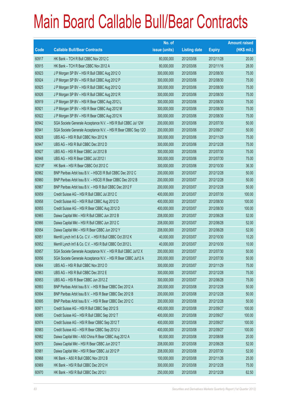|        |                                                                | No. of        |                     |               | <b>Amount raised</b> |
|--------|----------------------------------------------------------------|---------------|---------------------|---------------|----------------------|
| Code   | <b>Callable Bull/Bear Contracts</b>                            | issue (units) | <b>Listing date</b> | <b>Expiry</b> | $(HK$$ mil.)         |
| 60917  | HK Bank - TCH R Bull CBBC Nov 2012 C                           | 80,000,000    | 2012/03/06          | 2012/11/28    | 20.00                |
| 60915  | HK Bank - TCH R Bear CBBC Nov 2012 A                           | 80,000,000    | 2012/03/06          | 2012/11/16    | 28.00                |
| 60923  | J P Morgan SP BV - HSI R Bull CBBC Aug 2012 O                  | 300,000,000   | 2012/03/06          | 2012/08/30    | 75.00                |
| 60924  | J P Morgan SP BV - HSI R Bull CBBC Aug 2012 P                  | 300,000,000   | 2012/03/06          | 2012/08/30    | 75.00                |
| 60925  | J P Morgan SP BV - HSI R Bull CBBC Aug 2012 Q                  | 300,000,000   | 2012/03/06          | 2012/08/30    | 75.00                |
| 60926  | J P Morgan SP BV - HSI R Bull CBBC Aug 2012 R                  | 300,000,000   | 2012/03/06          | 2012/08/30    | 75.00                |
| 60919  | J P Morgan SP BV - HSI R Bear CBBC Aug 2012 L                  | 300,000,000   | 2012/03/06          | 2012/08/30    | 75.00                |
| 60921  | J P Morgan SP BV - HSI R Bear CBBC Aug 2012 M                  | 300,000,000   | 2012/03/06          | 2012/08/30    | 75.00                |
| 60922  | J P Morgan SP BV - HSI R Bear CBBC Aug 2012 N                  | 300,000,000   | 2012/03/06          | 2012/08/30    | 75.00                |
| 60942  | SGA Societe Generale Acceptance N.V. - HSI R Bull CBBC Jul 12W | 200,000,000   | 2012/03/06          | 2012/07/30    | 50.00                |
| 60941  | SGA Societe Generale Acceptance N.V. - HSI R Bear CBBC Sep 120 | 200,000,000   | 2012/03/06          | 2012/09/27    | 50.00                |
| 60928  | UBS AG - HSI R Bull CBBC Nov 2012 N                            | 300,000,000   | 2012/03/06          | 2012/11/29    | 75.00                |
| 60947  | UBS AG - HSI R Bull CBBC Dec 2012 D                            | 300,000,000   | 2012/03/06          | 2012/12/28    | 75.00                |
| 60927  | UBS AG - HSI R Bear CBBC Jul 2012 B                            | 300,000,000   | 2012/03/06          | 2012/07/30    | 75.00                |
| 60948  | UBS AG - HSI R Bear CBBC Jul 2012 I                            | 300,000,000   | 2012/03/06          | 2012/07/30    | 75.00                |
| 60218# | HK Bank - HSI R Bear CBBC Oct 2012 C                           | 300,000,000   | 2012/03/06          | 2012/10/30    | 36.30                |
| 60962  | BNP Paribas Arbit Issu B.V. - HSCEI R Bull CBBC Dec 2012 C     | 200,000,000   | 2012/03/07          | 2012/12/28    | 50.00                |
| 60960  | BNP Paribas Arbit Issu B.V. - HSCEI R Bear CBBC Dec 2012 B     | 200,000,000   | 2012/03/07          | 2012/12/28    | 50.00                |
| 60967  | BNP Paribas Arbit Issu B.V. - HSI R Bull CBBC Dec 2012 F       | 200,000,000   | 2012/03/07          | 2012/12/28    | 50.00                |
| 60959  | Credit Suisse AG - HSI R Bull CBBC Jul 2012 C                  | 400,000,000   | 2012/03/07          | 2012/07/30    | 100.00               |
| 60958  | Credit Suisse AG - HSI R Bull CBBC Aug 2012 D                  | 400,000,000   | 2012/03/07          | 2012/08/30    | 100.00               |
| 60955  | Credit Suisse AG - HSI R Bear CBBC Aug 2012 D                  | 400,000,000   | 2012/03/07          | 2012/08/30    | 100.00               |
| 60965  | Daiwa Capital Mkt - HSI R Bull CBBC Jun 2012 B                 | 208,000,000   | 2012/03/07          | 2012/06/28    | 52.00                |
| 60966  | Daiwa Capital Mkt - HSI R Bull CBBC Jun 2012 C                 | 208,000,000   | 2012/03/07          | 2012/06/28    | 52.00                |
| 60954  | Daiwa Capital Mkt - HSI R Bear CBBC Jun 2012 Y                 | 208,000,000   | 2012/03/07          | 2012/06/28    | 52.00                |
| 60951  | Merrill Lynch Int'l & Co. C.V. - HSI R Bull CBBC Oct 2012 K    | 40,000,000    | 2012/03/07          | 2012/10/30    | 10.20                |
| 60952  | Merrill Lynch Int'l & Co. C.V. - HSI R Bull CBBC Oct 2012 L    | 40,000,000    | 2012/03/07          | 2012/10/30    | 10.00                |
| 60957  | SGA Societe Generale Acceptance N.V. - HSI R Bull CBBC Jul12 X | 200,000,000   | 2012/03/07          | 2012/07/30    | 50.00                |
| 60956  | SGA Societe Generale Acceptance N.V. - HSI R Bear CBBC Jul12 A | 200,000,000   | 2012/03/07          | 2012/07/30    | 50.00                |
| 60964  | UBS AG - HSI R Bull CBBC Nov 2012 O                            | 300,000,000   | 2012/03/07          | 2012/11/29    | 75.00                |
| 60963  | UBS AG - HSI R Bull CBBC Dec 2012 E                            | 300,000,000   | 2012/03/07          | 2012/12/28    | 75.00                |
| 60953  | UBS AG - HSI R Bear CBBC Jun 2012 Z                            | 300,000,000   | 2012/03/07          | 2012/06/28    | 75.00                |
| 60993  | BNP Paribas Arbit Issu B.V. - HSI R Bear CBBC Dec 2012 A       | 200,000,000   | 2012/03/08          | 2012/12/28    | 50.00                |
| 60994  | BNP Paribas Arbit Issu B.V. - HSI R Bear CBBC Dec 2012 B       | 200,000,000   | 2012/03/08          | 2012/12/28    | 50.00                |
| 60995  | BNP Paribas Arbit Issu B.V. - HSI R Bear CBBC Dec 2012 C       | 200,000,000   | 2012/03/08          | 2012/12/28    | 50.00                |
| 60971  | Credit Suisse AG - HSI R Bull CBBC Sep 2012 S                  | 400,000,000   | 2012/03/08          | 2012/09/27    | 100.00               |
| 60985  | Credit Suisse AG - HSI R Bull CBBC Sep 2012 T                  | 400,000,000   | 2012/03/08          | 2012/09/27    | 100.00               |
| 60974  | Credit Suisse AG - HSI R Bear CBBC Sep 2012 T                  | 400,000,000   | 2012/03/08          | 2012/09/27    | 100.00               |
| 60983  | Credit Suisse AG - HSI R Bear CBBC Sep 2012 U                  | 400,000,000   | 2012/03/08          | 2012/09/27    | 100.00               |
| 60982  | Daiwa Capital Mkt - A50 China R Bear CBBC Aug 2012 A           | 80,000,000    | 2012/03/08          | 2012/08/08    | 20.00                |
| 60979  | Daiwa Capital Mkt - HSI R Bear CBBC Jun 2012 T                 | 208,000,000   | 2012/03/08          | 2012/06/28    | 52.00                |
| 60981  | Daiwa Capital Mkt - HSI R Bear CBBC Jul 2012 P                 | 208,000,000   | 2012/03/08          | 2012/07/30    | 52.00                |
| 60968  | HK Bank - A50 R Bull CBBC Nov 2012 B                           | 100,000,000   | 2012/03/08          | 2012/11/26    | 25.00                |
| 60969  | HK Bank - HSI R Bull CBBC Dec 2012 H                           | 300,000,000   | 2012/03/08          | 2012/12/28    | 75.00                |
| 60970  | HK Bank - HSI R Bull CBBC Dec 2012 I                           | 250,000,000   | 2012/03/08          | 2012/12/28    | 62.50                |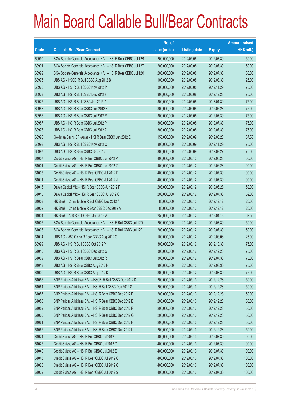|       |                                                                | No. of        |                     |               | <b>Amount raised</b> |
|-------|----------------------------------------------------------------|---------------|---------------------|---------------|----------------------|
| Code  | <b>Callable Bull/Bear Contracts</b>                            | issue (units) | <b>Listing date</b> | <b>Expiry</b> | $(HK$$ mil.)         |
| 60990 | SGA Societe Generale Acceptance N.V. - HSI R Bear CBBC Jul 12B | 200,000,000   | 2012/03/08          | 2012/07/30    | 50.00                |
| 60991 | SGA Societe Generale Acceptance N.V. - HSI R Bear CBBC Jul 12E | 200,000,000   | 2012/03/08          | 2012/07/30    | 50.00                |
| 60992 | SGA Societe Generale Acceptance N.V. - HSI R Bear CBBC Jul 12X | 200,000,000   | 2012/03/08          | 2012/07/30    | 50.00                |
| 60975 | UBS AG - HSCEI R Bull CBBC Aug 2012 B                          | 100,000,000   | 2012/03/08          | 2012/08/30    | 25.00                |
| 60978 | UBS AG - HSI R Bull CBBC Nov 2012 P                            | 300,000,000   | 2012/03/08          | 2012/11/29    | 75.00                |
| 60973 | UBS AG - HSI R Bull CBBC Dec 2012 F                            | 300,000,000   | 2012/03/08          | 2012/12/28    | 75.00                |
| 60977 | UBS AG - HSI R Bull CBBC Jan 2013 A                            | 300,000,000   | 2012/03/08          | 2013/01/30    | 75.00                |
| 60988 | UBS AG - HSI R Bear CBBC Jun 2012 E                            | 300,000,000   | 2012/03/08          | 2012/06/28    | 75.00                |
| 60986 | UBS AG - HSI R Bear CBBC Jul 2012 M                            | 300,000,000   | 2012/03/08          | 2012/07/30    | 75.00                |
| 60987 | UBS AG - HSI R Bear CBBC Jul 2012 P                            | 300,000,000   | 2012/03/08          | 2012/07/30    | 75.00                |
| 60976 | UBS AG - HSI R Bear CBBC Jul 2012 Z                            | 300,000,000   | 2012/03/08          | 2012/07/30    | 75.00                |
| 60996 | Goldman Sachs SP (Asia) - HSI R Bear CBBC Jun 2012 E           | 150,000,000   | 2012/03/09          | 2012/06/28    | 37.50                |
| 60998 | UBS AG - HSI R Bull CBBC Nov 2012 Q                            | 300,000,000   | 2012/03/09          | 2012/11/29    | 75.00                |
| 60997 | UBS AG - HSI R Bear CBBC Sep 2012 T                            | 300,000,000   | 2012/03/09          | 2012/09/27    | 75.00                |
| 61007 | Credit Suisse AG - HSI R Bull CBBC Jun 2012 V                  | 400,000,000   | 2012/03/12          | 2012/06/28    | 100.00               |
| 61001 | Credit Suisse AG - HSI R Bull CBBC Jun 2012 Z                  | 400,000,000   | 2012/03/12          | 2012/06/28    | 100.00               |
| 61008 | Credit Suisse AG - HSI R Bear CBBC Jul 2012 F                  | 400,000,000   | 2012/03/12          | 2012/07/30    | 100.00               |
| 61011 | Credit Suisse AG - HSI R Bear CBBC Jul 2012 J                  | 400,000,000   | 2012/03/12          | 2012/07/30    | 100.00               |
| 61016 | Daiwa Capital Mkt - HSI R Bear CBBC Jun 2012 F                 | 208,000,000   | 2012/03/12          | 2012/06/28    | 52.00                |
| 61015 | Daiwa Capital Mkt - HSI R Bear CBBC Jul 2012 Q                 | 208,000,000   | 2012/03/12          | 2012/07/30    | 52.00                |
| 61003 | HK Bank - China Mobile R Bull CBBC Dec 2012 A                  | 80,000,000    | 2012/03/12          | 2012/12/12    | 20.00                |
| 61002 | HK Bank - China Mobile R Bear CBBC Dec 2012 A                  | 80,000,000    | 2012/03/12          | 2012/12/12    | 20.00                |
| 61004 | HK Bank - A50 R Bull CBBC Jan 2013 A                           | 250,000,000   | 2012/03/12          | 2013/01/18    | 62.50                |
| 61005 | SGA Societe Generale Acceptance N.V. - HSI R Bull CBBC Jul 120 | 200,000,000   | 2012/03/12          | 2012/07/30    | 50.00                |
| 61006 | SGA Societe Generale Acceptance N.V. - HSI R Bull CBBC Jul 12P | 200,000,000   | 2012/03/12          | 2012/07/30    | 50.00                |
| 61014 | UBS AG - A50 China R Bear CBBC Aug 2012 C                      | 100,000,000   | 2012/03/12          | 2012/08/06    | 25.00                |
| 60999 | UBS AG - HSI R Bull CBBC Oct 2012 Y                            | 300,000,000   | 2012/03/12          | 2012/10/30    | 75.00                |
| 61010 | UBS AG - HSI R Bull CBBC Dec 2012 G                            | 300,000,000   | 2012/03/12          | 2012/12/28    | 75.00                |
| 61009 | UBS AG - HSI R Bear CBBC Jul 2012 R                            | 300,000,000   | 2012/03/12          | 2012/07/30    | 75.00                |
| 61013 | UBS AG - HSI R Bear CBBC Aug 2012 H                            | 300,000,000   | 2012/03/12          | 2012/08/30    | 75.00                |
| 61000 | UBS AG - HSI R Bear CBBC Aug 2012 K                            | 300,000,000   | 2012/03/12          | 2012/08/30    | 75.00                |
| 61056 | BNP Paribas Arbit Issu B.V. - HSCEI R Bull CBBC Dec 2012 D     | 200,000,000   | 2012/03/13          | 2012/12/28    | 50.00                |
| 61064 | BNP Paribas Arbit Issu B.V. - HSI R Bull CBBC Dec 2012 G       | 200,000,000   | 2012/03/13          | 2012/12/28    | 50.00                |
| 61057 | BNP Paribas Arbit Issu B.V. - HSI R Bear CBBC Dec 2012 D       | 200,000,000   | 2012/03/13          | 2012/12/28    | 50.00                |
| 61058 | BNP Paribas Arbit Issu B.V. - HSI R Bear CBBC Dec 2012 E       | 200,000,000   | 2012/03/13          | 2012/12/28    | 50.00                |
| 61059 | BNP Paribas Arbit Issu B.V. - HSI R Bear CBBC Dec 2012 F       | 200,000,000   | 2012/03/13          | 2012/12/28    | 50.00                |
| 61060 | BNP Paribas Arbit Issu B.V. - HSI R Bear CBBC Dec 2012 G       | 200,000,000   | 2012/03/13          | 2012/12/28    | 50.00                |
| 61061 | BNP Paribas Arbit Issu B.V. - HSI R Bear CBBC Dec 2012 H       | 200,000,000   | 2012/03/13          | 2012/12/28    | 50.00                |
| 61062 | BNP Paribas Arbit Issu B.V. - HSI R Bear CBBC Dec 2012 I       | 200,000,000   | 2012/03/13          | 2012/12/28    | 50.00                |
| 61024 | Credit Suisse AG - HSI R Bull CBBC Jul 2012 J                  | 400,000,000   | 2012/03/13          | 2012/07/30    | 100.00               |
| 61025 | Credit Suisse AG - HSI R Bull CBBC Jul 2012 Q                  | 400,000,000   | 2012/03/13          | 2012/07/30    | 100.00               |
| 61040 | Credit Suisse AG - HSI R Bull CBBC Jul 2012 Z                  | 400,000,000   | 2012/03/13          | 2012/07/30    | 100.00               |
| 61043 | Credit Suisse AG - HSI R Bear CBBC Jul 2012 C                  | 400,000,000   | 2012/03/13          | 2012/07/30    | 100.00               |
| 61028 | Credit Suisse AG - HSI R Bear CBBC Jul 2012 Q                  | 400,000,000   | 2012/03/13          | 2012/07/30    | 100.00               |
| 61029 | Credit Suisse AG - HSI R Bear CBBC Jul 2012 S                  | 400,000,000   | 2012/03/13          | 2012/07/30    | 100.00               |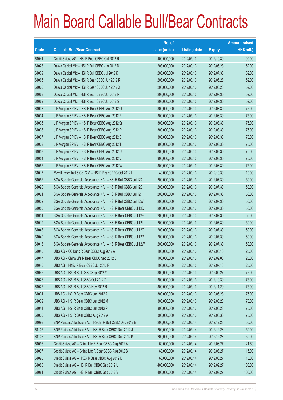|             |                                                                | No. of        |                     |               | <b>Amount raised</b> |
|-------------|----------------------------------------------------------------|---------------|---------------------|---------------|----------------------|
| <b>Code</b> | <b>Callable Bull/Bear Contracts</b>                            | issue (units) | <b>Listing date</b> | <b>Expiry</b> | $(HK$$ mil.)         |
| 61041       | Credit Suisse AG - HSI R Bear CBBC Oct 2012 R                  | 400,000,000   | 2012/03/13          | 2012/10/30    | 100.00               |
| 61023       | Daiwa Capital Mkt - HSI R Bull CBBC Jun 2012 D                 | 208,000,000   | 2012/03/13          | 2012/06/28    | 52.00                |
| 61039       | Daiwa Capital Mkt - HSI R Bull CBBC Jul 2012 K                 | 208,000,000   | 2012/03/13          | 2012/07/30    | 52.00                |
| 61065       | Daiwa Capital Mkt - HSI R Bear CBBC Jun 2012 R                 | 208,000,000   | 2012/03/13          | 2012/06/28    | 52.00                |
| 61066       | Daiwa Capital Mkt - HSI R Bear CBBC Jun 2012 X                 | 208,000,000   | 2012/03/13          | 2012/06/28    | 52.00                |
| 61068       | Daiwa Capital Mkt - HSI R Bear CBBC Jul 2012 R                 | 208,000,000   | 2012/03/13          | 2012/07/30    | 52.00                |
| 61069       | Daiwa Capital Mkt - HSI R Bear CBBC Jul 2012 S                 | 208,000,000   | 2012/03/13          | 2012/07/30    | 52.00                |
| 61033       | J P Morgan SP BV - HSI R Bear CBBC Aug 2012 O                  | 300,000,000   | 2012/03/13          | 2012/08/30    | 75.00                |
| 61034       | J P Morgan SP BV - HSI R Bear CBBC Aug 2012 P                  | 300,000,000   | 2012/03/13          | 2012/08/30    | 75.00                |
| 61035       | J P Morgan SP BV - HSI R Bear CBBC Aug 2012 Q                  | 300,000,000   | 2012/03/13          | 2012/08/30    | 75.00                |
| 61036       | J P Morgan SP BV - HSI R Bear CBBC Aug 2012 R                  | 300,000,000   | 2012/03/13          | 2012/08/30    | 75.00                |
| 61037       | J P Morgan SP BV - HSI R Bear CBBC Aug 2012 S                  | 300,000,000   | 2012/03/13          | 2012/08/30    | 75.00                |
| 61038       | J P Morgan SP BV - HSI R Bear CBBC Aug 2012 T                  | 300,000,000   | 2012/03/13          | 2012/08/30    | 75.00                |
| 61053       | J P Morgan SP BV - HSI R Bear CBBC Aug 2012 U                  | 300,000,000   | 2012/03/13          | 2012/08/30    | 75.00                |
| 61054       | J P Morgan SP BV - HSI R Bear CBBC Aug 2012 V                  | 300,000,000   | 2012/03/13          | 2012/08/30    | 75.00                |
| 61055       | J P Morgan SP BV - HSI R Bear CBBC Aug 2012 W                  | 300,000,000   | 2012/03/13          | 2012/08/30    | 75.00                |
| 61017       | Merrill Lynch Int'l & Co. C.V. - HSI R Bear CBBC Oct 2012 L    | 40,000,000    | 2012/03/13          | 2012/10/30    | 10.00                |
| 61052       | SGA Societe Generale Acceptance N.V. - HSI R Bull CBBC Jul 12A | 200,000,000   | 2012/03/13          | 2012/07/30    | 50.00                |
| 61020       | SGA Societe Generale Acceptance N.V. - HSI R Bull CBBC Jul 12E | 200,000,000   | 2012/03/13          | 2012/07/30    | 50.00                |
| 61021       | SGA Societe Generale Acceptance N.V. - HSI R Bull CBBC Jul 121 | 200,000,000   | 2012/03/13          | 2012/07/30    | 50.00                |
| 61022       | SGA Societe Generale Acceptance N.V. - HSI R Bull CBBC Jul 12W | 200,000,000   | 2012/03/13          | 2012/07/30    | 50.00                |
| 61050       | SGA Societe Generale Acceptance N.V. - HSI R Bear CBBC Jul 12D | 200,000,000   | 2012/03/13          | 2012/07/30    | 50.00                |
| 61051       | SGA Societe Generale Acceptance N.V. - HSI R Bear CBBC Jul 12F | 200,000,000   | 2012/03/13          | 2012/07/30    | 50.00                |
| 61019       | SGA Societe Generale Acceptance N.V. - HSI R Bear CBBC Jul 121 | 200,000,000   | 2012/03/13          | 2012/07/30    | 50.00                |
| 61048       | SGA Societe Generale Acceptance N.V. - HSI R Bear CBBC Jul 120 | 200,000,000   | 2012/03/13          | 2012/07/30    | 50.00                |
| 61049       | SGA Societe Generale Acceptance N.V. - HSI R Bear CBBC Jul 12P | 200,000,000   | 2012/03/13          | 2012/07/30    | 50.00                |
| 61018       | SGA Societe Generale Acceptance N.V. - HSI R Bear CBBC Jul 12W | 200,000,000   | 2012/03/13          | 2012/07/30    | 50.00                |
| 61045       | UBS AG - CC Bank R Bear CBBC Aug 2012 A                        | 100,000,000   | 2012/03/13          | 2012/08/13    | 25.00                |
| 61047       | UBS AG - China Life R Bear CBBC Sep 2012 B                     | 100,000,000   | 2012/03/13          | 2012/09/03    | 25.00                |
| 61046       | UBS AG - HKEx R Bear CBBC Jul 2012 F                           | 100,000,000   | 2012/03/13          | 2012/07/16    | 25.00                |
| 61042       | UBS AG - HSI R Bull CBBC Sep 2012 Y                            | 300,000,000   | 2012/03/13          | 2012/09/27    | 75.00                |
| 61026       | UBS AG - HSI R Bull CBBC Oct 2012 Z                            | 300,000,000   | 2012/03/13          | 2012/10/30    | 75.00                |
| 61027       | UBS AG - HSI R Bull CBBC Nov 2012 R                            | 300,000,000   | 2012/03/13          | 2012/11/29    | 75.00                |
| 61031       | UBS AG - HSI R Bear CBBC Jun 2012 A                            | 300,000,000   | 2012/03/13          | 2012/06/28    | 75.00                |
| 61032       | UBS AG - HSI R Bear CBBC Jun 2012 M                            | 300,000,000   | 2012/03/13          | 2012/06/28    | 75.00                |
| 61044       | UBS AG - HSI R Bear CBBC Jun 2012 P                            | 300,000,000   | 2012/03/13          | 2012/06/28    | 75.00                |
| 61030       | UBS AG - HSI R Bear CBBC Aug 2012 A                            | 300,000,000   | 2012/03/13          | 2012/08/30    | 75.00                |
| 61098       | BNP Paribas Arbit Issu B.V. - HSCEI R Bull CBBC Dec 2012 E     | 200,000,000   | 2012/03/14          | 2012/12/28    | 50.00                |
| 61105       | BNP Paribas Arbit Issu B.V. - HSI R Bear CBBC Dec 2012 J       | 200,000,000   | 2012/03/14          | 2012/12/28    | 50.00                |
| 61106       | BNP Paribas Arbit Issu B.V. - HSI R Bear CBBC Dec 2012 K       | 200,000,000   | 2012/03/14          | 2012/12/28    | 50.00                |
| 61096       | Credit Suisse AG - China Life R Bear CBBC Aug 2012 A           | 60,000,000    | 2012/03/14          | 2012/08/27    | 21.60                |
| 61097       | Credit Suisse AG - China Life R Bear CBBC Aug 2012 B           | 60,000,000    | 2012/03/14          | 2012/08/27    | 15.00                |
| 61095       | Credit Suisse AG - HKEx R Bear CBBC Aug 2012 B                 | 60,000,000    | 2012/03/14          | 2012/08/27    | 15.00                |
| 61080       | Credit Suisse AG - HSI R Bull CBBC Sep 2012 U                  | 400,000,000   | 2012/03/14          | 2012/09/27    | 100.00               |
| 61081       | Credit Suisse AG - HSI R Bull CBBC Sep 2012 V                  | 400,000,000   | 2012/03/14          | 2012/09/27    | 100.00               |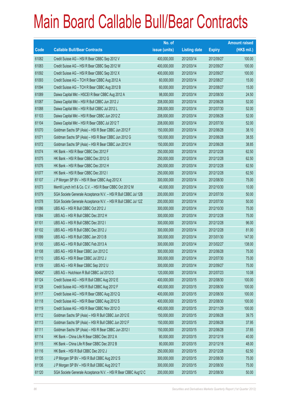|        |                                                                | No. of        |                     |               | <b>Amount raised</b> |
|--------|----------------------------------------------------------------|---------------|---------------------|---------------|----------------------|
| Code   | <b>Callable Bull/Bear Contracts</b>                            | issue (units) | <b>Listing date</b> | <b>Expiry</b> | $(HK$$ mil.)         |
| 61082  | Credit Suisse AG - HSI R Bear CBBC Sep 2012 V                  | 400,000,000   | 2012/03/14          | 2012/09/27    | 100.00               |
| 61083  | Credit Suisse AG - HSI R Bear CBBC Sep 2012 W                  | 400,000,000   | 2012/03/14          | 2012/09/27    | 100.00               |
| 61092  | Credit Suisse AG - HSI R Bear CBBC Sep 2012 X                  | 400,000,000   | 2012/03/14          | 2012/09/27    | 100.00               |
| 61093  | Credit Suisse AG - TCH R Bear CBBC Aug 2012 A                  | 60,000,000    | 2012/03/14          | 2012/08/27    | 15.00                |
| 61094  | Credit Suisse AG - TCH R Bear CBBC Aug 2012 B                  | 60,000,000    | 2012/03/14          | 2012/08/27    | 15.00                |
| 61089  | Daiwa Capital Mkt - HSCEI R Bear CBBC Aug 2012 A               | 98,000,000    | 2012/03/14          | 2012/08/30    | 24.50                |
| 61087  | Daiwa Capital Mkt - HSI R Bull CBBC Jun 2012 J                 | 208,000,000   | 2012/03/14          | 2012/06/28    | 52.00                |
| 61088  | Daiwa Capital Mkt - HSI R Bull CBBC Jul 2012 L                 | 208,000,000   | 2012/03/14          | 2012/07/30    | 52.00                |
| 61103  | Daiwa Capital Mkt - HSI R Bear CBBC Jun 2012 Z                 | 208,000,000   | 2012/03/14          | 2012/06/28    | 52.00                |
| 61104  | Daiwa Capital Mkt - HSI R Bear CBBC Jul 2012 T                 | 208,000,000   | 2012/03/14          | 2012/07/30    | 52.00                |
| 61070  | Goldman Sachs SP (Asia) - HSI R Bear CBBC Jun 2012 F           | 150,000,000   | 2012/03/14          | 2012/06/28    | 38.10                |
| 61071  | Goldman Sachs SP (Asia) - HSI R Bear CBBC Jun 2012 G           | 150,000,000   | 2012/03/14          | 2012/06/28    | 38.55                |
| 61072  | Goldman Sachs SP (Asia) - HSI R Bear CBBC Jun 2012 H           | 150,000,000   | 2012/03/14          | 2012/06/28    | 38.85                |
| 61074  | HK Bank - HSI R Bear CBBC Dec 2012 F                           | 250,000,000   | 2012/03/14          | 2012/12/28    | 62.50                |
| 61075  | HK Bank - HSI R Bear CBBC Dec 2012 G                           | 250,000,000   | 2012/03/14          | 2012/12/28    | 62.50                |
| 61076  | HK Bank - HSI R Bear CBBC Dec 2012 H                           | 250,000,000   | 2012/03/14          | 2012/12/28    | 62.50                |
| 61077  | HK Bank - HSI R Bear CBBC Dec 2012 I                           | 250,000,000   | 2012/03/14          | 2012/12/28    | 62.50                |
| 61107  | J P Morgan SP BV - HSI R Bear CBBC Aug 2012 X                  | 300,000,000   | 2012/03/14          | 2012/08/30    | 75.00                |
| 61073  | Merrill Lynch Int'l & Co. C.V. - HSI R Bear CBBC Oct 2012 M    | 40,000,000    | 2012/03/14          | 2012/10/30    | 10.00                |
| 61079  | SGA Societe Generale Acceptance N.V. - HSI R Bull CBBC Jul 12B | 200,000,000   | 2012/03/14          | 2012/07/30    | 50.00                |
| 61078  | SGA Societe Generale Acceptance N.V. - HSI R Bull CBBC Jul 12Z | 200,000,000   | 2012/03/14          | 2012/07/30    | 50.00                |
| 61086  | UBS AG - HSI R Bull CBBC Oct 2012 J                            | 300,000,000   | 2012/03/14          | 2012/10/30    | 75.00                |
| 61084  | UBS AG - HSI R Bull CBBC Dec 2012 H                            | 300,000,000   | 2012/03/14          | 2012/12/28    | 75.00                |
| 61101  | UBS AG - HSI R Bull CBBC Dec 2012 I                            | 300,000,000   | 2012/03/14          | 2012/12/28    | 96.00                |
| 61102  | UBS AG - HSI R Bull CBBC Dec 2012 J                            | 300,000,000   | 2012/03/14          | 2012/12/28    | 81.00                |
| 61099  | UBS AG - HSI R Bull CBBC Jan 2013 B                            | 300,000,000   | 2012/03/14          | 2013/01/30    | 147.00               |
| 61100  | UBS AG - HSI R Bull CBBC Feb 2013 A                            | 300,000,000   | 2012/03/14          | 2013/02/27    | 138.00               |
| 61108  | UBS AG - HSI R Bear CBBC Jun 2012 C                            | 300,000,000   | 2012/03/14          | 2012/06/28    | 75.00                |
| 61110  | UBS AG - HSI R Bear CBBC Jul 2012 J                            | 300,000,000   | 2012/03/14          | 2012/07/30    | 75.00                |
| 61109  | UBS AG - HSI R Bear CBBC Sep 2012 U                            | 300,000,000   | 2012/03/14          | 2012/09/27    | 75.00                |
| 60482# | UBS AG - Hutchison R Bull CBBC Jul 2012 D                      | 120,000,000   | 2012/03/14          | 2012/07/23    | 10.08                |
| 61124  | Credit Suisse AG - HSI R Bull CBBC Aug 2012 E                  | 400,000,000   | 2012/03/15          | 2012/08/30    | 100.00               |
| 61128  | Credit Suisse AG - HSI R Bull CBBC Aug 2012 F                  | 400,000,000   | 2012/03/15          | 2012/08/30    | 100.00               |
| 61117  | Credit Suisse AG - HSI R Bear CBBC Aug 2012 Q                  | 400,000,000   | 2012/03/15          | 2012/08/30    | 100.00               |
| 61118  | Credit Suisse AG - HSI R Bear CBBC Aug 2012 S                  | 400,000,000   | 2012/03/15          | 2012/08/30    | 100.00               |
| 61119  | Credit Suisse AG - HSI R Bear CBBC Nov 2012 O                  | 400,000,000   | 2012/03/15          | 2012/11/29    | 100.00               |
| 61112  | Goldman Sachs SP (Asia) - HSI R Bull CBBC Jun 2012 E           | 150,000,000   | 2012/03/15          | 2012/06/28    | 39.75                |
| 61113  | Goldman Sachs SP (Asia) - HSI R Bull CBBC Jun 2012 F           | 150,000,000   | 2012/03/15          | 2012/06/28    | 37.95                |
| 61111  | Goldman Sachs SP (Asia) - HSI R Bear CBBC Jun 2012 I           | 150,000,000   | 2012/03/15          | 2012/06/28    | 37.65                |
| 61114  | HK Bank - China Life R Bear CBBC Dec 2012 A                    | 80,000,000    | 2012/03/15          | 2012/12/18    | 40.00                |
| 61115  | HK Bank - China Life R Bear CBBC Dec 2012 B                    | 80,000,000    | 2012/03/15          | 2012/12/18    | 48.00                |
| 61116  | HK Bank - HSI R Bull CBBC Dec 2012 J                           | 250,000,000   | 2012/03/15          | 2012/12/28    | 62.50                |
| 61135  | J P Morgan SP BV - HSI R Bull CBBC Aug 2012 S                  | 300,000,000   | 2012/03/15          | 2012/08/30    | 75.00                |
| 61136  | J P Morgan SP BV - HSI R Bull CBBC Aug 2012 T                  | 300,000,000   | 2012/03/15          | 2012/08/30    | 75.00                |
| 61120  | SGA Societe Generale Acceptance N.V. - HSI R Bear CBBC Aug12 C | 200,000,000   | 2012/03/15          | 2012/08/30    | 50.00                |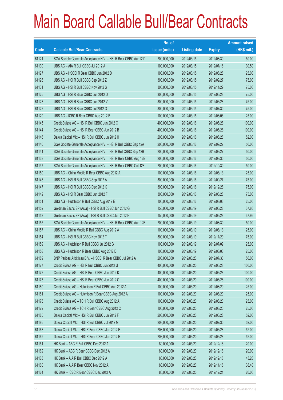|       |                                                                | No. of        |                     |               | <b>Amount raised</b> |
|-------|----------------------------------------------------------------|---------------|---------------------|---------------|----------------------|
| Code  | <b>Callable Bull/Bear Contracts</b>                            | issue (units) | <b>Listing date</b> | <b>Expiry</b> | $(HK$$ mil.)         |
| 61121 | SGA Societe Generale Acceptance N.V. - HSI R Bear CBBC Aug12 D | 200,000,000   | 2012/03/15          | 2012/08/30    | 50.00                |
| 61130 | UBS AG - AIA R Bull CBBC Jul 2012 A                            | 100,000,000   | 2012/03/15          | 2012/07/16    | 30.50                |
| 61127 | UBS AG - HSCEI R Bear CBBC Jun 2012 D                          | 100,000,000   | 2012/03/15          | 2012/06/28    | 25.00                |
| 61126 | UBS AG - HSI R Bull CBBC Sep 2012 Z                            | 300,000,000   | 2012/03/15          | 2012/09/27    | 75.00                |
| 61131 | UBS AG - HSI R Bull CBBC Nov 2012 S                            | 300,000,000   | 2012/03/15          | 2012/11/29    | 75.00                |
| 61125 | UBS AG - HSI R Bear CBBC Jun 2012 D                            | 300,000,000   | 2012/03/15          | 2012/06/28    | 75.00                |
| 61123 | UBS AG - HSI R Bear CBBC Jun 2012 V                            | 300,000,000   | 2012/03/15          | 2012/06/28    | 75.00                |
| 61122 | UBS AG - HSI R Bear CBBC Jul 2012 O                            | 300,000,000   | 2012/03/15          | 2012/07/30    | 75.00                |
| 61129 | UBS AG - ICBC R Bear CBBC Aug 2012 B                           | 100,000,000   | 2012/03/15          | 2012/08/06    | 25.00                |
| 61145 | Credit Suisse AG - HSI R Bull CBBC Jun 2012 O                  | 400,000,000   | 2012/03/16          | 2012/06/28    | 100.00               |
| 61144 | Credit Suisse AG - HSI R Bear CBBC Jun 2012 B                  | 400,000,000   | 2012/03/16          | 2012/06/28    | 100.00               |
| 61146 | Daiwa Capital Mkt - HSI R Bull CBBC Jun 2012 H                 | 208,000,000   | 2012/03/16          | 2012/06/28    | 52.00                |
| 61140 | SGA Societe Generale Acceptance N.V. - HSI R Bull CBBC Sep 12A | 200,000,000   | 2012/03/16          | 2012/09/27    | 50.00                |
| 61141 | SGA Societe Generale Acceptance N.V. - HSI R Bull CBBC Sep 12B | 200,000,000   | 2012/03/16          | 2012/09/27    | 50.00                |
| 61138 | SGA Societe Generale Acceptance N.V. - HSI R Bear CBBC Aug 12E | 200,000,000   | 2012/03/16          | 2012/08/30    | 50.00                |
| 61137 | SGA Societe Generale Acceptance N.V. - HSI R Bear CBBC Oct 12F | 200,000,000   | 2012/03/16          | 2012/10/30    | 50.00                |
| 61150 | UBS AG - China Mobile R Bear CBBC Aug 2012 A                   | 100,000,000   | 2012/03/16          | 2012/08/13    | 25.00                |
| 61148 | UBS AG - HSI R Bull CBBC Sep 2012 A                            | 300,000,000   | 2012/03/16          | 2012/09/27    | 75.00                |
| 61147 | UBS AG - HSI R Bull CBBC Dec 2012 K                            | 300,000,000   | 2012/03/16          | 2012/12/28    | 75.00                |
| 61142 | UBS AG - HSI R Bear CBBC Jun 2012 F                            | 300,000,000   | 2012/03/16          | 2012/06/28    | 75.00                |
| 61151 | UBS AG - Hutchison R Bull CBBC Aug 2012 E                      | 100,000,000   | 2012/03/16          | 2012/08/06    | 25.00                |
| 61152 | Goldman Sachs SP (Asia) - HSI R Bull CBBC Jun 2012 G           | 150,000,000   | 2012/03/19          | 2012/06/28    | 37.80                |
| 61153 | Goldman Sachs SP (Asia) - HSI R Bull CBBC Jun 2012 H           | 150,000,000   | 2012/03/19          | 2012/06/28    | 37.95                |
| 61155 | SGA Societe Generale Acceptance N.V. - HSI R Bear CBBC Aug 12F | 200,000,000   | 2012/03/19          | 2012/08/30    | 50.00                |
| 61157 | UBS AG - China Mobile R Bull CBBC Aug 2012 A                   | 100,000,000   | 2012/03/19          | 2012/08/13    | 25.00                |
| 61154 | UBS AG - HSI R Bull CBBC Nov 2012 T                            | 300,000,000   | 2012/03/19          | 2012/11/29    | 75.00                |
| 61159 | UBS AG - Hutchison R Bull CBBC Jul 2012 G                      | 100,000,000   | 2012/03/19          | 2012/07/09    | 25.00                |
| 61158 | UBS AG - Hutchison R Bear CBBC Aug 2012 D                      | 100,000,000   | 2012/03/19          | 2012/08/06    | 25.00                |
| 61189 | BNP Paribas Arbit Issu B.V. - HSCEI R Bear CBBC Jul 2012 A     | 200,000,000   | 2012/03/20          | 2012/07/30    | 50.00                |
| 61177 | Credit Suisse AG - HSI R Bull CBBC Jun 2012 U                  | 400,000,000   | 2012/03/20          | 2012/06/28    | 100.00               |
| 61172 | Credit Suisse AG - HSI R Bear CBBC Jun 2012 K                  | 400,000,000   | 2012/03/20          | 2012/06/28    | 100.00               |
| 61173 | Credit Suisse AG - HSI R Bear CBBC Jun 2012 O                  | 400,000,000   | 2012/03/20          | 2012/06/28    | 100.00               |
| 61180 | Credit Suisse AG - Hutchison R Bull CBBC Aug 2012 A            | 100,000,000   | 2012/03/20          | 2012/08/20    | 25.00                |
| 61181 | Credit Suisse AG - Hutchison R Bear CBBC Aug 2012 A            | 100,000,000   | 2012/03/20          | 2012/08/20    | 25.00                |
| 61178 | Credit Suisse AG - TCH R Bull CBBC Aug 2012 A                  | 100,000,000   | 2012/03/20          | 2012/08/20    | 25.00                |
| 61179 | Credit Suisse AG - TCH R Bear CBBC Aug 2012 C                  | 100,000,000   | 2012/03/20          | 2012/08/20    | 25.00                |
| 61185 | Daiwa Capital Mkt - HSI R Bull CBBC Jun 2012 F                 | 208,000,000   | 2012/03/20          | 2012/06/28    | 52.00                |
| 61186 | Daiwa Capital Mkt - HSI R Bull CBBC Jul 2012 M                 | 208,000,000   | 2012/03/20          | 2012/07/30    | 52.00                |
| 61168 | Daiwa Capital Mkt - HSI R Bear CBBC Jun 2012 F                 | 208,000,000   | 2012/03/20          | 2012/06/28    | 52.00                |
| 61169 | Daiwa Capital Mkt - HSI R Bear CBBC Jun 2012 R                 | 208,000,000   | 2012/03/20          | 2012/06/28    | 52.00                |
| 61161 | HK Bank - ABC R Bull CBBC Dec 2012 A                           | 80,000,000    | 2012/03/20          | 2012/12/18    | 20.00                |
| 61162 | HK Bank - ABC R Bear CBBC Dec 2012 A                           | 80,000,000    | 2012/03/20          | 2012/12/18    | 20.00                |
| 61163 | HK Bank - AIA R Bull CBBC Dec 2012 A                           | 80,000,000    | 2012/03/20          | 2012/12/18    | 43.20                |
| 61160 | HK Bank - AIA R Bear CBBC Nov 2012 A                           | 80,000,000    | 2012/03/20          | 2012/11/16    | 38.40                |
| 61164 | HK Bank - ICBC R Bear CBBC Dec 2012 A                          | 80,000,000    | 2012/03/20          | 2012/12/21    | 20.00                |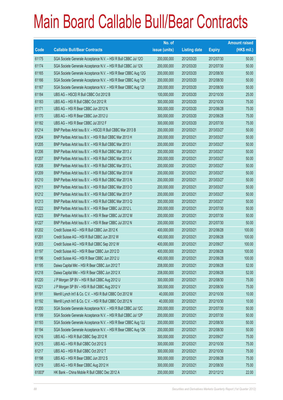|        |                                                                | No. of        |                     |               | <b>Amount raised</b> |
|--------|----------------------------------------------------------------|---------------|---------------------|---------------|----------------------|
| Code   | <b>Callable Bull/Bear Contracts</b>                            | issue (units) | <b>Listing date</b> | <b>Expiry</b> | $(HK$$ mil.)         |
| 61175  | SGA Societe Generale Acceptance N.V. - HSI R Bull CBBC Jul 120 | 200,000,000   | 2012/03/20          | 2012/07/30    | 50.00                |
| 61174  | SGA Societe Generale Acceptance N.V. - HSI R Bull CBBC Jul 12X | 200,000,000   | 2012/03/20          | 2012/07/30    | 50.00                |
| 61165  | SGA Societe Generale Acceptance N.V. - HSI R Bear CBBC Aug 12G | 200,000,000   | 2012/03/20          | 2012/08/30    | 50.00                |
| 61166  | SGA Societe Generale Acceptance N.V. - HSI R Bear CBBC Aug 12H | 200,000,000   | 2012/03/20          | 2012/08/30    | 50.00                |
| 61167  | SGA Societe Generale Acceptance N.V. - HSI R Bear CBBC Aug 121 | 200,000,000   | 2012/03/20          | 2012/08/30    | 50.00                |
| 61184  | UBS AG - HSCEI R Bull CBBC Oct 2012 B                          | 100,000,000   | 2012/03/20          | 2012/10/30    | 25.00                |
| 61183  | UBS AG - HSI R Bull CBBC Oct 2012 R                            | 300,000,000   | 2012/03/20          | 2012/10/30    | 75.00                |
| 61171  | UBS AG - HSI R Bear CBBC Jun 2012 N                            | 300,000,000   | 2012/03/20          | 2012/06/28    | 75.00                |
| 61170  | UBS AG - HSI R Bear CBBC Jun 2012 U                            | 300,000,000   | 2012/03/20          | 2012/06/28    | 75.00                |
| 61182  | UBS AG - HSI R Bear CBBC Jul 2012 F                            | 300,000,000   | 2012/03/20          | 2012/07/30    | 75.00                |
| 61214  | BNP Paribas Arbit Issu B.V. - HSCEI R Bull CBBC Mar 2013 B     | 200,000,000   | 2012/03/21          | 2013/03/27    | 50.00                |
| 61204  | BNP Paribas Arbit Issu B.V. - HSI R Bull CBBC Mar 2013 H       | 200,000,000   | 2012/03/21          | 2013/03/27    | 50.00                |
| 61205  | BNP Paribas Arbit Issu B.V. - HSI R Bull CBBC Mar 2013 I       | 200,000,000   | 2012/03/21          | 2013/03/27    | 50.00                |
| 61206  | BNP Paribas Arbit Issu B.V. - HSI R Bull CBBC Mar 2013 J       | 200,000,000   | 2012/03/21          | 2013/03/27    | 50.00                |
| 61207  | BNP Paribas Arbit Issu B.V. - HSI R Bull CBBC Mar 2013 K       | 200,000,000   | 2012/03/21          | 2013/03/27    | 50.00                |
| 61208  | BNP Paribas Arbit Issu B.V. - HSI R Bull CBBC Mar 2013 L       | 200,000,000   | 2012/03/21          | 2013/03/27    | 50.00                |
| 61209  | BNP Paribas Arbit Issu B.V. - HSI R Bull CBBC Mar 2013 M       | 200,000,000   | 2012/03/21          | 2013/03/27    | 50.00                |
| 61210  | BNP Paribas Arbit Issu B.V. - HSI R Bull CBBC Mar 2013 N       | 200,000,000   | 2012/03/21          | 2013/03/27    | 50.00                |
| 61211  | BNP Paribas Arbit Issu B.V. - HSI R Bull CBBC Mar 2013 O       | 200,000,000   | 2012/03/21          | 2013/03/27    | 50.00                |
| 61212  | BNP Paribas Arbit Issu B.V. - HSI R Bull CBBC Mar 2013 P       | 200,000,000   | 2012/03/21          | 2013/03/27    | 50.00                |
| 61213  | BNP Paribas Arbit Issu B.V. - HSI R Bull CBBC Mar 2013 Q       | 200,000,000   | 2012/03/21          | 2013/03/27    | 50.00                |
| 61222  | BNP Paribas Arbit Issu B.V. - HSI R Bear CBBC Jul 2012 L       | 200,000,000   | 2012/03/21          | 2012/07/30    | 50.00                |
| 61223  | BNP Paribas Arbit Issu B.V. - HSI R Bear CBBC Jul 2012 M       | 200,000,000   | 2012/03/21          | 2012/07/30    | 50.00                |
| 61227  | BNP Paribas Arbit Issu B.V. - HSI R Bear CBBC Jul 2012 N       | 200,000,000   | 2012/03/21          | 2012/07/30    | 50.00                |
| 61202  | Credit Suisse AG - HSI R Bull CBBC Jun 2012 K                  | 400,000,000   | 2012/03/21          | 2012/06/28    | 100.00               |
| 61201  | Credit Suisse AG - HSI R Bull CBBC Jun 2012 W                  | 400,000,000   | 2012/03/21          | 2012/06/28    | 100.00               |
| 61203  | Credit Suisse AG - HSI R Bull CBBC Sep 2012 W                  | 400,000,000   | 2012/03/21          | 2012/09/27    | 100.00               |
| 61197  | Credit Suisse AG - HSI R Bear CBBC Jun 2012 D                  | 400,000,000   | 2012/03/21          | 2012/06/28    | 100.00               |
| 61196  | Credit Suisse AG - HSI R Bear CBBC Jun 2012 U                  | 400,000,000   | 2012/03/21          | 2012/06/28    | 100.00               |
| 61195  | Daiwa Capital Mkt - HSI R Bear CBBC Jun 2012 T                 | 208,000,000   | 2012/03/21          | 2012/06/28    | 52.00                |
| 61218  | Daiwa Capital Mkt - HSI R Bear CBBC Jun 2012 X                 | 208,000,000   | 2012/03/21          | 2012/06/28    | 52.00                |
| 61220  | J P Morgan SP BV - HSI R Bull CBBC Aug 2012 U                  | 300,000,000   | 2012/03/21          | 2012/08/30    | 75.00                |
| 61221  | J P Morgan SP BV - HSI R Bull CBBC Aug 2012 V                  | 300,000,000   | 2012/03/21          | 2012/08/30    | 75.00                |
| 61191  | Merrill Lynch Int'l & Co. C.V. - HSI R Bull CBBC Oct 2012 M    | 40,000,000    | 2012/03/21          | 2012/10/30    | 10.00                |
| 61192  | Merrill Lynch Int'l & Co. C.V. - HSI R Bull CBBC Oct 2012 N    | 40,000,000    | 2012/03/21          | 2012/10/30    | 10.00                |
| 61200  | SGA Societe Generale Acceptance N.V. - HSI R Bull CBBC Jul 12C | 200,000,000   | 2012/03/21          | 2012/07/30    | 50.00                |
| 61199  | SGA Societe Generale Acceptance N.V. - HSI R Bull CBBC Jul 12P | 200,000,000   | 2012/03/21          | 2012/07/30    | 50.00                |
| 61193  | SGA Societe Generale Acceptance N.V. - HSI R Bear CBBC Aug 12J | 200,000,000   | 2012/03/21          | 2012/08/30    | 50.00                |
| 61194  | SGA Societe Generale Acceptance N.V. - HSI R Bear CBBC Aug 12K | 200,000,000   | 2012/03/21          | 2012/08/30    | 50.00                |
| 61216  | UBS AG - HSI R Bull CBBC Sep 2012 R                            | 300,000,000   | 2012/03/21          | 2012/09/27    | 75.00                |
| 61215  | UBS AG - HSI R Bull CBBC Oct 2012 S                            | 300,000,000   | 2012/03/21          | 2012/10/30    | 75.00                |
| 61217  | UBS AG - HSI R Bull CBBC Oct 2012 T                            | 300,000,000   | 2012/03/21          | 2012/10/30    | 75.00                |
| 61198  | UBS AG - HSI R Bear CBBC Jun 2012 S                            | 300,000,000   | 2012/03/21          | 2012/06/28    | 75.00                |
| 61219  | UBS AG - HSI R Bear CBBC Aug 2012 H                            | 300,000,000   | 2012/03/21          | 2012/08/30    | 75.00                |
| 61003# | HK Bank - China Mobile R Bull CBBC Dec 2012 A                  | 200,000,000   | 2012/03/21          | 2012/12/12    | 22.00                |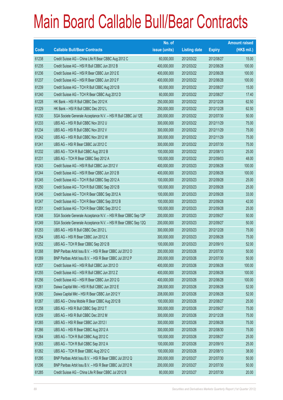|       |                                                                | No. of        |                     |               | <b>Amount raised</b> |
|-------|----------------------------------------------------------------|---------------|---------------------|---------------|----------------------|
| Code  | <b>Callable Bull/Bear Contracts</b>                            | issue (units) | <b>Listing date</b> | <b>Expiry</b> | (HK\$ mil.)          |
| 61238 | Credit Suisse AG - China Life R Bear CBBC Aug 2012 C           | 60,000,000    | 2012/03/22          | 2012/08/27    | 15.00                |
| 61235 | Credit Suisse AG - HSI R Bull CBBC Jun 2012 B                  | 400,000,000   | 2012/03/22          | 2012/06/28    | 100.00               |
| 61236 | Credit Suisse AG - HSI R Bear CBBC Jun 2012 E                  | 400,000,000   | 2012/03/22          | 2012/06/28    | 100.00               |
| 61237 | Credit Suisse AG - HSI R Bear CBBC Jun 2012 F                  | 400,000,000   | 2012/03/22          | 2012/06/28    | 100.00               |
| 61239 | Credit Suisse AG - TCH R Bull CBBC Aug 2012 B                  | 60,000,000    | 2012/03/22          | 2012/08/27    | 15.00                |
| 61240 | Credit Suisse AG - TCH R Bear CBBC Aug 2012 D                  | 60,000,000    | 2012/03/22          | 2012/08/27    | 17.40                |
| 61228 | HK Bank - HSI R Bull CBBC Dec 2012 K                           | 250,000,000   | 2012/03/22          | 2012/12/28    | 62.50                |
| 61229 | HK Bank - HSI R Bull CBBC Dec 2012 L                           | 250,000,000   | 2012/03/22          | 2012/12/28    | 62.50                |
| 61230 | SGA Societe Generale Acceptance N.V. - HSI R Bull CBBC Jul 12E | 200,000,000   | 2012/03/22          | 2012/07/30    | 50.00                |
| 61233 | UBS AG - HSI R Bull CBBC Nov 2012 U                            | 300,000,000   | 2012/03/22          | 2012/11/29    | 75.00                |
| 61234 | UBS AG - HSI R Bull CBBC Nov 2012 V                            | 300,000,000   | 2012/03/22          | 2012/11/29    | 75.00                |
| 61242 | UBS AG - HSI R Bull CBBC Nov 2012 W                            | 300,000,000   | 2012/03/22          | 2012/11/29    | 75.00                |
| 61241 | UBS AG - HSI R Bear CBBC Jul 2012 C                            | 300,000,000   | 2012/03/22          | 2012/07/30    | 75.00                |
| 61232 | UBS AG - TCH R Bull CBBC Aug 2012 B                            | 100,000,000   | 2012/03/22          | 2012/08/13    | 25.00                |
| 61231 | UBS AG - TCH R Bear CBBC Sep 2012 A                            | 100,000,000   | 2012/03/22          | 2012/09/03    | 48.00                |
| 61243 | Credit Suisse AG - HSI R Bull CBBC Jun 2012 V                  | 400,000,000   | 2012/03/23          | 2012/06/28    | 100.00               |
| 61244 | Credit Suisse AG - HSI R Bear CBBC Jun 2012 B                  | 400,000,000   | 2012/03/23          | 2012/06/28    | 100.00               |
| 61245 | Credit Suisse AG - TCH R Bull CBBC Sep 2012 A                  | 100,000,000   | 2012/03/23          | 2012/09/28    | 25.00                |
| 61250 | Credit Suisse AG - TCH R Bull CBBC Sep 2012 B                  | 100,000,000   | 2012/03/23          | 2012/09/28    | 25.00                |
| 61246 | Credit Suisse AG - TCH R Bear CBBC Sep 2012 A                  | 100,000,000   | 2012/03/23          | 2012/09/28    | 33.00                |
| 61247 | Credit Suisse AG - TCH R Bear CBBC Sep 2012 B                  | 100,000,000   | 2012/03/23          | 2012/09/28    | 42.00                |
| 61251 | Credit Suisse AG - TCH R Bear CBBC Sep 2012 C                  | 100,000,000   | 2012/03/23          | 2012/09/28    | 25.00                |
| 61248 | SGA Societe Generale Acceptance N.V. - HSI R Bear CBBC Sep 12P | 200,000,000   | 2012/03/23          | 2012/09/27    | 50.00                |
| 61249 | SGA Societe Generale Acceptance N.V. - HSI R Bear CBBC Sep 12Q | 200,000,000   | 2012/03/23          | 2012/09/27    | 50.00                |
| 61253 | UBS AG - HSI R Bull CBBC Dec 2012 L                            | 300,000,000   | 2012/03/23          | 2012/12/28    | 75.00                |
| 61254 | UBS AG - HSI R Bear CBBC Jun 2012 X                            | 300,000,000   | 2012/03/23          | 2012/06/28    | 75.00                |
| 61252 | UBS AG - TCH R Bear CBBC Sep 2012 B                            | 100,000,000   | 2012/03/23          | 2012/09/10    | 52.00                |
| 61268 | BNP Paribas Arbit Issu B.V. - HSI R Bear CBBC Jul 2012 O       | 200,000,000   | 2012/03/26          | 2012/07/30    | 50.00                |
| 61269 | BNP Paribas Arbit Issu B.V. - HSI R Bear CBBC Jul 2012 P       | 200,000,000   | 2012/03/26          | 2012/07/30    | 50.00                |
| 61257 | Credit Suisse AG - HSI R Bull CBBC Jun 2012 O                  | 400,000,000   | 2012/03/26          | 2012/06/28    | 100.00               |
| 61255 | Credit Suisse AG - HSI R Bull CBBC Jun 2012 Z                  | 400,000,000   | 2012/03/26          | 2012/06/28    | 100.00               |
| 61256 | Credit Suisse AG - HSI R Bear CBBC Jun 2012 G                  | 400,000,000   | 2012/03/26          | 2012/06/28    | 100.00               |
| 61261 | Daiwa Capital Mkt - HSI R Bull CBBC Jun 2012 E                 | 208,000,000   | 2012/03/26          | 2012/06/28    | 52.00                |
| 61260 | Daiwa Capital Mkt - HSI R Bear CBBC Jun 2012 Y                 | 208,000,000   | 2012/03/26          | 2012/06/28    | 52.00                |
| 61267 | UBS AG - China Mobile R Bear CBBC Aug 2012 B                   | 100,000,000   | 2012/03/26          | 2012/08/27    | 25.00                |
| 61258 | UBS AG - HSI R Bull CBBC Sep 2012 T                            | 300,000,000   | 2012/03/26          | 2012/09/27    | 75.00                |
| 61259 | UBS AG - HSI R Bull CBBC Dec 2012 M                            | 300,000,000   | 2012/03/26          | 2012/12/28    | 75.00                |
| 61265 | UBS AG - HSI R Bear CBBC Jun 2012 I                            | 300,000,000   | 2012/03/26          | 2012/06/28    | 75.00                |
| 61266 | UBS AG - HSI R Bear CBBC Aug 2012 A                            | 300,000,000   | 2012/03/26          | 2012/08/30    | 75.00                |
| 61264 | UBS AG - TCH R Bull CBBC Aug 2012 C                            | 100,000,000   | 2012/03/26          | 2012/08/27    | 25.00                |
| 61263 | UBS AG - TCH R Bull CBBC Sep 2012 A                            | 100,000,000   | 2012/03/26          | 2012/09/10    | 25.00                |
| 61262 | UBS AG - TCH R Bear CBBC Aug 2012 C                            | 100,000,000   | 2012/03/26          | 2012/08/13    | 38.00                |
| 61295 | BNP Paribas Arbit Issu B.V. - HSI R Bear CBBC Jul 2012 Q       | 200,000,000   | 2012/03/27          | 2012/07/30    | 50.00                |
| 61296 | BNP Paribas Arbit Issu B.V. - HSI R Bear CBBC Jul 2012 R       | 200,000,000   | 2012/03/27          | 2012/07/30    | 50.00                |
| 61285 | Credit Suisse AG - China Life R Bear CBBC Jul 2012 B           | 80,000,000    | 2012/03/27          | 2012/07/30    | 20.00                |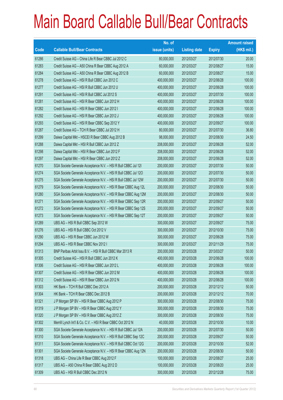|       |                                                                | No. of        |                     |               | <b>Amount raised</b> |
|-------|----------------------------------------------------------------|---------------|---------------------|---------------|----------------------|
| Code  | <b>Callable Bull/Bear Contracts</b>                            | issue (units) | <b>Listing date</b> | <b>Expiry</b> | $(HK$$ mil.)         |
| 61286 | Credit Suisse AG - China Life R Bear CBBC Jul 2012 C           | 80,000,000    | 2012/03/27          | 2012/07/30    | 20.00                |
| 61283 | Credit Suisse AG - A50 China R Bear CBBC Aug 2012 A            | 60,000,000    | 2012/03/27          | 2012/08/27    | 15.00                |
| 61284 | Credit Suisse AG - A50 China R Bear CBBC Aug 2012 B            | 60,000,000    | 2012/03/27          | 2012/08/27    | 15.00                |
| 61278 | Credit Suisse AG - HSI R Bull CBBC Jun 2012 C                  | 400,000,000   | 2012/03/27          | 2012/06/28    | 100.00               |
| 61277 | Credit Suisse AG - HSI R Bull CBBC Jun 2012 U                  | 400,000,000   | 2012/03/27          | 2012/06/28    | 100.00               |
| 61291 | Credit Suisse AG - HSI R Bull CBBC Jul 2012 S                  | 400,000,000   | 2012/03/27          | 2012/07/30    | 100.00               |
| 61281 | Credit Suisse AG - HSI R Bear CBBC Jun 2012 H                  | 400,000,000   | 2012/03/27          | 2012/06/28    | 100.00               |
| 61282 | Credit Suisse AG - HSI R Bear CBBC Jun 2012 I                  | 400,000,000   | 2012/03/27          | 2012/06/28    | 100.00               |
| 61292 | Credit Suisse AG - HSI R Bear CBBC Jun 2012 J                  | 400,000,000   | 2012/03/27          | 2012/06/28    | 100.00               |
| 61293 | Credit Suisse AG - HSI R Bear CBBC Sep 2012 Y                  | 400,000,000   | 2012/03/27          | 2012/09/27    | 100.00               |
| 61287 | Credit Suisse AG - TCH R Bear CBBC Jul 2012 H                  | 80,000,000    | 2012/03/27          | 2012/07/30    | 36.80                |
| 61299 | Daiwa Capital Mkt - HSCEI R Bear CBBC Aug 2012 B               | 98,000,000    | 2012/03/27          | 2012/08/30    | 24.50                |
| 61288 | Daiwa Capital Mkt - HSI R Bull CBBC Jun 2012 Z                 | 208,000,000   | 2012/03/27          | 2012/06/28    | 52.00                |
| 61298 | Daiwa Capital Mkt - HSI R Bear CBBC Jun 2012 F                 | 208,000,000   | 2012/03/27          | 2012/06/28    | 52.00                |
| 61297 | Daiwa Capital Mkt - HSI R Bear CBBC Jun 2012 Z                 | 208,000,000   | 2012/03/27          | 2012/06/28    | 52.00                |
| 61270 | SGA Societe Generale Acceptance N.V. - HSI R Bull CBBC Jul 121 | 200,000,000   | 2012/03/27          | 2012/07/30    | 50.00                |
| 61274 | SGA Societe Generale Acceptance N.V. - HSI R Bull CBBC Jul 120 | 200,000,000   | 2012/03/27          | 2012/07/30    | 50.00                |
| 61275 | SGA Societe Generale Acceptance N.V. - HSI R Bull CBBC Jul 12W | 200,000,000   | 2012/03/27          | 2012/07/30    | 50.00                |
| 61279 | SGA Societe Generale Acceptance N.V. - HSI R Bear CBBC Aug 12L | 200,000,000   | 2012/03/27          | 2012/08/30    | 50.00                |
| 61280 | SGA Societe Generale Acceptance N.V. - HSI R Bear CBBC Aug 12M | 200,000,000   | 2012/03/27          | 2012/08/30    | 50.00                |
| 61271 | SGA Societe Generale Acceptance N.V. - HSI R Bear CBBC Sep 12R | 200,000,000   | 2012/03/27          | 2012/09/27    | 50.00                |
| 61272 | SGA Societe Generale Acceptance N.V. - HSI R Bear CBBC Sep 12S | 200,000,000   | 2012/03/27          | 2012/09/27    | 50.00                |
| 61273 | SGA Societe Generale Acceptance N.V. - HSI R Bear CBBC Sep 12T | 200,000,000   | 2012/03/27          | 2012/09/27    | 50.00                |
| 61289 | UBS AG - HSI R Bull CBBC Sep 2012 W                            | 300,000,000   | 2012/03/27          | 2012/09/27    | 75.00                |
| 61276 | UBS AG - HSI R Bull CBBC Oct 2012 V                            | 300,000,000   | 2012/03/27          | 2012/10/30    | 75.00                |
| 61290 | UBS AG - HSI R Bear CBBC Jun 2012 W                            | 300,000,000   | 2012/03/27          | 2012/06/28    | 75.00                |
| 61294 | UBS AG - HSI R Bear CBBC Nov 2012 I                            | 300,000,000   | 2012/03/27          | 2012/11/29    | 75.00                |
| 61313 | BNP Paribas Arbit Issu B.V. - HSI R Bull CBBC Mar 2013 R       | 200,000,000   | 2012/03/28          | 2013/03/27    | 50.00                |
| 61305 | Credit Suisse AG - HSI R Bull CBBC Jun 2012 K                  | 400,000,000   | 2012/03/28          | 2012/06/28    | 100.00               |
| 61306 | Credit Suisse AG - HSI R Bear CBBC Jun 2012 L                  | 400,000,000   | 2012/03/28          | 2012/06/28    | 100.00               |
| 61307 | Credit Suisse AG - HSI R Bear CBBC Jun 2012 M                  | 400,000,000   | 2012/03/28          | 2012/06/28    | 100.00               |
| 61312 | Credit Suisse AG - HSI R Bear CBBC Jun 2012 N                  | 400,000,000   | 2012/03/28          | 2012/06/28    | 100.00               |
| 61303 | HK Bank - TCH R Bull CBBC Dec 2012 A                           | 200,000,000   | 2012/03/28          | 2012/12/12    | 50.00                |
| 61304 | HK Bank - TCH R Bear CBBC Dec 2012 B                           | 200,000,000   | 2012/03/28          | 2012/12/12    | 70.00                |
| 61321 | J P Morgan SP BV - HSI R Bear CBBC Aug 2012 P                  | 300,000,000   | 2012/03/28          | 2012/08/30    | 75.00                |
| 61319 | J P Morgan SP BV - HSI R Bear CBBC Aug 2012 Y                  | 300,000,000   | 2012/03/28          | 2012/08/30    | 75.00                |
| 61320 | J P Morgan SP BV - HSI R Bear CBBC Aug 2012 Z                  | 300,000,000   | 2012/03/28          | 2012/08/30    | 75.00                |
| 61302 | Merrill Lynch Int'l & Co. C.V. - HSI R Bear CBBC Oct 2012 N    | 40,000,000    | 2012/03/28          | 2012/10/30    | 10.00                |
| 61300 | SGA Societe Generale Acceptance N.V. - HSI R Bull CBBC Jul 12A | 200,000,000   | 2012/03/28          | 2012/07/30    | 50.00                |
| 61310 | SGA Societe Generale Acceptance N.V. - HSI R Bull CBBC Sep 12C | 200,000,000   | 2012/03/28          | 2012/09/27    | 50.00                |
| 61311 | SGA Societe Generale Acceptance N.V. - HSI R Bull CBBC Oct 12G | 200,000,000   | 2012/03/28          | 2012/10/30    | 52.00                |
| 61301 | SGA Societe Generale Acceptance N.V. - HSI R Bear CBBC Aug 12N | 200,000,000   | 2012/03/28          | 2012/08/30    | 50.00                |
| 61318 | UBS AG - China Life R Bear CBBC Aug 2012 F                     | 100,000,000   | 2012/03/28          | 2012/08/27    | 25.00                |
| 61317 | UBS AG - A50 China R Bear CBBC Aug 2012 D                      | 100,000,000   | 2012/03/28          | 2012/08/20    | 25.00                |
| 61309 | UBS AG - HSI R Bull CBBC Dec 2012 N                            | 300,000,000   | 2012/03/28          | 2012/12/28    | 75.00                |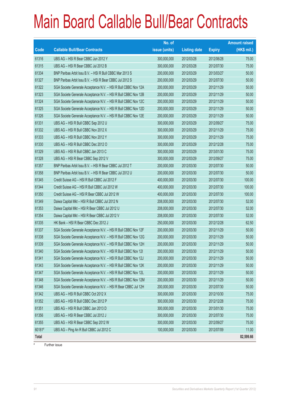|        |                                                                | No. of        |                     |               | <b>Amount raised</b> |
|--------|----------------------------------------------------------------|---------------|---------------------|---------------|----------------------|
| Code   | <b>Callable Bull/Bear Contracts</b>                            | issue (units) | <b>Listing date</b> | <b>Expiry</b> | (HK\$ mil.)          |
| 61316  | UBS AG - HSI R Bear CBBC Jun 2012 Y                            | 300,000,000   | 2012/03/28          | 2012/06/28    | 75.00                |
| 61315  | UBS AG - HSI R Bear CBBC Jul 2012 B                            | 300,000,000   | 2012/03/28          | 2012/07/30    | 75.00                |
| 61334  | BNP Paribas Arbit Issu B.V. - HSI R Bull CBBC Mar 2013 S       | 200,000,000   | 2012/03/29          | 2013/03/27    | 50.00                |
| 61327  | BNP Paribas Arbit Issu B.V. - HSI R Bear CBBC Jul 2012 S       | 200,000,000   | 2012/03/29          | 2012/07/30    | 50.00                |
| 61322  | SGA Societe Generale Acceptance N.V. - HSI R Bull CBBC Nov 12A | 200,000,000   | 2012/03/29          | 2012/11/29    | 50.00                |
| 61323  | SGA Societe Generale Acceptance N.V. - HSI R Bull CBBC Nov 12B | 200,000,000   | 2012/03/29          | 2012/11/29    | 50.00                |
| 61324  | SGA Societe Generale Acceptance N.V. - HSI R Bull CBBC Nov 12C | 200,000,000   | 2012/03/29          | 2012/11/29    | 50.00                |
| 61325  | SGA Societe Generale Acceptance N.V. - HSI R Bull CBBC Nov 12D | 200,000,000   | 2012/03/29          | 2012/11/29    | 50.00                |
| 61326  | SGA Societe Generale Acceptance N.V. - HSI R Bull CBBC Nov 12E | 200,000,000   | 2012/03/29          | 2012/11/29    | 50.00                |
| 61331  | UBS AG - HSI R Bull CBBC Sep 2012 U                            | 300,000,000   | 2012/03/29          | 2012/09/27    | 75.00                |
| 61332  | UBS AG - HSI R Bull CBBC Nov 2012 X                            | 300,000,000   | 2012/03/29          | 2012/11/29    | 75.00                |
| 61333  | UBS AG - HSI R Bull CBBC Nov 2012 Y                            | 300,000,000   | 2012/03/29          | 2012/11/29    | 75.00                |
| 61330  | UBS AG - HSI R Bull CBBC Dec 2012 O                            | 300,000,000   | 2012/03/29          | 2012/12/28    | 75.00                |
| 61329  | UBS AG - HSI R Bull CBBC Jan 2013 C                            | 300,000,000   | 2012/03/29          | 2013/01/30    | 75.00                |
| 61328  | UBS AG - HSI R Bear CBBC Sep 2012 V                            | 300,000,000   | 2012/03/29          | 2012/09/27    | 75.00                |
| 61357  | BNP Paribas Arbit Issu B.V. - HSI R Bear CBBC Jul 2012 T       | 200,000,000   | 2012/03/30          | 2012/07/30    | 50.00                |
| 61358  | BNP Paribas Arbit Issu B.V. - HSI R Bear CBBC Jul 2012 U       | 200,000,000   | 2012/03/30          | 2012/07/30    | 50.00                |
| 61345  | Credit Suisse AG - HSI R Bull CBBC Jul 2012 F                  | 400,000,000   | 2012/03/30          | 2012/07/30    | 100.00               |
| 61344  | Credit Suisse AG - HSI R Bull CBBC Jul 2012 W                  | 400,000,000   | 2012/03/30          | 2012/07/30    | 100.00               |
| 61350  | Credit Suisse AG - HSI R Bear CBBC Jul 2012 W                  | 400,000,000   | 2012/03/30          | 2012/07/30    | 100.00               |
| 61349  | Daiwa Capital Mkt - HSI R Bull CBBC Jul 2012 N                 | 208,000,000   | 2012/03/30          | 2012/07/30    | 52.00                |
| 61353  | Daiwa Capital Mkt - HSI R Bear CBBC Jul 2012 U                 | 208,000,000   | 2012/03/30          | 2012/07/30    | 52.00                |
| 61354  | Daiwa Capital Mkt - HSI R Bear CBBC Jul 2012 V                 | 208,000,000   | 2012/03/30          | 2012/07/30    | 52.00                |
| 61335  | HK Bank - HSI R Bear CBBC Dec 2012 J                           | 250,000,000   | 2012/03/30          | 2012/12/28    | 62.50                |
| 61337  | SGA Societe Generale Acceptance N.V. - HSI R Bull CBBC Nov 12F | 200,000,000   | 2012/03/30          | 2012/11/29    | 50.00                |
| 61338  | SGA Societe Generale Acceptance N.V. - HSI R Bull CBBC Nov 12G | 200,000,000   | 2012/03/30          | 2012/11/29    | 50.00                |
| 61339  | SGA Societe Generale Acceptance N.V. - HSI R Bull CBBC Nov 12H | 200,000,000   | 2012/03/30          | 2012/11/29    | 50.00                |
| 61340  | SGA Societe Generale Acceptance N.V. - HSI R Bull CBBC Nov 121 | 200,000,000   | 2012/03/30          | 2012/11/29    | 50.00                |
| 61341  | SGA Societe Generale Acceptance N.V. - HSI R Bull CBBC Nov 12J | 200,000,000   | 2012/03/30          | 2012/11/29    | 50.00                |
| 61343  | SGA Societe Generale Acceptance N.V. - HSI R Bull CBBC Nov 12K | 200,000,000   | 2012/03/30          | 2012/11/29    | 50.00                |
| 61347  | SGA Societe Generale Acceptance N.V. - HSI R Bull CBBC Nov 12L | 200,000,000   | 2012/03/30          | 2012/11/29    | 50.00                |
| 61348  | SGA Societe Generale Acceptance N.V. - HSI R Bull CBBC Nov 12M | 200,000,000   | 2012/03/30          | 2012/11/29    | 50.00                |
| 61346  | SGA Societe Generale Acceptance N.V. - HSI R Bear CBBC Jul 12H | 200,000,000   | 2012/03/30          | 2012/07/30    | 50.00                |
| 61342  | UBS AG - HSI R Bull CBBC Oct 2012 X                            | 300,000,000   | 2012/03/30          | 2012/10/30    | 75.00                |
| 61352  | UBS AG - HSI R Bull CBBC Dec 2012 P                            | 300,000,000   | 2012/03/30          | 2012/12/28    | 75.00                |
| 61351  | UBS AG - HSI R Bull CBBC Jan 2013 D                            | 300,000,000   | 2012/03/30          | 2013/01/30    | 75.00                |
| 61356  | UBS AG - HSI R Bear CBBC Jul 2012 J                            | 300,000,000   | 2012/03/30          | 2012/07/30    | 75.00                |
| 61355  | UBS AG - HSI R Bear CBBC Sep 2012 W                            | 300,000,000   | 2012/03/30          | 2012/09/27    | 75.00                |
| 60181# | UBS AG - Ping An R Bull CBBC Jul 2012 C                        | 100,000,000   | 2012/03/30          | 2012/07/09    | 11.00                |
| Total  |                                                                |               |                     |               | 82,599.66            |

# Further issue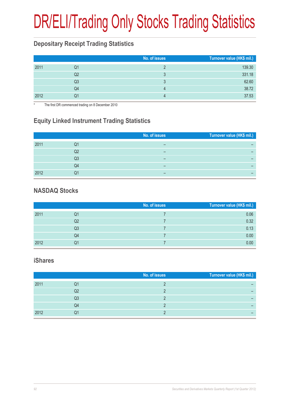# DR/ELI/Trading Only Stocks Trading Statistics

### **Depositary Receipt Trading Statistics**

|      |    | No. of issues | Turnover value (HK\$ mil.) |
|------|----|---------------|----------------------------|
| 2011 | Q1 |               | 139.30                     |
|      | Q2 | 3             | 331.18                     |
|      | Q3 | ॽ             | 62.60                      |
|      | Q4 | 4             | 38.72                      |
| 2012 | Q1 |               | 37.53                      |

The first DR commenced trading on 8 December 2010

### **Equity Linked Instrument Trading Statistics**

|      |    | No. of issues | Turnover value (HK\$ mil.) |
|------|----|---------------|----------------------------|
|      |    |               |                            |
| 2011 | Q1 | –             |                            |
|      | Q2 | –             |                            |
|      | Q3 | –             |                            |
|      |    |               |                            |
|      | Q4 | –             |                            |
| 2012 |    |               |                            |

#### **NASDAQ Stocks**

|      |    | No. of issues | Turnover value (HK\$ mil.) |
|------|----|---------------|----------------------------|
| 2011 | Q1 |               | 0.06                       |
|      | Q2 |               | 0.32                       |
|      | Q3 |               | 0.13                       |
|      | Q4 |               | 0.00                       |
| 2012 | Q1 |               | 0.00                       |

#### **iShares**

|    | Turnover value (HK\$ mil.) |
|----|----------------------------|
| Q1 |                            |
| Q2 |                            |
| Q3 |                            |
| Q4 |                            |
| Q1 |                            |
|    | No. of issues              |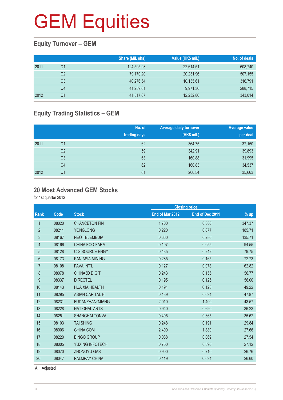#### **Equity Turnover – GEM**

|      |    | Share (Mil. shs) | Value (HK\$ mil.) | No. of deals |
|------|----|------------------|-------------------|--------------|
| 2011 | Q1 | 124,595.93       | 22,614.51         | 608,740      |
|      | Q2 | 79,170.20        | 20,231.96         | 507,155      |
|      | Q3 | 40,276.54        | 10,135.61         | 316,791      |
|      | Q4 | 41,259.61        | 9,971.36          | 288,715      |
| 2012 | Q1 | 41,517.67        | 12,232.86         | 343,014      |

### **Equity Trading Statistics – GEM**

|      |                | No. of<br>trading days | <b>Average daily turnover</b><br>(HK\$ mil.) | <b>Average value</b><br>per deal |
|------|----------------|------------------------|----------------------------------------------|----------------------------------|
| 2011 | Q1             | 62                     | 364.75                                       | 37,150                           |
|      | Q <sub>2</sub> | 59                     | 342.91                                       | 39,893                           |
|      | Q <sub>3</sub> | 63                     | 160.88                                       | 31,995                           |
|      | Q4             | 62                     | 160.83                                       | 34,537                           |
| 2012 | Q <sub>1</sub> | 61                     | 200.54                                       | 35,663                           |

#### **20 Most Advanced GEM Stocks**

for 1st quarter 2012

|                  |       |                        |                 | <b>Closing price</b> |        |
|------------------|-------|------------------------|-----------------|----------------------|--------|
| Rank             | Code  | <b>Stock</b>           | End of Mar 2012 | End of Dec 2011      | $%$ up |
| 1                | 08020 | <b>CHANCETON FIN</b>   | 1.700           | 0.380                | 347.37 |
| $\overline{2}$   | 08211 | <b>YONGLONG</b>        | 0.220           | 0.077                | 185.71 |
| $\sqrt{3}$       | 08167 | <b>NEO TELEMEDIA</b>   | 0.660           | 0.280                | 135.71 |
| 4                | 08166 | <b>CHINA ECO-FARM</b>  | 0.107           | 0.055                | 94.55  |
| $\overline{5}$   | 08128 | C G SOURCE ENGY        | 0.435           | 0.242                | 79.75  |
| 6                | 08173 | <b>PAN ASIA MINING</b> | 0.285           | 0.165                | 72.73  |
| $\overline{7}$   | 08108 | <b>FAVA INT'L</b>      | 0.127           | 0.078                | 62.82  |
| 8                | 08078 | <b>CHINA3D DIGIT</b>   | 0.243           | 0.155                | 56.77  |
| $\boldsymbol{9}$ | 08337 | <b>DIRECTEL</b>        | 0.195           | 0.125                | 56.00  |
| 10               | 08143 | <b>HUA XIA HEALTH</b>  | 0.191           | 0.128                | 49.22  |
| 11               | 08295 | <b>ASIAN CAPITAL H</b> | 0.139           | 0.094                | 47.87  |
| 12               | 08231 | <b>FUDANZHANGJIANG</b> | 2.010           | 1.400                | 43.57  |
| 13               | 08228 | <b>NATIONAL ARTS</b>   | 0.940           | 0.690                | 36.23  |
| 14               | 08251 | <b>SHANGHAI TONVA</b>  | 0.495           | 0.365                | 35.62  |
| 15               | 08103 | <b>TAI SHING</b>       | 0.248           | 0.191                | 29.84  |
| 16               | 08006 | CHINA.COM              | 2.400           | 1.880                | 27.66  |
| 17               | 08220 | <b>BINGO GROUP</b>     | 0.088           | 0.069                | 27.54  |
| 18               | 08005 | YUXING INFOTECH        | 0.750           | 0.590                | 27.12  |
| 19               | 08070 | <b>ZHONGYU GAS</b>     | 0.900           | 0.710                | 26.76  |
| 20               | 08047 | <b>PALMPAY CHINA</b>   | 0.119           | 0.094                | 26.60  |
|                  |       |                        |                 |                      |        |

A Adjusted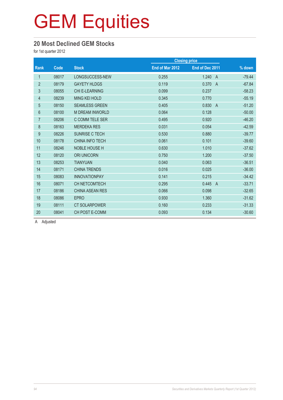#### **20 Most Declined GEM Stocks**

for 1st quarter 2012

|                |       |                        |                 | <b>Closing price</b>    |          |
|----------------|-------|------------------------|-----------------|-------------------------|----------|
| Rank           | Code  | <b>Stock</b>           | End of Mar 2012 | End of Dec 2011         | % down   |
| 1              | 08017 | LONGSUCCESS-NEW        | 0.255           | 1.240<br>$\overline{A}$ | $-79.44$ |
| $\overline{2}$ | 08179 | <b>GAYETY HLDGS</b>    | 0.119           | 0.370<br>$\overline{A}$ | $-67.84$ |
| 3              | 08055 | <b>CHI E-LEARNING</b>  | 0.099           | 0.237                   | $-58.23$ |
| 4              | 08239 | <b>MING KEI HOLD</b>   | 0.345           | 0.770                   | $-55.19$ |
| $\overline{5}$ | 08150 | <b>SEAMLESS GREEN</b>  | 0.405           | 0.830<br>$\overline{A}$ | $-51.20$ |
| $6\phantom{.}$ | 08100 | <b>M DREAM INWORLD</b> | 0.064           | 0.128                   | $-50.00$ |
| $\overline{7}$ | 08206 | C COMM TELE SER        | 0.495           | 0.920                   | $-46.20$ |
| $\bf 8$        | 08163 | <b>MERDEKA RES</b>     | 0.031           | 0.054                   | $-42.59$ |
| 9              | 08226 | SUNRISE C TECH         | 0.530           | 0.880                   | $-39.77$ |
| 10             | 08178 | <b>CHINA INFO TECH</b> | 0.061           | 0.101                   | $-39.60$ |
| 11             | 08246 | <b>NOBLE HOUSE H</b>   | 0.630           | 1.010                   | $-37.62$ |
| 12             | 08120 | <b>ORI UNICORN</b>     | 0.750           | 1.200                   | $-37.50$ |
| 13             | 08253 | <b>TIANYUAN</b>        | 0.040           | 0.063                   | $-36.51$ |
| 14             | 08171 | <b>CHINA TRENDS</b>    | 0.016           | 0.025                   | $-36.00$ |
| 15             | 08083 | <b>INNOVATIONPAY</b>   | 0.141           | 0.215                   | $-34.42$ |
| 16             | 08071 | CH NETCOMTECH          | 0.295           | 0.445<br>$\overline{A}$ | $-33.71$ |
| 17             | 08186 | <b>CHINA ASEAN RES</b> | 0.066           | 0.098                   | $-32.65$ |
| 18             | 08086 | <b>EPRO</b>            | 0.930           | 1.360                   | $-31.62$ |
| 19             | 08111 | <b>CT SOLARPOWER</b>   | 0.160           | 0.233                   | $-31.33$ |
| 20             | 08041 | <b>CH POST E-COMM</b>  | 0.093           | 0.134                   | $-30.60$ |
|                |       |                        |                 |                         |          |

A Adjusted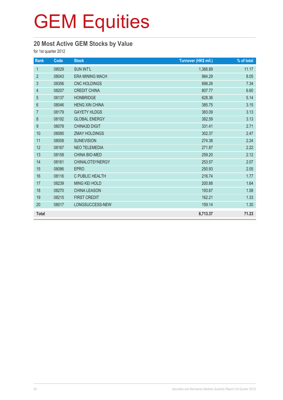### **20 Most Active GEM Stocks by Value**

for 1st quarter 2012

| Rank             | Code  | <b>Stock</b>           | Turnover (HK\$ mil.) | % of total |
|------------------|-------|------------------------|----------------------|------------|
| $\mathbf{1}$     | 08029 | <b>SUN INT'L</b>       | 1,366.89             | 11.17      |
| $\overline{2}$   | 08043 | <b>ERA MINING MACH</b> | 984.29               | 8.05       |
| 3                | 08356 | <b>CNC HOLDINGS</b>    | 898.26               | 7.34       |
| $\overline{4}$   | 08207 | <b>CREDIT CHINA</b>    | 807.77               | 6.60       |
| 5                | 08137 | <b>HONBRIDGE</b>       | 628.36               | 5.14       |
| $\,6\,$          | 08046 | <b>HENG XIN CHINA</b>  | 385.75               | 3.15       |
| $\overline{7}$   | 08179 | <b>GAYETY HLDGS</b>    | 383.09               | 3.13       |
| $\boldsymbol{8}$ | 08192 | <b>GLOBAL ENERGY</b>   | 382.59               | 3.13       |
| $\boldsymbol{9}$ | 08078 | <b>CHINA3D DIGIT</b>   | 331.41               | 2.71       |
| 10               | 08085 | <b>ZMAY HOLDINGS</b>   | 302.37               | 2.47       |
| 11               | 08008 | <b>SUNEVISION</b>      | 274.38               | 2.24       |
| 12               | 08167 | <b>NEO TELEMEDIA</b>   | 271.87               | 2.22       |
| 13               | 08158 | <b>CHINA BIO-MED</b>   | 259.20               | 2.12       |
| 14               | 08161 | <b>CHINALOTSYNERGY</b> | 253.57               | 2.07       |
| 15               | 08086 | <b>EPRO</b>            | 250.93               | 2.05       |
| 16               | 08116 | C PUBLIC HEALTH        | 216.74               | 1.77       |
| 17               | 08239 | <b>MING KEI HOLD</b>   | 200.88               | 1.64       |
| 18               | 08270 | <b>CHINA LEASON</b>    | 193.67               | 1.58       |
| 19               | 08215 | <b>FIRST CREDIT</b>    | 162.21               | 1.33       |
| 20               | 08017 | LONGSUCCESS-NEW        | 159.14               | 1.30       |
| <b>Total</b>     |       |                        | 8,713.37             | 71.23      |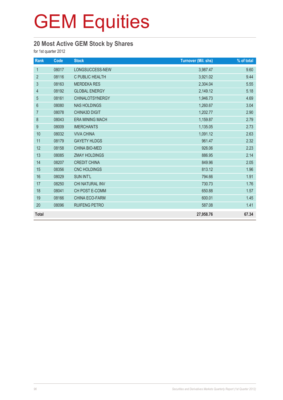### **20 Most Active GEM Stock by Shares**

for 1st quarter 2012

| Rank             | Code  | <b>Stock</b>           | <b>Turnover (Mil. shs)</b> | % of total |
|------------------|-------|------------------------|----------------------------|------------|
| $\mathbf{1}$     | 08017 | LONGSUCCESS-NEW        | 3,987.47                   | 9.60       |
| $\overline{2}$   | 08116 | C PUBLIC HEALTH        | 3,921.02                   | 9.44       |
| 3                | 08163 | <b>MERDEKA RES</b>     | 2,304.04                   | 5.55       |
| 4                | 08192 | <b>GLOBAL ENERGY</b>   | 2,149.12                   | 5.18       |
| 5                | 08161 | <b>CHINALOTSYNERGY</b> | 1,946.73                   | 4.69       |
| $\boldsymbol{6}$ | 08080 | <b>NAS HOLDINGS</b>    | 1,260.67                   | 3.04       |
| $\overline{7}$   | 08078 | <b>CHINA3D DIGIT</b>   | 1,202.77                   | 2.90       |
| 8                | 08043 | <b>ERA MINING MACH</b> | 1,159.87                   | 2.79       |
| 9                | 08009 | <b>IMERCHANTS</b>      | 1,135.05                   | 2.73       |
| 10               | 08032 | <b>VIVA CHINA</b>      | 1,091.12                   | 2.63       |
| 11               | 08179 | <b>GAYETY HLDGS</b>    | 961.47                     | 2.32       |
| 12               | 08158 | CHINA BIO-MED          | 926.06                     | 2.23       |
| 13               | 08085 | <b>ZMAY HOLDINGS</b>   | 886.95                     | 2.14       |
| 14               | 08207 | <b>CREDIT CHINA</b>    | 849.96                     | 2.05       |
| 15               | 08356 | <b>CNC HOLDINGS</b>    | 813.12                     | 1.96       |
| 16               | 08029 | <b>SUN INT'L</b>       | 794.66                     | 1.91       |
| 17               | 08250 | CHI NATURAL INV        | 730.73                     | 1.76       |
| 18               | 08041 | CH POST E-COMM         | 650.88                     | 1.57       |
| 19               | 08166 | <b>CHINA ECO-FARM</b>  | 600.01                     | 1.45       |
| 20               | 08096 | RUIFENG PETRO          | 587.08                     | 1.41       |
| <b>Total</b>     |       |                        | 27,958.76                  | 67.34      |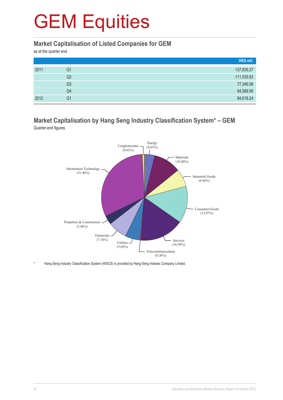#### **Market Capitalisation of Listed Companies for GEM**

as at the quarter end

|      |    | HK\$ mil.  |
|------|----|------------|
| 2011 | Q1 | 137,835.27 |
|      | Q2 | 111,535.83 |
|      | Q3 | 77,346.08  |
|      | Q4 | 84,589.06  |
| 2012 | Q1 | 84,618.24  |

#### **Market Capitalisation by Hang Seng Industry Classification System\* – GEM** Quarter-end figures



Hang Seng Industry Classification System (HSICS) is provided by Hang Seng Indexes Company Limited.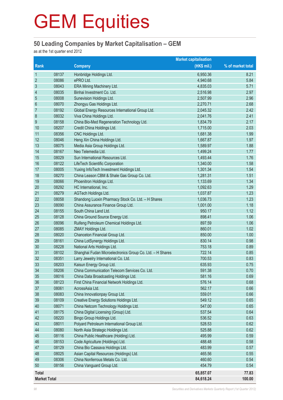#### **50 Leading Companies by Market Capitalisation – GEM**

as at the 1st quarter end 2012

|                          |                |                                                                             | <b>Market capitalisation</b> |                   |
|--------------------------|----------------|-----------------------------------------------------------------------------|------------------------------|-------------------|
| Rank                     |                | <b>Company</b>                                                              | (HK\$ mil.)                  | % of market total |
| $\mathbf{1}$             | 08137          | Honbridge Holdings Ltd.                                                     | 6,950.36                     | 8.21              |
| $\overline{2}$           | 08086          | ePRO Ltd.                                                                   | 4,940.68                     | 5.84              |
| $\mathfrak{Z}$           | 08043          | ERA Mining Machinery Ltd.                                                   | 4,835.03                     | 5.71              |
| $\overline{\mathcal{L}}$ | 08035          | Binhai Investment Co. Ltd.                                                  | 2,516.98                     | 2.97              |
| 5                        | 08008          | Sunevision Holdings Ltd.                                                    | 2,507.99                     | 2.96              |
| $6\phantom{1}6$          | 08070          | Zhongyu Gas Holdings Ltd.                                                   | 2,270.71                     | 2.68              |
| $\overline{7}$           | 08192          | Global Energy Resources International Group Ltd.                            | 2,045.32                     | 2.42              |
| 8                        | 08032          | Viva China Holdings Ltd.                                                    | 2,041.76                     | 2.41              |
| 9                        | 08158          | China Bio-Med Regeneration Technology Ltd.                                  | 1,834.79                     | 2.17              |
| 10                       | 08207          | Credit China Holdings Ltd.                                                  | 1,715.00                     | 2.03              |
| 11                       | 08356          | CNC Holdings Ltd.                                                           | 1,681.38                     | 1.99              |
| 12                       | 08046          | Heng Xin China Holdings Ltd.                                                | 1,667.87                     | 1.97              |
| 13                       | 08075          | Media Asia Group Holdings Ltd.                                              | 1,589.97                     | 1.88              |
| 14                       | 08167          | Neo Telemedia Ltd.                                                          | 1,499.24                     | 1.77              |
| 15                       | 08029          | Sun International Resources Ltd.                                            | 1,493.44                     | 1.76              |
| 16                       | 08122          | LifeTech Scientific Corporation                                             | 1,340.00                     | 1.58              |
| 17                       | 08005          | Yuxing InfoTech Investment Holdings Ltd.                                    | 1,301.34                     | 1.54              |
| 18                       | 08270          | China Leason CBM & Shale Gas Group Co. Ltd.                                 | 1,281.31                     | 1.51              |
| 19                       | 08066          | Phoenitron Holdings Ltd.                                                    | 1,133.69                     | 1.34              |
| 20                       | 08292          | HC International, Inc.                                                      | 1,092.63                     | 1.29              |
| 21                       | 08279          | AGTech Holdings Ltd.                                                        | 1,037.87                     | 1.23              |
| 22                       | 08058          | Shandong Luoxin Pharmacy Stock Co. Ltd. - H Shares                          | 1,036.73                     | 1.23              |
| 23                       | 08090          | China Assurance Finance Group Ltd.                                          | 1,001.00                     | 1.18              |
| 24                       | 08155          | South China Land Ltd.                                                       | 950.17                       | 1.12              |
| 25                       | 08128          | China Ground Source Energy Ltd.                                             | 898.41                       | 1.06              |
| 26                       | 08096          | Ruifeng Petroleum Chemical Holdings Ltd.                                    | 897.59                       | 1.06              |
| 27                       | 08085          | ZMAY Holdings Ltd.                                                          | 860.01                       | 1.02              |
| 28                       | 08020          | Chanceton Financial Group Ltd.                                              | 850.00                       | 1.00              |
| 29                       | 08161          | China LotSynergy Holdings Ltd.                                              | 830.14                       | 0.98              |
| 30                       | 08228          | National Arts Holdings Ltd.                                                 | 753.18                       | 0.89              |
| 31                       | 08102          | Shanghai Fudan Microelectronics Group Co. Ltd. - H Shares                   | 722.14                       | 0.85              |
| 32                       | 08351          | Larry Jewelry International Co. Ltd.                                        | 700.53                       | 0.83              |
| 33                       | 08203          | Kaisun Energy Group Ltd.                                                    | 635.93                       | 0.75              |
| 34                       | 08206          | China Communication Telecom Services Co. Ltd.                               | 591.38                       | 0.70              |
| 35                       | 08016          | China Data Broadcasting Holdings Ltd.                                       | 581.16                       | 0.69              |
| 36                       | 08123          | First China Financial Network Holdings Ltd.                                 | 576.14                       | 0.68              |
| 37                       | 08061          | AcrossAsia Ltd.                                                             | 562.17                       | 0.66              |
| 38                       | 08083          | China Innovationpay Group Ltd.                                              | 559.01                       | 0.66              |
| 39                       | 08109          | Creative Energy Solutions Holdings Ltd.                                     | 549.12                       | 0.65              |
| 40                       | 08071          | China Netcom Technology Holdings Ltd.                                       | 547.00                       | 0.65              |
| 41                       | 08175          | China Digital Licensing (Group) Ltd.                                        | 537.54                       | 0.64              |
| 42                       | 08220          | Bingo Group Holdings Ltd.                                                   | 536.52                       | 0.63              |
| 43                       | 08011          | Polyard Petroleum International Group Ltd.                                  | 528.53                       | 0.62              |
| 44                       | 08080          | North Asia Strategic Holdings Ltd.                                          | 525.88                       | 0.62              |
| 45                       | 08116          | China Public Healthcare (Holding) Ltd.                                      | 495.99                       | 0.59              |
| 46<br>47                 | 08153          | Code Agriculture (Holdings) Ltd.                                            | 488.48                       | 0.58              |
|                          | 08129          | China Bio Cassava Holdings Ltd.                                             | 483.99                       | 0.57              |
| 48<br>49                 | 08025          | Asian Capital Resources (Holdings) Ltd.<br>China Nonferrous Metals Co. Ltd. | 465.56<br>460.60             | 0.55              |
| 50                       | 08306<br>08156 | China Vanguard Group Ltd.                                                   | 454.79                       | 0.54<br>0.54      |
|                          |                |                                                                             |                              |                   |
| <b>Total</b>             |                |                                                                             | 65,857.07                    | 77.83             |
| <b>Market Total</b>      |                |                                                                             | 84,618.24                    | 100.00            |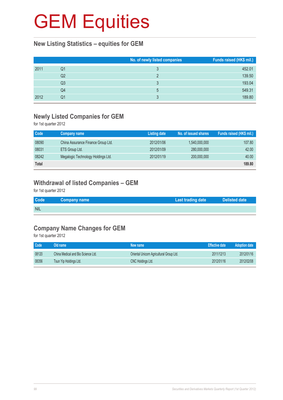#### **New Listing Statistics – equities for GEM**

|      |    | No. of newly listed companies | Funds raised (HK\$ mil.) |
|------|----|-------------------------------|--------------------------|
| 2011 | Q1 |                               | 452.01                   |
|      | Q2 |                               | 139.50                   |
|      | Q3 |                               | 193.04                   |
|      | Q4 | 5                             | 549.31                   |
| 2012 | Q1 |                               | 189.80                   |

#### **Newly Listed Companies for GEM**

for 1st quarter 2012

| Code  | Company name                       | <b>Listing date</b> | No. of issued shares | Funds raised (HK\$ mil.) |
|-------|------------------------------------|---------------------|----------------------|--------------------------|
| 08090 | China Assurance Finance Group Ltd. | 2012/01/06          | 1,540,000,000        | 107.80                   |
| 08031 | ETS Group Ltd.                     | 2012/01/09          | 280,000,000          | 42.00                    |
| 08242 | Megalogic Technology Holdings Ltd. | 2012/01/19          | 200,000,000          | 40.00                    |
| Total |                                    |                     |                      | 189,80                   |

### **Withdrawal of listed Companies – GEM**

for 1st quarter 2012

| <b>Code</b> | Company name | Last trading date | <b>Delisted date</b> |
|-------------|--------------|-------------------|----------------------|
| <b>NIL</b>  |              |                   |                      |

#### **Company Name Changes for GEM**

for 1st quarter 2012

| Code  | Old name                           | New name                                 | <b>Effective date</b> | <b>Adoption date</b> |
|-------|------------------------------------|------------------------------------------|-----------------------|----------------------|
| 08120 | China Medical and Bio Science Ltd. | Oriental Unicorn Agricultural Group Ltd. | 2011/12/13            | 2012/01/16           |
| 08356 | Tsun Yip Holdings Ltd.             | <b>CNC Holdings Ltd.</b>                 | 2012/01/16            | 2012/02/08           |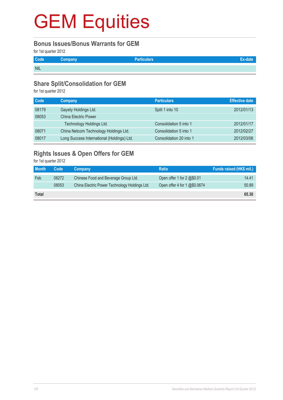#### **Bonus Issues/Bonus Warrants for GEM**

for 1st quarter 2012

| Code       | <b>Company</b> | <b>Particulars</b> |  |
|------------|----------------|--------------------|--|
| <b>NIL</b> |                |                    |  |

#### **Share Split/Consolidation for GEM**

for 1st quarter 2012

| <b>Company</b>                             | <b>Particulars</b>      | <b>Effective date</b> |
|--------------------------------------------|-------------------------|-----------------------|
| Gayety Holdings Ltd.                       | Split 1 into 10         | 2012/01/13            |
| <b>China Electric Power</b>                |                         |                       |
| Technology Holdings Ltd.                   | Consolidation 5 into 1  | 2012/01/17            |
| China Netcom Technology Holdings Ltd.      | Consolidation 5 into 1  | 2012/02/27            |
| Long Success International (Holdings) Ltd. | Consolidation 20 into 1 | 2012/03/06            |
|                                            |                         |                       |

### **Rights Issues & Open Offers for GEM**

for 1st quarter 2012

| <b>Month</b> | Code  | Company                                       | <b>Ratio</b>                 | Funds raised (HK\$ mil.) |
|--------------|-------|-----------------------------------------------|------------------------------|--------------------------|
| <b>Feb</b>   | 08272 | Chinese Food and Beverage Group Ltd.          | Open offer 1 for 2 @\$0.01   | 14.41                    |
|              | 08053 | China Electric Power Technology Holdings Ltd. | Open offer 4 for 1 @\$0.0674 | 50.89                    |
| <b>Total</b> |       |                                               |                              | 65,30                    |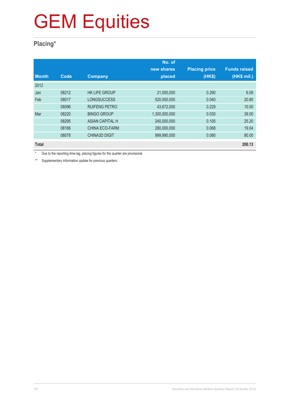### **Placing\***

|              |       |                        | No. of        |                      |                     |
|--------------|-------|------------------------|---------------|----------------------|---------------------|
|              |       |                        | new shares    | <b>Placing price</b> | <b>Funds raised</b> |
| <b>Month</b> | Code  | <b>Company</b>         | placed        | (HK\$)               | (HK\$ mil.)         |
| 2012         |       |                        |               |                      |                     |
| Jan          | 08212 | <b>HK LIFE GROUP</b>   | 21,000,000    | 0.290                | 6.09                |
| Feb          | 08017 | <b>LONGSUCCESS</b>     | 520,000,000   | 0.040                | 20.80               |
|              | 08096 | <b>RUIFENG PETRO</b>   | 43,672,000    | 0.229                | 10.00               |
| Mar          | 08220 | <b>BINGO GROUP</b>     | 1,300,000,000 | 0.030                | 39.00               |
|              | 08295 | <b>ASIAN CAPITAL H</b> | 240,000,000   | 0.105                | 25.20               |
|              | 08166 | CHINA ECO-FARM         | 280,000,000   | 0.068                | 19.04               |
|              | 08078 | <b>CHINA3D DIGIT</b>   | 999,990,000   | 0.080                | 80.00               |
| <b>Total</b> |       |                        |               |                      | 200.13              |

\* Due to the reporting time-lag, placing figures for the quarter are provisional.

\*\* Supplementary information update for previous quarters.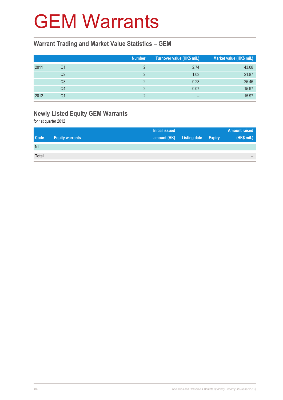### GEM Warrants

#### **Warrant Trading and Market Value Statistics – GEM**

|      |    | <b>Number</b> | Turnover value (HK\$ mil.) | Market value (HK\$ mil.) |
|------|----|---------------|----------------------------|--------------------------|
| 2011 | Q1 |               | 2.74                       | 43.08                    |
|      | Q2 |               | 1.03                       | 21.87                    |
|      | Q3 |               | 0.23                       | 25.46                    |
|      | Q4 |               | 0.07                       | 15.97                    |
| 2012 | Q1 |               | $\overline{\phantom{0}}$   | 15.97                    |

### **Newly Listed Equity GEM Warrants**

for 1st quarter 2012

|              |                        | <b>Initial issued</b> |                     |               | <b>Amount raised</b>     |
|--------------|------------------------|-----------------------|---------------------|---------------|--------------------------|
| <b>Code</b>  | <b>Equity warrants</b> | amount (HK)           | <b>Listing date</b> | <b>Expiry</b> | (HK\$ mil.)              |
| Nil          |                        |                       |                     |               |                          |
| <b>Total</b> |                        |                       |                     |               | $\overline{\phantom{a}}$ |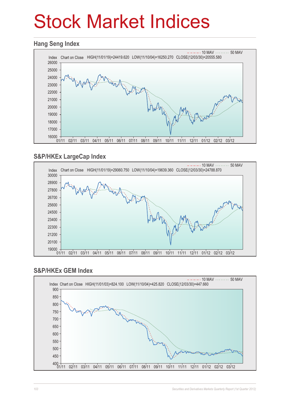## Stock Market Indices

#### **Hang Seng Index**



#### **S&P/HKEx LargeCap Index**



#### **S&P/HKEx GEM Index**

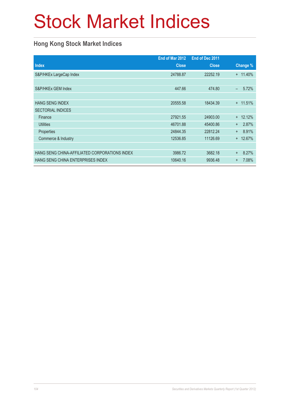# Stock Market Indices

#### **Hong Kong Stock Market Indices**

|                                               | End of Mar 2012 | End of Dec 2011 |                    |
|-----------------------------------------------|-----------------|-----------------|--------------------|
| <b>Index</b>                                  | <b>Close</b>    | <b>Close</b>    | Change %           |
| S&P/HKEx LargeCap Index                       | 24788.87        | 22252.19        | $+ 11.40\%$        |
|                                               |                 |                 |                    |
| S&P/HKEx GEM Index                            | 447.66          | 474.80          | 5.72%<br>÷,        |
|                                               |                 |                 |                    |
| <b>HANG SENG INDEX</b>                        | 20555.58        | 18434.39        | $+ 11.51%$         |
| <b>SECTORIAL INDICES</b>                      |                 |                 |                    |
| Finance                                       | 27921.55        | 24903.00        | $+ 12.12%$         |
| <b>Utilities</b>                              | 46701.88        | 45400.86        | 2.87%<br>$\ddot{}$ |
| Properties                                    | 24844.35        | 22812.24        | 8.91%<br>$+$       |
| Commerce & Industry                           | 12536.85        | 11126.69        | 12.67%<br>$+$      |
|                                               |                 |                 |                    |
| HANG SENG CHINA-AFFILIATED CORPORATIONS INDEX | 3986.72         | 3682.18         | 8.27%<br>$^{+}$    |
| HANG SENG CHINA ENTERPRISES INDEX             | 10640.16        | 9936.48         | 7.08%<br>$\ddot{}$ |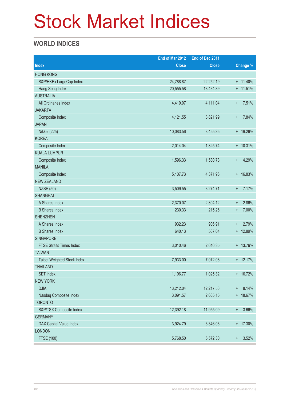## Stock Market Indices

#### **WORLD INDICES**

|                                 | End of Mar 2012 | End of Dec 2011 |                           |
|---------------------------------|-----------------|-----------------|---------------------------|
| <b>Index</b>                    | <b>Close</b>    | <b>Close</b>    | Change %                  |
| <b>HONG KONG</b>                |                 |                 |                           |
| S&P/HKEx LargeCap Index         | 24,788.87       | 22,252.19       | $+ 11.40\%$               |
| Hang Seng Index                 | 20,555.58       | 18,434.39       | $+ 11.51%$                |
| <b>AUSTRALIA</b>                |                 |                 |                           |
| All Ordinaries Index            | 4,419.97        | 4,111.04        | 7.51%<br>$\ddot{}$        |
| <b>JAKARTA</b>                  |                 |                 |                           |
| Composite Index                 | 4,121.55        | 3,821.99        | 7.84%<br>$+$              |
| <b>JAPAN</b>                    |                 |                 |                           |
| Nikkei (225)                    | 10,083.56       | 8,455.35        | + 19.26%                  |
| <b>KOREA</b>                    |                 |                 |                           |
| Composite Index                 | 2,014.04        | 1,825.74        | $+ 10.31%$                |
| <b>KUALA LUMPUR</b>             |                 |                 |                           |
| Composite Index                 | 1,596.33        | 1,530.73        | 4.29%<br>$+$              |
| <b>MANILA</b>                   |                 |                 |                           |
| Composite Index                 | 5,107.73        | 4,371.96        | + 16.83%                  |
| <b>NEW ZEALAND</b>              |                 |                 |                           |
| <b>NZSE (50)</b>                | 3,509.55        | 3,274.71        | 7.17%<br>$\ddot{}$        |
| <b>SHANGHAI</b>                 |                 |                 |                           |
| A Shares Index                  | 2,370.07        | 2,304.12        | 2.86%<br>$\ddot{}$        |
| <b>B</b> Shares Index           | 230.33          | 215.26          | 7.00%<br>$\ddot{}$        |
| <b>SHENZHEN</b>                 |                 |                 |                           |
| A Shares Index                  | 932.23          | 906.91          | 2.79%<br>$\ddot{}$        |
| <b>B</b> Shares Index           | 640.13          | 567.04          | + 12.89%                  |
| SINGAPORE                       |                 |                 |                           |
| <b>FTSE Straits Times Index</b> | 3,010.46        | 2,646.35        | + 13.76%                  |
| <b>TAIWAN</b>                   |                 |                 |                           |
| Taipei Weighted Stock Index     | 7,933.00        | 7,072.08        | $+ 12.17%$                |
| <b>THAILAND</b>                 |                 |                 |                           |
| <b>SET Index</b>                | 1,196.77        | 1,025.32        | + 16.72%                  |
| <b>NEW YORK</b>                 |                 |                 |                           |
| <b>DJIA</b>                     | 13,212.04       | 12,217.56       | 8.14%<br>$\ddagger$       |
| Nasdaq Composite Index          | 3,091.57        | 2,605.15        | + 18.67%                  |
| <b>TORONTO</b>                  |                 |                 |                           |
| S&P/TSX Composite Index         | 12,392.18       | 11,955.09       | 3.66%<br>$\boldsymbol{+}$ |
| <b>GERMANY</b>                  |                 |                 |                           |
| DAX Capital Value Index         | 3,924.79        | 3,346.06        | + 17.30%                  |
| <b>LONDON</b>                   |                 |                 |                           |
| <b>FTSE (100)</b>               | 5,768.50        | 5,572.30        | 3.52%<br>$^{\mathrm{+}}$  |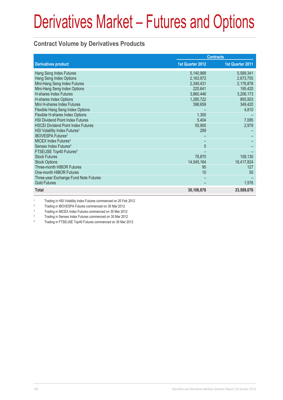# Derivatives Market – Futures and Options

#### **Contract Volume by Derivatives Products**

|                                           |                  | <b>Contracts</b> |
|-------------------------------------------|------------------|------------------|
| <b>Derivatives product</b>                | 1st Quarter 2012 | 1st Quarter 2011 |
| Hang Seng Index Futures                   | 5,140,968        | 5,589,341        |
| Hang Seng Index Options                   | 2,163,972        | 2,673,755        |
| Mini-Hang Seng Index Futures              | 2,349,431        | 2,176,878        |
| Mini-Hang Seng Index Options              | 220,641          | 195,420          |
| <b>H-shares Index Futures</b>             | 3,860,446        | 3,206,173        |
| H-shares Index Options                    | 1,285,722        | 855,503          |
| Mini H-shares Index Futures               | 398,659          | 349,420          |
| Flexible Hang Seng Index Options          |                  | 4,810            |
| Flexible H-shares Index Options           | 1,300            |                  |
| <b>HSI Dividend Point Index Futures</b>   | 5,404            | 7,085            |
| <b>HSCEI Dividend Point Index Futures</b> | 55,900           | 2,979            |
| HSI Volatility Index Futures <sup>1</sup> | 289              |                  |
| <b>IBOVESPA Futures<sup>2</sup></b>       |                  |                  |
| MICEX Index Futures <sup>3</sup>          |                  |                  |
| Sensex Index Futures <sup>4</sup>         | 5                |                  |
| FTSE/JSE Top40 Futures <sup>5</sup>       |                  |                  |
| <b>Stock Futures</b>                      | 78,870           | 108,130          |
| <b>Stock Options</b>                      | 14,545,164       | 18,417,824       |
| Three-month HIBOR Futures                 | 95               | 127              |
| One-month HIBOR Futures                   | 10               | 55               |
| Three-year Exchange Fund Note Futures     |                  |                  |
| <b>Gold Futures</b>                       |                  | 1,576            |
| <b>Total</b>                              | 30,106,876       | 33,589,076       |

1 Trading in HSI Volatility Index Futures commenced on 20 Feb 2012

2 Trading in IBOVESPA Futures commenced on 30 Mar 2012

3 Trading in MICEX Index Futures commenced on 30 Mar 2012

4 Trading in Sensex Index Futures commenced on 30 Mar 2012

5 Trading in FTSE/JSE Top40 Futures commenced on 30 Mar 2012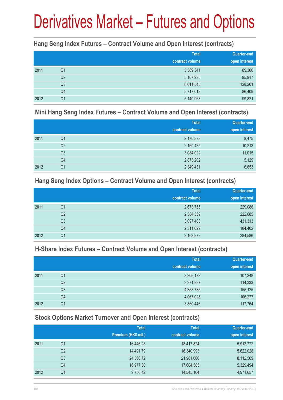# Derivatives Market – Futures and Options

#### **Hang Seng Index Futures – Contract Volume and Open Interest (contracts)**

|      |                | <b>Total</b><br>contract volume | Quarter-end<br>open interest |
|------|----------------|---------------------------------|------------------------------|
| 2011 | Q1             | 5,589,341                       | 89,300                       |
|      | Q <sub>2</sub> | 5,167,935                       | 95,917                       |
|      | Q <sub>3</sub> | 6,611,545                       | 128,201                      |
|      | Q4             | 5,717,012                       | 86,409                       |
| 2012 | Q <sub>1</sub> | 5,140,968                       | 99,821                       |

#### **Mini Hang Seng Index Futures – Contract Volume and Open Interest (contracts)**

|      |                | <b>Total</b><br>contract volume | <b>Quarter-end</b><br>open interest |
|------|----------------|---------------------------------|-------------------------------------|
| 2011 | Q <sub>1</sub> | 2,176,878                       | 8,475                               |
|      | Q <sub>2</sub> | 2,160,435                       | 10,213                              |
|      | Q <sub>3</sub> | 3,084,022                       | 11,015                              |
|      | Q4             | 2,873,202                       | 5,129                               |
| 2012 | Q1             | 2,349,431                       | 6,653                               |

#### **Hang Seng Index Options – Contract Volume and Open Interest (contracts)**

|      |                | <b>Total</b>    | Quarter-end   |
|------|----------------|-----------------|---------------|
|      |                | contract volume | open interest |
| 2011 | Q <sub>1</sub> | 2,673,755       | 229,086       |
|      | Q <sub>2</sub> | 2,584,559       | 222,085       |
|      | Q <sub>3</sub> | 3,097,483       | 431,313       |
|      | Q4             | 2,311,629       | 184,402       |
| 2012 | Q1             | 2,163,972       | 284,586       |

#### **H-Share Index Futures – Contract Volume and Open Interest (contracts)**

|      |                | <b>Total</b>    | <b>Quarter-end</b> |
|------|----------------|-----------------|--------------------|
|      |                | contract volume | open interest      |
| 2011 | Q <sub>1</sub> | 3,206,173       | 107,348            |
|      | Q <sub>2</sub> | 3,371,887       | 114,333            |
|      | Q <sub>3</sub> | 4,358,785       | 155,125            |
|      | Q4             | 4,067,025       | 106,277            |
| 2012 | Q1             | 3,860,446       | 117,764            |

#### **Stock Options Market Turnover and Open Interest (contracts)**

|    | <b>Total</b>        | <b>Total</b>    | Quarter-end   |
|----|---------------------|-----------------|---------------|
|    | Premium (HK\$ mil.) | contract volume | open interest |
| Q1 | 16,446.28           | 18,417,824      | 5,912,772     |
| Q2 | 14,491.79           | 16,340,993      | 5,622,028     |
| Q3 | 24,566.72           | 21,961,666      | 8,112,569     |
| Q4 | 16,977.30           | 17,604,585      | 5,329,494     |
| Q1 | 9,756.42            | 14,545,164      | 4,971,657     |
|    |                     |                 |               |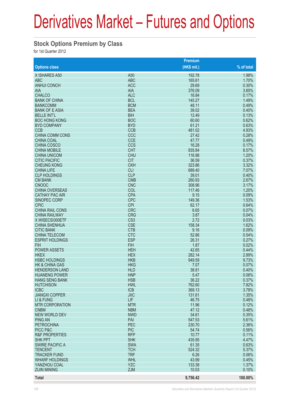## Derivatives Market – Futures and Options

#### **Stock Options Premium by Class**

for 1st Quarter 2012

|                                                |                          | Premium       |                |
|------------------------------------------------|--------------------------|---------------|----------------|
| <b>Options class</b>                           |                          | (HK\$ mil.)   | % of total     |
| X ISHARES A50                                  | A <sub>50</sub>          | 192.78        | 1.98%          |
| <b>ABC</b>                                     | <b>ABC</b>               | 165.61        | 1.70%          |
| <b>ANHUI CONCH</b>                             | <b>ACC</b>               | 29.69         | 0.30%          |
| <b>AIA</b>                                     | <b>AIA</b>               | 376.09        | 3.85%          |
| <b>CHALCO</b>                                  | <b>ALC</b>               | 16.84         | 0.17%          |
| <b>BANK OF CHINA</b>                           | <b>BCL</b>               | 145.27        | 1.49%          |
| <b>BANKCOMM</b>                                | <b>BCM</b>               | 48.11         | 0.49%          |
| <b>BANK OF E ASIA</b>                          | <b>BEA</b>               | 39.02         | 0.40%          |
| <b>BELLE INT'L</b>                             | <b>BIH</b>               | 12.49         | 0.13%          |
| <b>BOC HONG KONG</b>                           | <b>BOC</b>               | 60.60         | 0.62%          |
| <b>BYD COMPANY</b>                             | <b>BYD</b>               | 61.21         | 0.63%          |
| <b>CCB</b>                                     | <b>CCB</b>               | 481.02        | 4.93%          |
| CHINA COMM CONS                                | CCC                      | 27.42         | 0.28%          |
| <b>CHINA COAL</b>                              | <b>CCE</b>               | 47.77         | 0.49%          |
| <b>CHINA COSCO</b>                             | <b>CCS</b>               | 16.28         | 0.17%          |
| <b>CHINA MOBILE</b>                            | <b>CHT</b>               | 835.84        | 8.57%          |
| <b>CHINA UNICOM</b>                            | <b>CHU</b>               | 116.98        | 1.20%          |
| <b>CITIC PACIFIC</b>                           | <b>CIT</b>               | 36.59         | 0.37%          |
| <b>CHEUNG KONG</b>                             | <b>CKH</b>               | 323.86        | 3.32%          |
| <b>CHINA LIFE</b>                              | <b>CLI</b>               | 689.40        | 7.07%          |
| <b>CLP HOLDINGS</b>                            | <b>CLP</b>               | 39.01         | 0.40%          |
| <b>CM BANK</b>                                 | <b>CMB</b>               | 260.93        | 2.67%          |
| <b>CNOOC</b>                                   | <b>CNC</b>               | 308.96        | 3.17%          |
| <b>CHINA OVERSEAS</b><br><b>CATHAY PAC AIR</b> | COL                      | 117.46        | 1.20%          |
|                                                | <b>CPA</b><br><b>CPC</b> | 9.15          | 0.09%<br>1.53% |
| <b>SINOPEC CORP</b>                            | <b>CPI</b>               | 149.36        |                |
| <b>CPIC</b><br><b>CHINA RAIL CONS</b>          | <b>CRC</b>               | 62.17<br>6.65 | 0.64%<br>0.07% |
| <b>CHINA RAILWAY</b>                           | <b>CRG</b>               | 3.87          | 0.04%          |
| X WISECSI300ETF                                | CS <sub>3</sub>          | 2.72          | 0.03%          |
| <b>CHINA SHENHUA</b>                           | <b>CSE</b>               | 158.34        | 1.62%          |
| <b>CITIC BANK</b>                              | <b>CTB</b>               | 9.16          | 0.09%          |
| <b>CHINA TELECOM</b>                           | <b>CTC</b>               | 52.86         | 0.54%          |
| <b>ESPRIT HOLDINGS</b>                         | <b>ESP</b>               | 26.31         | 0.27%          |
| <b>FIH</b>                                     | <b>FIH</b>               | 1.87          | 0.02%          |
| <b>POWER ASSETS</b>                            | <b>HEH</b>               | 42.65         | 0.44%          |
| <b>HKEX</b>                                    | <b>HEX</b>               | 282.14        | 2.89%          |
| <b>HSBC HOLDINGS</b>                           | <b>HKB</b>               | 949.59        | 9.73%          |
| <b>HK &amp; CHINA GAS</b>                      | <b>HKG</b>               | 7.07          | 0.07%          |
| <b>HENDERSON LAND</b>                          | <b>HLD</b>               | 38.81         | 0.40%          |
| <b>HUANENG POWER</b>                           | <b>HNP</b>               | 5.47          | 0.06%          |
| <b>HANG SENG BANK</b>                          | <b>HSB</b>               | 36.22         | 0.37%          |
| <b>HUTCHISON</b>                               | <b>HWL</b>               | 762.60        | 7.82%          |
| <b>ICBC</b>                                    | <b>ICB</b>               | 369.13        | 3.78%          |
| <b>JIANGXI COPPER</b>                          | <b>JXC</b>               | 131.61        | 1.35%          |
| LI & FUNG                                      | LIF                      | 46.75         | 0.48%          |
| <b>MTR CORPORATION</b>                         | <b>MTR</b>               | 11.96         | 0.12%          |
| <b>CNBM</b>                                    | <b>NBM</b>               | 47.12         | 0.48%          |
| <b>NEW WORLD DEV</b>                           | <b>NWD</b>               | 34.61         | 0.35%          |
| <b>PING AN</b>                                 | PAI                      | 547.53        | 5.61%          |
| <b>PETROCHINA</b>                              | <b>PEC</b>               | 230.70        | 2.36%          |
| PICC P&C                                       | <b>PIC</b>               | 54.74         | 0.56%          |
| <b>R&amp;F PROPERTIES</b>                      | <b>RFP</b>               | 10.77         | 0.11%          |
| <b>SHK PPT</b>                                 | <b>SHK</b>               | 435.95        | 4.47%          |
| <b>SWIRE PACIFIC A</b>                         | <b>SWA</b>               | 61.35         | 0.63%          |
| <b>TENCENT</b>                                 | <b>TCH</b>               | 524.32        | 5.37%          |
| <b>TRACKER FUND</b>                            | <b>TRF</b>               | 6.26          | 0.06%          |
| <b>WHARF HOLDINGS</b>                          | <b>WHL</b>               | 43.99         | 0.45%          |
| YANZHOU COAL                                   | <b>YZC</b>               | 133.38        | 1.37%          |
| <b>ZIJIN MINING</b>                            | <b>ZJM</b>               | 10.03         | 0.10%          |
| <b>Total</b>                                   |                          | 9,756.42      | 100.00%        |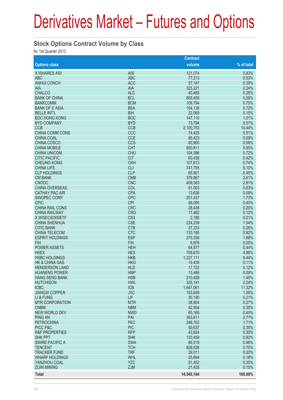## Derivatives Market – Futures and Options

#### **Stock Options Contract Volume by Class**

for 1st Quarter 2012

|                                     |                          | <b>Contract</b>  |                 |
|-------------------------------------|--------------------------|------------------|-----------------|
| <b>Options class</b>                |                          | volume           | % of total      |
| X ISHARES A50                       | A50                      | 121,074          | 0.83%           |
| <b>ABC</b>                          | <b>ABC</b>               | 77,213           | 0.53%           |
| <b>ANHUI CONCH</b>                  | <b>ACC</b>               | 57,147           | 0.39%           |
| <b>AIA</b>                          | <b>AIA</b>               | 325,221          | 2.24%           |
| <b>CHALCO</b>                       | <b>ALC</b>               | 40,485           | 0.28%           |
| <b>BANK OF CHINA</b>                | <b>BCL</b>               | 808,459          | 5.56%           |
| <b>BANKCOMM</b>                     | <b>BCM</b>               | 109,794          | 0.75%           |
| <b>BANK OF E ASIA</b>               | <b>BEA</b>               | 104,138          | 0.72%           |
| <b>BELLE INT'L</b>                  | <b>BIH</b>               | 22,065           | 0.15%           |
| <b>BOC HONG KONG</b>                | <b>BOC</b>               | 147,110          | 1.01%           |
| <b>BYD COMPANY</b>                  | <b>BYD</b>               | 73,794           | 0.51%           |
| <b>CCB</b>                          | <b>CCB</b>               | 2,100,753        | 14.44%          |
| <b>CHINA COMM CONS</b>              | CCC                      | 74,425           | 0.51%           |
| <b>CHINA COAL</b>                   | <b>CCE</b>               | 85,423           | 0.59%           |
| <b>CHINA COSCO</b>                  | <b>CCS</b>               | 83,900           | 0.58%           |
| <b>CHINA MOBILE</b>                 | <b>CHT</b>               | 850,811          | 5.85%           |
| <b>CHINA UNICOM</b>                 | <b>CHU</b>               | 104,396          | 0.72%           |
| <b>CITIC PACIFIC</b>                | <b>CIT</b>               | 60,458           | 0.42%           |
| <b>CHEUNG KONG</b>                  | <b>CKH</b>               | 107,613          | 0.74%           |
| <b>CHINA LIFE</b>                   | <b>CLI</b>               | 741,755          | 5.10%           |
| <b>CLP HOLDINGS</b>                 | <b>CLP</b>               | 65,901           | 0.45%           |
| <b>CM BANK</b>                      | <b>CMB</b>               | 379,867          | 2.61%           |
| <b>CNOOC</b>                        | <b>CNC</b>               | 409,363          | 2.81%           |
| <b>CHINA OVERSEAS</b>               | COL                      | 91,003           | 0.63%           |
| <b>CATHAY PAC AIR</b>               | <b>CPA</b>               | 13,626           | 0.09%           |
| SINOPEC CORP                        | <b>CPC</b>               | 251,437          | 1.73%           |
| <b>CPIC</b>                         | <b>CPI</b>               | 58,095           | 0.40%           |
| <b>CHINA RAIL CONS</b>              | <b>CRC</b>               | 28,438           | 0.20%           |
| <b>CHINA RAILWAY</b>                | <b>CRG</b>               | 17,462           | 0.12%           |
| X WISECSI300ETF                     | CS <sub>3</sub>          | 2,180            | 0.01%           |
| <b>CHINA SHENHUA</b>                | <b>CSE</b>               | 224,239          | 1.54%           |
| <b>CITIC BANK</b>                   | <b>CTB</b>               | 37,233           | 0.26%           |
| <b>CHINA TELECOM</b>                | <b>CTC</b>               | 133,185          | 0.92%           |
| <b>ESPRIT HOLDINGS</b>              | <b>ESP</b>               | 275,358          | 1.89%           |
| <b>FIH</b>                          | <b>FIH</b>               | 6,976            | 0.05%           |
| <b>POWER ASSETS</b>                 | <b>HEH</b>               | 64,577           | 0.44%           |
| <b>HKEX</b>                         | <b>HEX</b>               | 709,670          | 4.88%           |
| <b>HSBC HOLDINGS</b>                | <b>HKB</b>               | 1,227,111        | 8.44%           |
| <b>HK &amp; CHINA GAS</b>           | <b>HKG</b>               | 15,439           | 0.11%           |
| <b>HENDERSON LAND</b>               | <b>HLD</b>               | 17,722           | 0.12%           |
| <b>HUANENG POWER</b>                | <b>HNP</b>               | 13,486           | 0.09%           |
| <b>HANG SENG BANK</b>               | <b>HSB</b>               | 210,428          | 1.45%           |
| <b>HUTCHISON</b><br><b>ICBC</b>     | <b>HWL</b><br><b>ICB</b> | 325,141          | 2.24%<br>11.32% |
| <b>JIANGXI COPPER</b>               | <b>JXC</b>               | 1,647,061        | 1.06%           |
|                                     | LIF                      | 153,849          | 0.21%           |
| LI & FUNG<br><b>MTR CORPORATION</b> | <b>MTR</b>               | 30,190<br>38,804 | 0.27%           |
| <b>CNBM</b>                         | <b>NBM</b>               | 42,954           | 0.30%           |
| <b>NEW WORLD DEV</b>                | <b>NWD</b>               | 65,165           | 0.45%           |
| <b>PING AN</b>                      | PAI                      | 393,911          | 2.71%           |
| <b>PETROCHINA</b>                   | <b>PEC</b>               | 248,702          | 1.71%           |
| PICC P&C                            | <b>PIC</b>               | 50,637           | 0.35%           |
| <b>R&amp;F PROPERTIES</b>           | <b>RFP</b>               | 43,624           | 0.30%           |
| <b>SHK PPT</b>                      | <b>SHK</b>               | 133,459          | 0.92%           |
| <b>SWIRE PACIFIC A</b>              | <b>SWA</b>               | 66,519           | 0.46%           |
| <b>TENCENT</b>                      | <b>TCH</b>               | 828,526          | 5.70%           |
| <b>TRACKER FUND</b>                 | <b>TRF</b>               | 29,011           | 0.20%           |
| <b>WHARF HOLDINGS</b>               | <b>WHL</b>               | 25,894           | 0.18%           |
| YANZHOU COAL                        | <b>YZC</b>               | 51,452           | 0.35%           |
| <b>ZIJIN MINING</b>                 | <b>ZJM</b>               | 21,435           | 0.15%           |
|                                     |                          |                  |                 |
| <b>Total</b>                        |                          | 14,545,164       | 100.00%         |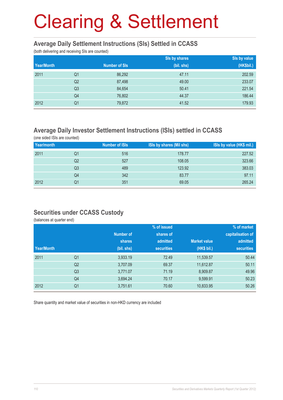#### **Average Daily Settlement Instructions (SIs) Settled in CCASS**

(both delivering and receiving SIs are counted)

|            |                |                      | Sis by shares | Sis by value |
|------------|----------------|----------------------|---------------|--------------|
| Year/Month |                | <b>Number of SIs</b> | (bil. shs)    | (HK\$bil.)   |
| 2011       | Q1             | 86,292               | 47.11         | 202.59       |
|            | Q <sub>2</sub> | 87,498               | 49.00         | 233.07       |
|            | Q <sub>3</sub> | 84,654               | 50.41         | 221.54       |
|            | Q4             | 76,802               | 44.37         | 186.44       |
| 2012       | Q <sub>1</sub> | 79,872               | 41.52         | 179.93       |

#### **Average Daily Investor Settlement Instructions (ISIs) settled in CCASS**

(one sided ISIs are counted)

| Year/month |    | <b>Number of ISIs</b> | ISIs by shares (Mil shs) | ISIs by value (HK\$ mil.) |
|------------|----|-----------------------|--------------------------|---------------------------|
| 2011       | Q1 | 516                   | 178.77                   | 227.52                    |
|            | Q2 | 527                   | 108.05                   | 323.66                    |
|            | Q3 | 489                   | 123.92                   | 383.03                    |
|            | Q4 | 342                   | 83.77                    | 97.11                     |
| 2012       | Q1 | 351                   | 69.05                    | 265.24                    |

#### **Securities under CCASS Custody**

(balances at quarter end)

|            |                |            | % of issued       |                     | % of market       |
|------------|----------------|------------|-------------------|---------------------|-------------------|
|            |                | Number of  | shares of         |                     | capitalisation of |
|            |                | shares     | admitted          | <b>Market value</b> | admitted          |
| Year/Month |                | (bil. shs) | <b>securities</b> | (HK\$ bil.)         | <b>securities</b> |
| 2011       | Q <sub>1</sub> | 3,933.19   | 72.49             | 11,539.57           | 50.44             |
|            | Q <sub>2</sub> | 3,707.09   | 69.37             | 11,612.87           | 50.11             |
|            | Q <sub>3</sub> | 3,771.07   | 71.19             | 8,909.87            | 49.96             |
|            | Q <sub>4</sub> | 3,694.24   | 70.17             | 9,599.91            | 50.23             |
| 2012       | Q <sub>1</sub> | 3,751.61   | 70.60             | 10,833.95           | 50.26             |

Share quantity and market value of securities in non-HKD currency are included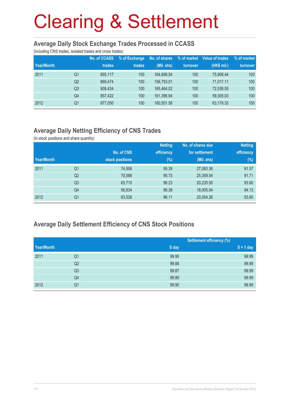#### **Average Daily Stock Exchange Trades Processed in CCASS**

(including CNS trades, isolated trades and cross trades)

|            |                | <b>No. of CCASS</b> | % of Exchange | No. of shares | % of market | Value of trades | % of market |
|------------|----------------|---------------------|---------------|---------------|-------------|-----------------|-------------|
| Year/Month |                | trades              | trades        | (Mil. shs)    | turnover    | (HK\$ mil.)     | turnover    |
| 2011       | Q1             | 855.117             | 100           | 164,899.54    | 100         | 75.908.44       | 100         |
|            | Q <sub>2</sub> | 869.474             | 100           | 156,793.01    | 100         | 71.017.11       | 100         |
|            | Q <sub>3</sub> | 908,434             | 100           | 165.464.02    | 100         | 72,538.55       | 100         |
|            | Q4             | 857.422             | 100           | 161,396.94    | 100         | 59,305.03       | 100         |
| 2012       | Q1             | 877,050             | 100           | 160,501.58    | 100         | 63,178.33       | 100         |

### **Average Daily Netting Efficiency of CNS Trades**

(in stock positions and share quantity)

|            |                |                 | <b>Netting</b> | No. of shares due | <b>Netting</b> |
|------------|----------------|-----------------|----------------|-------------------|----------------|
|            |                | No. of CNS      | efficiency     | for settlement    | efficiency     |
| Year/Month |                | stock positions | $(\%)$         | (Mil. shs)        | $(\%)$         |
| 2011       | Q1             | 74,506          | 95.39          | 27,083.36         | 91.57          |
|            | Q <sub>2</sub> | 70,588          | 95.73          | 25,359.54         | 91.71          |
|            | Q <sub>3</sub> | 63,710          | 96.23          | 20,235.50         | 93.60          |
|            | Q <sub>4</sub> | 56,834          | 96.38          | 18,005.04         | 94.13          |
| 2012       | Q <sub>1</sub> | 63,528          | 96.11          | 20,054.26         | 93.60          |

#### **Average Daily Settlement Efficiency of CNS Stock Positions**

|            |                |       | <b>Settlement efficiency (%)</b> |
|------------|----------------|-------|----------------------------------|
| Year/Month |                | S day | $S + 1$ day                      |
| 2011       | Q1             | 99.90 | 99.99                            |
|            | Q2             | 99.88 | 99.99                            |
|            | Q <sub>3</sub> | 99.87 | 99.99                            |
|            | Q4             | 99.89 | 99.99                            |
| 2012       | Q1             | 99.90 | 99.99                            |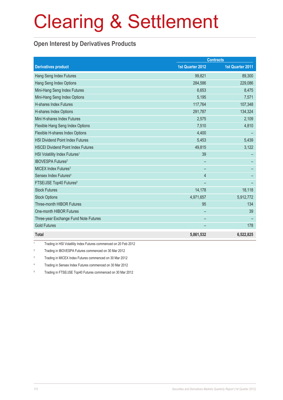#### **Open Interest by Derivatives Products**

|                                           | <b>Contracts</b> |                  |  |
|-------------------------------------------|------------------|------------------|--|
| <b>Derivatives product</b>                | 1st Quarter 2012 | 1st Quarter 2011 |  |
| Hang Seng Index Futures                   | 99,821           | 89,300           |  |
| Hang Seng Index Options                   | 284,586          | 229,086          |  |
| Mini-Hang Seng Index Futures              | 6,653            | 8,475            |  |
| Mini-Hang Seng Index Options              | 5,195            | 7,571            |  |
| H-shares Index Futures                    | 117,764          | 107,348          |  |
| H-shares Index Options                    | 291,787          | 134,324          |  |
| Mini H-shares Index Futures               | 2,575            | 2,109            |  |
| Flexible Hang Seng Index Options          | 7,510            | 4,810            |  |
| Flexible H-shares Index Options           | 4,400            |                  |  |
| <b>HSI Dividend Point Index Futures</b>   | 5,453            | 5,439            |  |
| <b>HSCEI Dividend Point Index Futures</b> | 49,815           | 3,122            |  |
| HSI Volatility Index Futures <sup>1</sup> | 39               |                  |  |
| <b>IBOVESPA Futures<sup>2</sup></b>       |                  |                  |  |
| MICEX Index Futures <sup>3</sup>          |                  |                  |  |
| Sensex Index Futures <sup>4</sup>         | 4                |                  |  |
| FTSE/JSE Top40 Futures <sup>5</sup>       |                  |                  |  |
| <b>Stock Futures</b>                      | 14,178           | 18,118           |  |
| <b>Stock Options</b>                      | 4,971,657        | 5,912,772        |  |
| Three-month HIBOR Futures                 | 95               | 134              |  |
| One-month HIBOR Futures                   |                  | 39               |  |
| Three-year Exchange Fund Note Futures     |                  |                  |  |
| <b>Gold Futures</b>                       |                  | 178              |  |
| <b>Total</b>                              | 5,861,532        | 6,522,825        |  |

1 Trading in HSI Volatility Index Futures commenced on 20 Feb 2012

2 Trading in IBOVESPA Futures commenced on 30 Mar 2012

3 Trading in MICEX Index Futures commenced on 30 Mar 2012

4 Trading in Sensex Index Futures commenced on 30 Mar 2012

5 Trading in FTSE/JSE Top40 Futures commenced on 30 Mar 2012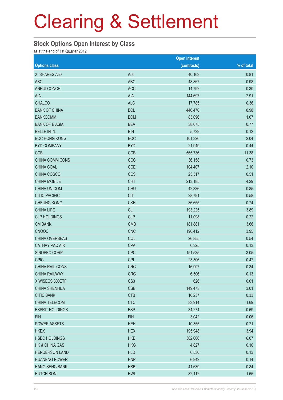#### **Stock Options Open Interest by Class**

as at the end of 1st Quarter 2012

|                           |                 | <b>Open interest</b> |            |
|---------------------------|-----------------|----------------------|------------|
| <b>Options class</b>      |                 | (contracts)          | % of total |
| X ISHARES A50             | A50             | 40,163               | 0.81       |
| <b>ABC</b>                | <b>ABC</b>      | 48,867               | 0.98       |
| <b>ANHUI CONCH</b>        | <b>ACC</b>      | 14,792               | 0.30       |
| <b>AIA</b>                | <b>AIA</b>      | 144,697              | 2.91       |
| <b>CHALCO</b>             | <b>ALC</b>      | 17,785               | 0.36       |
| <b>BANK OF CHINA</b>      | <b>BCL</b>      | 446,470              | 8.98       |
| <b>BANKCOMM</b>           | <b>BCM</b>      | 83,096               | 1.67       |
| <b>BANK OF E ASIA</b>     | <b>BEA</b>      | 38,075               | 0.77       |
| <b>BELLE INT'L</b>        | <b>BIH</b>      | 5,729                | 0.12       |
| <b>BOC HONG KONG</b>      | <b>BOC</b>      | 101,326              | 2.04       |
| <b>BYD COMPANY</b>        | <b>BYD</b>      | 21,949               | 0.44       |
| <b>CCB</b>                | <b>CCB</b>      | 565,736              | 11.38      |
| CHINA COMM CONS           | CCC             | 36,158               | 0.73       |
| CHINA COAL                | <b>CCE</b>      | 104,407              | 2.10       |
| CHINA COSCO               | <b>CCS</b>      | 25,517               | 0.51       |
| <b>CHINA MOBILE</b>       | <b>CHT</b>      | 213,185              | 4.29       |
| <b>CHINA UNICOM</b>       | <b>CHU</b>      | 42,336               | 0.85       |
| <b>CITIC PACIFIC</b>      | <b>CIT</b>      | 28,791               | 0.58       |
| <b>CHEUNG KONG</b>        | <b>CKH</b>      | 36,655               | 0.74       |
| <b>CHINA LIFE</b>         | <b>CLI</b>      | 193,225              | 3.89       |
| <b>CLP HOLDINGS</b>       | <b>CLP</b>      | 11,098               | 0.22       |
| <b>CM BANK</b>            | <b>CMB</b>      | 181,881              | 3.66       |
| CNOOC                     | <b>CNC</b>      | 196,412              | 3.95       |
| CHINA OVERSEAS            | COL             | 26,855               | 0.54       |
| <b>CATHAY PAC AIR</b>     | <b>CPA</b>      | 6,325                | 0.13       |
| SINOPEC CORP              | <b>CPC</b>      | 151,535              | 3.05       |
| <b>CPIC</b>               | <b>CPI</b>      | 23,306               | 0.47       |
| <b>CHINA RAIL CONS</b>    | <b>CRC</b>      | 16,907               | 0.34       |
| <b>CHINA RAILWAY</b>      | <b>CRG</b>      | 6,506                | 0.13       |
| X WISECSI300ETF           | CS <sub>3</sub> | 626                  | 0.01       |
| <b>CHINA SHENHUA</b>      | <b>CSE</b>      | 149,473              | 3.01       |
| <b>CITIC BANK</b>         | <b>CTB</b>      | 16,237               | 0.33       |
| CHINA TELECOM             | <b>CTC</b>      | 83,914               | 1.69       |
| <b>ESPRIT HOLDINGS</b>    | <b>ESP</b>      | 34,274               | 0.69       |
| <b>FIH</b>                | <b>FIH</b>      | 3,042                | 0.06       |
| <b>POWER ASSETS</b>       | <b>HEH</b>      | 10,355               | 0.21       |
| <b>HKEX</b>               | <b>HEX</b>      | 195,948              | 3.94       |
| <b>HSBC HOLDINGS</b>      | <b>HKB</b>      | 302,006              | 6.07       |
| <b>HK &amp; CHINA GAS</b> | <b>HKG</b>      | 4,827                | 0.10       |
| <b>HENDERSON LAND</b>     | <b>HLD</b>      | 6,530                | 0.13       |
| <b>HUANENG POWER</b>      | <b>HNP</b>      | 6,942                | 0.14       |
| <b>HANG SENG BANK</b>     | <b>HSB</b>      | 41,639               | 0.84       |
| <b>HUTCHISON</b>          | <b>HWL</b>      | 82,112               | 1.65       |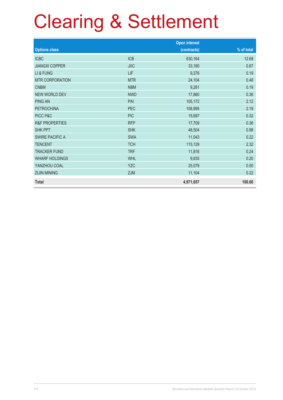|                           |            | <b>Open interest</b> |            |
|---------------------------|------------|----------------------|------------|
| <b>Options class</b>      |            | (contracts)          | % of total |
| <b>ICBC</b>               | <b>ICB</b> | 630,164              | 12.68      |
| <b>JIANGXI COPPER</b>     | <b>JXC</b> | 33,180               | 0.67       |
| LI & FUNG                 | LIF        | 9,276                | 0.19       |
| <b>MTR CORPORATION</b>    | <b>MTR</b> | 24,104               | 0.48       |
| <b>CNBM</b>               | <b>NBM</b> | 9,281                | 0.19       |
| NEW WORLD DEV             | <b>NWD</b> | 17,860               | 0.36       |
| <b>PING AN</b>            | PAI        | 105,172              | 2.12       |
| <b>PETROCHINA</b>         | <b>PEC</b> | 108,995              | 2.19       |
| PICC P&C                  | <b>PIC</b> | 15,697               | 0.32       |
| <b>R&amp;F PROPERTIES</b> | <b>RFP</b> | 17,709               | 0.36       |
| <b>SHK PPT</b>            | <b>SHK</b> | 48,504               | 0.98       |
| <b>SWIRE PACIFIC A</b>    | <b>SWA</b> | 11,043               | 0.22       |
| <b>TENCENT</b>            | <b>TCH</b> | 115,129              | 2.32       |
| <b>TRACKER FUND</b>       | <b>TRF</b> | 11,816               | 0.24       |
| <b>WHARF HOLDINGS</b>     | <b>WHL</b> | 9,835                | 0.20       |
| YANZHOU COAL              | <b>YZC</b> | 25,079               | 0.50       |
| <b>ZIJIN MINING</b>       | <b>ZJM</b> | 11,104               | 0.22       |
| <b>Total</b>              |            | 4,971,657            | 100.00     |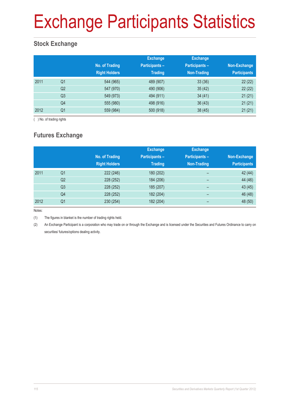# Exchange Participants Statistics

### **Stock Exchange**

|      |                | No. of Trading<br><b>Right Holders</b> | <b>Exchange</b><br><b>Participants -</b><br><b>Trading</b> | <b>Exchange</b><br>Participants-<br>Non-Trading | Non-Exchange<br><b>Participants</b> |
|------|----------------|----------------------------------------|------------------------------------------------------------|-------------------------------------------------|-------------------------------------|
| 2011 | Q <sub>1</sub> | 544 (965)                              | 489 (907)                                                  | 33(36)                                          | 22(22)                              |
|      | Q <sub>2</sub> | 547 (970)                              | 490 (906)                                                  | 35(42)                                          | 22(22)                              |
|      | Q <sub>3</sub> | 549 (973)                              | 494 (911)                                                  | 34(41)                                          | 21(21)                              |
|      | Q4             | 555 (980)                              | 498 (916)                                                  | 36(43)                                          | 21(21)                              |
| 2012 | Q <sub>1</sub> | 559 (984)                              | 500 (918)                                                  | 38(45)                                          | 21(21)                              |

( ) No. of trading rights

### **Futures Exchange**

|      |                | No. of Trading<br><b>Right Holders</b> | <b>Exchange</b><br><b>Participants-</b><br><b>Trading</b> | <b>Exchange</b><br><b>Participants -</b><br><b>Non-Trading</b> | Non-Exchange<br><b>Participants</b> |
|------|----------------|----------------------------------------|-----------------------------------------------------------|----------------------------------------------------------------|-------------------------------------|
| 2011 | Q <sub>1</sub> | 222 (246)                              | 180 (202)                                                 | $\overline{\phantom{0}}$                                       | 42 (44)                             |
|      | Q <sub>2</sub> | 228 (252)                              | 184 (206)                                                 | -                                                              | 44 (46)                             |
|      | Q <sub>3</sub> | 228 (252)                              | 185 (207)                                                 | $\qquad \qquad$                                                | 43 (45)                             |
|      | Q4             | 228 (252)                              | 182 (204)                                                 | $\overline{\phantom{0}}$                                       | 46 (48)                             |
| 2012 | Q <sub>1</sub> | 230 (254)                              | 182 (204)                                                 | -                                                              | 48 (50)                             |

Notes:

(1) The figures in blanket is the number of trading rights held.

(2) An Exchange Participant is a corporation who may trade on or through the Exchange and is licensed under the Securities and Futures Ordinance to carry on securities/ futures/options dealing activity.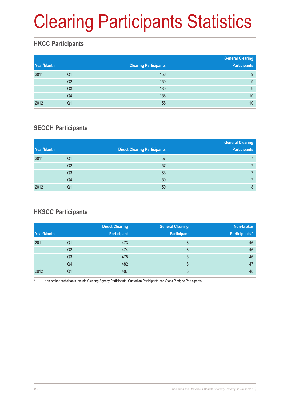# Clearing Participants Statistics

### **HKCC Participants**

| Year/Month |                | <b>Clearing Participants</b> | <b>General Clearing</b><br><b>Participants</b> |
|------------|----------------|------------------------------|------------------------------------------------|
| 2011       | Q1             | 156                          | 9                                              |
|            | Q <sub>2</sub> | 159                          | 9                                              |
|            | Q3             | 160                          | 9                                              |
|            | Q4             | 156                          | 10                                             |
| 2012       | Q1             | 156                          | 10                                             |

### **SEOCH Participants**

|            |                |                                     | <b>General Clearing</b> |
|------------|----------------|-------------------------------------|-------------------------|
| Year/Month |                | <b>Direct Clearing Participants</b> | <b>Participants</b>     |
| 2011       | Q1             | 57                                  |                         |
|            | Q <sub>2</sub> | 57                                  |                         |
|            | Q <sub>3</sub> | 58                                  |                         |
|            | Q4             | 59                                  |                         |
| 2012       | Q1             | 59                                  | 8                       |

### **HKSCC Participants**

|            |                | <b>Direct Clearing</b> | <b>General Clearing</b> | Non-broker            |
|------------|----------------|------------------------|-------------------------|-----------------------|
| Year/Month |                | <b>Participant</b>     | <b>Participant</b>      | <b>Participants</b> * |
| 2011       | Q1             | 473                    | 8                       | 46                    |
|            | Q <sub>2</sub> | 474                    | 8                       | 46                    |
|            | Q3             | 478                    | 8                       | 46                    |
|            | Q4             | 482                    | 8                       | 47                    |
| 2012       | Q1             | 487                    | 8                       | 48                    |

Non-broker participants include Clearing Agency Participants, Custodian Participants and Stock Pledgee Participants.